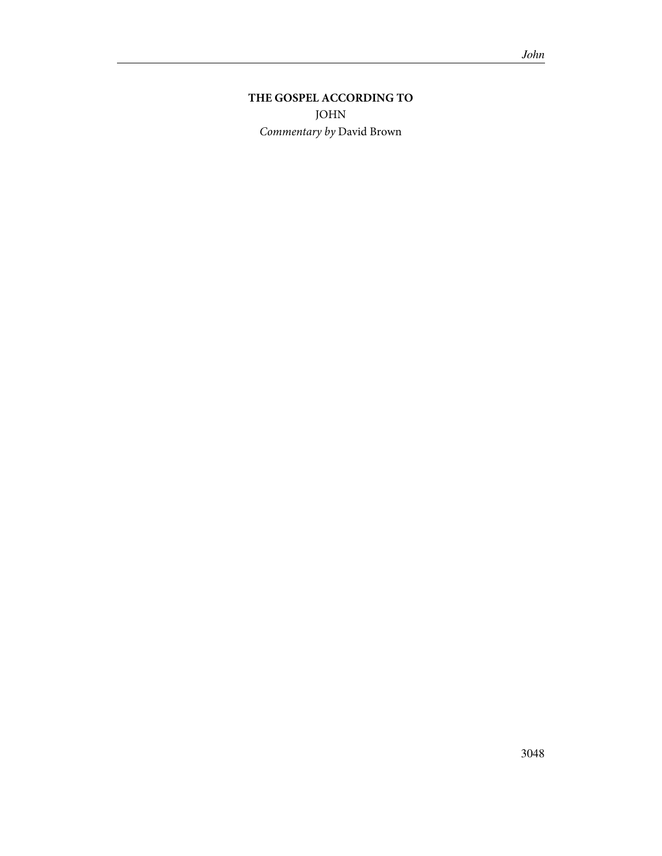# **THE GOSPEL ACCORDING TO** JOHN Commentary by David Brown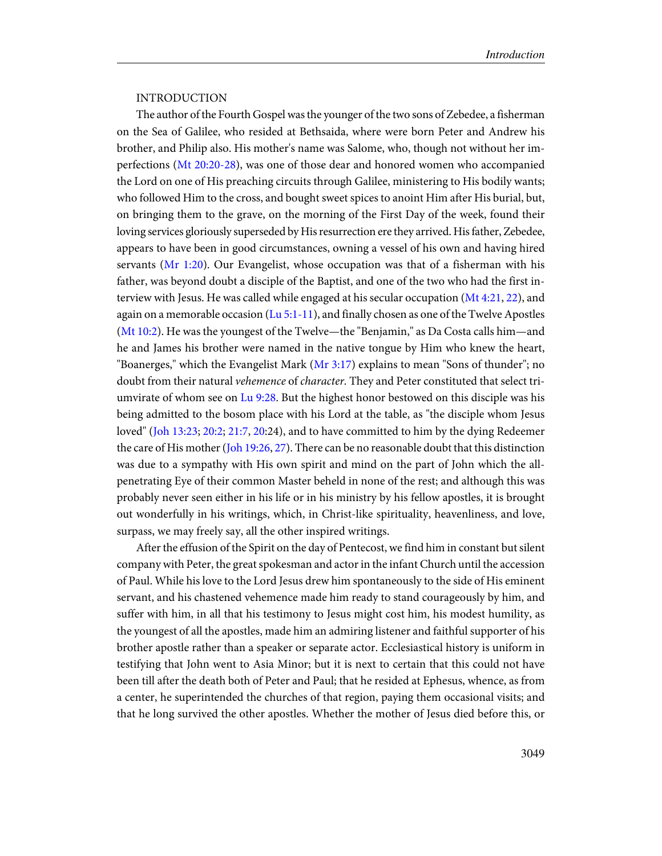## INTRODUCTION

The author of the Fourth Gospel was the younger of the two sons of Zebedee, a fisherman on the Sea of Galilee, who resided at Bethsaida, where were born Peter and Andrew his brother, and Philip also. His mother's name was Salome, who, though not without her imperfections ([Mt 20:20-28](http://www.ccel.org/study/Bible:Matt.20.20-Matt.20.28)), was one of those dear and honored women who accompanied the Lord on one of His preaching circuits through Galilee, ministering to His bodily wants; who followed Him to the cross, and bought sweet spices to anoint Him after His burial, but, on bringing them to the grave, on the morning of the First Day of the week, found their loving services gloriously superseded by His resurrection ere they arrived. His father, Zebedee, appears to have been in good circumstances, owning a vessel of his own and having hired servants ([Mr 1:20\)](http://www.ccel.org/study/Bible:Mark.1.20). Our Evangelist, whose occupation was that of a fisherman with his father, was beyond doubt a disciple of the Baptist, and one of the two who had the first interview with Jesus. He was called while engaged at his secular occupation  $(Mt 4:21, 22)$  $(Mt 4:21, 22)$ , and again on a memorable occasion [\(Lu 5:1-11\)](http://www.ccel.org/study/Bible:Luke.5.1-Luke.5.11), and finally chosen as one of the Twelve Apostles ([Mt 10:2](http://www.ccel.org/study/Bible:Matt.10.2)). He was the youngest of the Twelve—the "Benjamin," as Da Costa calls him—and he and James his brother were named in the native tongue by Him who knew the heart, "Boanerges," which the Evangelist Mark  $(Mr 3:17)$  $(Mr 3:17)$  explains to mean "Sons of thunder"; no doubt from their natural vehemence of character. They and Peter constituted that select tri-umvirate of whom see on [Lu 9:28](http://www.ccel.org/study/Bible:Luke.9.28). But the highest honor bestowed on this disciple was his being admitted to the bosom place with his Lord at the table, as "the disciple whom Jesus loved" ([Joh 13:23;](http://www.ccel.org/study/Bible:John.13.23) [20:2](http://www.ccel.org/study/Bible:John.20.2); [21:7,](http://www.ccel.org/study/Bible:John.21.7) [20:](http://www.ccel.org/study/Bible:John.21.20)24), and to have committed to him by the dying Redeemer the care of His mother ([Joh 19:26,](http://www.ccel.org/study/Bible:John.19.26) [27\)](http://www.ccel.org/study/Bible:John.19.27). There can be no reasonable doubt that this distinction was due to a sympathy with His own spirit and mind on the part of John which the allpenetrating Eye of their common Master beheld in none of the rest; and although this was probably never seen either in his life or in his ministry by his fellow apostles, it is brought out wonderfully in his writings, which, in Christ-like spirituality, heavenliness, and love, surpass, we may freely say, all the other inspired writings.

After the effusion of the Spirit on the day of Pentecost, we find him in constant but silent company with Peter, the great spokesman and actor in the infant Church until the accession of Paul. While his love to the Lord Jesus drew him spontaneously to the side of His eminent servant, and his chastened vehemence made him ready to stand courageously by him, and suffer with him, in all that his testimony to Jesus might cost him, his modest humility, as the youngest of all the apostles, made him an admiring listener and faithful supporter of his brother apostle rather than a speaker or separate actor. Ecclesiastical history is uniform in testifying that John went to Asia Minor; but it is next to certain that this could not have been till after the death both of Peter and Paul; that he resided at Ephesus, whence, as from a center, he superintended the churches of that region, paying them occasional visits; and that he long survived the other apostles. Whether the mother of Jesus died before this, or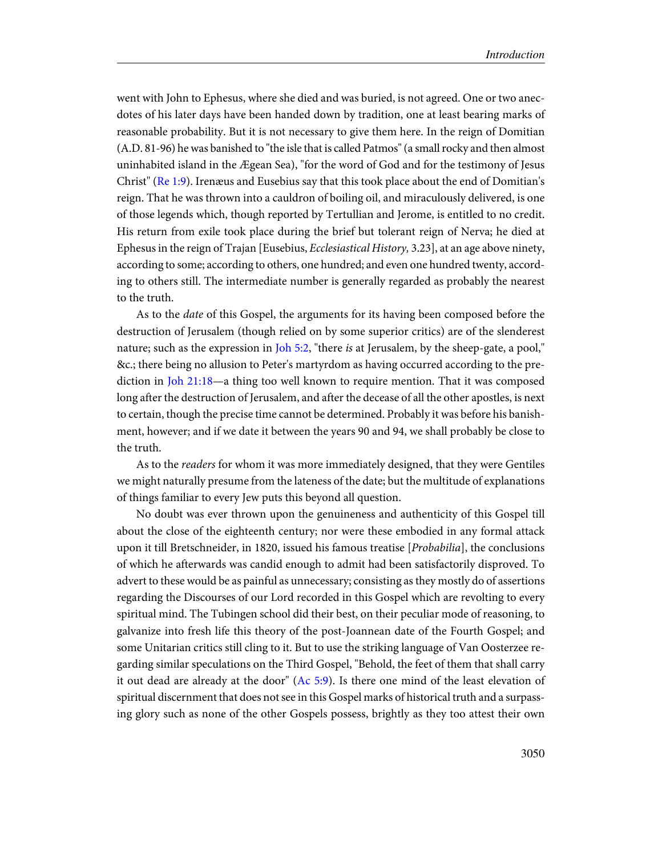went with John to Ephesus, where she died and was buried, is not agreed. One or two anecdotes of his later days have been handed down by tradition, one at least bearing marks of reasonable probability. But it is not necessary to give them here. In the reign of Domitian (A.D. 81-96) he was banished to "the isle that is called Patmos" (a small rocky and then almost uninhabited island in the Ægean Sea), "for the word of God and for the testimony of Jesus Christ" [\(Re 1:9](http://www.ccel.org/study/Bible:Rev.1.9)). Irenæus and Eusebius say that this took place about the end of Domitian's reign. That he was thrown into a cauldron of boiling oil, and miraculously delivered, is one of those legends which, though reported by Tertullian and Jerome, is entitled to no credit. His return from exile took place during the brief but tolerant reign of Nerva; he died at Ephesus in the reign of Trajan [Eusebius, Ecclesiastical History, 3.23], at an age above ninety, according to some; according to others, one hundred; and even one hundred twenty, according to others still. The intermediate number is generally regarded as probably the nearest to the truth.

As to the date of this Gospel, the arguments for its having been composed before the destruction of Jerusalem (though relied on by some superior critics) are of the slenderest nature; such as the expression in [Joh 5:2,](http://www.ccel.org/study/Bible:John.5.2) "there *is* at Jerusalem, by the sheep-gate, a pool," &c.; there being no allusion to Peter's martyrdom as having occurred according to the prediction in [Joh 21:18—](http://www.ccel.org/study/Bible:John.21.18)a thing too well known to require mention. That it was composed long after the destruction of Jerusalem, and after the decease of all the other apostles, is next to certain, though the precise time cannot be determined. Probably it was before his banishment, however; and if we date it between the years 90 and 94, we shall probably be close to the truth.

As to the readers for whom it was more immediately designed, that they were Gentiles we might naturally presume from the lateness of the date; but the multitude of explanations of things familiar to every Jew puts this beyond all question.

No doubt was ever thrown upon the genuineness and authenticity of this Gospel till about the close of the eighteenth century; nor were these embodied in any formal attack upon it till Bretschneider, in 1820, issued his famous treatise [Probabilia], the conclusions of which he afterwards was candid enough to admit had been satisfactorily disproved. To advert to these would be as painful as unnecessary; consisting as they mostly do of assertions regarding the Discourses of our Lord recorded in this Gospel which are revolting to every spiritual mind. The Tubingen school did their best, on their peculiar mode of reasoning, to galvanize into fresh life this theory of the post-Joannean date of the Fourth Gospel; and some Unitarian critics still cling to it. But to use the striking language of Van Oosterzee regarding similar speculations on the Third Gospel, "Behold, the feet of them that shall carry it out dead are already at the door" ([Ac 5:9\)](http://www.ccel.org/study/Bible:Acts.5.9). Is there one mind of the least elevation of spiritual discernment that does not see in this Gospel marks of historical truth and a surpassing glory such as none of the other Gospels possess, brightly as they too attest their own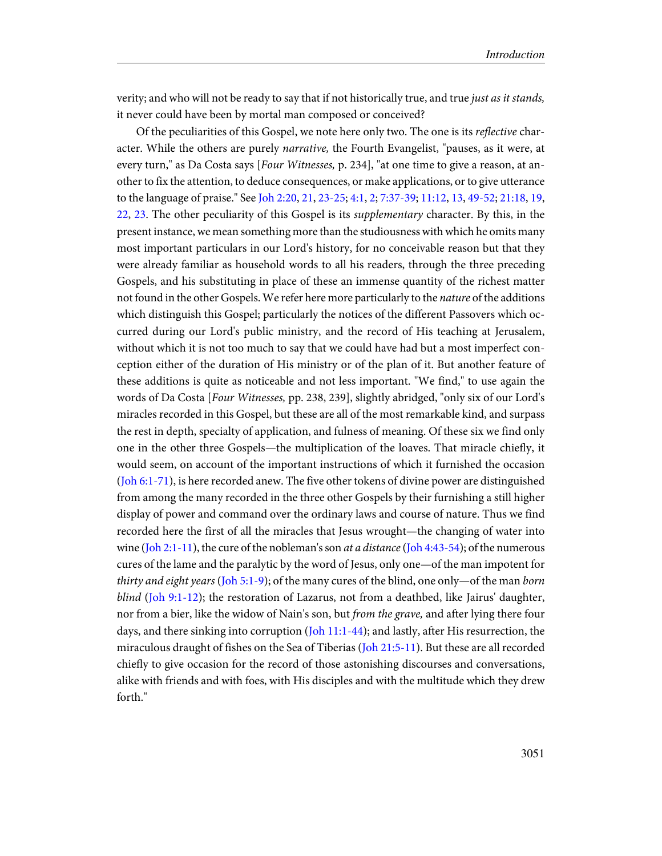verity; and who will not be ready to say that if not historically true, and true just as it stands, it never could have been by mortal man composed or conceived?

Of the peculiarities of this Gospel, we note here only two. The one is its reflective character. While the others are purely narrative, the Fourth Evangelist, "pauses, as it were, at every turn," as Da Costa says [Four Witnesses, p. 234], "at one time to give a reason, at another to fix the attention, to deduce consequences, or make applications, or to give utterance to the language of praise." See [Joh 2:20](http://www.ccel.org/study/Bible:John.2.20), [21,](http://www.ccel.org/study/Bible:John.2.21) [23-25;](http://www.ccel.org/study/Bible:John.2.23-John.2.25) [4:1](http://www.ccel.org/study/Bible:John.4.1), [2](http://www.ccel.org/study/Bible:John.4.2); [7:37-39;](http://www.ccel.org/study/Bible:John.7.37-John.7.39) [11:12](http://www.ccel.org/study/Bible:John.11.12), [13](http://www.ccel.org/study/Bible:John.11.13), [49-52;](http://www.ccel.org/study/Bible:John.11.49-John.11.52) [21:18](http://www.ccel.org/study/Bible:John.21.18), [19,](http://www.ccel.org/study/Bible:John.21.19) [22,](http://www.ccel.org/study/Bible:John.21.22) [23.](http://www.ccel.org/study/Bible:John.21.23) The other peculiarity of this Gospel is its supplementary character. By this, in the present instance, we mean something more than the studiousness with which he omits many most important particulars in our Lord's history, for no conceivable reason but that they were already familiar as household words to all his readers, through the three preceding Gospels, and his substituting in place of these an immense quantity of the richest matter not found in the other Gospels. We refer here more particularly to the nature of the additions which distinguish this Gospel; particularly the notices of the different Passovers which occurred during our Lord's public ministry, and the record of His teaching at Jerusalem, without which it is not too much to say that we could have had but a most imperfect conception either of the duration of His ministry or of the plan of it. But another feature of these additions is quite as noticeable and not less important. "We find," to use again the words of Da Costa [Four Witnesses, pp. 238, 239], slightly abridged, "only six of our Lord's miracles recorded in this Gospel, but these are all of the most remarkable kind, and surpass the rest in depth, specialty of application, and fulness of meaning. Of these six we find only one in the other three Gospels—the multiplication of the loaves. That miracle chiefly, it would seem, on account of the important instructions of which it furnished the occasion ([Joh 6:1-71](http://www.ccel.org/study/Bible:John.6.1-John.6.71)), is here recorded anew. The five other tokens of divine power are distinguished from among the many recorded in the three other Gospels by their furnishing a still higher display of power and command over the ordinary laws and course of nature. Thus we find recorded here the first of all the miracles that Jesus wrought—the changing of water into wine [\(Joh 2:1-11](http://www.ccel.org/study/Bible:John.2.1-John.2.11)), the cure of the nobleman's son *at a distance* [\(Joh 4:43-54](http://www.ccel.org/study/Bible:John.4.43-John.4.54)); of the numerous cures of the lame and the paralytic by the word of Jesus, only one—of the man impotent for thirty and eight years ([Joh 5:1-9](http://www.ccel.org/study/Bible:John.5.1-John.5.9)); of the many cures of the blind, one only—of the man born blind ([Joh 9:1-12\)](http://www.ccel.org/study/Bible:John.9.1-John.9.12); the restoration of Lazarus, not from a deathbed, like Jairus' daughter, nor from a bier, like the widow of Nain's son, but *from the grave*, and after lying there four days, and there sinking into corruption (Joh  $11:1-44$ ); and lastly, after His resurrection, the miraculous draught of fishes on the Sea of Tiberias ([Joh 21:5-11](http://www.ccel.org/study/Bible:John.21.5-John.21.11)). But these are all recorded chiefly to give occasion for the record of those astonishing discourses and conversations, alike with friends and with foes, with His disciples and with the multitude which they drew forth."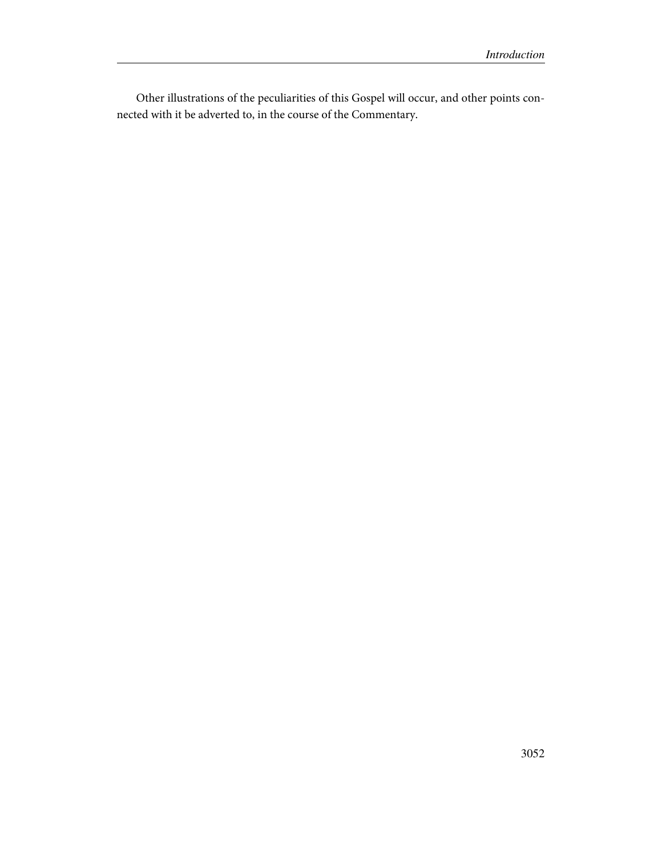Other illustrations of the peculiarities of this Gospel will occur, and other points connected with it be adverted to, in the course of the Commentary.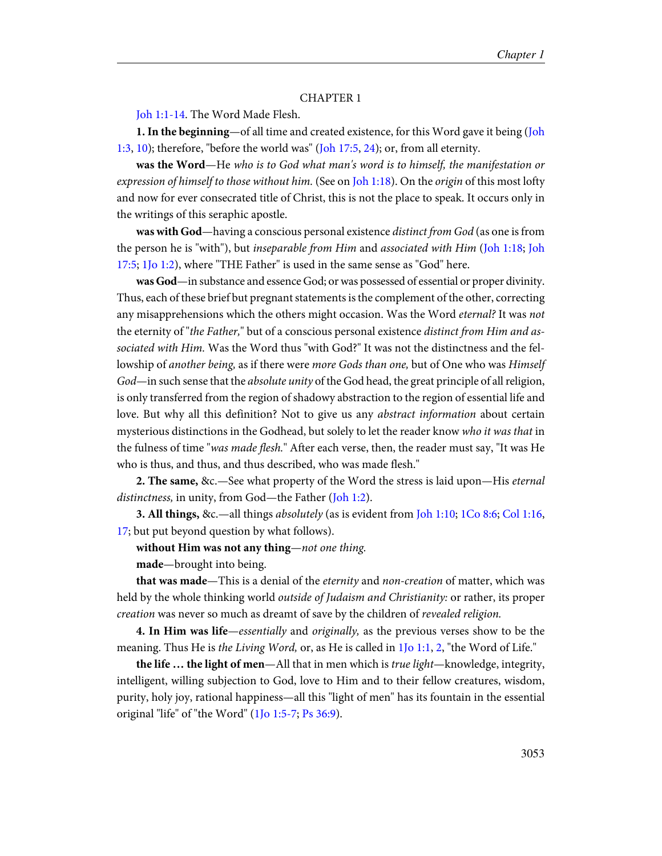## CHAPTER 1

[Joh 1:1-14](http://www.ccel.org/study/Bible:John.1.1-John.1.14). The Word Made Flesh.

**1. In the beginning**—of all time and created existence, for this Word gave it being ([Joh](http://www.ccel.org/study/Bible:John.1.3) [1:3](http://www.ccel.org/study/Bible:John.1.3), [10\)](http://www.ccel.org/study/Bible:John.1.10); therefore, "before the world was" ([Joh 17:5,](http://www.ccel.org/study/Bible:John.17.5) [24](http://www.ccel.org/study/Bible:John.17.24)); or, from all eternity.

**was the Word**—He who is to God what man's word is to himself, the manifestation or expression of himself to those without him. (See on [Joh 1:18\)](http://www.ccel.org/study/Bible:John.1.18). On the origin of this most lofty and now for ever consecrated title of Christ, this is not the place to speak. It occurs only in the writings of this seraphic apostle.

**was with God**—having a conscious personal existence distinct from God (as one is from the person he is "with"), but inseparable from Him and associated with Him [\(Joh 1:18;](http://www.ccel.org/study/Bible:John.1.18) [Joh](http://www.ccel.org/study/Bible:John.17.5) [17:5](http://www.ccel.org/study/Bible:John.17.5); [1Jo 1:2](http://www.ccel.org/study/Bible:1John.1.2)), where "THE Father" is used in the same sense as "God" here.

**was God**—in substance and essence God; or was possessed of essential or proper divinity. Thus, each of these brief but pregnant statements is the complement of the other, correcting any misapprehensions which the others might occasion. Was the Word eternal? It was not the eternity of "the Father," but of a conscious personal existence distinct from Him and associated with Him. Was the Word thus "with God?" It was not the distinctness and the fellowship of another being, as if there were more Gods than one, but of One who was Himself God—in such sense that the *absolute unity* of the God head, the great principle of all religion, is only transferred from the region of shadowy abstraction to the region of essential life and love. But why all this definition? Not to give us any *abstract information* about certain mysterious distinctions in the Godhead, but solely to let the reader know who it was that in the fulness of time "*was made flesh*." After each verse, then, the reader must say, "It was He who is thus, and thus, and thus described, who was made flesh."

**2. The same,** &c.—See what property of the Word the stress is laid upon—His eternal distinctness, in unity, from God—the Father ([Joh 1:2](http://www.ccel.org/study/Bible:John.1.2)).

**3. All things,** &c.—all things absolutely (as is evident from [Joh 1:10](http://www.ccel.org/study/Bible:John.1.10); [1Co 8:6;](http://www.ccel.org/study/Bible:1Cor.8.6) [Col 1:16,](http://www.ccel.org/study/Bible:Col.1.16) [17;](http://www.ccel.org/study/Bible:Col.1.17) but put beyond question by what follows).

**without Him was not any thing**—not one thing.

**made**—brought into being.

**that was made**—This is a denial of the eternity and non-creation of matter, which was held by the whole thinking world *outside of Judaism and Christianity*: or rather, its proper creation was never so much as dreamt of save by the children of revealed religion.

**4. In Him was life**—essentially and originally, as the previous verses show to be the meaning. Thus He is the Living Word, or, as He is called in [1Jo 1:1](http://www.ccel.org/study/Bible:1John.1.1), [2,](http://www.ccel.org/study/Bible:1John.1.2) "the Word of Life."

**the life … the light of men**—All that in men which is true light—knowledge, integrity, intelligent, willing subjection to God, love to Him and to their fellow creatures, wisdom, purity, holy joy, rational happiness—all this "light of men" has its fountain in the essential original "life" of "the Word" [\(1Jo 1:5-7](http://www.ccel.org/study/Bible:1John.1.5-1John.1.7); [Ps 36:9\)](http://www.ccel.org/study/Bible:Ps.36.9).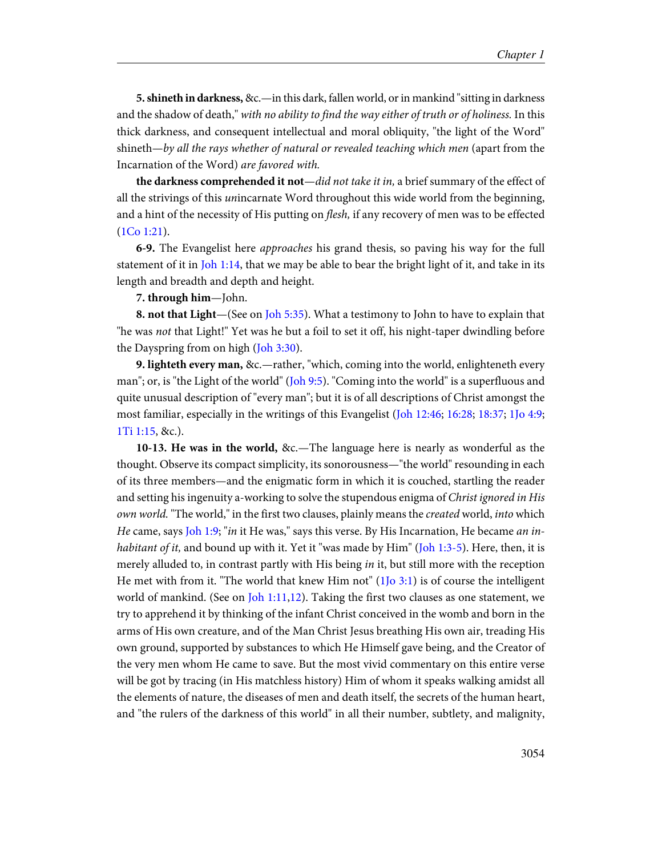**5. shineth in darkness,** &c.—in this dark, fallen world, or in mankind "sitting in darkness and the shadow of death," with no ability to find the way either of truth or of holiness. In this thick darkness, and consequent intellectual and moral obliquity, "the light of the Word" shineth—by all the rays whether of natural or revealed teaching which men (apart from the Incarnation of the Word) are favored with.

**the darkness comprehended it not**—did not take it in, a brief summary of the effect of all the strivings of this unincarnate Word throughout this wide world from the beginning, and a hint of the necessity of His putting on *flesh*, if any recovery of men was to be effected ([1Co 1:21\)](http://www.ccel.org/study/Bible:1Cor.1.21).

**6-9.** The Evangelist here approaches his grand thesis, so paving his way for the full statement of it in [Joh 1:14,](http://www.ccel.org/study/Bible:John.1.14) that we may be able to bear the bright light of it, and take in its length and breadth and depth and height.

**7. through him**—John.

**8. not that Light**—(See on [Joh 5:35](http://www.ccel.org/study/Bible:John.5.35)). What a testimony to John to have to explain that "he was not that Light!" Yet was he but a foil to set it off, his night-taper dwindling before the Dayspring from on high ([Joh 3:30\)](http://www.ccel.org/study/Bible:John.3.30).

**9. lighteth every man,** &c.—rather, "which, coming into the world, enlighteneth every man"; or, is "the Light of the world" ([Joh 9:5](http://www.ccel.org/study/Bible:John.9.5)). "Coming into the world" is a superfluous and quite unusual description of "every man"; but it is of all descriptions of Christ amongst the most familiar, especially in the writings of this Evangelist ([Joh 12:46](http://www.ccel.org/study/Bible:John.12.46); [16:28](http://www.ccel.org/study/Bible:John.16.28); [18:37;](http://www.ccel.org/study/Bible:John.18.37) [1Jo 4:9;](http://www.ccel.org/study/Bible:1John.4.9) [1Ti 1:15,](http://www.ccel.org/study/Bible:1Tim.1.15) &c.).

**10-13. He was in the world,** &c.—The language here is nearly as wonderful as the thought. Observe its compact simplicity, its sonorousness—"the world" resounding in each of its three members—and the enigmatic form in which it is couched, startling the reader and setting his ingenuity a-working to solve the stupendous enigma of Christ ignored in His own world. "The world," in the first two clauses, plainly means the *created* world, *into* which He came, says [Joh 1:9](http://www.ccel.org/study/Bible:John.1.9); "in it He was," says this verse. By His Incarnation, He became an inhabitant of it, and bound up with it. Yet it "was made by  $\text{Him}$ " ([Joh 1:3-5\)](http://www.ccel.org/study/Bible:John.1.3-John.1.5). Here, then, it is merely alluded to, in contrast partly with His being *in* it, but still more with the reception He met with from it. "The world that knew Him not"  $(1)$ <sup>o</sup> 3:1) is of course the intelligent world of mankind. (See on [Joh 1:11](http://www.ccel.org/study/Bible:John.1.11)[,12\)](http://www.ccel.org/study/Bible:John.1.12). Taking the first two clauses as one statement, we try to apprehend it by thinking of the infant Christ conceived in the womb and born in the arms of His own creature, and of the Man Christ Jesus breathing His own air, treading His own ground, supported by substances to which He Himself gave being, and the Creator of the very men whom He came to save. But the most vivid commentary on this entire verse will be got by tracing (in His matchless history) Him of whom it speaks walking amidst all the elements of nature, the diseases of men and death itself, the secrets of the human heart, and "the rulers of the darkness of this world" in all their number, subtlety, and malignity,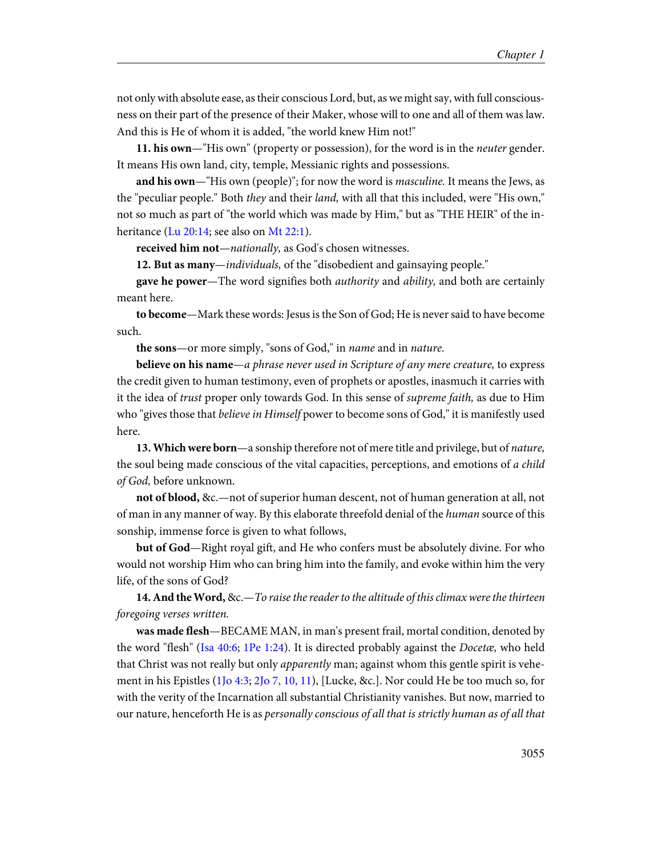not only with absolute ease, as their conscious Lord, but, as we might say, with full consciousness on their part of the presence of their Maker, whose will to one and all of them was law. And this is He of whom it is added, "the world knew Him not!"

**11. his own**—"His own" (property or possession), for the word is in the neuter gender. It means His own land, city, temple, Messianic rights and possessions.

**and his own**—"His own (people)"; for now the word is masculine. It means the Jews, as the "peculiar people." Both *they* and their *land*, with all that this included, were "His own," not so much as part of "the world which was made by Him," but as "THE HEIR" of the inheritance (Lu  $20:14$ ; see also on Mt  $22:1$ ).

**received him not**—nationally, as God's chosen witnesses.

**12. But as many**—individuals, of the "disobedient and gainsaying people."

**gave he power**—The word signifies both authority and ability, and both are certainly meant here.

**to become**—Mark these words: Jesus is the Son of God; He is never said to have become such.

**the sons**—or more simply, "sons of God," in name and in nature.

**believe on his name**—a phrase never used in Scripture of any mere creature, to express the credit given to human testimony, even of prophets or apostles, inasmuch it carries with it the idea of trust proper only towards God. In this sense of supreme faith, as due to Him who "gives those that *believe in Himself* power to become sons of God," it is manifestly used here.

**13. Which were born**—a sonship therefore not of mere title and privilege, but of nature, the soul being made conscious of the vital capacities, perceptions, and emotions of a child of God, before unknown.

**not of blood,** &c.—not of superior human descent, not of human generation at all, not of man in any manner of way. By this elaborate threefold denial of the human source of this sonship, immense force is given to what follows,

**but of God**—Right royal gift, and He who confers must be absolutely divine. For who would not worship Him who can bring him into the family, and evoke within him the very life, of the sons of God?

**14. And the Word,** &c.—To raise the reader to the altitude of this climax were the thirteen foregoing verses written.

**was made flesh**—BECAME MAN, in man's present frail, mortal condition, denoted by the word "flesh" ([Isa 40:6;](http://www.ccel.org/study/Bible:Isa.40.6) [1Pe 1:24\)](http://www.ccel.org/study/Bible:1Pet.1.24). It is directed probably against the Docetæ, who held that Christ was not really but only apparently man; against whom this gentle spirit is vehement in his Epistles [\(1Jo 4:3](http://www.ccel.org/study/Bible:1John.4.3); [2Jo 7, 10, 11](http://www.ccel.org/study/Bible:2John.1.7 Bible:2John.1.10 Bible:2John.1.11)), [Lucke, &c.]. Nor could He be too much so, for with the verity of the Incarnation all substantial Christianity vanishes. But now, married to our nature, henceforth He is as personally conscious of all that is strictly human as of all that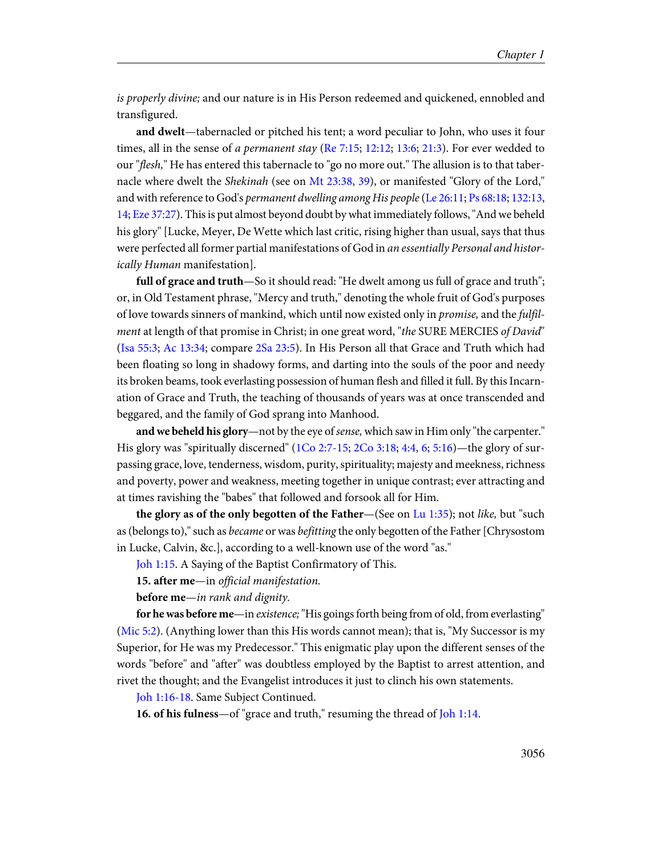is properly divine; and our nature is in His Person redeemed and quickened, ennobled and transfigured.

**and dwelt**—tabernacled or pitched his tent; a word peculiar to John, who uses it four times, all in the sense of a permanent stay (Re  $7:15$ ; [12:12;](http://www.ccel.org/study/Bible:Rev.12.12) [13:6](http://www.ccel.org/study/Bible:Rev.13.6); [21:3\)](http://www.ccel.org/study/Bible:Rev.21.3). For ever wedded to our "*flesh*," He has entered this tabernacle to "go no more out." The allusion is to that tabernacle where dwelt the Shekinah (see on [Mt 23:38,](http://www.ccel.org/study/Bible:Matt.23.38) [39](http://www.ccel.org/study/Bible:Matt.23.39)), or manifested "Glory of the Lord," and with reference to God's permanent dwelling among His people ([Le 26:11](http://www.ccel.org/study/Bible:Lev.26.11); [Ps 68:18;](http://www.ccel.org/study/Bible:Ps.68.18) [132:13,](http://www.ccel.org/study/Bible:Ps.132.13) [14](http://www.ccel.org/study/Bible:Ps.132.14); [Eze 37:27](http://www.ccel.org/study/Bible:Ezek.37.27)). This is put almost beyond doubt by what immediately follows, "And we beheld his glory" [Lucke, Meyer, De Wette which last critic, rising higher than usual, says that thus were perfected all former partial manifestations of God in an essentially Personal and historically Human manifestation].

**full of grace and truth**—So it should read: "He dwelt among us full of grace and truth"; or, in Old Testament phrase, "Mercy and truth," denoting the whole fruit of God's purposes of love towards sinners of mankind, which until now existed only in promise, and the fulfilment at length of that promise in Christ; in one great word, "the SURE MERCIES of David" ([Isa 55:3;](http://www.ccel.org/study/Bible:Isa.55.3) [Ac 13:34;](http://www.ccel.org/study/Bible:Acts.13.34) compare [2Sa 23:5](http://www.ccel.org/study/Bible:2Sam.23.5)). In His Person all that Grace and Truth which had been floating so long in shadowy forms, and darting into the souls of the poor and needy its broken beams, took everlasting possession of human flesh and filled it full. By this Incarnation of Grace and Truth, the teaching of thousands of years was at once transcended and beggared, and the family of God sprang into Manhood.

**and we beheld his glory**—not by the eye of sense,which saw in Him only "the carpenter." His glory was "spiritually discerned" ([1Co 2:7-15](http://www.ccel.org/study/Bible:1Cor.2.7-1Cor.2.15); [2Co 3:18](http://www.ccel.org/study/Bible:2Cor.3.18); [4:4,](http://www.ccel.org/study/Bible:2Cor.4.4) [6](http://www.ccel.org/study/Bible:2Cor.4.6); [5:16\)](http://www.ccel.org/study/Bible:2Cor.5.16)—the glory of surpassing grace, love, tenderness, wisdom, purity, spirituality; majesty and meekness, richness and poverty, power and weakness, meeting together in unique contrast; ever attracting and at times ravishing the "babes" that followed and forsook all for Him.

**the glory as of the only begotten of the Father**—(See on [Lu 1:35](http://www.ccel.org/study/Bible:Luke.1.35)); not like, but "such as (belongs to)," such as *became* or was *befitting* the only begotten of the Father [Chrysostom in Lucke, Calvin, &c.], according to a well-known use of the word "as."

[Joh 1:15.](http://www.ccel.org/study/Bible:John.1.15) A Saying of the Baptist Confirmatory of This.

**15. after me**—in official manifestation.

**before me**—in rank and dignity.

**for he was before me**—in existence; "His goings forth being from of old, from everlasting" ([Mic 5:2\)](http://www.ccel.org/study/Bible:Mic.5.2). (Anything lower than this His words cannot mean); that is, "My Successor is my Superior, for He was my Predecessor." This enigmatic play upon the different senses of the words "before" and "after" was doubtless employed by the Baptist to arrest attention, and rivet the thought; and the Evangelist introduces it just to clinch his own statements.

[Joh 1:16-18](http://www.ccel.org/study/Bible:John.1.16-John.1.18). Same Subject Continued.

**16. of his fulness**—of "grace and truth," resuming the thread of [Joh 1:14](http://www.ccel.org/study/Bible:John.1.14).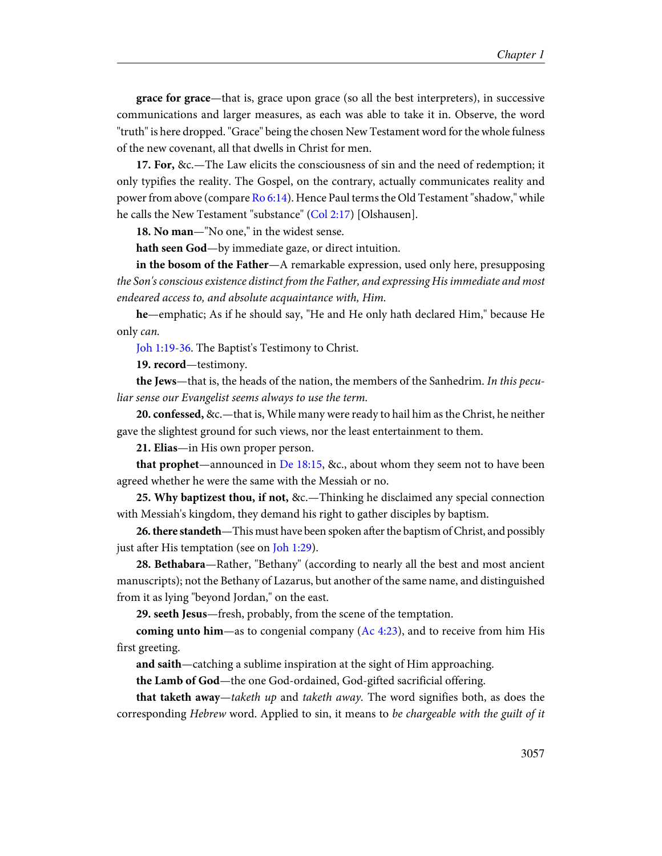**grace for grace—that is, grace upon grace (so all the best interpreters), in successive** communications and larger measures, as each was able to take it in. Observe, the word "truth" is here dropped. "Grace" being the chosen New Testament word for the whole fulness of the new covenant, all that dwells in Christ for men.

**17. For,** &c.—The Law elicits the consciousness of sin and the need of redemption; it only typifies the reality. The Gospel, on the contrary, actually communicates reality and power from above (compare [Ro 6:14\)](http://www.ccel.org/study/Bible:Rom.6.14). Hence Paul terms the Old Testament "shadow," while he calls the New Testament "substance" ([Col 2:17](http://www.ccel.org/study/Bible:Col.2.17)) [Olshausen].

**18. No man**—"No one," in the widest sense.

**hath seen God**—by immediate gaze, or direct intuition.

**in the bosom of the Father**—A remarkable expression, used only here, presupposing the Son's conscious existence distinct from the Father, and expressing His immediate and most endeared access to, and absolute acquaintance with, Him.

**he**—emphatic; As if he should say, "He and He only hath declared Him," because He only can.

[Joh 1:19-36](http://www.ccel.org/study/Bible:John.1.19-John.1.36). The Baptist's Testimony to Christ.

**19. record**—testimony.

**the Jews**—that is, the heads of the nation, the members of the Sanhedrim. In this peculiar sense our Evangelist seems always to use the term.

**20. confessed,** &c.—that is, While many were ready to hail him as the Christ, he neither gave the slightest ground for such views, nor the least entertainment to them.

**21. Elias**—in His own proper person.

**that prophet**—announced in [De 18:15,](http://www.ccel.org/study/Bible:Deut.18.15) &c., about whom they seem not to have been agreed whether he were the same with the Messiah or no.

**25. Why baptizest thou, if not,** &c.—Thinking he disclaimed any special connection with Messiah's kingdom, they demand his right to gather disciples by baptism.

**26. there standeth**—This must have been spoken after the baptism of Christ, and possibly just after His temptation (see on [Joh 1:29](http://www.ccel.org/study/Bible:John.1.29)).

**28. Bethabara**—Rather, "Bethany" (according to nearly all the best and most ancient manuscripts); not the Bethany of Lazarus, but another of the same name, and distinguished from it as lying "beyond Jordan," on the east.

**29. seeth Jesus**—fresh, probably, from the scene of the temptation.

**coming unto him**—as to congenial company [\(Ac 4:23\)](http://www.ccel.org/study/Bible:Acts.4.23), and to receive from him His first greeting.

**and saith**—catching a sublime inspiration at the sight of Him approaching.

**the Lamb of God**—the one God-ordained, God-gifted sacrificial offering.

**that taketh away**—taketh up and taketh away. The word signifies both, as does the corresponding Hebrew word. Applied to sin, it means to be chargeable with the guilt of it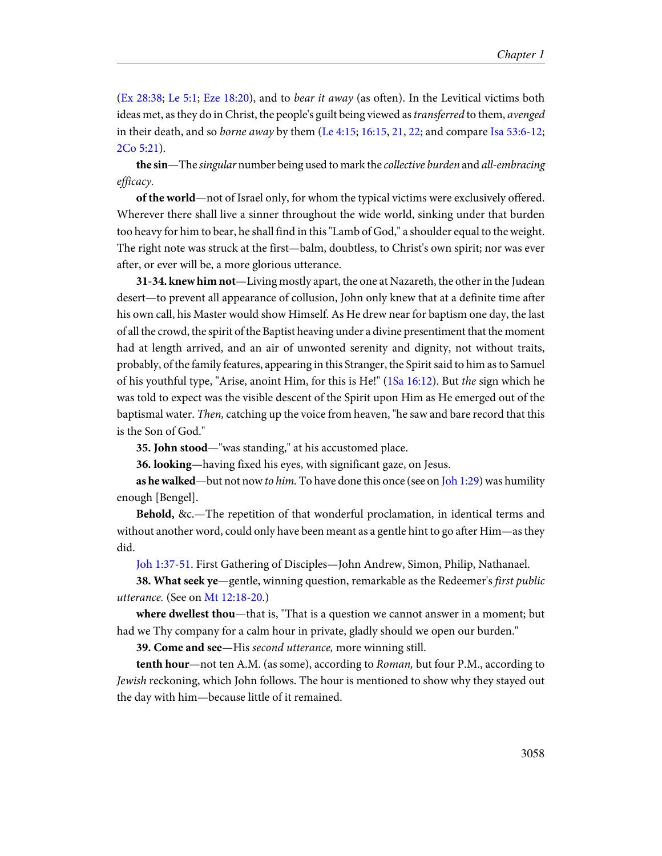([Ex 28:38](http://www.ccel.org/study/Bible:Exod.28.38); [Le 5:1](http://www.ccel.org/study/Bible:Lev.5.1); [Eze 18:20](http://www.ccel.org/study/Bible:Ezek.18.20)), and to bear it away (as often). In the Levitical victims both ideas met, as they do in Christ, the people's guilt being viewed as transferred to them, avenged in their death, and so borne away by them ([Le 4:15](http://www.ccel.org/study/Bible:Lev.4.15); [16:15,](http://www.ccel.org/study/Bible:Lev.16.15) [21](http://www.ccel.org/study/Bible:Lev.16.21), [22;](http://www.ccel.org/study/Bible:Lev.16.22) and compare [Isa 53:6-12;](http://www.ccel.org/study/Bible:Isa.53.6-Isa.53.12) [2Co 5:21](http://www.ccel.org/study/Bible:2Cor.5.21)).

**the sin**—The singular number being used to mark the collective burden and all-embracing efficacy.

**of the world**—not of Israel only, for whom the typical victims were exclusively offered. Wherever there shall live a sinner throughout the wide world, sinking under that burden too heavy for him to bear, he shall find in this "Lamb of God," a shoulder equal to the weight. The right note was struck at the first—balm, doubtless, to Christ's own spirit; nor was ever after, or ever will be, a more glorious utterance.

**31-34. knew him not**—Living mostly apart, the one at Nazareth, the other in the Judean desert—to prevent all appearance of collusion, John only knew that at a definite time after his own call, his Master would show Himself. As He drew near for baptism one day, the last of all the crowd, the spirit of the Baptist heaving under a divine presentiment that the moment had at length arrived, and an air of unwonted serenity and dignity, not without traits, probably, of the family features, appearing in this Stranger, the Spirit said to him as to Samuel of his youthful type, "Arise, anoint Him, for this is He!" [\(1Sa 16:12\)](http://www.ccel.org/study/Bible:1Sam.16.12). But the sign which he was told to expect was the visible descent of the Spirit upon Him as He emerged out of the baptismal water. Then, catching up the voice from heaven, "he saw and bare record that this is the Son of God."

**35. John stood**—"was standing," at his accustomed place.

**36. looking**—having fixed his eyes, with significant gaze, on Jesus.

**as he walked**—but not now to him. To have done this once (see on [Joh 1:29](http://www.ccel.org/study/Bible:John.1.29)) was humility enough [Bengel].

**Behold,** &c.—The repetition of that wonderful proclamation, in identical terms and without another word, could only have been meant as a gentle hint to go after Him—as they did.

[Joh 1:37-51](http://www.ccel.org/study/Bible:John.1.37-John.1.51). First Gathering of Disciples—John Andrew, Simon, Philip, Nathanael.

**38. What seek ye**—gentle, winning question, remarkable as the Redeemer's first public utterance. (See on [Mt 12:18-20.](http://www.ccel.org/study/Bible:Matt.12.18-Matt.12.20))

**where dwellest thou**—that is, "That is a question we cannot answer in a moment; but had we Thy company for a calm hour in private, gladly should we open our burden."

**39. Come and see**—His second utterance, more winning still.

**tenth hour**—not ten A.M. (as some), according to Roman, but four P.M., according to Jewish reckoning, which John follows. The hour is mentioned to show why they stayed out the day with him—because little of it remained.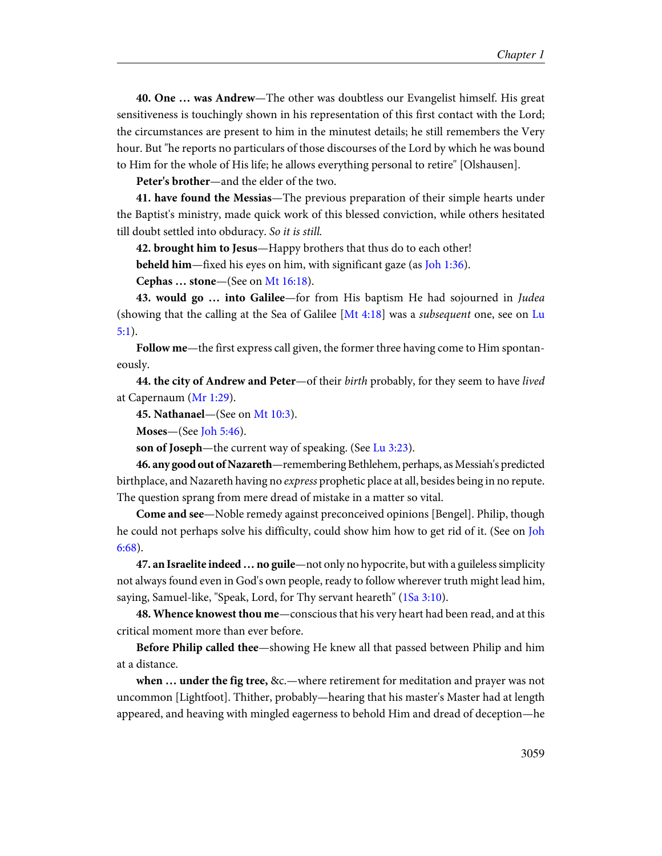**40. One … was Andrew**—The other was doubtless our Evangelist himself. His great sensitiveness is touchingly shown in his representation of this first contact with the Lord; the circumstances are present to him in the minutest details; he still remembers the Very hour. But "he reports no particulars of those discourses of the Lord by which he was bound to Him for the whole of His life; he allows everything personal to retire" [Olshausen].

**Peter's brother**—and the elder of the two.

**41. have found the Messias**—The previous preparation of their simple hearts under the Baptist's ministry, made quick work of this blessed conviction, while others hesitated till doubt settled into obduracy. So it is still.

**42. brought him to Jesus**—Happy brothers that thus do to each other!

**beheld him**—fixed his eyes on him, with significant gaze (as [Joh 1:36](http://www.ccel.org/study/Bible:John.1.36)).

**Cephas … stone**—(See on [Mt 16:18](http://www.ccel.org/study/Bible:Matt.16.18)).

**43. would go … into Galilee**—for from His baptism He had sojourned in Judea (showing that the calling at the Sea of Galilee [\[Mt 4:18](http://www.ccel.org/study/Bible:Matt.4.18)] was a subsequent one, see on [Lu](http://www.ccel.org/study/Bible:Luke.5.1) [5:1](http://www.ccel.org/study/Bible:Luke.5.1)).

**Follow me**—the first express call given, the former three having come to Him spontaneously.

**44. the city of Andrew and Peter**—of their birth probably, for they seem to have lived at Capernaum [\(Mr 1:29](http://www.ccel.org/study/Bible:Mark.1.29)).

**45. Nathanael**—(See on [Mt 10:3\)](http://www.ccel.org/study/Bible:Matt.10.3).

**Moses**—(See [Joh 5:46\)](http://www.ccel.org/study/Bible:John.5.46).

**son of Joseph**—the current way of speaking. (See [Lu 3:23\)](http://www.ccel.org/study/Bible:Luke.3.23).

**46. any good out of Nazareth**—remembering Bethlehem, perhaps, as Messiah's predicted birthplace, and Nazareth having no *express* prophetic place at all, besides being in no repute. The question sprang from mere dread of mistake in a matter so vital.

**Come and see**—Noble remedy against preconceived opinions [Bengel]. Philip, though he could not perhaps solve his difficulty, could show him how to get rid of it. (See on [Joh](http://www.ccel.org/study/Bible:John.6.68) [6:68](http://www.ccel.org/study/Bible:John.6.68)).

**47. an Israelite indeed … no guile**—not only no hypocrite, but with a guileless simplicity not always found even in God's own people, ready to follow wherever truth might lead him, saying, Samuel-like, "Speak, Lord, for Thy servant heareth" [\(1Sa 3:10\)](http://www.ccel.org/study/Bible:1Sam.3.10).

**48. Whence knowest thou me**—conscious that his very heart had been read, and at this critical moment more than ever before.

**Before Philip called thee**—showing He knew all that passed between Philip and him at a distance.

**when … under the fig tree,** &c.—where retirement for meditation and prayer was not uncommon [Lightfoot]. Thither, probably—hearing that his master's Master had at length appeared, and heaving with mingled eagerness to behold Him and dread of deception—he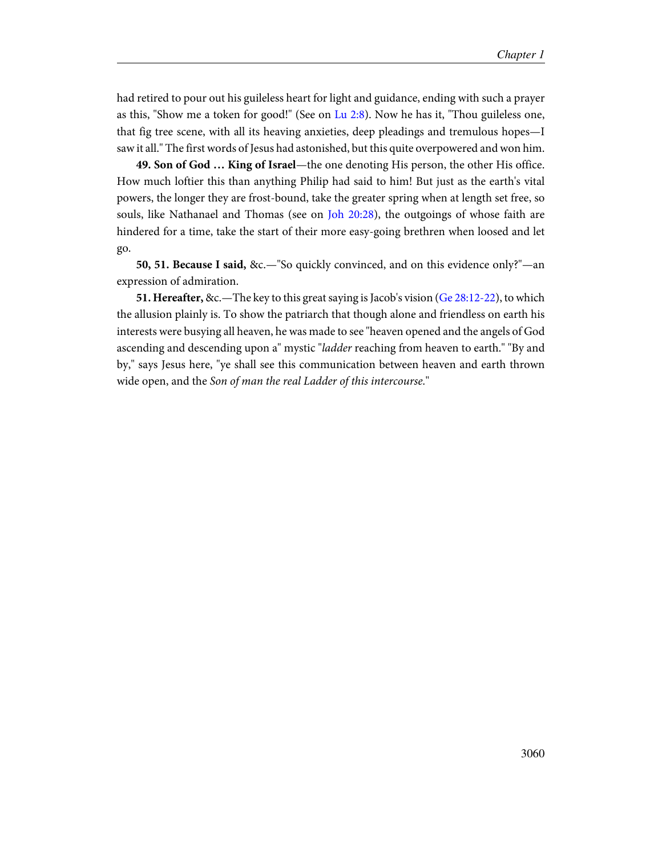had retired to pour out his guileless heart for light and guidance, ending with such a prayer as this, "Show me a token for good!" (See on Lu  $2:8$ ). Now he has it, "Thou guileless one, that fig tree scene, with all its heaving anxieties, deep pleadings and tremulous hopes—I saw it all." The first words of Jesus had astonished, but this quite overpowered and won him.

**49. Son of God … King of Israel**—the one denoting His person, the other His office. How much loftier this than anything Philip had said to him! But just as the earth's vital powers, the longer they are frost-bound, take the greater spring when at length set free, so souls, like Nathanael and Thomas (see on [Joh 20:28\)](http://www.ccel.org/study/Bible:John.20.28), the outgoings of whose faith are hindered for a time, take the start of their more easy-going brethren when loosed and let go.

**50, 51. Because I said,** &c.—"So quickly convinced, and on this evidence only?"—an expression of admiration.

**51. Hereafter,** &c.—The key to this great saying is Jacob's vision [\(Ge 28:12-22](http://www.ccel.org/study/Bible:Gen.28.12-Gen.28.22)), to which the allusion plainly is. To show the patriarch that though alone and friendless on earth his interests were busying all heaven, he was made to see "heaven opened and the angels of God ascending and descending upon a" mystic "ladder reaching from heaven to earth." "By and by," says Jesus here, "ye shall see this communication between heaven and earth thrown wide open, and the Son of man the real Ladder of this intercourse."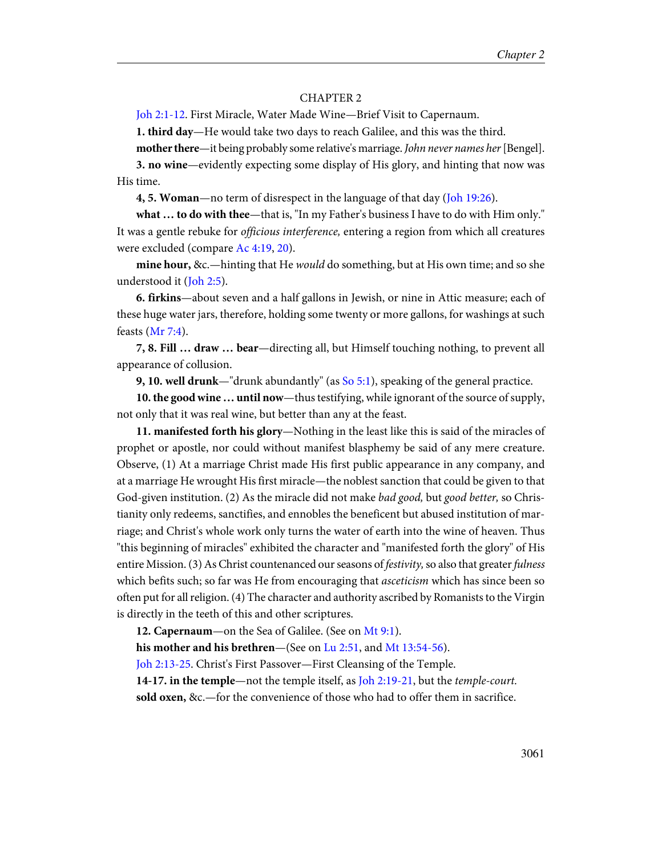#### CHAPTER 2

[Joh 2:1-12](http://www.ccel.org/study/Bible:John.2.1-John.2.12). First Miracle, Water Made Wine—Brief Visit to Capernaum.

**1. third day**—He would take two days to reach Galilee, and this was the third.

**mother there**—it being probably some relative's marriage. John never names her [Bengel].

**3. no wine**—evidently expecting some display of His glory, and hinting that now was His time.

**4, 5. Woman**—no term of disrespect in the language of that day [\(Joh 19:26](http://www.ccel.org/study/Bible:John.19.26)).

**what … to do with thee**—that is, "In my Father's business I have to do with Him only." It was a gentle rebuke for officious interference, entering a region from which all creatures were excluded (compare [Ac 4:19](http://www.ccel.org/study/Bible:Acts.4.19), [20\)](http://www.ccel.org/study/Bible:Acts.4.20).

**mine hour,** &c.—hinting that He would do something, but at His own time; and so she understood it ([Joh 2:5\)](http://www.ccel.org/study/Bible:John.2.5).

**6. firkins**—about seven and a half gallons in Jewish, or nine in Attic measure; each of these huge water jars, therefore, holding some twenty or more gallons, for washings at such feasts [\(Mr 7:4\)](http://www.ccel.org/study/Bible:Mark.7.4).

**7, 8. Fill … draw … bear**—directing all, but Himself touching nothing, to prevent all appearance of collusion.

**9, 10. well drunk**—"drunk abundantly" (as [So 5:1](http://www.ccel.org/study/Bible:Song.5.1)), speaking of the general practice.

**10. the good wine … until now**—thus testifying, while ignorant of the source of supply, not only that it was real wine, but better than any at the feast.

**11. manifested forth his glory**—Nothing in the least like this is said of the miracles of prophet or apostle, nor could without manifest blasphemy be said of any mere creature. Observe, (1) At a marriage Christ made His first public appearance in any company, and at a marriage He wrought His first miracle—the noblest sanction that could be given to that God-given institution. (2) As the miracle did not make bad good, but good better, so Christianity only redeems, sanctifies, and ennobles the beneficent but abused institution of marriage; and Christ's whole work only turns the water of earth into the wine of heaven. Thus "this beginning of miracles" exhibited the character and "manifested forth the glory" of His entire Mission. (3) As Christ countenanced our seasons of *festivity*, so also that greater *fulness* which befits such; so far was He from encouraging that *asceticism* which has since been so often put for all religion. (4) The character and authority ascribed by Romanists to the Virgin is directly in the teeth of this and other scriptures.

**12. Capernaum**—on the Sea of Galilee. (See on [Mt 9:1](http://www.ccel.org/study/Bible:Matt.9.1)).

**his mother and his brethren**—(See on [Lu 2:51](http://www.ccel.org/study/Bible:Luke.2.51), and [Mt 13:54-56](http://www.ccel.org/study/Bible:Matt.13.54-Matt.13.56)).

[Joh 2:13-25](http://www.ccel.org/study/Bible:John.2.13-John.2.25). Christ's First Passover—First Cleansing of the Temple.

**14-17. in the temple**—not the temple itself, as [Joh 2:19-21](http://www.ccel.org/study/Bible:John.2.19-John.2.21), but the temple-court.

**sold oxen,** &c.—for the convenience of those who had to offer them in sacrifice.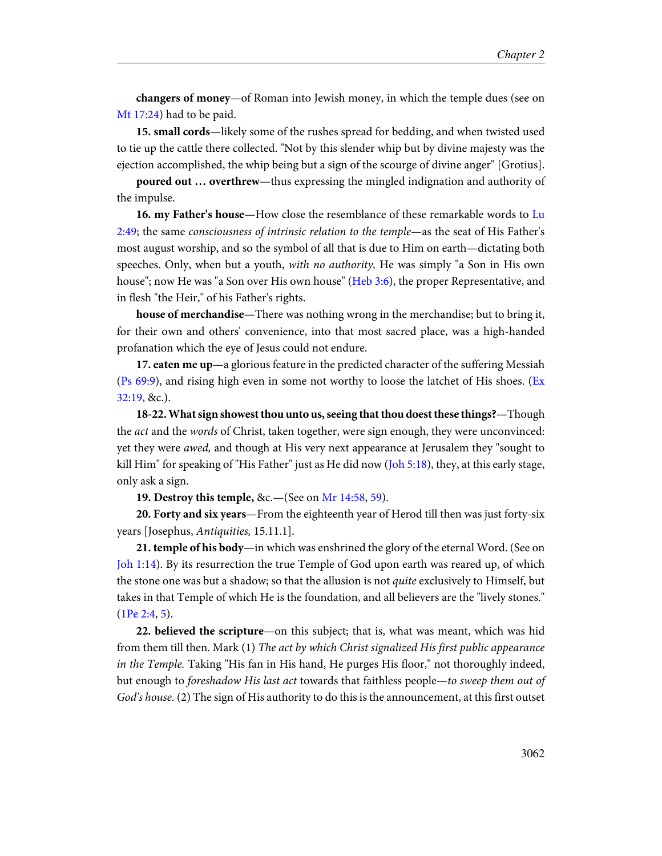**changers of money**—of Roman into Jewish money, in which the temple dues (see on [Mt 17:24](http://www.ccel.org/study/Bible:Matt.17.24)) had to be paid.

**15. small cords**—likely some of the rushes spread for bedding, and when twisted used to tie up the cattle there collected. "Not by this slender whip but by divine majesty was the ejection accomplished, the whip being but a sign of the scourge of divine anger" [Grotius].

**poured out … overthrew**—thus expressing the mingled indignation and authority of the impulse.

**16. my Father's house**—How close the resemblance of these remarkable words to [Lu](http://www.ccel.org/study/Bible:Luke.2.49) [2:49](http://www.ccel.org/study/Bible:Luke.2.49); the same consciousness of intrinsic relation to the temple—as the seat of His Father's most august worship, and so the symbol of all that is due to Him on earth—dictating both speeches. Only, when but a youth, with no authority, He was simply "a Son in His own house"; now He was "a Son over His own house" ([Heb 3:6\)](http://www.ccel.org/study/Bible:Heb.3.6), the proper Representative, and in flesh "the Heir," of his Father's rights.

**house of merchandise**—There was nothing wrong in the merchandise; but to bring it, for their own and others' convenience, into that most sacred place, was a high-handed profanation which the eye of Jesus could not endure.

**17. eaten me up**—a glorious feature in the predicted character of the suffering Messiah ([Ps 69:9\)](http://www.ccel.org/study/Bible:Ps.69.9), and rising high even in some not worthy to loose the latchet of His shoes. [\(Ex](http://www.ccel.org/study/Bible:Exod.32.19) [32:19,](http://www.ccel.org/study/Bible:Exod.32.19) &c.).

**18-22. What sign showest thou unto us, seeing that thou doest these things?**—Though the *act* and the *words* of Christ, taken together, were sign enough, they were unconvinced: yet they were *awed*, and though at His very next appearance at Jerusalem they "sought to kill Him" for speaking of "His Father" just as He did now [\(Joh 5:18\)](http://www.ccel.org/study/Bible:John.5.18), they, at this early stage, only ask a sign.

**19. Destroy this temple,** &c.—(See on [Mr 14:58,](http://www.ccel.org/study/Bible:Mark.14.58) [59](http://www.ccel.org/study/Bible:Mark.14.59)).

**20. Forty and six years**—From the eighteenth year of Herod till then was just forty-six years [Josephus, Antiquities, 15.11.1].

**21. temple of his body**—in which was enshrined the glory of the eternal Word. (See on [Joh 1:14](http://www.ccel.org/study/Bible:John.1.14)). By its resurrection the true Temple of God upon earth was reared up, of which the stone one was but a shadow; so that the allusion is not *quite* exclusively to Himself, but takes in that Temple of which He is the foundation, and all believers are the "lively stones." ([1Pe 2:4,](http://www.ccel.org/study/Bible:1Pet.2.4) [5\)](http://www.ccel.org/study/Bible:1Pet.2.5).

**22. believed the scripture**—on this subject; that is, what was meant, which was hid from them till then. Mark (1) The act by which Christ signalized His first public appearance in the Temple. Taking "His fan in His hand, He purges His floor," not thoroughly indeed, but enough to *foreshadow His last act* towards that faithless people—to sweep them out of God's house. (2) The sign of His authority to do this is the announcement, at this first outset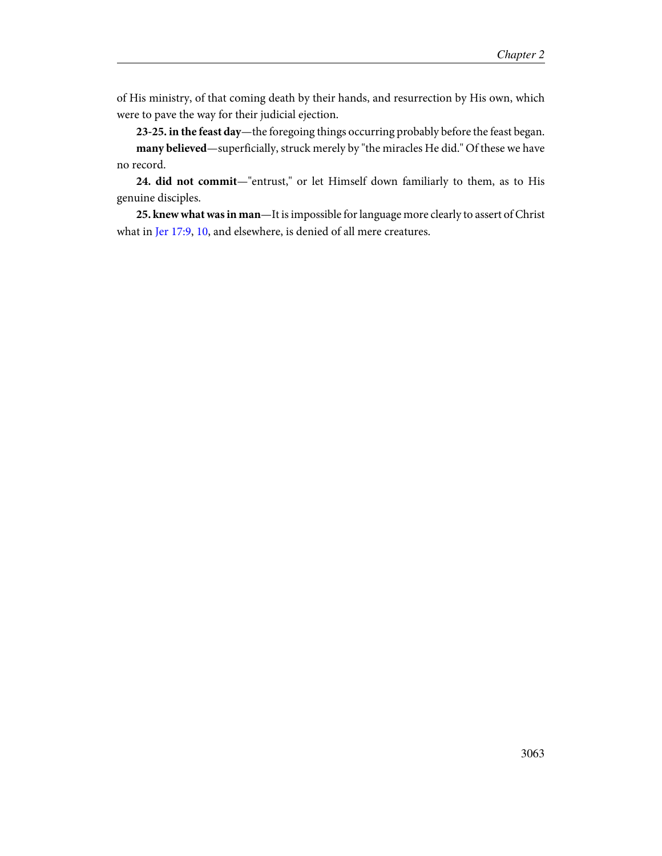of His ministry, of that coming death by their hands, and resurrection by His own, which were to pave the way for their judicial ejection.

**23-25. in the feast day**—the foregoing things occurring probably before the feast began.

**many believed**—superficially, struck merely by "the miracles He did." Of these we have no record.

**24. did not commit**—"entrust," or let Himself down familiarly to them, as to His genuine disciples.

**25. knew what was in man**—It is impossible for language more clearly to assert of Christ what in [Jer 17:9,](http://www.ccel.org/study/Bible:Jer.17.9) [10](http://www.ccel.org/study/Bible:Jer.17.10), and elsewhere, is denied of all mere creatures.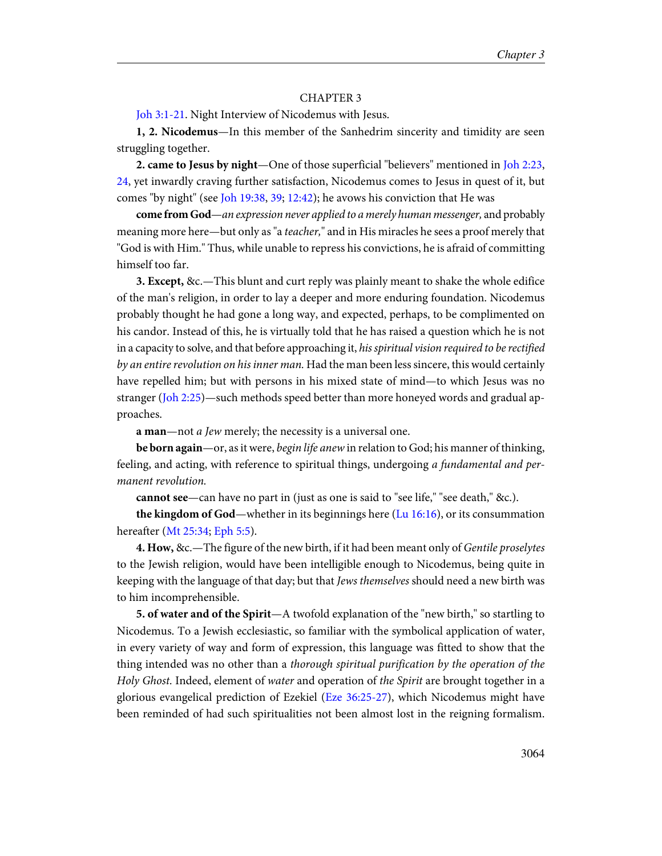### CHAPTER 3

[Joh 3:1-21](http://www.ccel.org/study/Bible:John.3.1-John.3.21). Night Interview of Nicodemus with Jesus.

**1, 2. Nicodemus**—In this member of the Sanhedrim sincerity and timidity are seen struggling together.

**2. came to Jesus by night**—One of those superficial "believers" mentioned in [Joh 2:23,](http://www.ccel.org/study/Bible:John.2.23) [24,](http://www.ccel.org/study/Bible:John.2.24) yet inwardly craving further satisfaction, Nicodemus comes to Jesus in quest of it, but comes "by night" (see [Joh 19:38](http://www.ccel.org/study/Bible:John.19.38), [39;](http://www.ccel.org/study/Bible:John.19.39) [12:42\)](http://www.ccel.org/study/Bible:John.12.42); he avows his conviction that He was

**come from God**—an expression never applied to a merely human messenger, and probably meaning more here—but only as "a teacher," and in His miracles he sees a proof merely that "God is with Him." Thus, while unable to repress his convictions, he is afraid of committing himself too far.

**3. Except,** &c.—This blunt and curt reply was plainly meant to shake the whole edifice of the man's religion, in order to lay a deeper and more enduring foundation. Nicodemus probably thought he had gone a long way, and expected, perhaps, to be complimented on his candor. Instead of this, he is virtually told that he has raised a question which he is not in a capacity to solve, and that before approaching it, his spiritual vision required to be rectified by an entire revolution on his inner man. Had the man been less sincere, this would certainly have repelled him; but with persons in his mixed state of mind—to which Jesus was no stranger [\(Joh 2:25\)](http://www.ccel.org/study/Bible:John.2.25)—such methods speed better than more honeyed words and gradual approaches.

**a man**—not a Jew merely; the necessity is a universal one.

**be born again**—or, as it were, begin life anewin relation to God; his manner of thinking, feeling, and acting, with reference to spiritual things, undergoing a fundamental and permanent revolution.

**cannot see**—can have no part in (just as one is said to "see life," "see death," &c.).

**the kingdom of God**—whether in its beginnings here [\(Lu 16:16\)](http://www.ccel.org/study/Bible:Luke.16.16), or its consummation hereafter ([Mt 25:34](http://www.ccel.org/study/Bible:Matt.25.34); [Eph 5:5\)](http://www.ccel.org/study/Bible:Eph.5.5).

**4. How,** &c.—The figure of the new birth, if it had been meant only of Gentile proselytes to the Jewish religion, would have been intelligible enough to Nicodemus, being quite in keeping with the language of that day; but that Jews themselves should need a new birth was to him incomprehensible.

**5. of water and of the Spirit**—A twofold explanation of the "new birth," so startling to Nicodemus. To a Jewish ecclesiastic, so familiar with the symbolical application of water, in every variety of way and form of expression, this language was fitted to show that the thing intended was no other than a thorough spiritual purification by the operation of the Holy Ghost. Indeed, element of water and operation of the Spirit are brought together in a glorious evangelical prediction of Ezekiel [\(Eze 36:25-27](http://www.ccel.org/study/Bible:Ezek.36.25-Ezek.36.27)), which Nicodemus might have been reminded of had such spiritualities not been almost lost in the reigning formalism.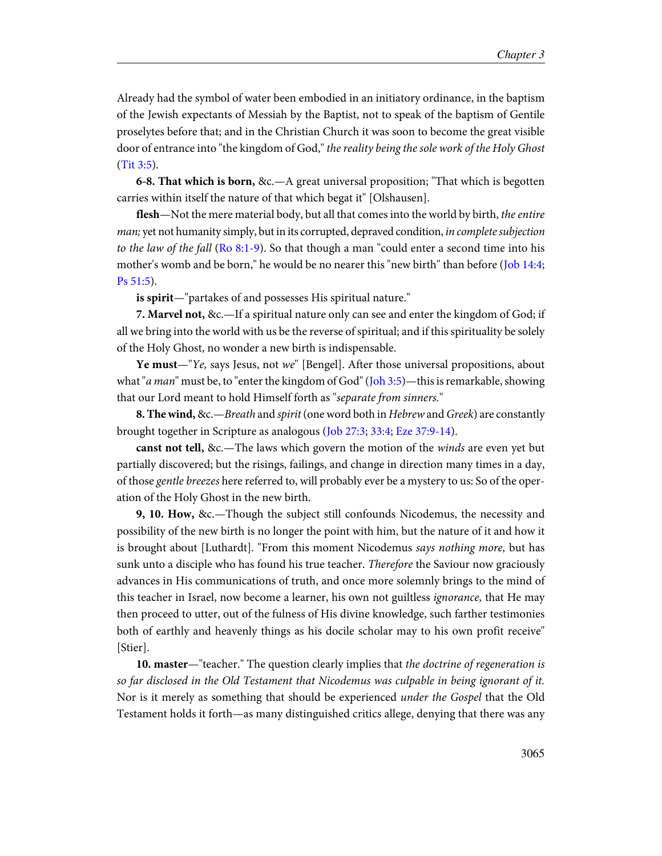Already had the symbol of water been embodied in an initiatory ordinance, in the baptism of the Jewish expectants of Messiah by the Baptist, not to speak of the baptism of Gentile proselytes before that; and in the Christian Church it was soon to become the great visible door of entrance into "the kingdom of God," the reality being the sole work of the Holy Ghost ([Tit 3:5](http://www.ccel.org/study/Bible:Titus.3.5)).

**6-8. That which is born,** &c.—A great universal proposition; "That which is begotten carries within itself the nature of that which begat it" [Olshausen].

**flesh**—Not the mere material body, but all that comes into the world by birth, the entire man; yet not humanity simply, but in its corrupted, depraved condition, in complete subjection to the law of the fall [\(Ro 8:1-9](http://www.ccel.org/study/Bible:Rom.8.1-Rom.8.9)). So that though a man "could enter a second time into his mother's womb and be born," he would be no nearer this "new birth" than before [\(Job 14:4;](http://www.ccel.org/study/Bible:Job.14.4) [Ps 51:5](http://www.ccel.org/study/Bible:Ps.51.5)).

**is spirit**—"partakes of and possesses His spiritual nature."

**7. Marvel not,** &c.—If a spiritual nature only can see and enter the kingdom of God; if all we bring into the world with us be the reverse of spiritual; and if this spirituality be solely of the Holy Ghost, no wonder a new birth is indispensable.

**Ye must**—"Ye, says Jesus, not we" [Bengel]. After those universal propositions, about what "*a man*" must be, to "enter the kingdom of God" (*Joh* 3:5)—this is remarkable, showing that our Lord meant to hold Himself forth as "separate from sinners."

**8. The wind,** &c.—Breath and spirit (one word both in Hebrew and Greek) are constantly brought together in Scripture as analogous [\(Job 27:3;](http://www.ccel.org/study/Bible:Job.27.3) [33:4](http://www.ccel.org/study/Bible:Job.33.4); [Eze 37:9-14](http://www.ccel.org/study/Bible:Ezek.37.9-Ezek.37.14)).

**canst not tell,** &c.—The laws which govern the motion of the winds are even yet but partially discovered; but the risings, failings, and change in direction many times in a day, of those gentle breezes here referred to, will probably ever be a mystery to us: So of the operation of the Holy Ghost in the new birth.

**9, 10. How,** &c.—Though the subject still confounds Nicodemus, the necessity and possibility of the new birth is no longer the point with him, but the nature of it and how it is brought about [Luthardt]. "From this moment Nicodemus *says nothing more*, but has sunk unto a disciple who has found his true teacher. Therefore the Saviour now graciously advances in His communications of truth, and once more solemnly brings to the mind of this teacher in Israel, now become a learner, his own not guiltless ignorance, that He may then proceed to utter, out of the fulness of His divine knowledge, such farther testimonies both of earthly and heavenly things as his docile scholar may to his own profit receive" [Stier].

**10. master**—"teacher." The question clearly implies that the doctrine of regeneration is so far disclosed in the Old Testament that Nicodemus was culpable in being ignorant of it. Nor is it merely as something that should be experienced under the Gospel that the Old Testament holds it forth—as many distinguished critics allege, denying that there was any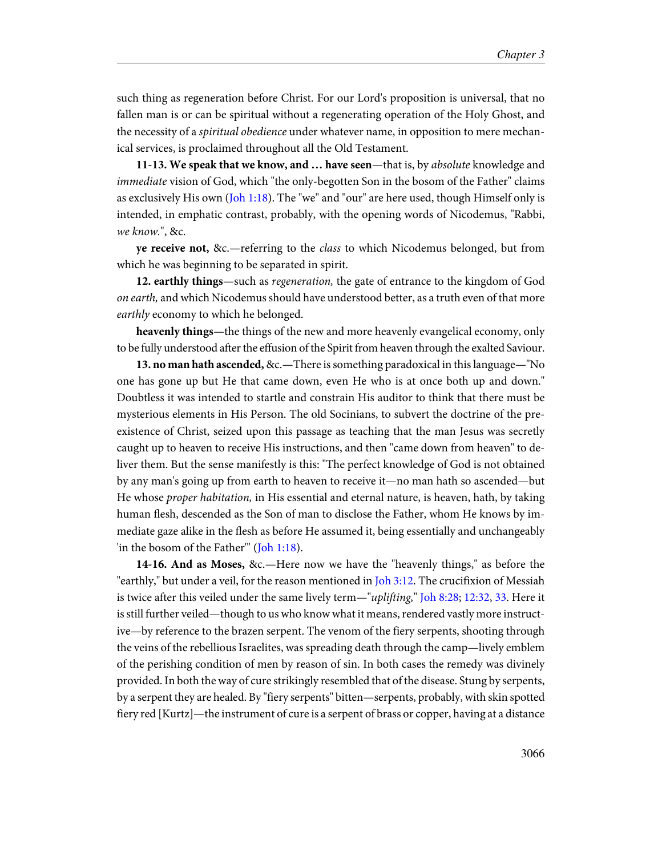such thing as regeneration before Christ. For our Lord's proposition is universal, that no fallen man is or can be spiritual without a regenerating operation of the Holy Ghost, and the necessity of a spiritual obedience under whatever name, in opposition to mere mechanical services, is proclaimed throughout all the Old Testament.

**11-13. We speak that we know, and … have seen**—that is, by absolute knowledge and immediate vision of God, which "the only-begotten Son in the bosom of the Father" claims as exclusively His own  $(John 1:18)$ . The "we" and "our" are here used, though Himself only is intended, in emphatic contrast, probably, with the opening words of Nicodemus, "Rabbi, we know.", &c.

**ye receive not,** &c.—referring to the class to which Nicodemus belonged, but from which he was beginning to be separated in spirit.

**12. earthly things**—such as regeneration, the gate of entrance to the kingdom of God on earth, and which Nicodemus should have understood better, as a truth even of that more earthly economy to which he belonged.

**heavenly things**—the things of the new and more heavenly evangelical economy, only to be fully understood after the effusion of the Spirit from heaven through the exalted Saviour.

**13. no man hath ascended,** &c.—There is something paradoxical in this language—"No one has gone up but He that came down, even He who is at once both up and down." Doubtless it was intended to startle and constrain His auditor to think that there must be mysterious elements in His Person. The old Socinians, to subvert the doctrine of the preexistence of Christ, seized upon this passage as teaching that the man Jesus was secretly caught up to heaven to receive His instructions, and then "came down from heaven" to deliver them. But the sense manifestly is this: "The perfect knowledge of God is not obtained by any man's going up from earth to heaven to receive it—no man hath so ascended—but He whose proper habitation, in His essential and eternal nature, is heaven, hath, by taking human flesh, descended as the Son of man to disclose the Father, whom He knows by immediate gaze alike in the flesh as before He assumed it, being essentially and unchangeably 'in the bosom of the Father'" [\(Joh 1:18](http://www.ccel.org/study/Bible:John.1.18)).

**14-16. And as Moses,** &c.—Here now we have the "heavenly things," as before the "earthly," but under a veil, for the reason mentioned in [Joh 3:12](http://www.ccel.org/study/Bible:John.3.12). The crucifixion of Messiah is twice after this veiled under the same lively term—"uplifting," [Joh 8:28](http://www.ccel.org/study/Bible:John.8.28); [12:32](http://www.ccel.org/study/Bible:John.12.32), [33](http://www.ccel.org/study/Bible:John.12.33). Here it is still further veiled—though to us who know what it means, rendered vastly more instructive—by reference to the brazen serpent. The venom of the fiery serpents, shooting through the veins of the rebellious Israelites, was spreading death through the camp—lively emblem of the perishing condition of men by reason of sin. In both cases the remedy was divinely provided. In both the way of cure strikingly resembled that of the disease. Stung by serpents, by a serpent they are healed. By "fiery serpents" bitten—serpents, probably, with skin spotted fiery red [Kurtz]—the instrument of cure is a serpent of brass or copper, having at a distance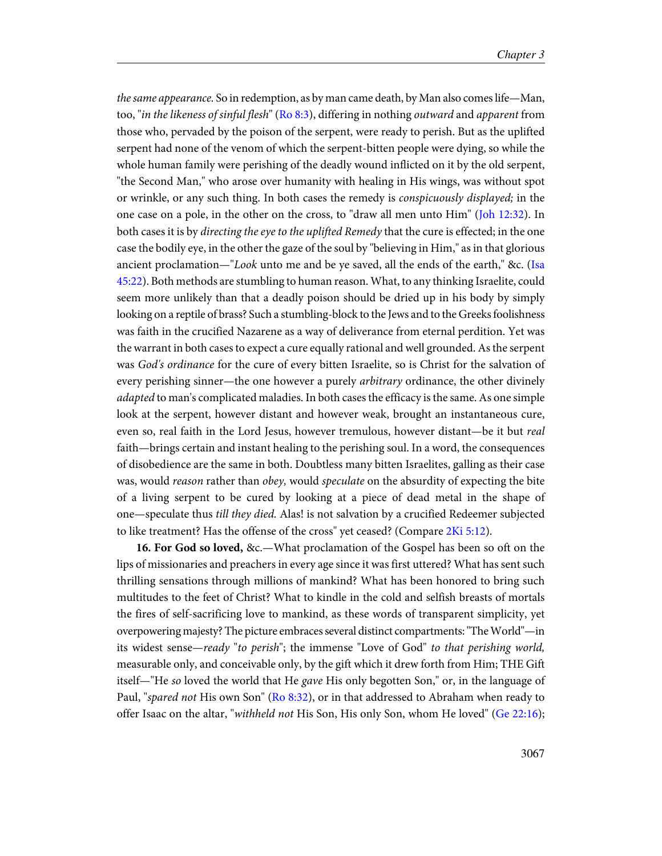the same appearance. So in redemption, as by man came death, by Man also comes life—Man, too, "in the likeness of sinful flesh" ( $Ro$  8:3), differing in nothing outward and apparent from those who, pervaded by the poison of the serpent, were ready to perish. But as the uplifted serpent had none of the venom of which the serpent-bitten people were dying, so while the whole human family were perishing of the deadly wound inflicted on it by the old serpent, "the Second Man," who arose over humanity with healing in His wings, was without spot or wrinkle, or any such thing. In both cases the remedy is conspicuously displayed; in the one case on a pole, in the other on the cross, to "draw all men unto Him" ([Joh 12:32\)](http://www.ccel.org/study/Bible:John.12.32). In both cases it is by directing the eye to the uplifted Remedy that the cure is effected; in the one case the bodily eye, in the other the gaze of the soul by "believing in Him," as in that glorious ancient proclamation—"Look unto me and be ye saved, all the ends of the earth," &c. [\(Isa](http://www.ccel.org/study/Bible:Isa.45.22) [45:22\)](http://www.ccel.org/study/Bible:Isa.45.22). Both methods are stumbling to human reason. What, to any thinking Israelite, could seem more unlikely than that a deadly poison should be dried up in his body by simply looking on a reptile of brass? Such a stumbling-block to the Jews and to the Greeks foolishness was faith in the crucified Nazarene as a way of deliverance from eternal perdition. Yet was the warrant in both cases to expect a cure equally rational and well grounded. As the serpent was God's ordinance for the cure of every bitten Israelite, so is Christ for the salvation of every perishing sinner—the one however a purely *arbitrary* ordinance, the other divinely adapted to man's complicated maladies. In both cases the efficacy is the same. As one simple look at the serpent, however distant and however weak, brought an instantaneous cure, even so, real faith in the Lord Jesus, however tremulous, however distant—be it but real faith—brings certain and instant healing to the perishing soul. In a word, the consequences of disobedience are the same in both. Doubtless many bitten Israelites, galling as their case was, would reason rather than obey, would speculate on the absurdity of expecting the bite of a living serpent to be cured by looking at a piece of dead metal in the shape of one—speculate thus till they died. Alas! is not salvation by a crucified Redeemer subjected to like treatment? Has the offense of the cross" yet ceased? (Compare [2Ki 5:12](http://www.ccel.org/study/Bible:2Kgs.5.12)).

**16. For God so loved,** &c.—What proclamation of the Gospel has been so oft on the lips of missionaries and preachers in every age since it was first uttered? What has sent such thrilling sensations through millions of mankind? What has been honored to bring such multitudes to the feet of Christ? What to kindle in the cold and selfish breasts of mortals the fires of self-sacrificing love to mankind, as these words of transparent simplicity, yet overpowering majesty? The picture embraces several distinct compartments: "The World"—in its widest sense—ready "to perish"; the immense "Love of God" to that perishing world, measurable only, and conceivable only, by the gift which it drew forth from Him; THE Gift itself—"He so loved the world that He gave His only begotten Son," or, in the language of Paul, "spared not His own Son" ([Ro 8:32](http://www.ccel.org/study/Bible:Rom.8.32)), or in that addressed to Abraham when ready to offer Isaac on the altar, "withheld not His Son, His only Son, whom He loved" ([Ge 22:16\)](http://www.ccel.org/study/Bible:Gen.22.16);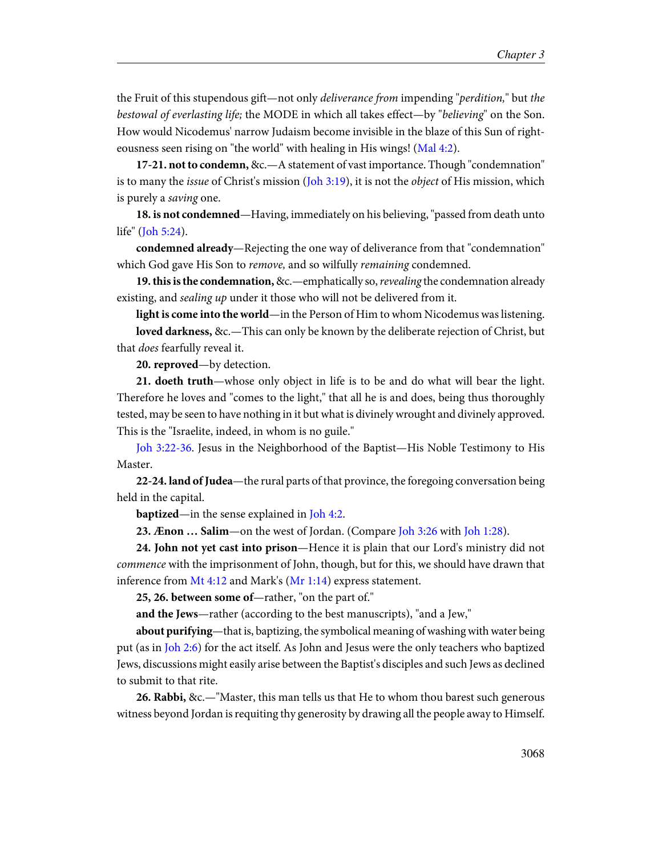the Fruit of this stupendous gift—not only *deliverance from* impending "*perdition*," but the bestowal of everlasting life; the MODE in which all takes effect—by "believing" on the Son. How would Nicodemus' narrow Judaism become invisible in the blaze of this Sun of righteousness seen rising on "the world" with healing in His wings! [\(Mal 4:2](http://www.ccel.org/study/Bible:Mal.4.2)).

**17-21. not to condemn,** &c.—A statement of vast importance. Though "condemnation" is to many the *issue* of Christ's mission ([Joh 3:19\)](http://www.ccel.org/study/Bible:John.3.19), it is not the *object* of His mission, which is purely a saving one.

**18. is not condemned**—Having, immediately on his believing, "passed from death unto life" ([Joh 5:24](http://www.ccel.org/study/Bible:John.5.24)).

**condemned already**—Rejecting the one way of deliverance from that "condemnation" which God gave His Son to remove, and so wilfully remaining condemned.

**19. this is the condemnation,** &c.—emphatically so, revealing the condemnation already existing, and sealing up under it those who will not be delivered from it.

**light is come into the world**—in the Person of Him to whom Nicodemus was listening. **loved darkness,** &c.—This can only be known by the deliberate rejection of Christ, but that does fearfully reveal it.

**20. reproved**—by detection.

**21. doeth truth**—whose only object in life is to be and do what will bear the light. Therefore he loves and "comes to the light," that all he is and does, being thus thoroughly tested, may be seen to have nothing in it but what is divinely wrought and divinely approved. This is the "Israelite, indeed, in whom is no guile."

[Joh 3:22-36](http://www.ccel.org/study/Bible:John.3.22-John.3.36). Jesus in the Neighborhood of the Baptist—His Noble Testimony to His Master.

**22-24. land of Judea**—the rural parts of that province, the foregoing conversation being held in the capital.

**baptized**—in the sense explained in [Joh 4:2.](http://www.ccel.org/study/Bible:John.4.2)

**23. Ænon … Salim**—on the west of Jordan. (Compare [Joh 3:26](http://www.ccel.org/study/Bible:John.3.26) with [Joh 1:28](http://www.ccel.org/study/Bible:John.1.28)).

**24. John not yet cast into prison**—Hence it is plain that our Lord's ministry did not commence with the imprisonment of John, though, but for this, we should have drawn that inference from [Mt 4:12](http://www.ccel.org/study/Bible:Matt.4.12) and Mark's ([Mr 1:14\)](http://www.ccel.org/study/Bible:Mark.1.14) express statement.

**25, 26. between some of**—rather, "on the part of."

**and the Jews**—rather (according to the best manuscripts), "and a Jew,"

**about purifying**—that is, baptizing, the symbolical meaning of washing with water being put (as in [Joh 2:6\)](http://www.ccel.org/study/Bible:John.2.6) for the act itself. As John and Jesus were the only teachers who baptized Jews, discussions might easily arise between the Baptist's disciples and such Jews as declined to submit to that rite.

**26. Rabbi,** &c.—"Master, this man tells us that He to whom thou barest such generous witness beyond Jordan is requiting thy generosity by drawing all the people away to Himself.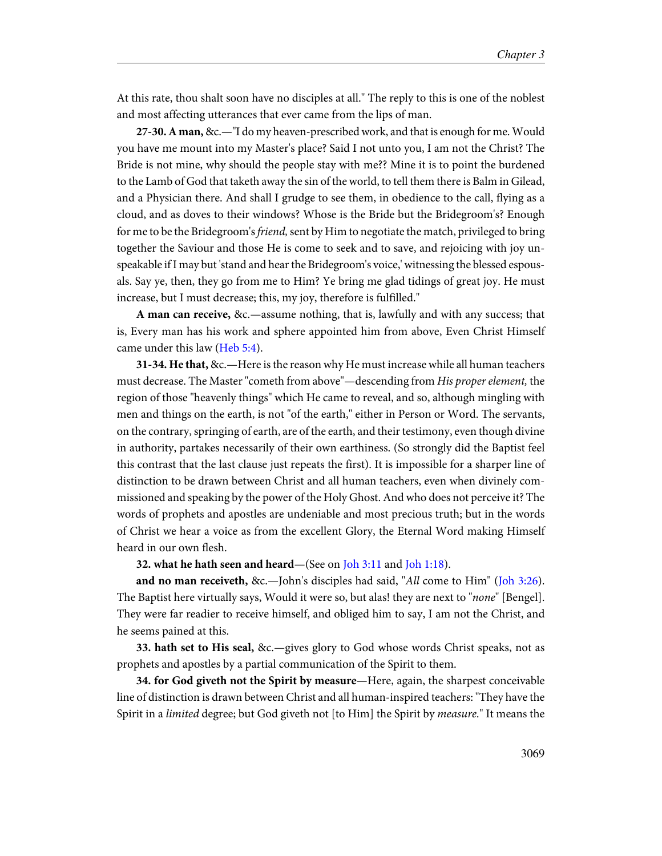At this rate, thou shalt soon have no disciples at all." The reply to this is one of the noblest and most affecting utterances that ever came from the lips of man.

**27-30. A man,** &c.—"I do my heaven-prescribed work, and that is enough for me. Would you have me mount into my Master's place? Said I not unto you, I am not the Christ? The Bride is not mine, why should the people stay with me?? Mine it is to point the burdened to the Lamb of God that taketh away the sin of the world, to tell them there is Balm in Gilead, and a Physician there. And shall I grudge to see them, in obedience to the call, flying as a cloud, and as doves to their windows? Whose is the Bride but the Bridegroom's? Enough for me to be the Bridegroom's friend, sent by Him to negotiate the match, privileged to bring together the Saviour and those He is come to seek and to save, and rejoicing with joy unspeakable if I may but 'stand and hear the Bridegroom's voice,' witnessing the blessed espousals. Say ye, then, they go from me to Him? Ye bring me glad tidings of great joy. He must increase, but I must decrease; this, my joy, therefore is fulfilled."

**A man can receive,** &c.—assume nothing, that is, lawfully and with any success; that is, Every man has his work and sphere appointed him from above, Even Christ Himself came under this law ([Heb 5:4\)](http://www.ccel.org/study/Bible:Heb.5.4).

**31-34. He that,** &c.—Here is the reason why He must increase while all human teachers must decrease. The Master "cometh from above"—descending from His proper element, the region of those "heavenly things" which He came to reveal, and so, although mingling with men and things on the earth, is not "of the earth," either in Person or Word. The servants, on the contrary, springing of earth, are of the earth, and their testimony, even though divine in authority, partakes necessarily of their own earthiness. (So strongly did the Baptist feel this contrast that the last clause just repeats the first). It is impossible for a sharper line of distinction to be drawn between Christ and all human teachers, even when divinely commissioned and speaking by the power of the Holy Ghost. And who does not perceive it? The words of prophets and apostles are undeniable and most precious truth; but in the words of Christ we hear a voice as from the excellent Glory, the Eternal Word making Himself heard in our own flesh.

**32. what he hath seen and heard**—(See on [Joh 3:11](http://www.ccel.org/study/Bible:John.3.11) and [Joh 1:18\)](http://www.ccel.org/study/Bible:John.1.18).

**and no man receiveth,** &c.—John's disciples had said, "All come to Him" [\(Joh 3:26\)](http://www.ccel.org/study/Bible:John.3.26). The Baptist here virtually says, Would it were so, but alas! they are next to "*none*" [Bengel]. They were far readier to receive himself, and obliged him to say, I am not the Christ, and he seems pained at this.

**33. hath set to His seal,** &c.—gives glory to God whose words Christ speaks, not as prophets and apostles by a partial communication of the Spirit to them.

**34. for God giveth not the Spirit by measure**—Here, again, the sharpest conceivable line of distinction is drawn between Christ and all human-inspired teachers: "They have the Spirit in a *limited* degree; but God giveth not [to Him] the Spirit by *measure*." It means the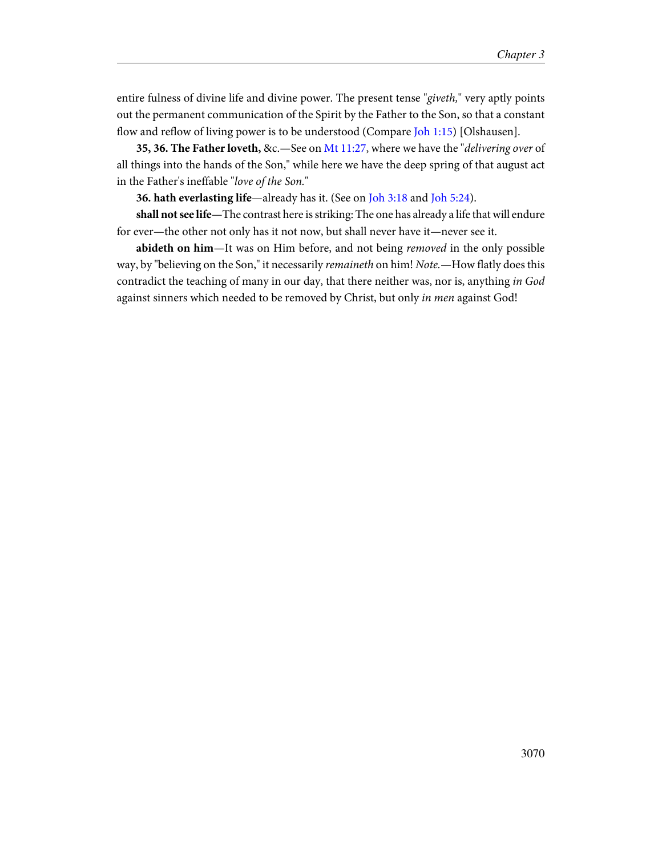entire fulness of divine life and divine power. The present tense "giveth," very aptly points out the permanent communication of the Spirit by the Father to the Son, so that a constant flow and reflow of living power is to be understood (Compare [Joh 1:15\)](http://www.ccel.org/study/Bible:John.1.15) [Olshausen].

**35, 36. The Father loveth,** &c.—See on [Mt 11:27,](http://www.ccel.org/study/Bible:Matt.11.27) where we have the "delivering over of all things into the hands of the Son," while here we have the deep spring of that august act in the Father's ineffable "love of the Son."

**36. hath everlasting life**—already has it. (See on [Joh 3:18](http://www.ccel.org/study/Bible:John.3.18) and [Joh 5:24\)](http://www.ccel.org/study/Bible:John.5.24).

**shall not see life**—The contrast here is striking: The one has already a life that will endure for ever—the other not only has it not now, but shall never have it—never see it.

**abideth on him**—It was on Him before, and not being removed in the only possible way, by "believing on the Son," it necessarily remaineth on him! Note.—How flatly does this contradict the teaching of many in our day, that there neither was, nor is, anything in God against sinners which needed to be removed by Christ, but only in men against God!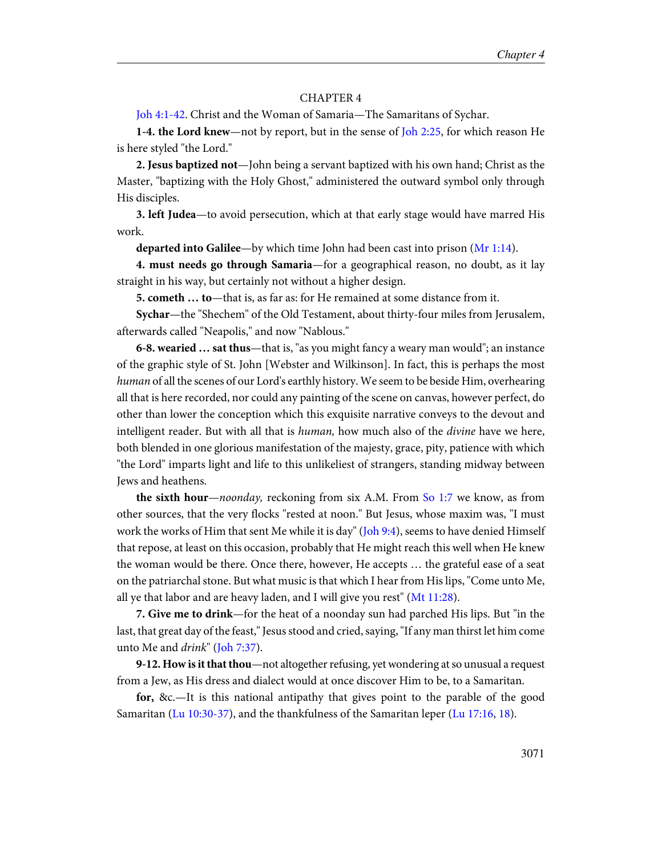### CHAPTER 4

[Joh 4:1-42](http://www.ccel.org/study/Bible:John.4.1-John.4.42). Christ and the Woman of Samaria—The Samaritans of Sychar.

**1-4. the Lord knew**—not by report, but in the sense of [Joh 2:25,](http://www.ccel.org/study/Bible:John.2.25) for which reason He is here styled "the Lord."

**2. Jesus baptized not**—John being a servant baptized with his own hand; Christ as the Master, "baptizing with the Holy Ghost," administered the outward symbol only through His disciples.

**3. left Judea**—to avoid persecution, which at that early stage would have marred His work.

**departed into Galilee**—by which time John had been cast into prison ([Mr 1:14](http://www.ccel.org/study/Bible:Mark.1.14)).

**4. must needs go through Samaria**—for a geographical reason, no doubt, as it lay straight in his way, but certainly not without a higher design.

**5. cometh … to**—that is, as far as: for He remained at some distance from it.

**Sychar**—the "Shechem" of the Old Testament, about thirty-four miles from Jerusalem, afterwards called "Neapolis," and now "Nablous."

**6-8. wearied … sat thus**—that is, "as you might fancy a weary man would"; an instance of the graphic style of St. John [Webster and Wilkinson]. In fact, this is perhaps the most human of all the scenes of our Lord's earthly history. We seem to be beside Him, overhearing all that is here recorded, nor could any painting of the scene on canvas, however perfect, do other than lower the conception which this exquisite narrative conveys to the devout and intelligent reader. But with all that is human, how much also of the divine have we here, both blended in one glorious manifestation of the majesty, grace, pity, patience with which "the Lord" imparts light and life to this unlikeliest of strangers, standing midway between Jews and heathens.

**the sixth hour**—noonday, reckoning from six A.M. From [So 1:7](http://www.ccel.org/study/Bible:Song.1.7) we know, as from other sources, that the very flocks "rested at noon." But Jesus, whose maxim was, "I must work the works of Him that sent Me while it is day" ([Joh 9:4](http://www.ccel.org/study/Bible:John.9.4)), seems to have denied Himself that repose, at least on this occasion, probably that He might reach this well when He knew the woman would be there. Once there, however, He accepts … the grateful ease of a seat on the patriarchal stone. But what music is that which I hear from His lips, "Come unto Me, all ye that labor and are heavy laden, and I will give you rest"  $(Mt 11:28)$  $(Mt 11:28)$ .

**7. Give me to drink**—for the heat of a noonday sun had parched His lips. But "in the last, that great day of the feast," Jesus stood and cried, saying, "If any man thirst let him come unto Me and *drink*" ([Joh 7:37\)](http://www.ccel.org/study/Bible:John.7.37).

**9-12. How is it that thou**—not altogether refusing, yet wondering at so unusual a request from a Jew, as His dress and dialect would at once discover Him to be, to a Samaritan.

**for,** &c.—It is this national antipathy that gives point to the parable of the good Samaritan [\(Lu 10:30-37\)](http://www.ccel.org/study/Bible:Luke.10.30-Luke.10.37), and the thankfulness of the Samaritan leper [\(Lu 17:16](http://www.ccel.org/study/Bible:Luke.17.16), [18\)](http://www.ccel.org/study/Bible:Luke.17.18).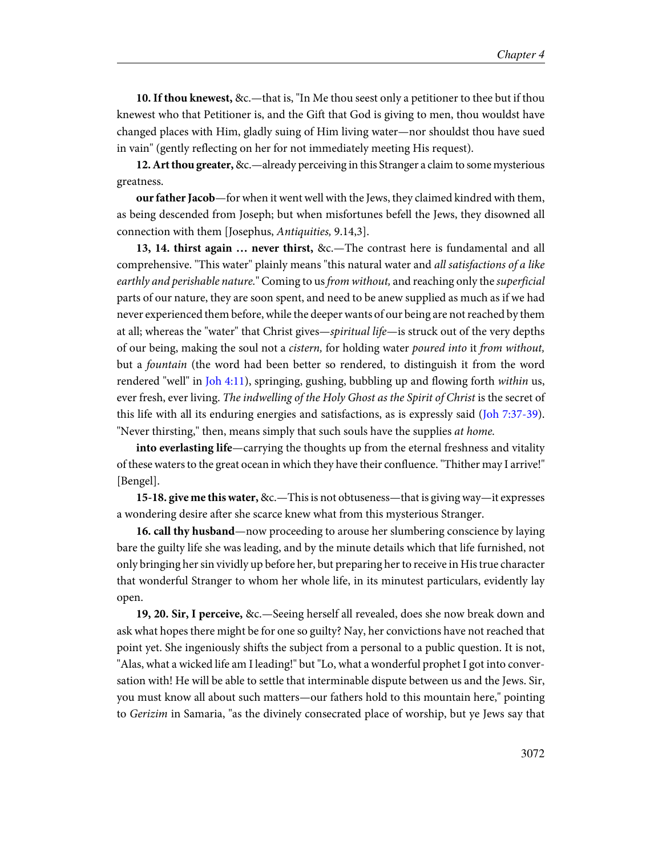**10. If thou knewest,** &c.—that is, "In Me thou seest only a petitioner to thee but if thou knewest who that Petitioner is, and the Gift that God is giving to men, thou wouldst have changed places with Him, gladly suing of Him living water—nor shouldst thou have sued in vain" (gently reflecting on her for not immediately meeting His request).

**12. Art thou greater,** &c.—already perceiving in this Stranger a claim to some mysterious greatness.

**our father Jacob**—for when it went well with the Jews, they claimed kindred with them, as being descended from Joseph; but when misfortunes befell the Jews, they disowned all connection with them [Josephus, Antiquities, 9.14,3].

**13, 14. thirst again … never thirst,** &c.—The contrast here is fundamental and all comprehensive. "This water" plainly means "this natural water and *all satisfactions of a like* earthly and perishable nature." Coming to us from without, and reaching only the superficial parts of our nature, they are soon spent, and need to be anew supplied as much as if we had never experienced them before, while the deeper wants of our being are not reached by them at all; whereas the "water" that Christ gives—spiritual life—is struck out of the very depths of our being, making the soul not a cistern, for holding water poured into it from without, but a fountain (the word had been better so rendered, to distinguish it from the word rendered "well" in [Joh 4:11](http://www.ccel.org/study/Bible:John.4.11)), springing, gushing, bubbling up and flowing forth within us, ever fresh, ever living. The indwelling of the Holy Ghost as the Spirit of Christ is the secret of this life with all its enduring energies and satisfactions, as is expressly said ([Joh 7:37-39\)](http://www.ccel.org/study/Bible:John.7.37-John.7.39). "Never thirsting," then, means simply that such souls have the supplies *at home*.

**into everlasting life**—carrying the thoughts up from the eternal freshness and vitality of these waters to the great ocean in which they have their confluence. "Thither may I arrive!" [Bengel].

**15-18. give me this water,** &c.—This is not obtuseness—that is giving way—it expresses a wondering desire after she scarce knew what from this mysterious Stranger.

**16. call thy husband**—now proceeding to arouse her slumbering conscience by laying bare the guilty life she was leading, and by the minute details which that life furnished, not only bringing her sin vividly up before her, but preparing her to receive in His true character that wonderful Stranger to whom her whole life, in its minutest particulars, evidently lay open.

**19, 20. Sir, I perceive,** &c.—Seeing herself all revealed, does she now break down and ask what hopes there might be for one so guilty? Nay, her convictions have not reached that point yet. She ingeniously shifts the subject from a personal to a public question. It is not, "Alas, what a wicked life am I leading!" but "Lo, what a wonderful prophet I got into conversation with! He will be able to settle that interminable dispute between us and the Jews. Sir, you must know all about such matters—our fathers hold to this mountain here," pointing to *Gerizim* in Samaria, "as the divinely consecrated place of worship, but ye Jews say that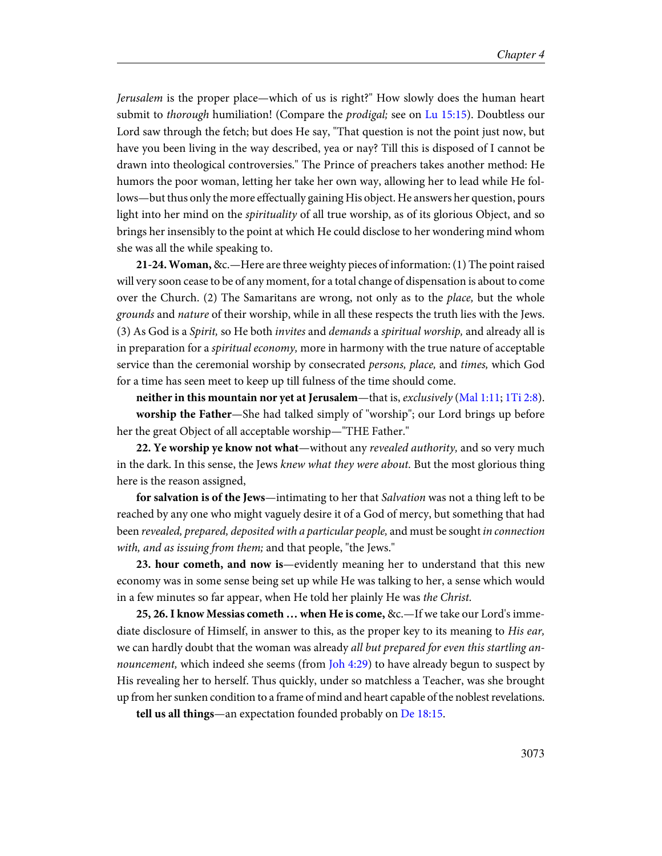Jerusalem is the proper place—which of us is right?" How slowly does the human heart submit to *thorough* humiliation! (Compare the *prodigal*; see on [Lu 15:15\)](http://www.ccel.org/study/Bible:Luke.15.15). Doubtless our Lord saw through the fetch; but does He say, "That question is not the point just now, but have you been living in the way described, yea or nay? Till this is disposed of I cannot be drawn into theological controversies." The Prince of preachers takes another method: He humors the poor woman, letting her take her own way, allowing her to lead while He follows—but thus only the more effectually gaining His object. He answers her question, pours light into her mind on the *spirituality* of all true worship, as of its glorious Object, and so brings her insensibly to the point at which He could disclose to her wondering mind whom she was all the while speaking to.

**21-24. Woman,** &c.—Here are three weighty pieces of information: (1) The point raised will very soon cease to be of any moment, for a total change of dispensation is about to come over the Church. (2) The Samaritans are wrong, not only as to the *place*, but the whole grounds and nature of their worship, while in all these respects the truth lies with the Jews. (3) As God is a Spirit, so He both invites and demands a spiritual worship, and already all is in preparation for a *spiritual economy*, more in harmony with the true nature of acceptable service than the ceremonial worship by consecrated *persons, place*, and *times*, which God for a time has seen meet to keep up till fulness of the time should come.

**neither in this mountain nor yet at Jerusalem**—that is, exclusively ([Mal 1:11;](http://www.ccel.org/study/Bible:Mal.1.11) [1Ti 2:8\)](http://www.ccel.org/study/Bible:1Tim.2.8).

**worship the Father**—She had talked simply of "worship"; our Lord brings up before her the great Object of all acceptable worship—"THE Father."

**22. Ye worship ye know not what**—without any revealed authority, and so very much in the dark. In this sense, the Jews *knew what they were about*. But the most glorious thing here is the reason assigned,

**for salvation is of the Jews**—intimating to her that Salvation was not a thing left to be reached by any one who might vaguely desire it of a God of mercy, but something that had been revealed, prepared, deposited with a particular people, and must be sought in connection with, and as issuing from them; and that people, "the Jews."

**23. hour cometh, and now is**—evidently meaning her to understand that this new economy was in some sense being set up while He was talking to her, a sense which would in a few minutes so far appear, when He told her plainly He was the Christ.

**25, 26. I know Messias cometh … when He is come,** &c.—If we take our Lord's immediate disclosure of Himself, in answer to this, as the proper key to its meaning to His ear, we can hardly doubt that the woman was already all but prepared for even this startling an-nouncement, which indeed she seems (from [Joh 4:29](http://www.ccel.org/study/Bible:John.4.29)) to have already begun to suspect by His revealing her to herself. Thus quickly, under so matchless a Teacher, was she brought up from her sunken condition to a frame of mind and heart capable of the noblest revelations.

**tell us all things**—an expectation founded probably on [De 18:15.](http://www.ccel.org/study/Bible:Deut.18.15)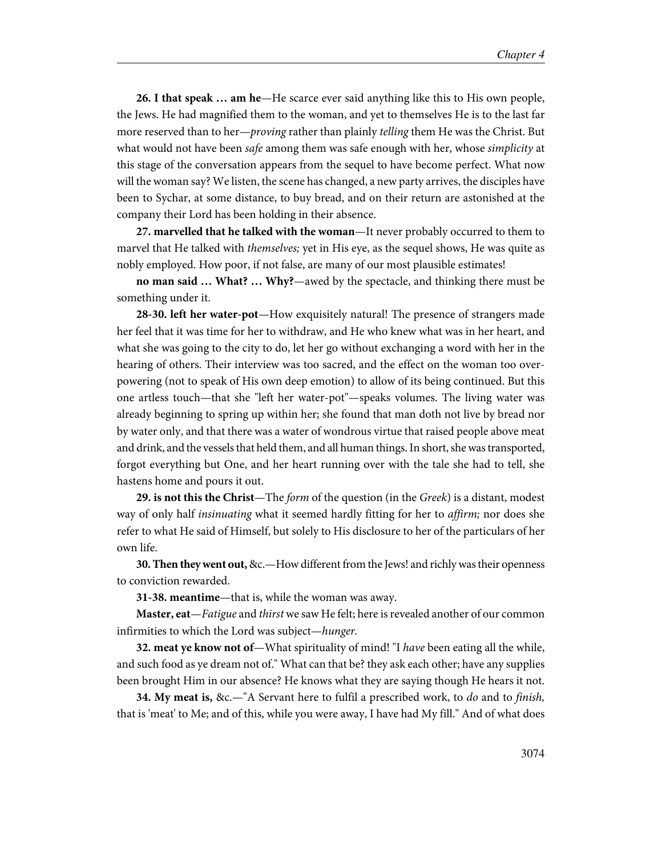**26. I that speak … am he**—He scarce ever said anything like this to His own people, the Jews. He had magnified them to the woman, and yet to themselves He is to the last far more reserved than to her—*proving* rather than plainly *telling* them He was the Christ. But what would not have been safe among them was safe enough with her, whose simplicity at this stage of the conversation appears from the sequel to have become perfect. What now will the woman say? We listen, the scene has changed, a new party arrives, the disciples have been to Sychar, at some distance, to buy bread, and on their return are astonished at the company their Lord has been holding in their absence.

**27. marvelled that he talked with the woman**—It never probably occurred to them to marvel that He talked with *themselves*; yet in His eye, as the sequel shows, He was quite as nobly employed. How poor, if not false, are many of our most plausible estimates!

**no man said … What? … Why?**—awed by the spectacle, and thinking there must be something under it.

**28-30. left her water-pot**—How exquisitely natural! The presence of strangers made her feel that it was time for her to withdraw, and He who knew what was in her heart, and what she was going to the city to do, let her go without exchanging a word with her in the hearing of others. Their interview was too sacred, and the effect on the woman too overpowering (not to speak of His own deep emotion) to allow of its being continued. But this one artless touch—that she "left her water-pot"—speaks volumes. The living water was already beginning to spring up within her; she found that man doth not live by bread nor by water only, and that there was a water of wondrous virtue that raised people above meat and drink, and the vessels that held them, and all human things. In short, she was transported, forgot everything but One, and her heart running over with the tale she had to tell, she hastens home and pours it out.

**29. is not this the Christ**—The form of the question (in the Greek) is a distant, modest way of only half insinuating what it seemed hardly fitting for her to affirm; nor does she refer to what He said of Himself, but solely to His disclosure to her of the particulars of her own life.

**30. Then they went out,** &c.—How different from the Jews! and richly was their openness to conviction rewarded.

**31-38. meantime**—that is, while the woman was away.

**Master, eat**—Fatigue and thirst we saw He felt; here is revealed another of our common infirmities to which the Lord was subject—hunger.

**32. meat ye know not of**—What spirituality of mind! "I have been eating all the while, and such food as ye dream not of." What can that be? they ask each other; have any supplies been brought Him in our absence? He knows what they are saying though He hears it not.

**34. My meat is,** &c.—"A Servant here to fulfil a prescribed work, to do and to finish, that is 'meat' to Me; and of this, while you were away, I have had My fill." And of what does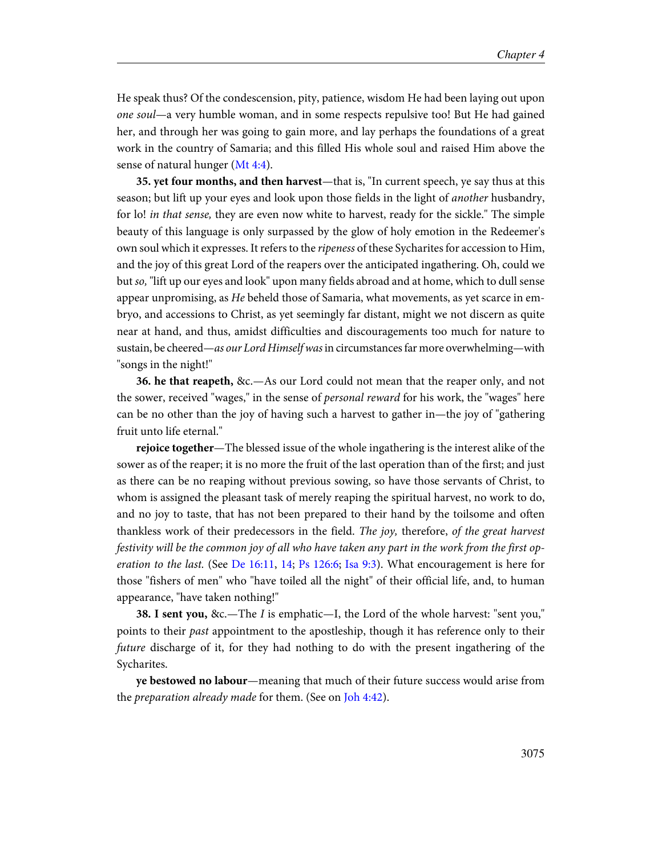He speak thus? Of the condescension, pity, patience, wisdom He had been laying out upon one soul—a very humble woman, and in some respects repulsive too! But He had gained her, and through her was going to gain more, and lay perhaps the foundations of a great work in the country of Samaria; and this filled His whole soul and raised Him above the sense of natural hunger ([Mt 4:4](http://www.ccel.org/study/Bible:Matt.4.4)).

**35. yet four months, and then harvest**—that is, "In current speech, ye say thus at this season; but lift up your eyes and look upon those fields in the light of another husbandry, for lo! in that sense, they are even now white to harvest, ready for the sickle." The simple beauty of this language is only surpassed by the glow of holy emotion in the Redeemer's own soul which it expresses. It refers to the *ripeness* of these Sycharites for accession to Him, and the joy of this great Lord of the reapers over the anticipated ingathering. Oh, could we but so, "lift up our eyes and look" upon many fields abroad and at home, which to dull sense appear unpromising, as He beheld those of Samaria, what movements, as yet scarce in embryo, and accessions to Christ, as yet seemingly far distant, might we not discern as quite near at hand, and thus, amidst difficulties and discouragements too much for nature to sustain, be cheered—as our Lord Himself was in circumstances far more overwhelming—with "songs in the night!"

**36. he that reapeth,** &c.—As our Lord could not mean that the reaper only, and not the sower, received "wages," in the sense of *personal reward* for his work, the "wages" here can be no other than the joy of having such a harvest to gather in—the joy of "gathering fruit unto life eternal."

**rejoice together**—The blessed issue of the whole ingathering is the interest alike of the sower as of the reaper; it is no more the fruit of the last operation than of the first; and just as there can be no reaping without previous sowing, so have those servants of Christ, to whom is assigned the pleasant task of merely reaping the spiritual harvest, no work to do, and no joy to taste, that has not been prepared to their hand by the toilsome and often thankless work of their predecessors in the field. The joy, therefore, of the great harvest festivity will be the common joy of all who have taken any part in the work from the first operation to the last. (See [De 16:11,](http://www.ccel.org/study/Bible:Deut.16.11) [14](http://www.ccel.org/study/Bible:Deut.16.14); [Ps 126:6](http://www.ccel.org/study/Bible:Ps.126.6); [Isa 9:3](http://www.ccel.org/study/Bible:Isa.9.3)). What encouragement is here for those "fishers of men" who "have toiled all the night" of their official life, and, to human appearance, "have taken nothing!"

**38. I sent you,** &c.—The I is emphatic—I, the Lord of the whole harvest: "sent you," points to their past appointment to the apostleship, though it has reference only to their future discharge of it, for they had nothing to do with the present ingathering of the Sycharites.

**ye bestowed no labour**—meaning that much of their future success would arise from the preparation already made for them. (See on [Joh 4:42\)](http://www.ccel.org/study/Bible:John.4.42).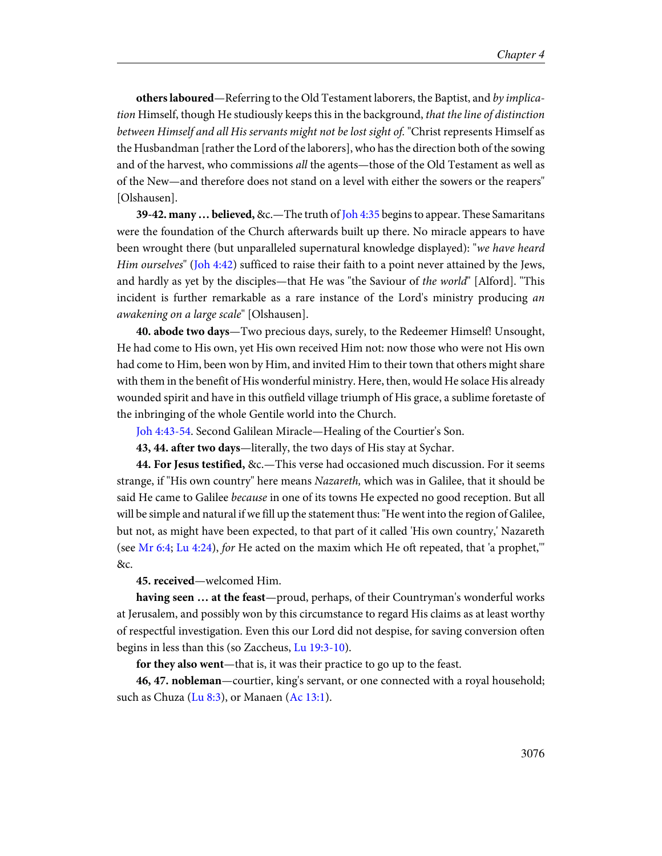**others laboured**—Referring to the Old Testament laborers, the Baptist, and by implication Himself, though He studiously keeps this in the background, that the line of distinction between Himself and all His servants might not be lost sight of. "Christ represents Himself as the Husbandman [rather the Lord of the laborers], who has the direction both of the sowing and of the harvest, who commissions *all* the agents—those of the Old Testament as well as of the New—and therefore does not stand on a level with either the sowers or the reapers" [Olshausen].

**39-42. many … believed,** &c.—The truth of [Joh 4:35](http://www.ccel.org/study/Bible:John.4.35) begins to appear. These Samaritans were the foundation of the Church afterwards built up there. No miracle appears to have been wrought there (but unparalleled supernatural knowledge displayed): "we have heard Him ourselves" [\(Joh 4:42\)](http://www.ccel.org/study/Bible:John.4.42) sufficed to raise their faith to a point never attained by the Jews, and hardly as yet by the disciples—that He was "the Saviour of the world" [Alford]. "This incident is further remarkable as a rare instance of the Lord's ministry producing an awakening on a large scale" [Olshausen].

**40. abode two days**—Two precious days, surely, to the Redeemer Himself! Unsought, He had come to His own, yet His own received Him not: now those who were not His own had come to Him, been won by Him, and invited Him to their town that others might share with them in the benefit of His wonderful ministry. Here, then, would He solace His already wounded spirit and have in this outfield village triumph of His grace, a sublime foretaste of the inbringing of the whole Gentile world into the Church.

[Joh 4:43-54](http://www.ccel.org/study/Bible:John.4.43-John.4.54). Second Galilean Miracle—Healing of the Courtier's Son.

**43, 44. after two days**—literally, the two days of His stay at Sychar.

**44. For Jesus testified,** &c.—This verse had occasioned much discussion. For it seems strange, if "His own country" here means Nazareth, which was in Galilee, that it should be said He came to Galilee *because* in one of its towns He expected no good reception. But all will be simple and natural if we fill up the statement thus: "He went into the region of Galilee, but not, as might have been expected, to that part of it called 'His own country,' Nazareth (see [Mr 6:4;](http://www.ccel.org/study/Bible:Mark.6.4) [Lu 4:24](http://www.ccel.org/study/Bible:Luke.4.24)), for He acted on the maxim which He oft repeated, that 'a prophet,'" &c.

**45. received**—welcomed Him.

**having seen … at the feast**—proud, perhaps, of their Countryman's wonderful works at Jerusalem, and possibly won by this circumstance to regard His claims as at least worthy of respectful investigation. Even this our Lord did not despise, for saving conversion often begins in less than this (so Zaccheus, [Lu 19:3-10\)](http://www.ccel.org/study/Bible:Luke.19.3-Luke.19.10).

**for they also went**—that is, it was their practice to go up to the feast.

**46, 47. nobleman**—courtier, king's servant, or one connected with a royal household; such as Chuza ( $\text{Lu } 8:3$ ), or Manaen ([Ac 13:1\)](http://www.ccel.org/study/Bible:Acts.13.1).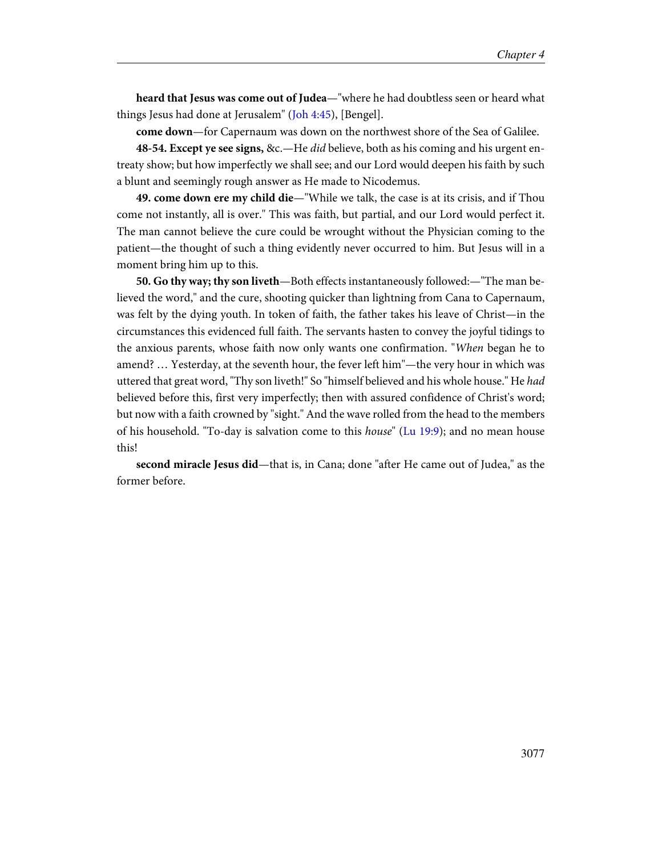**heard that Jesus was come out of Judea**—"where he had doubtless seen or heard what things Jesus had done at Jerusalem" [\(Joh 4:45](http://www.ccel.org/study/Bible:John.4.45)), [Bengel].

**come down**—for Capernaum was down on the northwest shore of the Sea of Galilee.

**48-54. Except ye see signs,** &c.—He did believe, both as his coming and his urgent entreaty show; but how imperfectly we shall see; and our Lord would deepen his faith by such a blunt and seemingly rough answer as He made to Nicodemus.

**49. come down ere my child die**—"While we talk, the case is at its crisis, and if Thou come not instantly, all is over." This was faith, but partial, and our Lord would perfect it. The man cannot believe the cure could be wrought without the Physician coming to the patient—the thought of such a thing evidently never occurred to him. But Jesus will in a moment bring him up to this.

**50. Go thy way; thy son liveth**—Both effects instantaneously followed:—"The man believed the word," and the cure, shooting quicker than lightning from Cana to Capernaum, was felt by the dying youth. In token of faith, the father takes his leave of Christ—in the circumstances this evidenced full faith. The servants hasten to convey the joyful tidings to the anxious parents, whose faith now only wants one confirmation. "When began he to amend? … Yesterday, at the seventh hour, the fever left him"—the very hour in which was uttered that great word, "Thy son liveth!" So "himself believed and his whole house." He had believed before this, first very imperfectly; then with assured confidence of Christ's word; but now with a faith crowned by "sight." And the wave rolled from the head to the members of his household. "To-day is salvation come to this *house*" ([Lu 19:9](http://www.ccel.org/study/Bible:Luke.19.9)); and no mean house this!

**second miracle Jesus did**—that is, in Cana; done "after He came out of Judea," as the former before.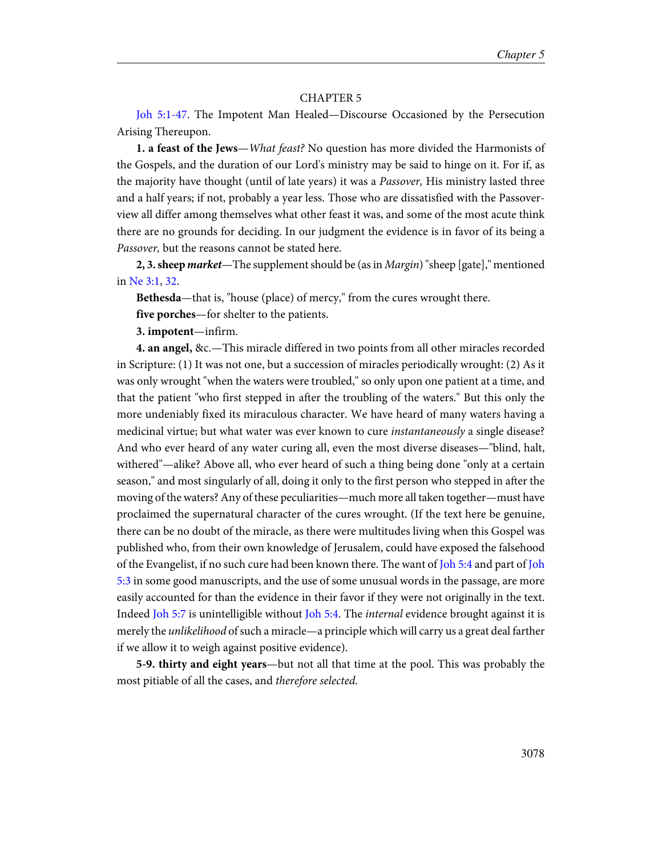#### CHAPTER 5

[Joh 5:1-47](http://www.ccel.org/study/Bible:John.5.1-John.5.47). The Impotent Man Healed—Discourse Occasioned by the Persecution Arising Thereupon.

**1. a feast of the Jews**—What feast? No question has more divided the Harmonists of the Gospels, and the duration of our Lord's ministry may be said to hinge on it. For if, as the majority have thought (until of late years) it was a Passover, His ministry lasted three and a half years; if not, probably a year less. Those who are dissatisfied with the Passoverview all differ among themselves what other feast it was, and some of the most acute think there are no grounds for deciding. In our judgment the evidence is in favor of its being a Passover, but the reasons cannot be stated here.

**2, 3. sheep market**—The supplement should be (as in Margin) "sheep [gate]," mentioned in [Ne 3:1,](http://www.ccel.org/study/Bible:Neh.3.1) [32](http://www.ccel.org/study/Bible:Neh.3.32).

**Bethesda**—that is, "house (place) of mercy," from the cures wrought there.

**five porches**—for shelter to the patients.

**3. impotent**—infirm.

**4. an angel,** &c.—This miracle differed in two points from all other miracles recorded in Scripture: (1) It was not one, but a succession of miracles periodically wrought: (2) As it was only wrought "when the waters were troubled," so only upon one patient at a time, and that the patient "who first stepped in after the troubling of the waters." But this only the more undeniably fixed its miraculous character. We have heard of many waters having a medicinal virtue; but what water was ever known to cure *instantaneously* a single disease? And who ever heard of any water curing all, even the most diverse diseases—"blind, halt, withered"—alike? Above all, who ever heard of such a thing being done "only at a certain season," and most singularly of all, doing it only to the first person who stepped in after the moving of the waters? Any of these peculiarities—much more all taken together—must have proclaimed the supernatural character of the cures wrought. (If the text here be genuine, there can be no doubt of the miracle, as there were multitudes living when this Gospel was published who, from their own knowledge of Jerusalem, could have exposed the falsehood of the Evangelist, if no such cure had been known there. The want of [Joh 5:4](http://www.ccel.org/study/Bible:John.5.4) and part of [Joh](http://www.ccel.org/study/Bible:John.5.3) [5:3](http://www.ccel.org/study/Bible:John.5.3) in some good manuscripts, and the use of some unusual words in the passage, are more easily accounted for than the evidence in their favor if they were not originally in the text. Indeed [Joh 5:7](http://www.ccel.org/study/Bible:John.5.7) is unintelligible without [Joh 5:4](http://www.ccel.org/study/Bible:John.5.4). The internal evidence brought against it is merely the *unlikelihood* of such a miracle—a principle which will carry us a great deal farther if we allow it to weigh against positive evidence).

**5-9. thirty and eight years**—but not all that time at the pool. This was probably the most pitiable of all the cases, and therefore selected.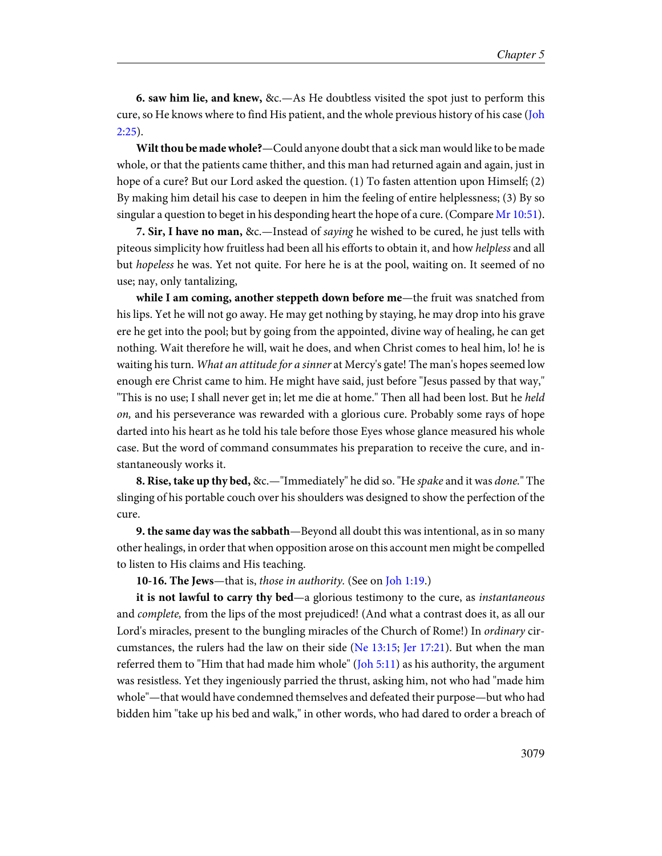**6. saw him lie, and knew,** &c.—As He doubtless visited the spot just to perform this cure, so He knows where to find His patient, and the whole previous history of his case ([Joh](http://www.ccel.org/study/Bible:John.2.25) [2:25](http://www.ccel.org/study/Bible:John.2.25)).

**Wilt thou be made whole?**—Could anyone doubt that a sick man would like to be made whole, or that the patients came thither, and this man had returned again and again, just in hope of a cure? But our Lord asked the question. (1) To fasten attention upon Himself; (2) By making him detail his case to deepen in him the feeling of entire helplessness; (3) By so singular a question to beget in his desponding heart the hope of a cure. (Compare [Mr 10:51\)](http://www.ccel.org/study/Bible:Mark.10.51).

**7. Sir, I have no man,** &c.—Instead of saying he wished to be cured, he just tells with piteous simplicity how fruitless had been all his efforts to obtain it, and how helpless and all but *hopeless* he was. Yet not quite. For here he is at the pool, waiting on. It seemed of no use; nay, only tantalizing,

**while I am coming, another steppeth down before me**—the fruit was snatched from his lips. Yet he will not go away. He may get nothing by staying, he may drop into his grave ere he get into the pool; but by going from the appointed, divine way of healing, he can get nothing. Wait therefore he will, wait he does, and when Christ comes to heal him, lo! he is waiting his turn. What an attitude for a sinner at Mercy's gate! The man's hopes seemed low enough ere Christ came to him. He might have said, just before "Jesus passed by that way," "This is no use; I shall never get in; let me die at home." Then all had been lost. But he held on, and his perseverance was rewarded with a glorious cure. Probably some rays of hope darted into his heart as he told his tale before those Eyes whose glance measured his whole case. But the word of command consummates his preparation to receive the cure, and instantaneously works it.

**8. Rise, take up thy bed,** &c.—"Immediately" he did so. "He spake and it was done." The slinging of his portable couch over his shoulders was designed to show the perfection of the cure.

**9. the same day was the sabbath**—Beyond all doubt this was intentional, as in so many other healings, in order that when opposition arose on this account men might be compelled to listen to His claims and His teaching.

**10-16. The Jews**—that is, those in authority. (See on [Joh 1:19.](http://www.ccel.org/study/Bible:John.1.19))

**it is not lawful to carry thy bed**—a glorious testimony to the cure, as instantaneous and complete, from the lips of the most prejudiced! (And what a contrast does it, as all our Lord's miracles, present to the bungling miracles of the Church of Rome!) In *ordinary* cir-cumstances, the rulers had the law on their side ([Ne 13:15](http://www.ccel.org/study/Bible:Neh.13.15); [Jer 17:21\)](http://www.ccel.org/study/Bible:Jer.17.21). But when the man referred them to "Him that had made him whole" (Joh  $5:11$ ) as his authority, the argument was resistless. Yet they ingeniously parried the thrust, asking him, not who had "made him whole"—that would have condemned themselves and defeated their purpose—but who had bidden him "take up his bed and walk," in other words, who had dared to order a breach of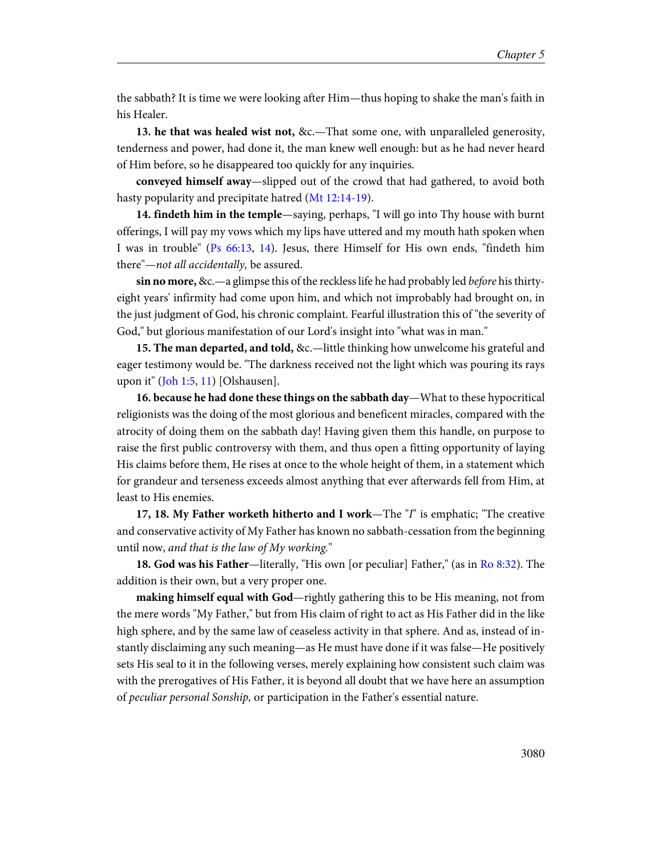the sabbath? It is time we were looking after Him—thus hoping to shake the man's faith in his Healer.

**13. he that was healed wist not,** &c.—That some one, with unparalleled generosity, tenderness and power, had done it, the man knew well enough: but as he had never heard of Him before, so he disappeared too quickly for any inquiries.

**conveyed himself away**—slipped out of the crowd that had gathered, to avoid both hasty popularity and precipitate hatred ([Mt 12:14-19\)](http://www.ccel.org/study/Bible:Matt.12.14-Matt.12.19).

**14. findeth him in the temple**—saying, perhaps, "I will go into Thy house with burnt offerings, I will pay my vows which my lips have uttered and my mouth hath spoken when I was in trouble" [\(Ps 66:13,](http://www.ccel.org/study/Bible:Ps.66.13) [14](http://www.ccel.org/study/Bible:Ps.66.14)). Jesus, there Himself for His own ends, "findeth him there"—not all accidentally, be assured.

**sin no more,** &c.—a glimpse this of the reckless life he had probably led before his thirtyeight years' infirmity had come upon him, and which not improbably had brought on, in the just judgment of God, his chronic complaint. Fearful illustration this of "the severity of God," but glorious manifestation of our Lord's insight into "what was in man."

**15. The man departed, and told,** &c.—little thinking how unwelcome his grateful and eager testimony would be. "The darkness received not the light which was pouring its rays upon it" ([Joh 1:5](http://www.ccel.org/study/Bible:John.1.5), [11](http://www.ccel.org/study/Bible:John.1.11)) [Olshausen].

**16. because he had done these things on the sabbath day**—What to these hypocritical religionists was the doing of the most glorious and beneficent miracles, compared with the atrocity of doing them on the sabbath day! Having given them this handle, on purpose to raise the first public controversy with them, and thus open a fitting opportunity of laying His claims before them, He rises at once to the whole height of them, in a statement which for grandeur and terseness exceeds almost anything that ever afterwards fell from Him, at least to His enemies.

**17, 18. My Father worketh hitherto and I work**—The "I" is emphatic; "The creative and conservative activity of My Father has known no sabbath-cessation from the beginning until now, and that is the law of My working."

**18. God was his Father**—literally, "His own [or peculiar] Father," (as in [Ro 8:32\)](http://www.ccel.org/study/Bible:Rom.8.32). The addition is their own, but a very proper one.

**making himself equal with God**—rightly gathering this to be His meaning, not from the mere words "My Father," but from His claim of right to act as His Father did in the like high sphere, and by the same law of ceaseless activity in that sphere. And as, instead of instantly disclaiming any such meaning—as He must have done if it was false—He positively sets His seal to it in the following verses, merely explaining how consistent such claim was with the prerogatives of His Father, it is beyond all doubt that we have here an assumption of peculiar personal Sonship, or participation in the Father's essential nature.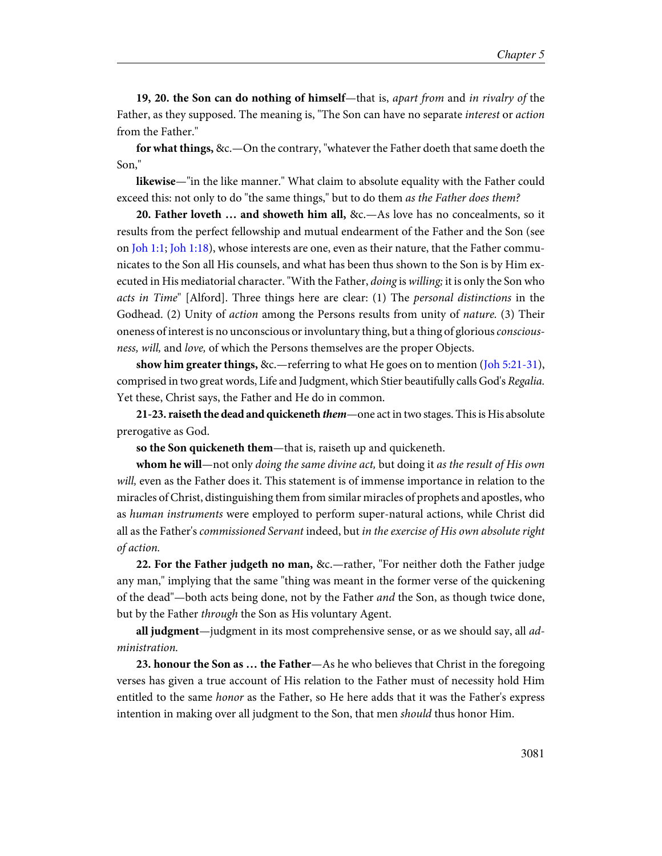**19, 20. the Son can do nothing of himself**—that is, apart from and in rivalry of the Father, as they supposed. The meaning is, "The Son can have no separate interest or action from the Father."

**for what things,** &c.—On the contrary, "whatever the Father doeth that same doeth the Son,"

**likewise**—"in the like manner." What claim to absolute equality with the Father could exceed this: not only to do "the same things," but to do them as the Father does them?

**20. Father loveth … and showeth him all,** &c.—As love has no concealments, so it results from the perfect fellowship and mutual endearment of the Father and the Son (see on [Joh 1:1](http://www.ccel.org/study/Bible:John.1.1); [Joh 1:18](http://www.ccel.org/study/Bible:John.1.18)), whose interests are one, even as their nature, that the Father communicates to the Son all His counsels, and what has been thus shown to the Son is by Him executed in His mediatorial character. "With the Father, *doing* is willing; it is only the Son who acts in Time" [Alford]. Three things here are clear: (1) The personal distinctions in the Godhead. (2) Unity of *action* among the Persons results from unity of *nature*. (3) Their oneness of interest is no unconscious or involuntary thing, but a thing of glorious consciousness, will, and love, of which the Persons themselves are the proper Objects.

**show him greater things,** &c.—referring to what He goes on to mention ([Joh 5:21-31\)](http://www.ccel.org/study/Bible:John.5.21-John.5.31), comprised in two great words, Life and Judgment, which Stier beautifully calls God's Regalia. Yet these, Christ says, the Father and He do in common.

**21-23. raiseth the dead and quickeneth them**—one act in two stages. This is His absolute prerogative as God.

**so the Son quickeneth them**—that is, raiseth up and quickeneth.

**whom he will**—not only doing the same divine act, but doing it as the result of His own will, even as the Father does it. This statement is of immense importance in relation to the miracles of Christ, distinguishing them from similar miracles of prophets and apostles, who as human instruments were employed to perform super-natural actions, while Christ did all as the Father's commissioned Servant indeed, but in the exercise of His own absolute right of action.

**22. For the Father judgeth no man,** &c.—rather, "For neither doth the Father judge any man," implying that the same "thing was meant in the former verse of the quickening of the dead"—both acts being done, not by the Father *and* the Son, as though twice done, but by the Father *through* the Son as His voluntary Agent.

**all judgment**—judgment in its most comprehensive sense, or as we should say, all administration.

**23. honour the Son as … the Father**—As he who believes that Christ in the foregoing verses has given a true account of His relation to the Father must of necessity hold Him entitled to the same honor as the Father, so He here adds that it was the Father's express intention in making over all judgment to the Son, that men should thus honor Him.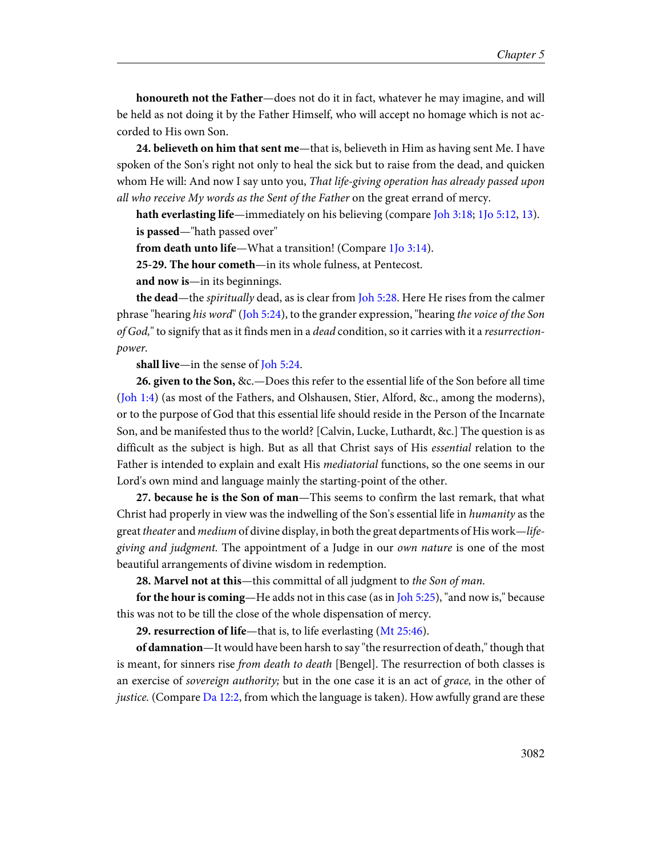**honoureth not the Father**—does not do it in fact, whatever he may imagine, and will be held as not doing it by the Father Himself, who will accept no homage which is not accorded to His own Son.

**24. believeth on him that sent me**—that is, believeth in Him as having sent Me. I have spoken of the Son's right not only to heal the sick but to raise from the dead, and quicken whom He will: And now I say unto you, That life-giving operation has already passed upon all who receive My words as the Sent of the Father on the great errand of mercy.

**hath everlasting life**—immediately on his believing (compare [Joh 3:18](http://www.ccel.org/study/Bible:John.3.18); [1Jo 5:12,](http://www.ccel.org/study/Bible:1John.5.12) [13](http://www.ccel.org/study/Bible:1John.5.13)). **is passed**—"hath passed over"

**from death unto life**—What a transition! (Compare [1Jo 3:14\)](http://www.ccel.org/study/Bible:1John.3.14).

**25-29. The hour cometh**—in its whole fulness, at Pentecost.

**and now is**—in its beginnings.

**the dead**—the spiritually dead, as is clear from [Joh 5:28](http://www.ccel.org/study/Bible:John.5.28). Here He rises from the calmer phrase "hearing his word" [\(Joh 5:24\)](http://www.ccel.org/study/Bible:John.5.24), to the grander expression, "hearing the voice of the Son of God," to signify that as it finds men in a dead condition, so it carries with it a resurrectionpower.

**shall live**—in the sense of [Joh 5:24](http://www.ccel.org/study/Bible:John.5.24).

**26. given to the Son,** &c.—Does this refer to the essential life of the Son before all time ([Joh 1:4\)](http://www.ccel.org/study/Bible:John.1.4) (as most of the Fathers, and Olshausen, Stier, Alford, &c., among the moderns), or to the purpose of God that this essential life should reside in the Person of the Incarnate Son, and be manifested thus to the world? [Calvin, Lucke, Luthardt, &c.] The question is as difficult as the subject is high. But as all that Christ says of His essential relation to the Father is intended to explain and exalt His mediatorial functions, so the one seems in our Lord's own mind and language mainly the starting-point of the other.

**27. because he is the Son of man**—This seems to confirm the last remark, that what Christ had properly in view was the indwelling of the Son's essential life in humanity as the great theater and medium of divine display, in both the great departments of His work—lifegiving and judgment. The appointment of a Judge in our own nature is one of the most beautiful arrangements of divine wisdom in redemption.

**28. Marvel not at this**—this committal of all judgment to the Son of man.

**for the hour is coming**—He adds not in this case (as in [Joh 5:25\)](http://www.ccel.org/study/Bible:John.5.25), "and now is," because this was not to be till the close of the whole dispensation of mercy.

**29. resurrection of life**—that is, to life everlasting ([Mt 25:46\)](http://www.ccel.org/study/Bible:Matt.25.46).

**of damnation**—It would have been harsh to say "the resurrection of death," though that is meant, for sinners rise *from death to death* [Bengel]. The resurrection of both classes is an exercise of *sovereign authority*; but in the one case it is an act of *grace*, in the other of justice. (Compare [Da 12:2](http://www.ccel.org/study/Bible:Dan.12.2), from which the language is taken). How awfully grand are these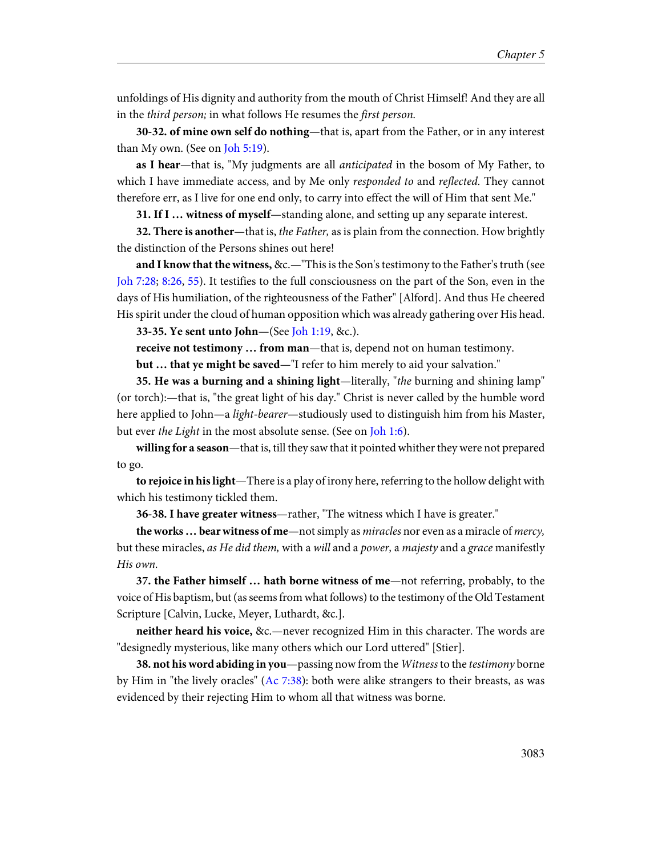unfoldings of His dignity and authority from the mouth of Christ Himself! And they are all in the third person; in what follows He resumes the first person.

**30-32. of mine own self do nothing**—that is, apart from the Father, or in any interest than My own. (See on [Joh 5:19](http://www.ccel.org/study/Bible:John.5.19)).

**as I hear**—that is, "My judgments are all anticipated in the bosom of My Father, to which I have immediate access, and by Me only *responded to* and *reflected*. They cannot therefore err, as I live for one end only, to carry into effect the will of Him that sent Me."

**31. If I … witness of myself**—standing alone, and setting up any separate interest.

**32. There is another**—that is, the Father, as is plain from the connection. How brightly the distinction of the Persons shines out here!

**and I know that the witness,** &c.—"This is the Son's testimony to the Father's truth (see [Joh 7:28](http://www.ccel.org/study/Bible:John.7.28); [8:26](http://www.ccel.org/study/Bible:John.8.26), [55](http://www.ccel.org/study/Bible:John.8.55)). It testifies to the full consciousness on the part of the Son, even in the days of His humiliation, of the righteousness of the Father" [Alford]. And thus He cheered His spirit under the cloud of human opposition which was already gathering over His head.

**33-35. Ye sent unto John**—(See [Joh 1:19,](http://www.ccel.org/study/Bible:John.1.19) &c.).

**receive not testimony … from man**—that is, depend not on human testimony.

**but … that ye might be saved**—"I refer to him merely to aid your salvation."

**35. He was a burning and a shining light**—literally, "the burning and shining lamp" (or torch):—that is, "the great light of his day." Christ is never called by the humble word here applied to John—a *light-bearer*—studiously used to distinguish him from his Master, but ever the Light in the most absolute sense. (See on [Joh 1:6\)](http://www.ccel.org/study/Bible:John.1.6).

**willing for a season**—that is, till they saw that it pointed whither they were not prepared to go.

**to rejoice in his light**—There is a play of irony here, referring to the hollow delight with which his testimony tickled them.

**36-38. I have greater witness**—rather, "The witness which I have is greater."

**the works … bear witness of me**—not simply as miracles nor even as a miracle of mercy, but these miracles, as He did them, with a will and a power, a majesty and a grace manifestly His own.

**37. the Father himself … hath borne witness of me**—not referring, probably, to the voice of His baptism, but (as seems from what follows) to the testimony of the Old Testament Scripture [Calvin, Lucke, Meyer, Luthardt, &c.].

**neither heard his voice,** &c.—never recognized Him in this character. The words are "designedly mysterious, like many others which our Lord uttered" [Stier].

**38. not his word abiding in you**—passing now from the Witness to the testimony borne by Him in "the lively oracles" [\(Ac 7:38](http://www.ccel.org/study/Bible:Acts.7.38)): both were alike strangers to their breasts, as was evidenced by their rejecting Him to whom all that witness was borne.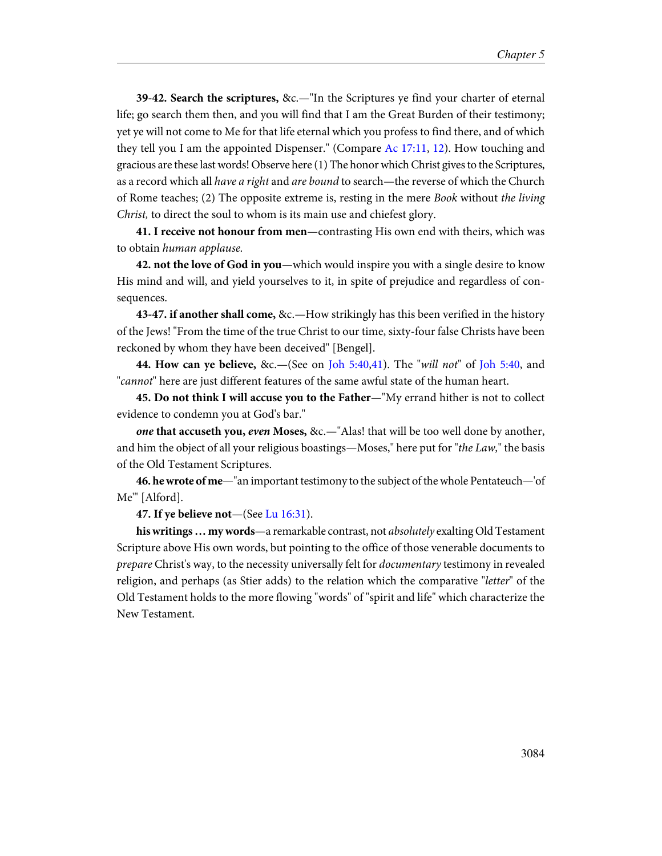**39-42. Search the scriptures,** &c.—"In the Scriptures ye find your charter of eternal life; go search them then, and you will find that I am the Great Burden of their testimony; yet ye will not come to Me for that life eternal which you profess to find there, and of which they tell you I am the appointed Dispenser." (Compare [Ac 17:11,](http://www.ccel.org/study/Bible:Acts.17.11) [12\)](http://www.ccel.org/study/Bible:Acts.17.12). How touching and gracious are these last words! Observe here (1) The honor which Christ gives to the Scriptures, as a record which all *have a right* and *are bound* to search—the reverse of which the Church of Rome teaches; (2) The opposite extreme is, resting in the mere Book without the living Christ, to direct the soul to whom is its main use and chiefest glory.

**41. I receive not honour from men**—contrasting His own end with theirs, which was to obtain human applause.

**42. not the love of God in you**—which would inspire you with a single desire to know His mind and will, and yield yourselves to it, in spite of prejudice and regardless of consequences.

**43-47. if another shall come,** &c.—How strikingly has this been verified in the history of the Jews! "From the time of the true Christ to our time, sixty-four false Christs have been reckoned by whom they have been deceived" [Bengel].

**44. How can ye believe,** &c.—(See on [Joh 5:40](http://www.ccel.org/study/Bible:John.5.40),[41](http://www.ccel.org/study/Bible:John.5.41)). The "will not" of [Joh 5:40,](http://www.ccel.org/study/Bible:John.5.40) and "cannot" here are just different features of the same awful state of the human heart.

**45. Do not think I will accuse you to the Father**—"My errand hither is not to collect evidence to condemn you at God's bar."

**one that accuseth you, even Moses,** &c.—"Alas! that will be too well done by another, and him the object of all your religious boastings—Moses," here put for "the Law," the basis of the Old Testament Scriptures.

**46. he wrote of me**—"an important testimony to the subject of the whole Pentateuch—'of Me'" [Alford].

**47. If ye believe not**—(See [Lu 16:31](http://www.ccel.org/study/Bible:Luke.16.31)).

**his writings … my words**—a remarkable contrast, not absolutely exalting Old Testament Scripture above His own words, but pointing to the office of those venerable documents to prepare Christ's way, to the necessity universally felt for *documentary* testimony in revealed religion, and perhaps (as Stier adds) to the relation which the comparative "letter" of the Old Testament holds to the more flowing "words" of "spirit and life" which characterize the New Testament.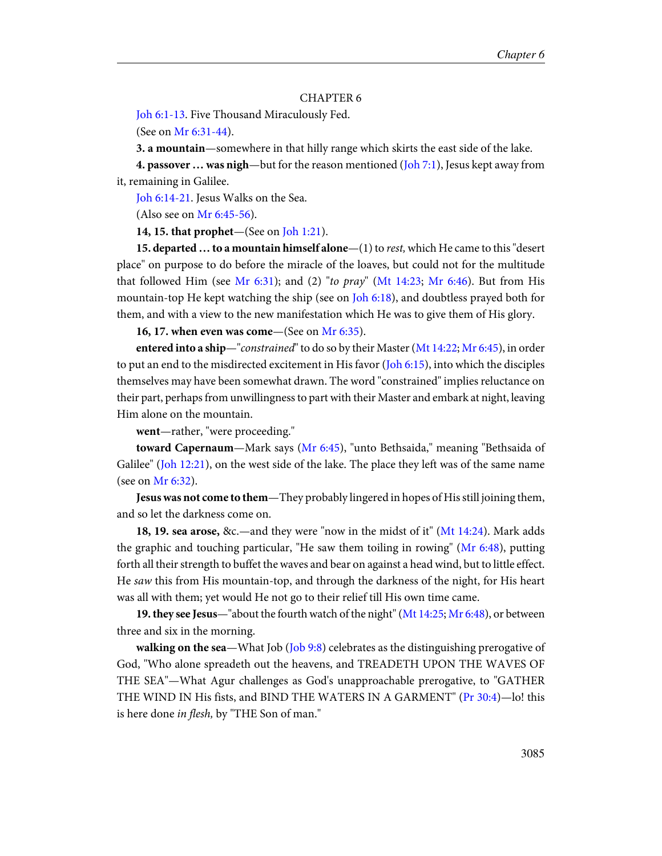# CHAPTER 6

[Joh 6:1-13](http://www.ccel.org/study/Bible:John.6.1-John.6.13). Five Thousand Miraculously Fed.

(See on [Mr 6:31-44](http://www.ccel.org/study/Bible:Mark.6.31-Mark.6.44)).

**3. a mountain**—somewhere in that hilly range which skirts the east side of the lake.

**4. passover … was nigh**—but for the reason mentioned ([Joh 7:1\)](http://www.ccel.org/study/Bible:John.7.1), Jesus kept away from it, remaining in Galilee.

[Joh 6:14-21](http://www.ccel.org/study/Bible:John.6.14-John.6.21). Jesus Walks on the Sea.

(Also see on [Mr 6:45-56\)](http://www.ccel.org/study/Bible:Mark.6.45-Mark.6.56).

**14, 15. that prophet**—(See on [Joh 1:21](http://www.ccel.org/study/Bible:John.1.21)).

**15. departed … to a mountain himself alone**—(1) to rest,which He came to this "desert place" on purpose to do before the miracle of the loaves, but could not for the multitude that followed Him (see [Mr 6:31\)](http://www.ccel.org/study/Bible:Mark.6.31); and (2) "to pray" ([Mt 14:23;](http://www.ccel.org/study/Bible:Matt.14.23) [Mr 6:46](http://www.ccel.org/study/Bible:Mark.6.46)). But from His mountain-top He kept watching the ship (see on [Joh 6:18](http://www.ccel.org/study/Bible:John.6.18)), and doubtless prayed both for them, and with a view to the new manifestation which He was to give them of His glory.

**16, 17. when even was come**—(See on [Mr 6:35](http://www.ccel.org/study/Bible:Mark.6.35)).

**entered into a ship**—"constrained" to do so by their Master ([Mt 14:22;](http://www.ccel.org/study/Bible:Matt.14.22) [Mr 6:45](http://www.ccel.org/study/Bible:Mark.6.45)), in order to put an end to the misdirected excitement in His favor (Joh  $6:15$ ), into which the disciples themselves may have been somewhat drawn. The word "constrained" implies reluctance on their part, perhaps from unwillingness to part with their Master and embark at night, leaving Him alone on the mountain.

**went**—rather, "were proceeding."

**toward Capernaum**—Mark says ([Mr 6:45](http://www.ccel.org/study/Bible:Mark.6.45)), "unto Bethsaida," meaning "Bethsaida of Galilee" [\(Joh 12:21\)](http://www.ccel.org/study/Bible:John.12.21), on the west side of the lake. The place they left was of the same name (see on [Mr 6:32](http://www.ccel.org/study/Bible:Mark.6.32)).

**Jesus was not come to them**—They probably lingered in hopes of His still joining them, and so let the darkness come on.

**18, 19. sea arose,** &c.—and they were "now in the midst of it" ([Mt 14:24](http://www.ccel.org/study/Bible:Matt.14.24)). Mark adds the graphic and touching particular, "He saw them toiling in rowing" [\(Mr 6:48\)](http://www.ccel.org/study/Bible:Mark.6.48), putting forth all their strength to buffet the waves and bear on against a head wind, but to little effect. He saw this from His mountain-top, and through the darkness of the night, for His heart was all with them; yet would He not go to their relief till His own time came.

**19. they see Jesus**—"about the fourth watch of the night" [\(Mt 14:25](http://www.ccel.org/study/Bible:Matt.14.25); [Mr 6:48](http://www.ccel.org/study/Bible:Mark.6.48)), or between three and six in the morning.

**walking on the sea**—What Job ([Job 9:8\)](http://www.ccel.org/study/Bible:Job.9.8) celebrates as the distinguishing prerogative of God, "Who alone spreadeth out the heavens, and TREADETH UPON THE WAVES OF THE SEA"—What Agur challenges as God's unapproachable prerogative, to "GATHER THE WIND IN His fists, and BIND THE WATERS IN A GARMENT" [\(Pr 30:4\)](http://www.ccel.org/study/Bible:Prov.30.4)—lo! this is here done in flesh, by "THE Son of man."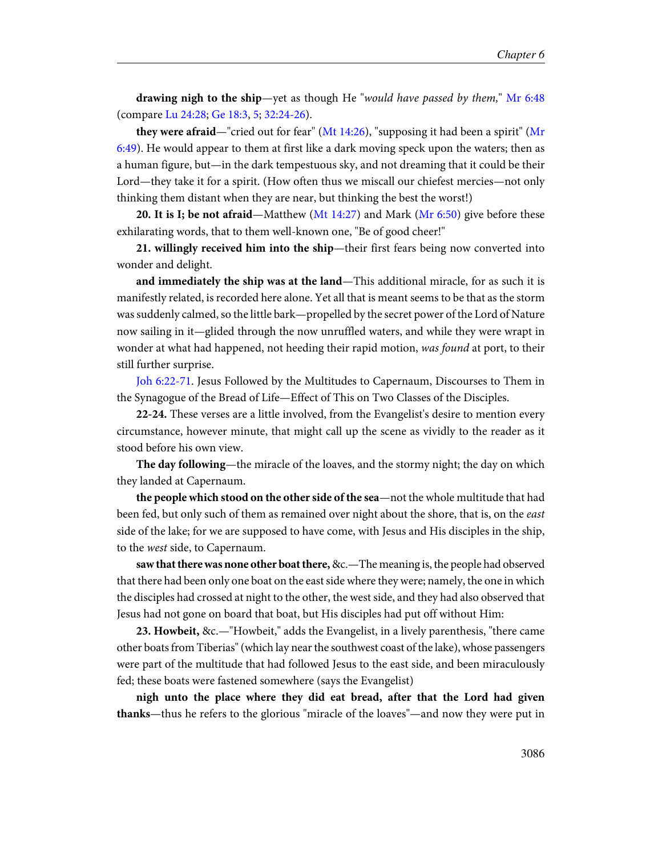**drawing nigh to the ship**—yet as though He "would have passed by them," [Mr 6:48](http://www.ccel.org/study/Bible:Mark.6.48) (compare [Lu 24:28;](http://www.ccel.org/study/Bible:Luke.24.28) [Ge 18:3](http://www.ccel.org/study/Bible:Gen.18.3), [5;](http://www.ccel.org/study/Bible:Gen.18.5) [32:24-26\)](http://www.ccel.org/study/Bible:Gen.32.24-Gen.32.26).

**they were afraid**—"cried out for fear" [\(Mt 14:26\)](http://www.ccel.org/study/Bible:Matt.14.26), "supposing it had been a spirit" [\(Mr](http://www.ccel.org/study/Bible:Mark.6.49) [6:49](http://www.ccel.org/study/Bible:Mark.6.49)). He would appear to them at first like a dark moving speck upon the waters; then as a human figure, but—in the dark tempestuous sky, and not dreaming that it could be their Lord—they take it for a spirit. (How often thus we miscall our chiefest mercies—not only thinking them distant when they are near, but thinking the best the worst!)

**20. It is I; be not afraid**—Matthew [\(Mt 14:27\)](http://www.ccel.org/study/Bible:Matt.14.27) and Mark [\(Mr 6:50\)](http://www.ccel.org/study/Bible:Mark.6.50) give before these exhilarating words, that to them well-known one, "Be of good cheer!"

**21. willingly received him into the ship**—their first fears being now converted into wonder and delight.

**and immediately the ship was at the land**—This additional miracle, for as such it is manifestly related, is recorded here alone. Yet all that is meant seems to be that as the storm was suddenly calmed, so the little bark—propelled by the secret power of the Lord of Nature now sailing in it—glided through the now unruffled waters, and while they were wrapt in wonder at what had happened, not heeding their rapid motion, was found at port, to their still further surprise.

[Joh 6:22-71.](http://www.ccel.org/study/Bible:John.6.22-John.6.71) Jesus Followed by the Multitudes to Capernaum, Discourses to Them in the Synagogue of the Bread of Life—Effect of This on Two Classes of the Disciples.

**22-24.** These verses are a little involved, from the Evangelist's desire to mention every circumstance, however minute, that might call up the scene as vividly to the reader as it stood before his own view.

**The day following**—the miracle of the loaves, and the stormy night; the day on which they landed at Capernaum.

**the people which stood on the other side of the sea**—not the whole multitude that had been fed, but only such of them as remained over night about the shore, that is, on the *east* side of the lake; for we are supposed to have come, with Jesus and His disciples in the ship, to the west side, to Capernaum.

**saw that there was none other boat there,** &c.—The meaning is, the people had observed that there had been only one boat on the east side where they were; namely, the one in which the disciples had crossed at night to the other, the west side, and they had also observed that Jesus had not gone on board that boat, but His disciples had put off without Him:

**23. Howbeit,** &c.—"Howbeit," adds the Evangelist, in a lively parenthesis, "there came other boats from Tiberias" (which lay near the southwest coast of the lake), whose passengers were part of the multitude that had followed Jesus to the east side, and been miraculously fed; these boats were fastened somewhere (says the Evangelist)

**nigh unto the place where they did eat bread, after that the Lord had given thanks**—thus he refers to the glorious "miracle of the loaves"—and now they were put in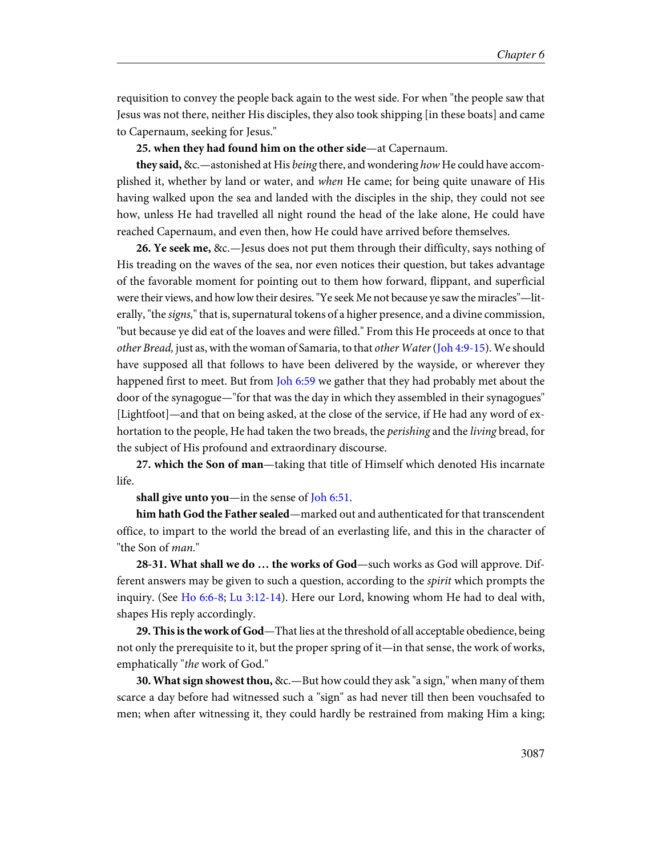requisition to convey the people back again to the west side. For when "the people saw that Jesus was not there, neither His disciples, they also took shipping [in these boats] and came to Capernaum, seeking for Jesus."

**25. when they had found him on the other side**—at Capernaum.

**they said,** &c.—astonished at His being there, and wondering how He could have accomplished it, whether by land or water, and when He came; for being quite unaware of His having walked upon the sea and landed with the disciples in the ship, they could not see how, unless He had travelled all night round the head of the lake alone, He could have reached Capernaum, and even then, how He could have arrived before themselves.

**26. Ye seek me,** &c.—Jesus does not put them through their difficulty, says nothing of His treading on the waves of the sea, nor even notices their question, but takes advantage of the favorable moment for pointing out to them how forward, flippant, and superficial were their views, and how low their desires. "Ye seek Me not because ye saw the miracles"—literally, "the signs," that is, supernatural tokens of a higher presence, and a divine commission, "but because ye did eat of the loaves and were filled." From this He proceeds at once to that other Bread, just as, with the woman of Samaria, to that other Water [\(Joh 4:9-15\)](http://www.ccel.org/study/Bible:John.4.9-John.4.15). We should have supposed all that follows to have been delivered by the wayside, or wherever they happened first to meet. But from [Joh 6:59](http://www.ccel.org/study/Bible:John.6.59) we gather that they had probably met about the door of the synagogue—"for that was the day in which they assembled in their synagogues" [Lightfoot]—and that on being asked, at the close of the service, if He had any word of exhortation to the people, He had taken the two breads, the *perishing* and the *living* bread, for the subject of His profound and extraordinary discourse.

**27. which the Son of man**—taking that title of Himself which denoted His incarnate life.

**shall give unto you**—in the sense of [Joh 6:51](http://www.ccel.org/study/Bible:John.6.51).

**him hath God the Father sealed**—marked out and authenticated for that transcendent office, to impart to the world the bread of an everlasting life, and this in the character of "the Son of man."

**28-31. What shall we do … the works of God**—such works as God will approve. Different answers may be given to such a question, according to the spirit which prompts the inquiry. (See [Ho 6:6-8;](http://www.ccel.org/study/Bible:Hos.6.6-Hos.6.8) [Lu 3:12-14](http://www.ccel.org/study/Bible:Luke.3.12-Luke.3.14)). Here our Lord, knowing whom He had to deal with, shapes His reply accordingly.

**29. This is the work of God**—That lies at the threshold of all acceptable obedience, being not only the prerequisite to it, but the proper spring of it—in that sense, the work of works, emphatically "the work of God."

**30. What sign showest thou,** &c.—But how could they ask "a sign," when many of them scarce a day before had witnessed such a "sign" as had never till then been vouchsafed to men; when after witnessing it, they could hardly be restrained from making Him a king;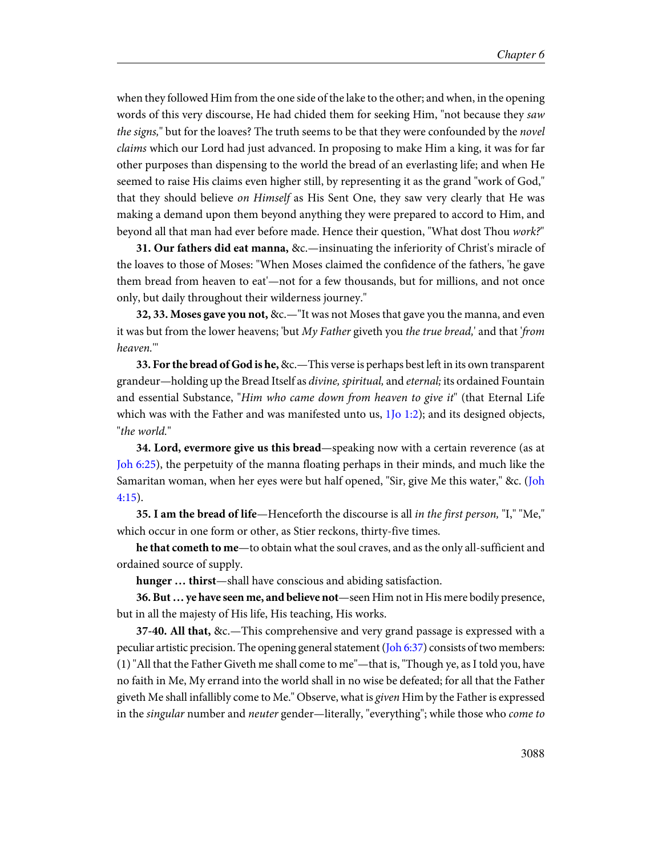when they followed Him from the one side of the lake to the other; and when, in the opening words of this very discourse, He had chided them for seeking Him, "not because they saw the signs," but for the loaves? The truth seems to be that they were confounded by the novel claims which our Lord had just advanced. In proposing to make Him a king, it was for far other purposes than dispensing to the world the bread of an everlasting life; and when He seemed to raise His claims even higher still, by representing it as the grand "work of God," that they should believe on Himself as His Sent One, they saw very clearly that He was making a demand upon them beyond anything they were prepared to accord to Him, and beyond all that man had ever before made. Hence their question, "What dost Thou work?"

**31. Our fathers did eat manna,** &c.—insinuating the inferiority of Christ's miracle of the loaves to those of Moses: "When Moses claimed the confidence of the fathers, 'he gave them bread from heaven to eat'—not for a few thousands, but for millions, and not once only, but daily throughout their wilderness journey."

**32, 33. Moses gave you not,** &c.—"It was not Moses that gave you the manna, and even it was but from the lower heavens; 'but My Father giveth you the true bread,' and that 'from heaven.'"

**33. For the bread of God is he,** &c.—This verse is perhaps best left in its own transparent grandeur—holding up the Bread Itself as divine, spiritual, and eternal; its ordained Fountain and essential Substance, "Him who came down from heaven to give it" (that Eternal Life which was with the Father and was manifested unto us, [1Jo 1:2](http://www.ccel.org/study/Bible:1John.1.2)); and its designed objects, "the world."

**34. Lord, evermore give us this bread**—speaking now with a certain reverence (as at [Joh 6:25](http://www.ccel.org/study/Bible:John.6.25)), the perpetuity of the manna floating perhaps in their minds, and much like the Samaritan woman, when her eyes were but half opened, "Sir, give Me this water," &c. ([Joh](http://www.ccel.org/study/Bible:John.4.15) [4:15](http://www.ccel.org/study/Bible:John.4.15)).

**35. I am the bread of life**—Henceforth the discourse is all in the first person, "I," "Me," which occur in one form or other, as Stier reckons, thirty-five times.

**he that cometh to me**—to obtain what the soul craves, and as the only all-sufficient and ordained source of supply.

**hunger … thirst**—shall have conscious and abiding satisfaction.

**36. But … ye have seen me, and believe not**—seen Him not in His mere bodily presence, but in all the majesty of His life, His teaching, His works.

**37-40. All that,** &c.—This comprehensive and very grand passage is expressed with a peculiar artistic precision. The opening general statement [\(Joh 6:37\)](http://www.ccel.org/study/Bible:John.6.37) consists of two members: (1) "All that the Father Giveth me shall come to me"—that is, "Though ye, as I told you, have no faith in Me, My errand into the world shall in no wise be defeated; for all that the Father giveth Me shall infallibly come to Me." Observe, what is given Him by the Father is expressed in the *singular* number and *neuter* gender—literally, "everything"; while those who *come to*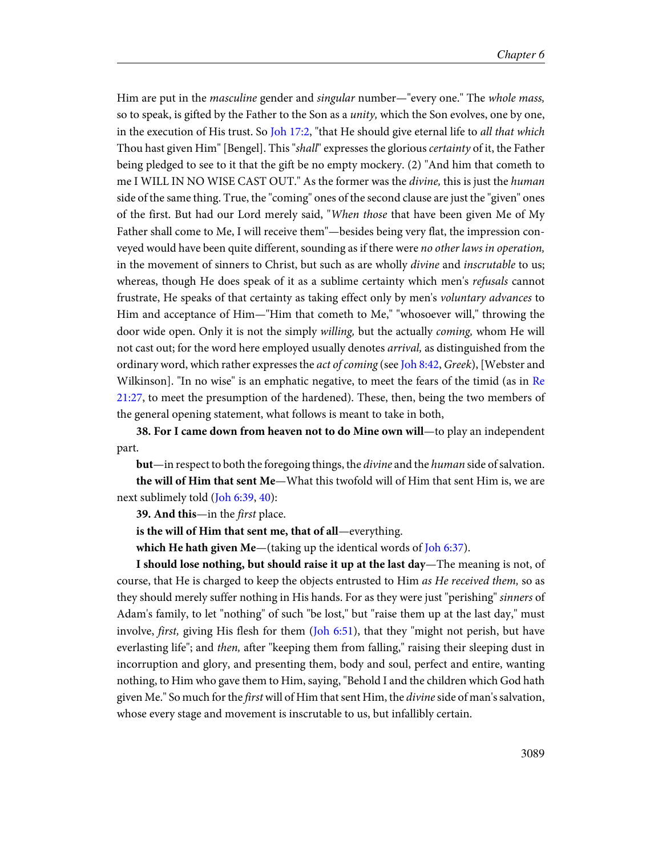Him are put in the *masculine* gender and *singular* number—"every one." The *whole mass*, so to speak, is gifted by the Father to the Son as a *unity*, which the Son evolves, one by one, in the execution of His trust. So [Joh 17:2](http://www.ccel.org/study/Bible:John.17.2), "that He should give eternal life to all that which Thou hast given Him" [Bengel]. This "shall" expresses the glorious certainty of it, the Father being pledged to see to it that the gift be no empty mockery. (2) "And him that cometh to me I WILL IN NO WISE CAST OUT." As the former was the divine, this is just the human side of the same thing. True, the "coming" ones of the second clause are just the "given" ones of the first. But had our Lord merely said, "When those that have been given Me of My Father shall come to Me, I will receive them"—besides being very flat, the impression conveyed would have been quite different, sounding as if there were no other laws in operation, in the movement of sinners to Christ, but such as are wholly *divine* and *inscrutable* to us; whereas, though He does speak of it as a sublime certainty which men's *refusals* cannot frustrate, He speaks of that certainty as taking effect only by men's voluntary advances to Him and acceptance of Him—"Him that cometh to Me," "whosoever will," throwing the door wide open. Only it is not the simply willing, but the actually coming, whom He will not cast out; for the word here employed usually denotes *arrival*, as distinguished from the ordinary word, which rather expresses the *act of coming* (see [Joh 8:42](http://www.ccel.org/study/Bible:John.8.42), *Greek*), [Webster and Wilkinson]. "In no wise" is an emphatic negative, to meet the fears of the timid (as in [Re](http://www.ccel.org/study/Bible:Rev.21.27) [21:27,](http://www.ccel.org/study/Bible:Rev.21.27) to meet the presumption of the hardened). These, then, being the two members of the general opening statement, what follows is meant to take in both,

**38. For I came down from heaven not to do Mine own will**—to play an independent part.

**but**—in respect to both the foregoing things, the divine and the human side of salvation.

**the will of Him that sent Me**—What this twofold will of Him that sent Him is, we are next sublimely told ([Joh 6:39,](http://www.ccel.org/study/Bible:John.6.39) [40](http://www.ccel.org/study/Bible:John.6.40)):

**39. And this**—in the first place.

**is the will of Him that sent me, that of all**—everything.

**which He hath given Me**—(taking up the identical words of [Joh 6:37\)](http://www.ccel.org/study/Bible:John.6.37).

**I should lose nothing, but should raise it up at the last day**—The meaning is not, of course, that He is charged to keep the objects entrusted to Him as He received them, so as they should merely suffer nothing in His hands. For as they were just "perishing" sinners of Adam's family, to let "nothing" of such "be lost," but "raise them up at the last day," must involve, *first*, giving His flesh for them (*Joh 6:51*), that they "might not perish, but have everlasting life"; and *then*, after "keeping them from falling," raising their sleeping dust in incorruption and glory, and presenting them, body and soul, perfect and entire, wanting nothing, to Him who gave them to Him, saying, "Behold I and the children which God hath given Me." So much for the *first* will of Him that sent Him, the *divine* side of man's salvation, whose every stage and movement is inscrutable to us, but infallibly certain.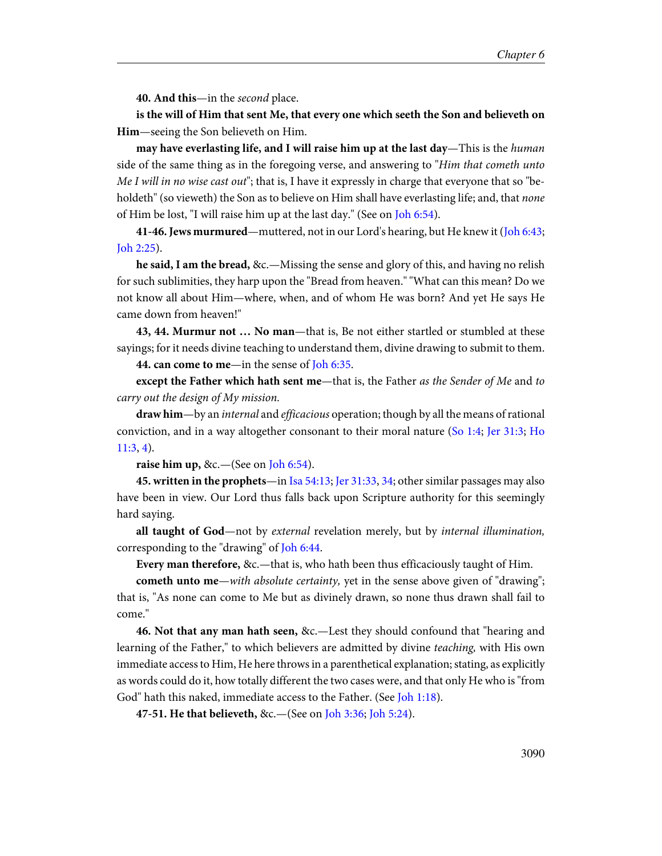**40. And this**—in the second place.

**is the will of Him that sent Me, that every one which seeth the Son and believeth on Him**—seeing the Son believeth on Him.

**may have everlasting life, and I will raise him up at the last day**—This is the human side of the same thing as in the foregoing verse, and answering to "*Him that cometh unto* Me I will in no wise cast out"; that is, I have it expressly in charge that everyone that so "beholdeth" (so vieweth) the Son as to believe on Him shall have everlasting life; and, that *none* of Him be lost, "I will raise him up at the last day." (See on [Joh 6:54](http://www.ccel.org/study/Bible:John.6.54)).

**41-46. Jews murmured**—muttered, not in our Lord's hearing, but He knew it [\(Joh 6:43;](http://www.ccel.org/study/Bible:John.6.43) [Joh 2:25\)](http://www.ccel.org/study/Bible:John.2.25).

**he said, I am the bread,** &c.—Missing the sense and glory of this, and having no relish for such sublimities, they harp upon the "Bread from heaven." "What can this mean? Do we not know all about Him—where, when, and of whom He was born? And yet He says He came down from heaven!"

**43, 44. Murmur not … No man**—that is, Be not either startled or stumbled at these sayings; for it needs divine teaching to understand them, divine drawing to submit to them.

**44. can come to me**—in the sense of [Joh 6:35.](http://www.ccel.org/study/Bible:John.6.35)

**except the Father which hath sent me**—that is, the Father as the Sender of Me and to carry out the design of My mission.

**draw him**—by an internal and efficacious operation; though by all the means of rational conviction, and in a way altogether consonant to their moral nature [\(So 1:4](http://www.ccel.org/study/Bible:Song.1.4); [Jer 31:3](http://www.ccel.org/study/Bible:Jer.31.3); [Ho](http://www.ccel.org/study/Bible:Hos.11.3) [11:3](http://www.ccel.org/study/Bible:Hos.11.3), [4\)](http://www.ccel.org/study/Bible:Hos.11.4).

**raise him up,** &c.—(See on [Joh 6:54\)](http://www.ccel.org/study/Bible:John.6.54).

**45. written in the prophets**—in [Isa 54:13;](http://www.ccel.org/study/Bible:Isa.54.13) [Jer 31:33](http://www.ccel.org/study/Bible:Jer.31.33), [34;](http://www.ccel.org/study/Bible:Jer.31.34) other similar passages may also have been in view. Our Lord thus falls back upon Scripture authority for this seemingly hard saying.

**all taught of God**—not by external revelation merely, but by internal illumination, corresponding to the "drawing" of [Joh 6:44.](http://www.ccel.org/study/Bible:John.6.44)

**Every man therefore,** &c.—that is, who hath been thus efficaciously taught of Him.

**cometh unto me**—with absolute certainty, yet in the sense above given of "drawing"; that is, "As none can come to Me but as divinely drawn, so none thus drawn shall fail to come."

**46. Not that any man hath seen,** &c.—Lest they should confound that "hearing and learning of the Father," to which believers are admitted by divine teaching, with His own immediate access to Him, He here throws in a parenthetical explanation; stating, as explicitly as words could do it, how totally different the two cases were, and that only He who is "from God" hath this naked, immediate access to the Father. (See [Joh 1:18\)](http://www.ccel.org/study/Bible:John.1.18).

**47-51. He that believeth,** &c.—(See on [Joh 3:36;](http://www.ccel.org/study/Bible:John.3.36) [Joh 5:24\)](http://www.ccel.org/study/Bible:John.5.24).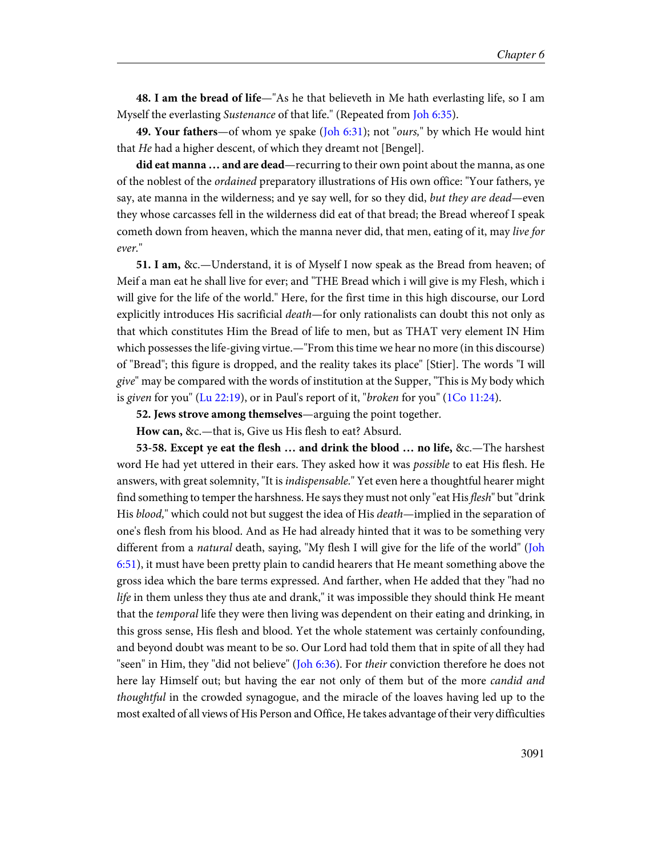**48. I am the bread of life**—"As he that believeth in Me hath everlasting life, so I am Myself the everlasting Sustenance of that life." (Repeated from [Joh 6:35](http://www.ccel.org/study/Bible:John.6.35)).

**49. Your fathers**—of whom ye spake [\(Joh 6:31\)](http://www.ccel.org/study/Bible:John.6.31); not "ours," by which He would hint that He had a higher descent, of which they dreamt not [Bengel].

**did eat manna … and are dead**—recurring to their own point about the manna, as one of the noblest of the ordained preparatory illustrations of His own office: "Your fathers, ye say, ate manna in the wilderness; and ye say well, for so they did, but they are dead—even they whose carcasses fell in the wilderness did eat of that bread; the Bread whereof I speak cometh down from heaven, which the manna never did, that men, eating of it, may live for ever."

**51. I am,** &c.—Understand, it is of Myself I now speak as the Bread from heaven; of Meif a man eat he shall live for ever; and "THE Bread which i will give is my Flesh, which i will give for the life of the world." Here, for the first time in this high discourse, our Lord explicitly introduces His sacrificial *death*—for only rationalists can doubt this not only as that which constitutes Him the Bread of life to men, but as THAT very element IN Him which possesses the life-giving virtue.—"From this time we hear no more (in this discourse) of "Bread"; this figure is dropped, and the reality takes its place" [Stier]. The words "I will  $give''$  may be compared with the words of institution at the Supper, "This is My body which is given for you" [\(Lu 22:19](http://www.ccel.org/study/Bible:Luke.22.19)), or in Paul's report of it, "broken for you" [\(1Co 11:24\)](http://www.ccel.org/study/Bible:1Cor.11.24).

**52. Jews strove among themselves**—arguing the point together.

**How can,** &c.—that is, Give us His flesh to eat? Absurd.

**53-58. Except ye eat the flesh … and drink the blood … no life,** &c.—The harshest word He had yet uttered in their ears. They asked how it was *possible* to eat His flesh. He answers, with great solemnity, "It is *indispensable*." Yet even here a thoughtful hearer might find something to temper the harshness. He says they must not only "eat His *flesh*" but "drink His blood," which could not but suggest the idea of His *death*—implied in the separation of one's flesh from his blood. And as He had already hinted that it was to be something very different from a *natural* death, saying, "My flesh I will give for the life of the world" ([Joh](http://www.ccel.org/study/Bible:John.6.51) [6:51](http://www.ccel.org/study/Bible:John.6.51)), it must have been pretty plain to candid hearers that He meant something above the gross idea which the bare terms expressed. And farther, when He added that they "had no life in them unless they thus ate and drank," it was impossible they should think He meant that the temporal life they were then living was dependent on their eating and drinking, in this gross sense, His flesh and blood. Yet the whole statement was certainly confounding, and beyond doubt was meant to be so. Our Lord had told them that in spite of all they had "seen" in Him, they "did not believe" [\(Joh 6:36](http://www.ccel.org/study/Bible:John.6.36)). For their conviction therefore he does not here lay Himself out; but having the ear not only of them but of the more candid and thoughtful in the crowded synagogue, and the miracle of the loaves having led up to the most exalted of all views of His Person and Office, He takes advantage of their very difficulties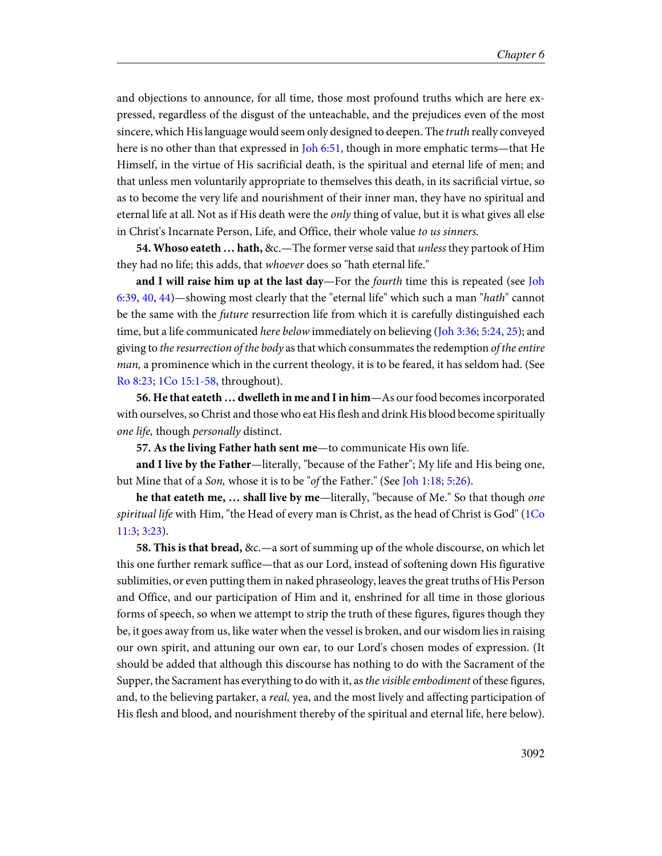and objections to announce, for all time, those most profound truths which are here expressed, regardless of the disgust of the unteachable, and the prejudices even of the most sincere, which His language would seem only designed to deepen. The *truth* really conveyed here is no other than that expressed in [Joh 6:51](http://www.ccel.org/study/Bible:John.6.51), though in more emphatic terms-that He Himself, in the virtue of His sacrificial death, is the spiritual and eternal life of men; and that unless men voluntarily appropriate to themselves this death, in its sacrificial virtue, so as to become the very life and nourishment of their inner man, they have no spiritual and eternal life at all. Not as if His death were the *only* thing of value, but it is what gives all else in Christ's Incarnate Person, Life, and Office, their whole value to us sinners.

**54. Whoso eateth … hath,** &c.—The former verse said that unless they partook of Him they had no life; this adds, that whoever does so "hath eternal life."

**and I will raise him up at the last day**—For the fourth time this is repeated (see [Joh](http://www.ccel.org/study/Bible:John.6.39) [6:39](http://www.ccel.org/study/Bible:John.6.39), [40](http://www.ccel.org/study/Bible:John.6.40), [44\)](http://www.ccel.org/study/Bible:John.6.44)—showing most clearly that the "eternal life" which such a man "hath" cannot be the same with the *future* resurrection life from which it is carefully distinguished each time, but a life communicated *here below* immediately on believing [\(Joh 3:36;](http://www.ccel.org/study/Bible:John.3.36) [5:24,](http://www.ccel.org/study/Bible:John.5.24) [25\)](http://www.ccel.org/study/Bible:John.5.25); and giving to the resurrection of the body as that which consummates the redemption of the entire man, a prominence which in the current theology, it is to be feared, it has seldom had. (See [Ro 8:23](http://www.ccel.org/study/Bible:Rom.8.23); [1Co 15:1-58,](http://www.ccel.org/study/Bible:1Cor.15.1-1Cor.15.58) throughout).

**56. He that eateth … dwelleth in me and I in him**—As our food becomes incorporated with ourselves, so Christ and those who eat His flesh and drink His blood become spiritually one life, though personally distinct.

**57. As the living Father hath sent me**—to communicate His own life.

**and I live by the Father**—literally, "because of the Father"; My life and His being one, but Mine that of a Son, whose it is to be "of the Father." (See [Joh 1:18](http://www.ccel.org/study/Bible:John.1.18); [5:26\)](http://www.ccel.org/study/Bible:John.5.26).

**he that eateth me, … shall live by me**—literally, "because of Me." So that though one spiritual life with Him, "the Head of every man is Christ, as the head of Christ is God" ( $1Co$ [11:3](http://www.ccel.org/study/Bible:1Cor.11.3); [3:23\)](http://www.ccel.org/study/Bible:1Cor.3.23).

**58. This is that bread,** &c.—a sort of summing up of the whole discourse, on which let this one further remark suffice—that as our Lord, instead of softening down His figurative sublimities, or even putting them in naked phraseology, leaves the great truths of His Person and Office, and our participation of Him and it, enshrined for all time in those glorious forms of speech, so when we attempt to strip the truth of these figures, figures though they be, it goes away from us, like water when the vessel is broken, and our wisdom lies in raising our own spirit, and attuning our own ear, to our Lord's chosen modes of expression. (It should be added that although this discourse has nothing to do with the Sacrament of the Supper, the Sacrament has everything to do with it, as the visible embodiment of these figures, and, to the believing partaker, a *real*, yea, and the most lively and affecting participation of His flesh and blood, and nourishment thereby of the spiritual and eternal life, here below).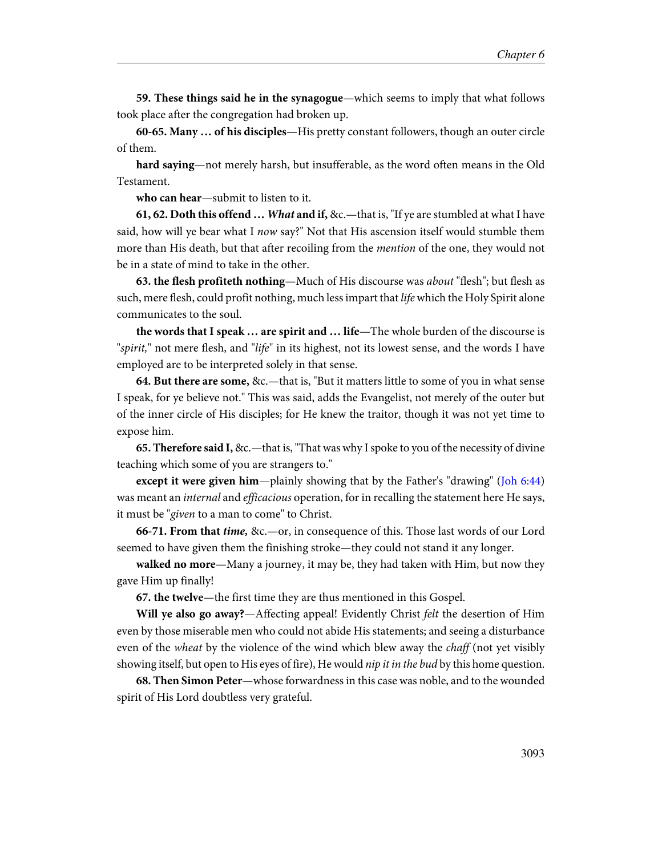**59. These things said he in the synagogue**—which seems to imply that what follows took place after the congregation had broken up.

**60-65. Many … of his disciples**—His pretty constant followers, though an outer circle of them.

**hard saying**—not merely harsh, but insufferable, as the word often means in the Old Testament.

**who can hear**—submit to listen to it.

**61, 62. Doth this offend … What and if,** &c.—that is, "If ye are stumbled at what I have said, how will ye bear what I now say?" Not that His ascension itself would stumble them more than His death, but that after recoiling from the *mention* of the one, they would not be in a state of mind to take in the other.

**63. the flesh profiteth nothing**—Much of His discourse was about "flesh"; but flesh as such, mere flesh, could profit nothing, much less impart that life which the Holy Spirit alone communicates to the soul.

**the words that I speak … are spirit and … life**—The whole burden of the discourse is "spirit," not mere flesh, and "life" in its highest, not its lowest sense, and the words I have employed are to be interpreted solely in that sense.

**64. But there are some,** &c.—that is, "But it matters little to some of you in what sense I speak, for ye believe not." This was said, adds the Evangelist, not merely of the outer but of the inner circle of His disciples; for He knew the traitor, though it was not yet time to expose him.

**65. Therefore said I,** &c.—that is, "That was why I spoke to you of the necessity of divine teaching which some of you are strangers to."

**except it were given him**—plainly showing that by the Father's "drawing" ([Joh 6:44](http://www.ccel.org/study/Bible:John.6.44)) was meant an internal and efficacious operation, for in recalling the statement here He says, it must be "given to a man to come" to Christ.

**66-71. From that time,** &c.—or, in consequence of this. Those last words of our Lord seemed to have given them the finishing stroke—they could not stand it any longer.

**walked no more**—Many a journey, it may be, they had taken with Him, but now they gave Him up finally!

**67. the twelve**—the first time they are thus mentioned in this Gospel.

**Will ye also go away?**—Affecting appeal! Evidently Christ felt the desertion of Him even by those miserable men who could not abide His statements; and seeing a disturbance even of the wheat by the violence of the wind which blew away the *chaff* (not yet visibly showing itself, but open to His eyes of fire), He would *nip it in the bud* by this home question.

**68. Then Simon Peter**—whose forwardness in this case was noble, and to the wounded spirit of His Lord doubtless very grateful.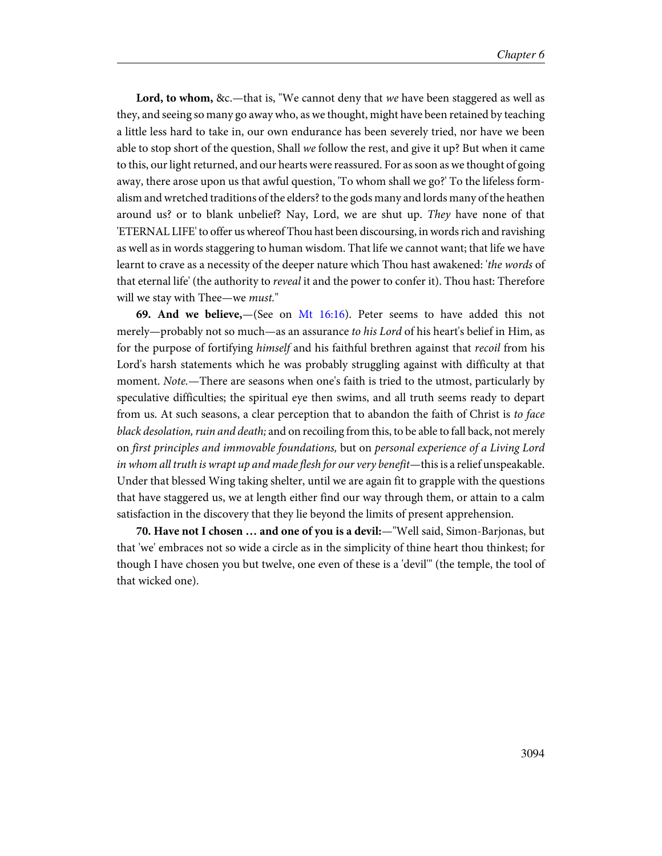**Lord, to whom,** &c.—that is, "We cannot deny that we have been staggered as well as they, and seeing so many go away who, as we thought, might have been retained by teaching a little less hard to take in, our own endurance has been severely tried, nor have we been able to stop short of the question, Shall we follow the rest, and give it up? But when it came to this, our light returned, and our hearts were reassured. For as soon as we thought of going away, there arose upon us that awful question, 'To whom shall we go?' To the lifeless formalism and wretched traditions of the elders? to the gods many and lords many of the heathen around us? or to blank unbelief? Nay, Lord, we are shut up. They have none of that 'ETERNAL LIFE' to offer us whereof Thou hast been discoursing, in words rich and ravishing as well as in words staggering to human wisdom. That life we cannot want; that life we have learnt to crave as a necessity of the deeper nature which Thou hast awakened: 'the words of that eternal life' (the authority to reveal it and the power to confer it). Thou hast: Therefore will we stay with Thee—we must."

**69. And we believe,**—(See on [Mt 16:16\)](http://www.ccel.org/study/Bible:Matt.16.16). Peter seems to have added this not merely—probably not so much—as an assurance to his Lord of his heart's belief in Him, as for the purpose of fortifying *himself* and his faithful brethren against that *recoil* from his Lord's harsh statements which he was probably struggling against with difficulty at that moment. Note.—There are seasons when one's faith is tried to the utmost, particularly by speculative difficulties; the spiritual eye then swims, and all truth seems ready to depart from us. At such seasons, a clear perception that to abandon the faith of Christ is to face black desolation, ruin and death; and on recoiling from this, to be able to fall back, not merely on first principles and immovable foundations, but on personal experience of a Living Lord in whom all truth is wrapt up and made flesh for our very benefit—this is a relief unspeakable. Under that blessed Wing taking shelter, until we are again fit to grapple with the questions that have staggered us, we at length either find our way through them, or attain to a calm satisfaction in the discovery that they lie beyond the limits of present apprehension.

**70. Have not I chosen … and one of you is a devil:**—"Well said, Simon-Barjonas, but that 'we' embraces not so wide a circle as in the simplicity of thine heart thou thinkest; for though I have chosen you but twelve, one even of these is a 'devil'" (the temple, the tool of that wicked one).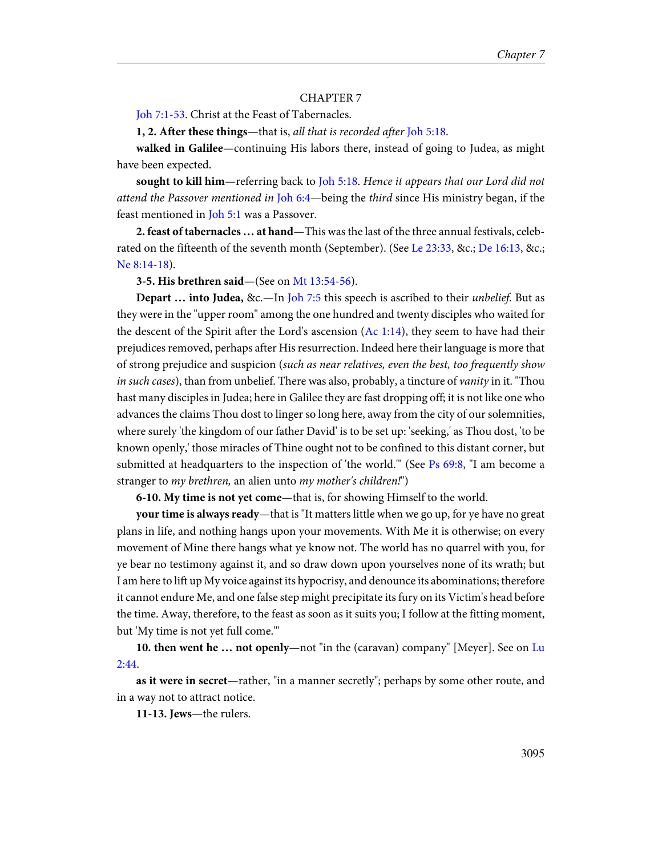#### CHAPTER 7

[Joh 7:1-53](http://www.ccel.org/study/Bible:John.7.1-John.7.53). Christ at the Feast of Tabernacles.

**1, 2. After these things**—that is, all that is recorded after [Joh 5:18](http://www.ccel.org/study/Bible:John.5.18).

**walked in Galilee**—continuing His labors there, instead of going to Judea, as might have been expected.

**sought to kill him**—referring back to [Joh 5:18.](http://www.ccel.org/study/Bible:John.5.18) Hence it appears that our Lord did not attend the Passover mentioned in [Joh 6:4](http://www.ccel.org/study/Bible:John.6.4)—being the third since His ministry began, if the feast mentioned in [Joh 5:1](http://www.ccel.org/study/Bible:John.5.1) was a Passover.

**2. feast of tabernacles … at hand**—This was the last of the three annual festivals, celebrated on the fifteenth of the seventh month (September). (See [Le 23:33,](http://www.ccel.org/study/Bible:Lev.23.33) &c.; [De 16:13,](http://www.ccel.org/study/Bible:Deut.16.13) &c.; [Ne 8:14-18](http://www.ccel.org/study/Bible:Neh.8.14-Neh.8.18)).

**3-5. His brethren said**—(See on [Mt 13:54-56\)](http://www.ccel.org/study/Bible:Matt.13.54-Matt.13.56).

**Depart ... into Judea,** &c.—In [Joh 7:5](http://www.ccel.org/study/Bible:John.7.5) this speech is ascribed to their *unbelief*. But as they were in the "upper room" among the one hundred and twenty disciples who waited for the descent of the Spirit after the Lord's ascension  $(Ac 1:14)$  $(Ac 1:14)$  $(Ac 1:14)$ , they seem to have had their prejudices removed, perhaps after His resurrection. Indeed here their language is more that of strong prejudice and suspicion (such as near relatives, even the best, too frequently show in such cases), than from unbelief. There was also, probably, a tincture of *vanity* in it. "Thou hast many disciples in Judea; here in Galilee they are fast dropping off; it is not like one who advances the claims Thou dost to linger so long here, away from the city of our solemnities, where surely 'the kingdom of our father David' is to be set up: 'seeking,' as Thou dost, 'to be known openly,' those miracles of Thine ought not to be confined to this distant corner, but submitted at headquarters to the inspection of 'the world.'" (See [Ps 69:8](http://www.ccel.org/study/Bible:Ps.69.8), "I am become a stranger to my brethren, an alien unto my mother's children!")

**6-10. My time is not yet come**—that is, for showing Himself to the world.

**your time is always ready**—that is "It matters little when we go up, for ye have no great plans in life, and nothing hangs upon your movements. With Me it is otherwise; on every movement of Mine there hangs what ye know not. The world has no quarrel with you, for ye bear no testimony against it, and so draw down upon yourselves none of its wrath; but I am here to lift up My voice against its hypocrisy, and denounce its abominations; therefore it cannot endure Me, and one false step might precipitate its fury on its Victim's head before the time. Away, therefore, to the feast as soon as it suits you; I follow at the fitting moment, but 'My time is not yet full come.'"

**10. then went he … not openly**—not "in the (caravan) company" [Meyer]. See on [Lu](http://www.ccel.org/study/Bible:Luke.2.44) [2:44](http://www.ccel.org/study/Bible:Luke.2.44).

**as it were in secret**—rather, "in a manner secretly"; perhaps by some other route, and in a way not to attract notice.

**11-13. Jews**—the rulers.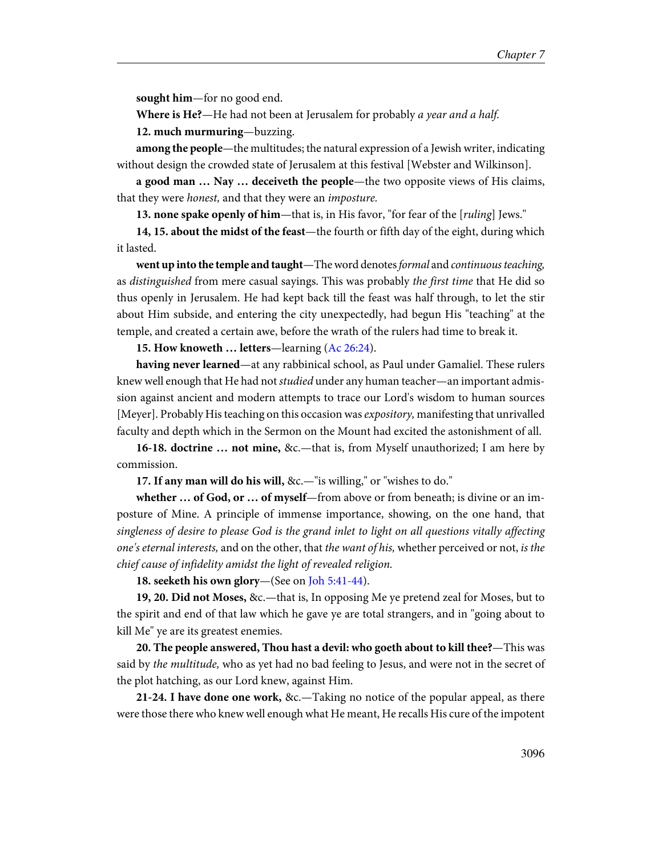**sought him**—for no good end.

**Where is He?**—He had not been at Jerusalem for probably a year and a half.

**12. much murmuring**—buzzing.

**among the people**—the multitudes; the natural expression of a Jewish writer, indicating without design the crowded state of Jerusalem at this festival [Webster and Wilkinson].

**a good man … Nay … deceiveth the people**—the two opposite views of His claims, that they were honest, and that they were an imposture.

**13. none spake openly of him**—that is, in His favor, "for fear of the [*ruling*] Jews."

**14, 15. about the midst of the feast**—the fourth or fifth day of the eight, during which it lasted.

**went up into the temple and taught**—The word denotes formal and continuous teaching, as *distinguished* from mere casual sayings. This was probably the first time that He did so thus openly in Jerusalem. He had kept back till the feast was half through, to let the stir about Him subside, and entering the city unexpectedly, had begun His "teaching" at the temple, and created a certain awe, before the wrath of the rulers had time to break it.

**15. How knoweth … letters**—learning ([Ac 26:24\)](http://www.ccel.org/study/Bible:Acts.26.24).

**having never learned**—at any rabbinical school, as Paul under Gamaliel. These rulers knew well enough that He had not *studied* under any human teacher—an important admission against ancient and modern attempts to trace our Lord's wisdom to human sources [Meyer]. Probably His teaching on this occasion was expository, manifesting that unrivalled faculty and depth which in the Sermon on the Mount had excited the astonishment of all.

**16-18. doctrine … not mine,** &c.—that is, from Myself unauthorized; I am here by commission.

**17. If any man will do his will,** &c.—"is willing," or "wishes to do."

**whether … of God, or … of myself**—from above or from beneath; is divine or an imposture of Mine. A principle of immense importance, showing, on the one hand, that singleness of desire to please God is the grand inlet to light on all questions vitally affecting one's eternal interests, and on the other, that the want of his, whether perceived or not, is the chief cause of infidelity amidst the light of revealed religion.

**18. seeketh his own glory**—(See on [Joh 5:41-44\)](http://www.ccel.org/study/Bible:John.5.41-John.5.44).

**19, 20. Did not Moses,** &c.—that is, In opposing Me ye pretend zeal for Moses, but to the spirit and end of that law which he gave ye are total strangers, and in "going about to kill Me" ye are its greatest enemies.

**20. The people answered, Thou hast a devil: who goeth about to kill thee?**—This was said by the multitude, who as yet had no bad feeling to Jesus, and were not in the secret of the plot hatching, as our Lord knew, against Him.

**21-24. I have done one work,** &c.—Taking no notice of the popular appeal, as there were those there who knew well enough what He meant, He recalls His cure of the impotent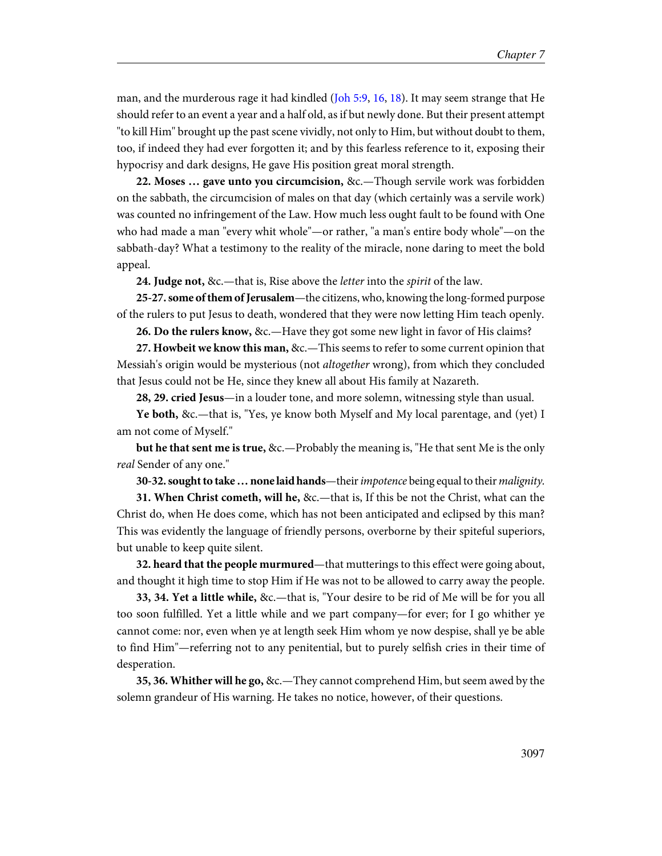man, and the murderous rage it had kindled [\(Joh 5:9,](http://www.ccel.org/study/Bible:John.5.9) [16,](http://www.ccel.org/study/Bible:John.5.16) [18](http://www.ccel.org/study/Bible:John.5.18)). It may seem strange that He should refer to an event a year and a half old, as if but newly done. But their present attempt "to kill Him" brought up the past scene vividly, not only to Him, but without doubt to them, too, if indeed they had ever forgotten it; and by this fearless reference to it, exposing their hypocrisy and dark designs, He gave His position great moral strength.

**22. Moses … gave unto you circumcision,** &c.—Though servile work was forbidden on the sabbath, the circumcision of males on that day (which certainly was a servile work) was counted no infringement of the Law. How much less ought fault to be found with One who had made a man "every whit whole"—or rather, "a man's entire body whole"—on the sabbath-day? What a testimony to the reality of the miracle, none daring to meet the bold appeal.

**24. Judge not,** &c.—that is, Rise above the letter into the spirit of the law.

**25-27. some of them of Jerusalem**—the citizens, who, knowing the long-formed purpose of the rulers to put Jesus to death, wondered that they were now letting Him teach openly.

**26. Do the rulers know,** &c.—Have they got some new light in favor of His claims?

**27. Howbeit we know this man,** &c.—This seems to refer to some current opinion that Messiah's origin would be mysterious (not altogether wrong), from which they concluded that Jesus could not be He, since they knew all about His family at Nazareth.

**28, 29. cried Jesus**—in a louder tone, and more solemn, witnessing style than usual.

**Ye both,** &c.—that is, "Yes, ye know both Myself and My local parentage, and (yet) I am not come of Myself."

**but he that sent me is true,** &c.—Probably the meaning is, "He that sent Me is the only real Sender of any one."

**30-32. sought to take … none laid hands**—their impotence being equal to their malignity.

**31. When Christ cometh, will he,** &c.—that is, If this be not the Christ, what can the Christ do, when He does come, which has not been anticipated and eclipsed by this man? This was evidently the language of friendly persons, overborne by their spiteful superiors, but unable to keep quite silent.

**32. heard that the people murmured**—that mutterings to this effect were going about, and thought it high time to stop Him if He was not to be allowed to carry away the people.

**33, 34. Yet a little while,** &c.—that is, "Your desire to be rid of Me will be for you all too soon fulfilled. Yet a little while and we part company—for ever; for I go whither ye cannot come: nor, even when ye at length seek Him whom ye now despise, shall ye be able to find Him"—referring not to any penitential, but to purely selfish cries in their time of desperation.

**35, 36. Whither will he go,** &c.—They cannot comprehend Him, but seem awed by the solemn grandeur of His warning. He takes no notice, however, of their questions.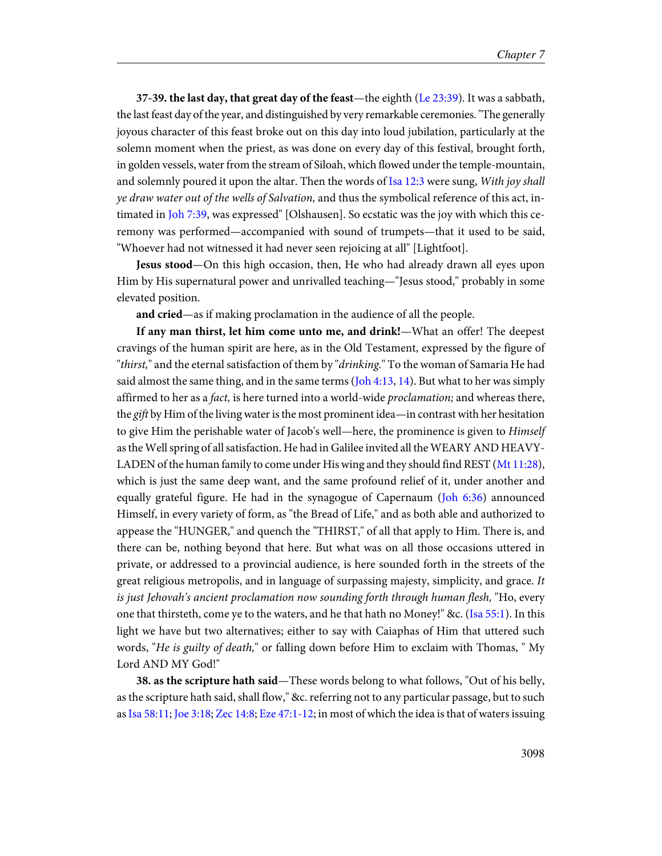**37-39. the last day, that great day of the feast**—the eighth [\(Le 23:39\)](http://www.ccel.org/study/Bible:Lev.23.39). It was a sabbath, the last feast day of the year, and distinguished by very remarkable ceremonies. "The generally joyous character of this feast broke out on this day into loud jubilation, particularly at the solemn moment when the priest, as was done on every day of this festival, brought forth, in golden vessels, water from the stream of Siloah, which flowed under the temple-mountain, and solemnly poured it upon the altar. Then the words of [Isa 12:3](http://www.ccel.org/study/Bible:Isa.12.3) were sung, With joy shall ye draw water out of the wells of Salvation, and thus the symbolical reference of this act, intimated in [Joh 7:39](http://www.ccel.org/study/Bible:John.7.39), was expressed" [Olshausen]. So ecstatic was the joy with which this ceremony was performed—accompanied with sound of trumpets—that it used to be said, "Whoever had not witnessed it had never seen rejoicing at all" [Lightfoot].

**Jesus stood**—On this high occasion, then, He who had already drawn all eyes upon Him by His supernatural power and unrivalled teaching—"Jesus stood," probably in some elevated position.

**and cried**—as if making proclamation in the audience of all the people.

**If any man thirst, let him come unto me, and drink!**—What an offer! The deepest cravings of the human spirit are here, as in the Old Testament, expressed by the figure of "thirst," and the eternal satisfaction of them by "drinking." To the woman of Samaria He had said almost the same thing, and in the same terms  $(John 4:13, 14)$  $(John 4:13, 14)$ . But what to her was simply affirmed to her as a *fact*, is here turned into a world-wide *proclamation*; and whereas there, the *gift* by Him of the living water is the most prominent idea—in contrast with her hesitation to give Him the perishable water of Jacob's well—here, the prominence is given to Himself as the Well spring of all satisfaction. He had in Galilee invited all the WEARY AND HEAVY-LADEN of the human family to come under His wing and they should find REST([Mt 11:28\)](http://www.ccel.org/study/Bible:Matt.11.28), which is just the same deep want, and the same profound relief of it, under another and equally grateful figure. He had in the synagogue of Capernaum ([Joh 6:36](http://www.ccel.org/study/Bible:John.6.36)) announced Himself, in every variety of form, as "the Bread of Life," and as both able and authorized to appease the "HUNGER," and quench the "THIRST," of all that apply to Him. There is, and there can be, nothing beyond that here. But what was on all those occasions uttered in private, or addressed to a provincial audience, is here sounded forth in the streets of the great religious metropolis, and in language of surpassing majesty, simplicity, and grace. It is just Jehovah's ancient proclamation now sounding forth through human flesh, "Ho, every one that thirsteth, come ye to the waters, and he that hath no Money!" &c. [\(Isa 55:1](http://www.ccel.org/study/Bible:Isa.55.1)). In this light we have but two alternatives; either to say with Caiaphas of Him that uttered such words, "He is guilty of death," or falling down before Him to exclaim with Thomas, " My Lord AND MY God!"

**38. as the scripture hath said**—These words belong to what follows, "Out of his belly, as the scripture hath said, shall flow," &c. referring not to any particular passage, but to such as [Isa 58:11;](http://www.ccel.org/study/Bible:Isa.58.11) [Joe 3:18](http://www.ccel.org/study/Bible:Joel.3.18); [Zec 14:8;](http://www.ccel.org/study/Bible:Zech.14.8) [Eze 47:1-12;](http://www.ccel.org/study/Bible:Ezek.47.1-Ezek.47.12) in most of which the idea is that of waters issuing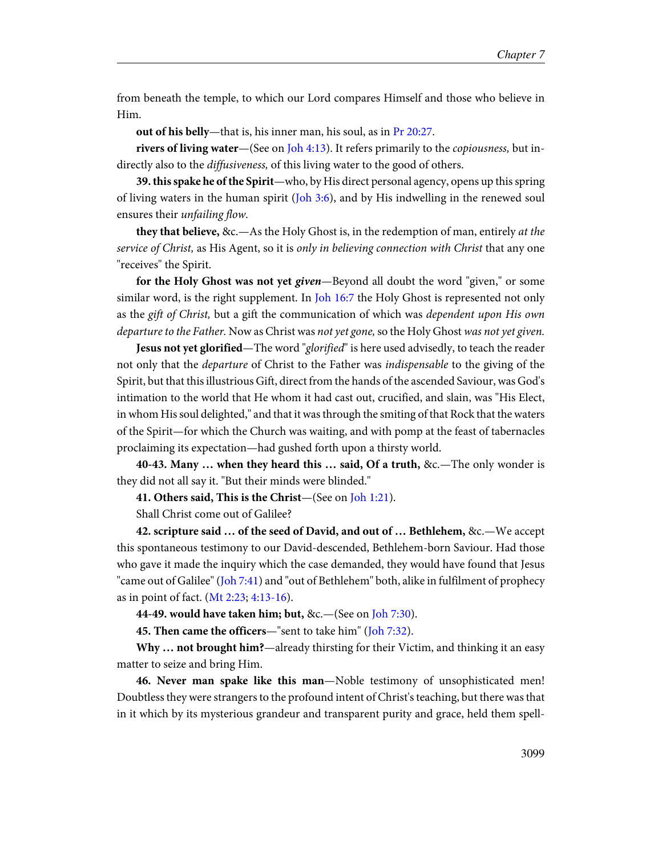from beneath the temple, to which our Lord compares Himself and those who believe in Him.

**out of his belly**—that is, his inner man, his soul, as in [Pr 20:27.](http://www.ccel.org/study/Bible:Prov.20.27)

**rivers of living water**—(See on [Joh 4:13\)](http://www.ccel.org/study/Bible:John.4.13). It refers primarily to the copiousness, but indirectly also to the *diffusiveness*, of this living water to the good of others.

**39. this spake he of the Spirit**—who, by His direct personal agency, opens up this spring of living waters in the human spirit ([Joh 3:6\)](http://www.ccel.org/study/Bible:John.3.6), and by His indwelling in the renewed soul ensures their unfailing flow.

**they that believe,** &c.—As the Holy Ghost is, in the redemption of man, entirely at the service of Christ, as His Agent, so it is only in believing connection with Christ that any one "receives" the Spirit.

**for the Holy Ghost was not yet given**—Beyond all doubt the word "given," or some similar word, is the right supplement. In [Joh 16:7](http://www.ccel.org/study/Bible:John.16.7) the Holy Ghost is represented not only as the gift of Christ, but a gift the communication of which was dependent upon His own departure to the Father. Now as Christ was not yet gone, so the Holy Ghost was not yet given.

**Jesus not yet glorified**—The word "glorified" is here used advisedly, to teach the reader not only that the departure of Christ to the Father was indispensable to the giving of the Spirit, but that this illustrious Gift, direct from the hands of the ascended Saviour, was God's intimation to the world that He whom it had cast out, crucified, and slain, was "His Elect, in whom His soul delighted," and that it was through the smiting of that Rock that the waters of the Spirit—for which the Church was waiting, and with pomp at the feast of tabernacles proclaiming its expectation—had gushed forth upon a thirsty world.

**40-43. Many … when they heard this … said, Of a truth,** &c.—The only wonder is they did not all say it. "But their minds were blinded."

**41. Others said, This is the Christ**—(See on [Joh 1:21\)](http://www.ccel.org/study/Bible:John.1.21).

Shall Christ come out of Galilee?

**42. scripture said … of the seed of David, and out of … Bethlehem,** &c.—We accept this spontaneous testimony to our David-descended, Bethlehem-born Saviour. Had those who gave it made the inquiry which the case demanded, they would have found that Jesus "came out of Galilee" ([Joh 7:41](http://www.ccel.org/study/Bible:John.7.41)) and "out of Bethlehem" both, alike in fulfilment of prophecy as in point of fact. [\(Mt 2:23](http://www.ccel.org/study/Bible:Matt.2.23); [4:13-16](http://www.ccel.org/study/Bible:Matt.4.13-Matt.4.16)).

**44-49. would have taken him; but,** &c.—(See on [Joh 7:30](http://www.ccel.org/study/Bible:John.7.30)).

**45. Then came the officers**—"sent to take him" [\(Joh 7:32](http://www.ccel.org/study/Bible:John.7.32)).

**Why … not brought him?**—already thirsting for their Victim, and thinking it an easy matter to seize and bring Him.

**46. Never man spake like this man**—Noble testimony of unsophisticated men! Doubtless they were strangers to the profound intent of Christ's teaching, but there was that in it which by its mysterious grandeur and transparent purity and grace, held them spell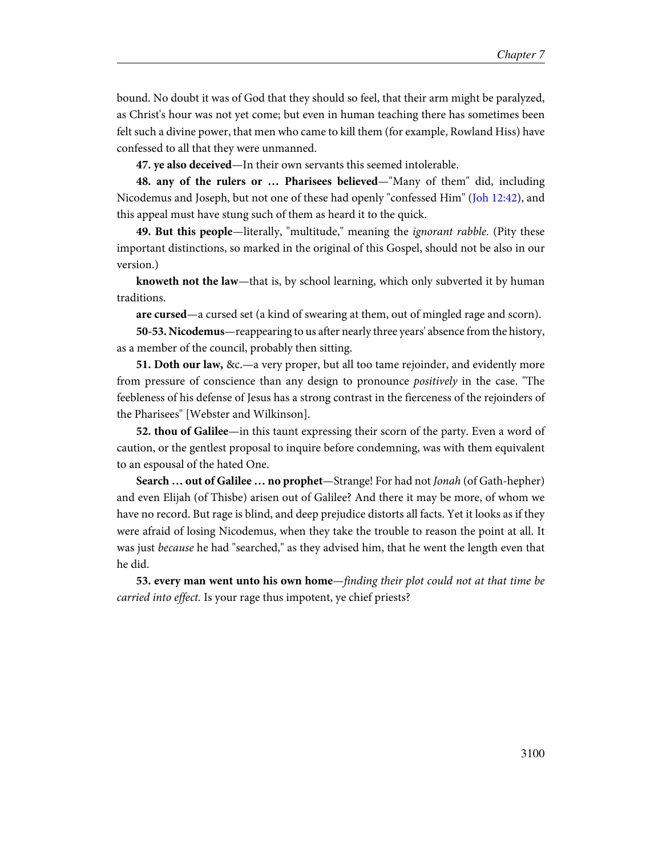bound. No doubt it was of God that they should so feel, that their arm might be paralyzed, as Christ's hour was not yet come; but even in human teaching there has sometimes been felt such a divine power, that men who came to kill them (for example, Rowland Hiss) have confessed to all that they were unmanned.

**47. ye also deceived**—In their own servants this seemed intolerable.

**48. any of the rulers or … Pharisees believed**—"Many of them" did, including Nicodemus and Joseph, but not one of these had openly "confessed Him" [\(Joh 12:42](http://www.ccel.org/study/Bible:John.12.42)), and this appeal must have stung such of them as heard it to the quick.

**49. But this people**—literally, "multitude," meaning the ignorant rabble. (Pity these important distinctions, so marked in the original of this Gospel, should not be also in our version.)

**knoweth not the law**—that is, by school learning, which only subverted it by human traditions.

**are cursed**—a cursed set (a kind of swearing at them, out of mingled rage and scorn).

**50-53. Nicodemus**—reappearing to us after nearly three years' absence from the history, as a member of the council, probably then sitting.

**51. Doth our law,** &c.—a very proper, but all too tame rejoinder, and evidently more from pressure of conscience than any design to pronounce positively in the case. "The feebleness of his defense of Jesus has a strong contrast in the fierceness of the rejoinders of the Pharisees" [Webster and Wilkinson].

**52. thou of Galilee**—in this taunt expressing their scorn of the party. Even a word of caution, or the gentlest proposal to inquire before condemning, was with them equivalent to an espousal of the hated One.

**Search … out of Galilee … no prophet**—Strange! For had not Jonah (of Gath-hepher) and even Elijah (of Thisbe) arisen out of Galilee? And there it may be more, of whom we have no record. But rage is blind, and deep prejudice distorts all facts. Yet it looks as if they were afraid of losing Nicodemus, when they take the trouble to reason the point at all. It was just *because* he had "searched," as they advised him, that he went the length even that he did.

**53. every man went unto his own home**—finding their plot could not at that time be carried into effect. Is your rage thus impotent, ye chief priests?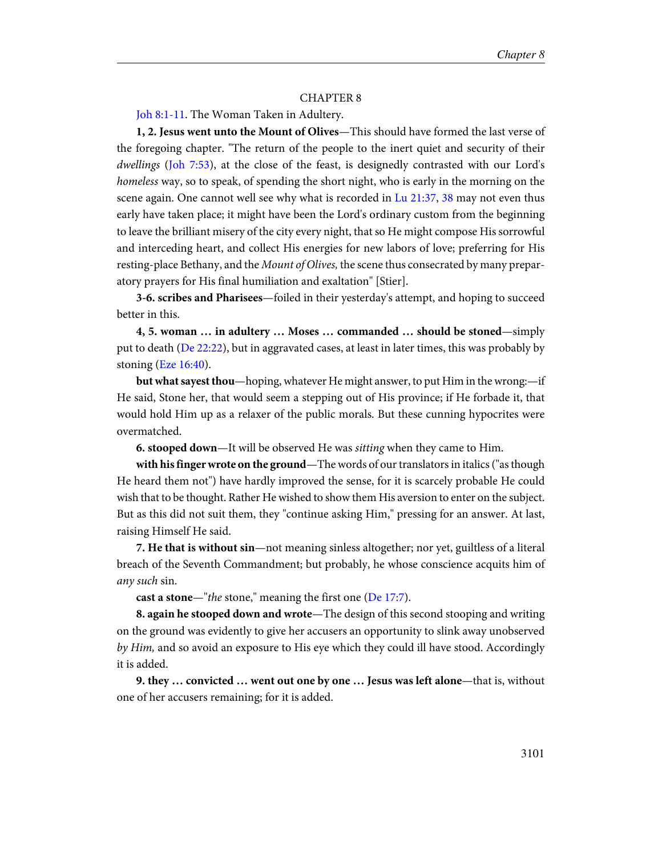# CHAPTER 8

[Joh 8:1-11](http://www.ccel.org/study/Bible:John.8.1-John.8.11). The Woman Taken in Adultery.

**1, 2. Jesus went unto the Mount of Olives**—This should have formed the last verse of the foregoing chapter. "The return of the people to the inert quiet and security of their dwellings [\(Joh 7:53\)](http://www.ccel.org/study/Bible:John.7.53), at the close of the feast, is designedly contrasted with our Lord's homeless way, so to speak, of spending the short night, who is early in the morning on the scene again. One cannot well see why what is recorded in [Lu 21:37](http://www.ccel.org/study/Bible:Luke.21.37), [38](http://www.ccel.org/study/Bible:Luke.21.38) may not even thus early have taken place; it might have been the Lord's ordinary custom from the beginning to leave the brilliant misery of the city every night, that so He might compose His sorrowful and interceding heart, and collect His energies for new labors of love; preferring for His resting-place Bethany, and the *Mount of Olives*, the scene thus consecrated by many preparatory prayers for His final humiliation and exaltation" [Stier].

**3-6. scribes and Pharisees**—foiled in their yesterday's attempt, and hoping to succeed better in this.

**4, 5. woman … in adultery … Moses … commanded … should be stoned**—simply put to death [\(De 22:22\)](http://www.ccel.org/study/Bible:Deut.22.22), but in aggravated cases, at least in later times, this was probably by stoning [\(Eze 16:40](http://www.ccel.org/study/Bible:Ezek.16.40)).

**but what sayest thou**—hoping, whatever He might answer, to put Him in the wrong:—if He said, Stone her, that would seem a stepping out of His province; if He forbade it, that would hold Him up as a relaxer of the public morals. But these cunning hypocrites were overmatched.

**6. stooped down**—It will be observed He was sitting when they came to Him.

**with his finger wrote on the ground**—The words of our translators in italics ("as though He heard them not") have hardly improved the sense, for it is scarcely probable He could wish that to be thought. Rather He wished to show them His aversion to enter on the subject. But as this did not suit them, they "continue asking Him," pressing for an answer. At last, raising Himself He said.

**7. He that is without sin**—not meaning sinless altogether; nor yet, guiltless of a literal breach of the Seventh Commandment; but probably, he whose conscience acquits him of any such sin.

**cast a stone**—"the stone," meaning the first one [\(De 17:7](http://www.ccel.org/study/Bible:Deut.17.7)).

**8. again he stooped down and wrote**—The design of this second stooping and writing on the ground was evidently to give her accusers an opportunity to slink away unobserved by Him, and so avoid an exposure to His eye which they could ill have stood. Accordingly it is added.

**9. they … convicted … went out one by one … Jesus was left alone**—that is, without one of her accusers remaining; for it is added.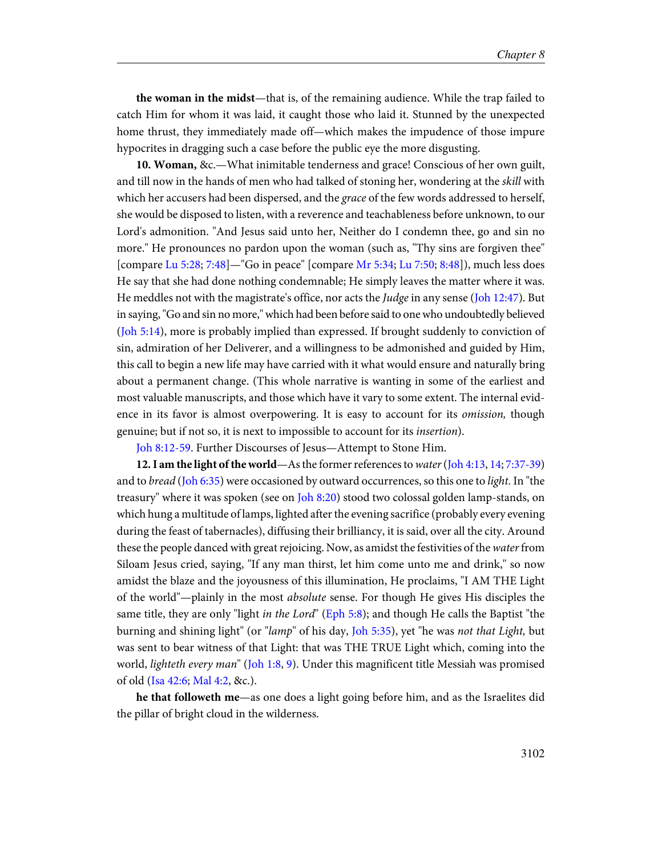**the woman in the midst**—that is, of the remaining audience. While the trap failed to catch Him for whom it was laid, it caught those who laid it. Stunned by the unexpected home thrust, they immediately made off—which makes the impudence of those impure hypocrites in dragging such a case before the public eye the more disgusting.

**10. Woman,** &c.—What inimitable tenderness and grace! Conscious of her own guilt, and till now in the hands of men who had talked of stoning her, wondering at the *skill* with which her accusers had been dispersed, and the grace of the few words addressed to herself, she would be disposed to listen, with a reverence and teachableness before unknown, to our Lord's admonition. "And Jesus said unto her, Neither do I condemn thee, go and sin no more." He pronounces no pardon upon the woman (such as, "Thy sins are forgiven thee" [compare [Lu 5:28;](http://www.ccel.org/study/Bible:Luke.5.28) [7:48\]](http://www.ccel.org/study/Bible:Luke.7.48)—"Go in peace" [compare [Mr 5:34](http://www.ccel.org/study/Bible:Mark.5.34); [Lu 7:50;](http://www.ccel.org/study/Bible:Luke.7.50) [8:48](http://www.ccel.org/study/Bible:Luke.8.48)]), much less does He say that she had done nothing condemnable; He simply leaves the matter where it was. He meddles not with the magistrate's office, nor acts the *Judge* in any sense ([Joh 12:47\)](http://www.ccel.org/study/Bible:John.12.47). But in saying, "Go and sin no more," which had been before said to one who undoubtedly believed ([Joh 5:14](http://www.ccel.org/study/Bible:John.5.14)), more is probably implied than expressed. If brought suddenly to conviction of sin, admiration of her Deliverer, and a willingness to be admonished and guided by Him, this call to begin a new life may have carried with it what would ensure and naturally bring about a permanent change. (This whole narrative is wanting in some of the earliest and most valuable manuscripts, and those which have it vary to some extent. The internal evidence in its favor is almost overpowering. It is easy to account for its omission, though genuine; but if not so, it is next to impossible to account for its insertion).

[Joh 8:12-59](http://www.ccel.org/study/Bible:John.8.12-John.8.59). Further Discourses of Jesus—Attempt to Stone Him.

**12. I am the light of the world**—As the former references to water[\(Joh 4:13,](http://www.ccel.org/study/Bible:John.4.13) [14;](http://www.ccel.org/study/Bible:John.4.14) [7:37-39](http://www.ccel.org/study/Bible:John.7.37-John.7.39)) and to *bread* [\(Joh 6:35\)](http://www.ccel.org/study/Bible:John.6.35) were occasioned by outward occurrences, so this one to *light*. In "the treasury" where it was spoken (see on [Joh 8:20](http://www.ccel.org/study/Bible:John.8.20)) stood two colossal golden lamp-stands, on which hung a multitude of lamps, lighted after the evening sacrifice (probably every evening during the feast of tabernacles), diffusing their brilliancy, it is said, over all the city. Around these the people danced with great rejoicing. Now, as amidst the festivities of the *water* from Siloam Jesus cried, saying, "If any man thirst, let him come unto me and drink," so now amidst the blaze and the joyousness of this illumination, He proclaims, "I AM THE Light of the world"—plainly in the most absolute sense. For though He gives His disciples the same title, they are only "light *in the Lord*" ([Eph 5:8](http://www.ccel.org/study/Bible:Eph.5.8)); and though He calls the Baptist "the burning and shining light" (or "lamp" of his day, [Joh 5:35\)](http://www.ccel.org/study/Bible:John.5.35), yet "he was not that Light, but was sent to bear witness of that Light: that was THE TRUE Light which, coming into the world, *lighteth every man*" [\(Joh 1:8,](http://www.ccel.org/study/Bible:John.1.8) [9](http://www.ccel.org/study/Bible:John.1.9)). Under this magnificent title Messiah was promised of old ([Isa 42:6](http://www.ccel.org/study/Bible:Isa.42.6); [Mal 4:2](http://www.ccel.org/study/Bible:Mal.4.2), &c.).

**he that followeth me**—as one does a light going before him, and as the Israelites did the pillar of bright cloud in the wilderness.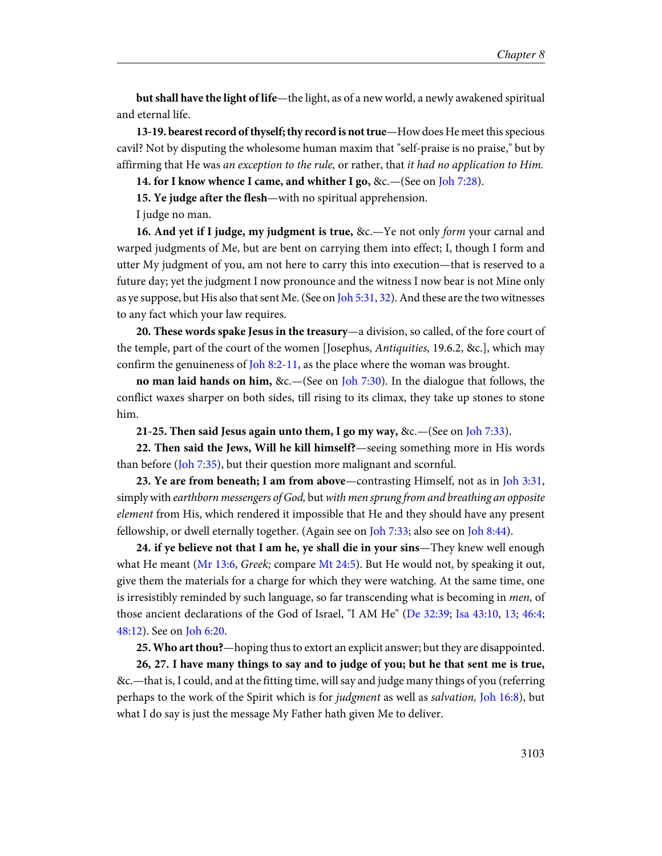**but shall have the light of life**—the light, as of a new world, a newly awakened spiritual and eternal life.

**13-19. bearest record of thyself; thy record is not true**—How does He meet this specious cavil? Not by disputing the wholesome human maxim that "self-praise is no praise," but by affirming that He was an exception to the rule, or rather, that it had no application to Him.

**14. for I know whence I came, and whither I go,** &c.—(See on [Joh 7:28\)](http://www.ccel.org/study/Bible:John.7.28).

**15. Ye judge after the flesh**—with no spiritual apprehension.

I judge no man.

**16. And yet if I judge, my judgment is true,** &c.—Ye not only form your carnal and warped judgments of Me, but are bent on carrying them into effect; I, though I form and utter My judgment of you, am not here to carry this into execution—that is reserved to a future day; yet the judgment I now pronounce and the witness I now bear is not Mine only as ye suppose, but His also that sent Me. (See on [Joh 5:31,](http://www.ccel.org/study/Bible:John.5.31) [32](http://www.ccel.org/study/Bible:John.5.32)). And these are the two witnesses to any fact which your law requires.

**20. These words spake Jesus in the treasury**—a division, so called, of the fore court of the temple, part of the court of the women [Josephus, Antiquities, 19.6.2, &c.], which may confirm the genuineness of [Joh 8:2-11,](http://www.ccel.org/study/Bible:John.8.2-John.8.11) as the place where the woman was brought.

**no man laid hands on him,** &c.—(See on [Joh 7:30\)](http://www.ccel.org/study/Bible:John.7.30). In the dialogue that follows, the conflict waxes sharper on both sides, till rising to its climax, they take up stones to stone him.

**21-25. Then said Jesus again unto them, I go my way,** &c.—(See on [Joh 7:33\)](http://www.ccel.org/study/Bible:John.7.33).

**22. Then said the Jews, Will he kill himself?**—seeing something more in His words than before ([Joh 7:35\)](http://www.ccel.org/study/Bible:John.7.35), but their question more malignant and scornful.

**23. Ye are from beneath; I am from above**—contrasting Himself, not as in [Joh 3:31,](http://www.ccel.org/study/Bible:John.3.31) simply with earthborn messengers of God, but with men sprung from and breathing an opposite element from His, which rendered it impossible that He and they should have any present fellowship, or dwell eternally together. (Again see on [Joh 7:33;](http://www.ccel.org/study/Bible:John.7.33) also see on [Joh 8:44\)](http://www.ccel.org/study/Bible:John.8.44).

**24. if ye believe not that I am he, ye shall die in your sins**—They knew well enough what He meant [\(Mr 13:6,](http://www.ccel.org/study/Bible:Mark.13.6) Greek; compare [Mt 24:5](http://www.ccel.org/study/Bible:Matt.24.5)). But He would not, by speaking it out, give them the materials for a charge for which they were watching. At the same time, one is irresistibly reminded by such language, so far transcending what is becoming in men, of those ancient declarations of the God of Israel, "I AM He" [\(De 32:39;](http://www.ccel.org/study/Bible:Deut.32.39) [Isa 43:10](http://www.ccel.org/study/Bible:Isa.43.10), [13](http://www.ccel.org/study/Bible:Isa.43.13); [46:4;](http://www.ccel.org/study/Bible:Isa.46.4) [48:12\)](http://www.ccel.org/study/Bible:Isa.48.12). See on [Joh 6:20.](http://www.ccel.org/study/Bible:John.6.20)

**25. Who art thou?**—hoping thus to extort an explicit answer; but they are disappointed.

**26, 27. I have many things to say and to judge of you; but he that sent me is true,** &c.—that is, I could, and at the fitting time, will say and judge many things of you (referring perhaps to the work of the Spirit which is for judgment as well as salvation, [Joh 16:8](http://www.ccel.org/study/Bible:John.16.8)), but what I do say is just the message My Father hath given Me to deliver.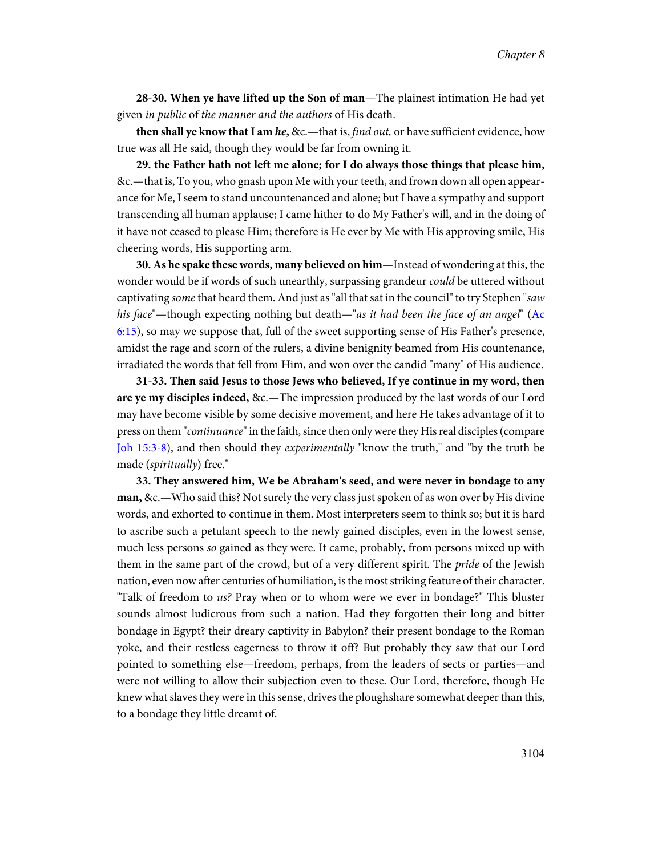**28-30. When ye have lifted up the Son of man**—The plainest intimation He had yet given in public of the manner and the authors of His death.

**then shall ye know that I am he,** &c.—that is, find out, or have sufficient evidence, how true was all He said, though they would be far from owning it.

**29. the Father hath not left me alone; for I do always those things that please him,** &c.—that is, To you, who gnash upon Me with your teeth, and frown down all open appearance for Me, I seem to stand uncountenanced and alone; but I have a sympathy and support transcending all human applause; I came hither to do My Father's will, and in the doing of it have not ceased to please Him; therefore is He ever by Me with His approving smile, His cheering words, His supporting arm.

**30. As he spake these words, many believed on him**—Instead of wondering at this, the wonder would be if words of such unearthly, surpassing grandeur *could* be uttered without captivating some that heard them. And just as "all that sat in the council" to try Stephen "saw his face"—though expecting nothing but death—"as it had been the face of an angel" ([Ac](http://www.ccel.org/study/Bible:Acts.6.15) [6:15](http://www.ccel.org/study/Bible:Acts.6.15)), so may we suppose that, full of the sweet supporting sense of His Father's presence, amidst the rage and scorn of the rulers, a divine benignity beamed from His countenance, irradiated the words that fell from Him, and won over the candid "many" of His audience.

**31-33. Then said Jesus to those Jews who believed, If ye continue in my word, then are ye my disciples indeed,** &c.—The impression produced by the last words of our Lord may have become visible by some decisive movement, and here He takes advantage of it to press on them "continuance" in the faith, since then only were they His real disciples (compare [Joh 15:3-8](http://www.ccel.org/study/Bible:John.15.3-John.15.8)), and then should they experimentally "know the truth," and "by the truth be made (spiritually) free."

**33. They answered him, We be Abraham's seed, and were never in bondage to any man,** &c.—Who said this? Not surely the very class just spoken of as won over by His divine words, and exhorted to continue in them. Most interpreters seem to think so; but it is hard to ascribe such a petulant speech to the newly gained disciples, even in the lowest sense, much less persons so gained as they were. It came, probably, from persons mixed up with them in the same part of the crowd, but of a very different spirit. The *pride* of the Jewish nation, even now after centuries of humiliation, is the most striking feature of their character. "Talk of freedom to us? Pray when or to whom were we ever in bondage?" This bluster sounds almost ludicrous from such a nation. Had they forgotten their long and bitter bondage in Egypt? their dreary captivity in Babylon? their present bondage to the Roman yoke, and their restless eagerness to throw it off? But probably they saw that our Lord pointed to something else—freedom, perhaps, from the leaders of sects or parties—and were not willing to allow their subjection even to these. Our Lord, therefore, though He knew what slaves they were in this sense, drives the ploughshare somewhat deeper than this, to a bondage they little dreamt of.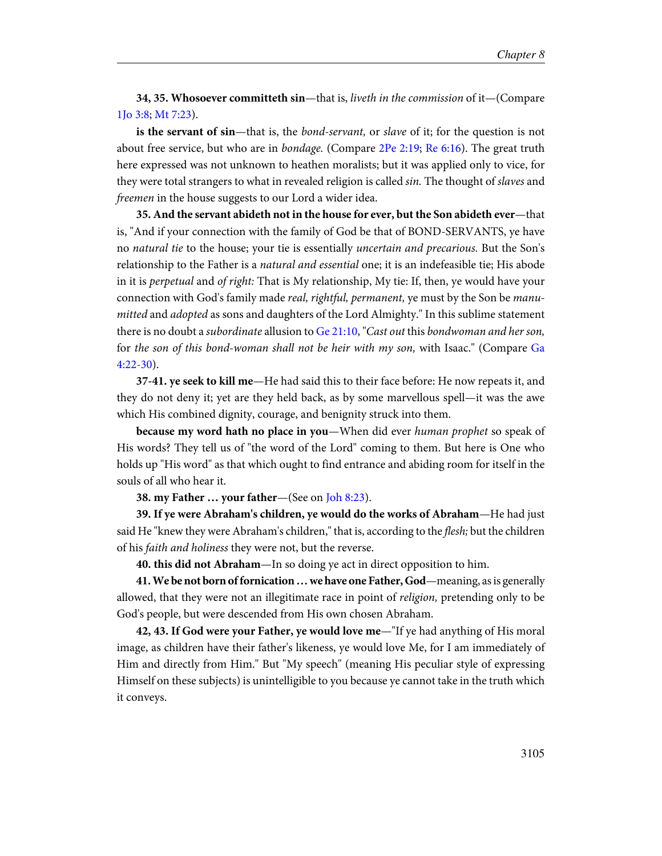**34, 35. Whosoever committeth sin**—that is, liveth in the commission of it—(Compare [1Jo 3:8](http://www.ccel.org/study/Bible:1John.3.8); [Mt 7:23](http://www.ccel.org/study/Bible:Matt.7.23)).

**is the servant of sin**—that is, the *bond-servant*, or *slave* of it; for the question is not about free service, but who are in bondage. (Compare [2Pe 2:19](http://www.ccel.org/study/Bible:2Pet.2.19); [Re 6:16\)](http://www.ccel.org/study/Bible:Rev.6.16). The great truth here expressed was not unknown to heathen moralists; but it was applied only to vice, for they were total strangers to what in revealed religion is called *sin*. The thought of *slaves* and freemen in the house suggests to our Lord a wider idea.

**35. And the servant abideth not in the house for ever, but the Son abideth ever**—that is, "And if your connection with the family of God be that of BOND-SERVANTS, ye have no natural tie to the house; your tie is essentially uncertain and precarious. But the Son's relationship to the Father is a *natural and essential* one; it is an indefeasible tie; His abode in it is *perpetual* and *of right*: That is My relationship, My tie: If, then, ye would have your connection with God's family made real, rightful, permanent, ye must by the Son be manumitted and adopted as sons and daughters of the Lord Almighty." In this sublime statement there is no doubt a *subordinate* allusion to [Ge 21:10,](http://www.ccel.org/study/Bible:Gen.21.10) "Cast out this bondwoman and her son, for the son of this bond-woman shall not be heir with my son, with Isaac." (Compare [Ga](http://www.ccel.org/study/Bible:Gal.4.22-Gal.4.30) [4:22-30\)](http://www.ccel.org/study/Bible:Gal.4.22-Gal.4.30).

**37-41. ye seek to kill me**—He had said this to their face before: He now repeats it, and they do not deny it; yet are they held back, as by some marvellous spell—it was the awe which His combined dignity, courage, and benignity struck into them.

**because my word hath no place in you**—When did ever human prophet so speak of His words? They tell us of "the word of the Lord" coming to them. But here is One who holds up "His word" as that which ought to find entrance and abiding room for itself in the souls of all who hear it.

**38. my Father … your father**—(See on [Joh 8:23\)](http://www.ccel.org/study/Bible:John.8.23).

**39. If ye were Abraham's children, ye would do the works of Abraham**—He had just said He "knew they were Abraham's children," that is, according to the *flesh*; but the children of his faith and holiness they were not, but the reverse.

**40. this did not Abraham**—In so doing ye act in direct opposition to him.

**41. We be not born of fornication … we have one Father, God**—meaning, as is generally allowed, that they were not an illegitimate race in point of *religion*, pretending only to be God's people, but were descended from His own chosen Abraham.

**42, 43. If God were your Father, ye would love me**—"If ye had anything of His moral image, as children have their father's likeness, ye would love Me, for I am immediately of Him and directly from Him." But "My speech" (meaning His peculiar style of expressing Himself on these subjects) is unintelligible to you because ye cannot take in the truth which it conveys.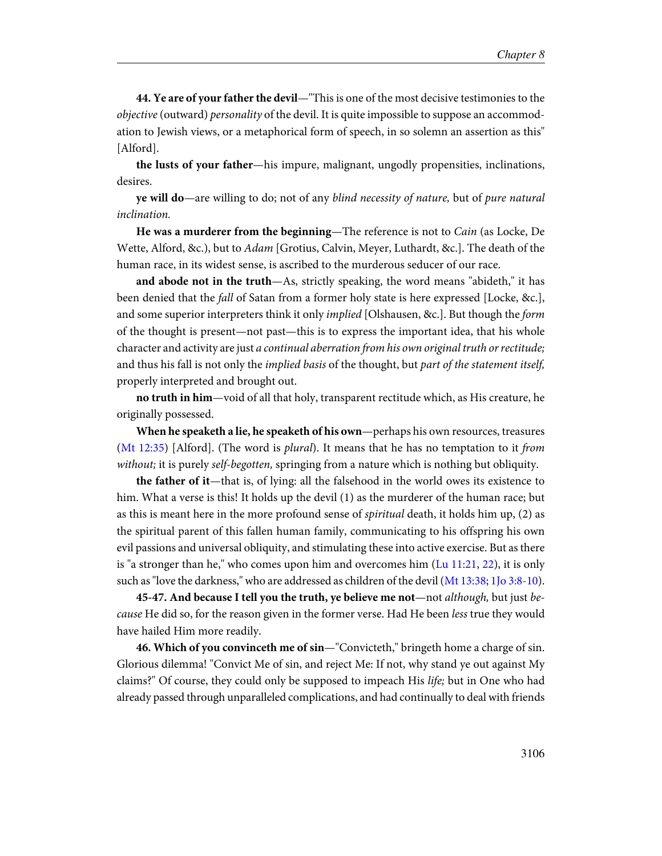**44. Ye are of your father the devil**—"This is one of the most decisive testimonies to the objective (outward) personality of the devil. It is quite impossible to suppose an accommodation to Jewish views, or a metaphorical form of speech, in so solemn an assertion as this" [Alford].

**the lusts of your father**—his impure, malignant, ungodly propensities, inclinations, desires.

**ye will do**—are willing to do; not of any blind necessity of nature, but of pure natural inclination.

**He was a murderer from the beginning**—The reference is not to Cain (as Locke, De Wette, Alford, &c.), but to Adam [Grotius, Calvin, Meyer, Luthardt, &c.]. The death of the human race, in its widest sense, is ascribed to the murderous seducer of our race.

**and abode not in the truth**—As, strictly speaking, the word means "abideth," it has been denied that the fall of Satan from a former holy state is here expressed [Locke, &c.], and some superior interpreters think it only *implied* [Olshausen, &c.]. But though the form of the thought is present—not past—this is to express the important idea, that his whole character and activity are just a continual aberration from his own original truth or rectitude; and thus his fall is not only the *implied basis* of the thought, but *part of the statement itself,* properly interpreted and brought out.

**no truth in him**—void of all that holy, transparent rectitude which, as His creature, he originally possessed.

**When he speaketh a lie, he speaketh of his own**—perhaps his own resources, treasures ([Mt 12:35\)](http://www.ccel.org/study/Bible:Matt.12.35) [Alford]. (The word is *plural*). It means that he has no temptation to it *from* without; it is purely *self-begotten*, springing from a nature which is nothing but obliquity.

**the father of it**—that is, of lying: all the falsehood in the world owes its existence to him. What a verse is this! It holds up the devil (1) as the murderer of the human race; but as this is meant here in the more profound sense of *spiritual* death, it holds him up, (2) as the spiritual parent of this fallen human family, communicating to his offspring his own evil passions and universal obliquity, and stimulating these into active exercise. But as there is "a stronger than he," who comes upon him and overcomes him [\(Lu 11:21](http://www.ccel.org/study/Bible:Luke.11.21), [22\)](http://www.ccel.org/study/Bible:Luke.11.22), it is only such as "love the darkness," who are addressed as children of the devil [\(Mt 13:38;](http://www.ccel.org/study/Bible:Matt.13.38) [1Jo 3:8-10\)](http://www.ccel.org/study/Bible:1John.3.8-1John.3.10).

**45-47. And because I tell you the truth, ye believe me not**—not although, but just because He did so, for the reason given in the former verse. Had He been less true they would have hailed Him more readily.

**46. Which of you convinceth me of sin**—"Convicteth," bringeth home a charge of sin. Glorious dilemma! "Convict Me of sin, and reject Me: If not, why stand ye out against My claims?" Of course, they could only be supposed to impeach His *life*; but in One who had already passed through unparalleled complications, and had continually to deal with friends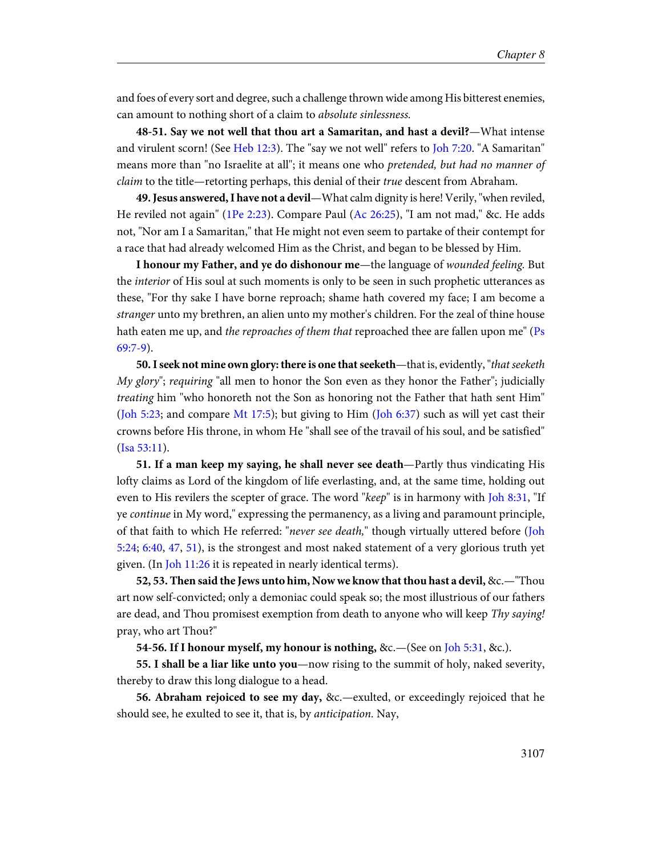and foes of every sort and degree, such a challenge thrown wide among His bitterest enemies, can amount to nothing short of a claim to absolute sinlessness.

**48-51. Say we not well that thou art a Samaritan, and hast a devil?**—What intense and virulent scorn! (See [Heb 12:3\)](http://www.ccel.org/study/Bible:Heb.12.3). The "say we not well" refers to [Joh 7:20](http://www.ccel.org/study/Bible:John.7.20). "A Samaritan" means more than "no Israelite at all"; it means one who *pretended, but had no manner of* claim to the title—retorting perhaps, this denial of their *true* descent from Abraham.

**49. Jesus answered, I have not a devil**—What calm dignity is here! Verily, "when reviled, He reviled not again" [\(1Pe 2:23\)](http://www.ccel.org/study/Bible:1Pet.2.23). Compare Paul [\(Ac 26:25](http://www.ccel.org/study/Bible:Acts.26.25)), "I am not mad," &c. He adds not, "Nor am I a Samaritan," that He might not even seem to partake of their contempt for a race that had already welcomed Him as the Christ, and began to be blessed by Him.

**I honour my Father, and ye do dishonour me**—the language of wounded feeling. But the *interior* of His soul at such moments is only to be seen in such prophetic utterances as these, "For thy sake I have borne reproach; shame hath covered my face; I am become a stranger unto my brethren, an alien unto my mother's children. For the zeal of thine house hath eaten me up, and *the reproaches of them that* reproached thee are fallen upon me" ([Ps](http://www.ccel.org/study/Bible:Ps.69.7-Ps.69.9) [69:7-9\)](http://www.ccel.org/study/Bible:Ps.69.7-Ps.69.9).

**50. I seek not mine own glory: there is one that seeketh**—that is, evidently, "that seeketh  $My$  glory"; requiring "all men to honor the Son even as they honor the Father"; judicially treating him "who honoreth not the Son as honoring not the Father that hath sent Him" ([Joh 5:23](http://www.ccel.org/study/Bible:John.5.23); and compare [Mt 17:5\)](http://www.ccel.org/study/Bible:Matt.17.5); but giving to Him [\(Joh 6:37\)](http://www.ccel.org/study/Bible:John.6.37) such as will yet cast their crowns before His throne, in whom He "shall see of the travail of his soul, and be satisfied" ([Isa 53:11](http://www.ccel.org/study/Bible:Isa.53.11)).

**51. If a man keep my saying, he shall never see death**—Partly thus vindicating His lofty claims as Lord of the kingdom of life everlasting, and, at the same time, holding out even to His revilers the scepter of grace. The word "keep" is in harmony with [Joh 8:31](http://www.ccel.org/study/Bible:John.8.31), "If ye continue in My word," expressing the permanency, as a living and paramount principle, of that faith to which He referred: "never see death," though virtually uttered before ([Joh](http://www.ccel.org/study/Bible:John.5.24) [5:24](http://www.ccel.org/study/Bible:John.5.24); [6:40](http://www.ccel.org/study/Bible:John.6.40), [47](http://www.ccel.org/study/Bible:John.6.47), [51\)](http://www.ccel.org/study/Bible:John.6.51), is the strongest and most naked statement of a very glorious truth yet given. (In [Joh 11:26](http://www.ccel.org/study/Bible:John.11.26) it is repeated in nearly identical terms).

**52, 53. Then said the Jews unto him, Now we know that thou hast a devil,** &c.—"Thou art now self-convicted; only a demoniac could speak so; the most illustrious of our fathers are dead, and Thou promisest exemption from death to anyone who will keep Thy saying! pray, who art Thou?"

**54-56. If I honour myself, my honour is nothing,** &c.—(See on [Joh 5:31](http://www.ccel.org/study/Bible:John.5.31), &c.).

**55. I shall be a liar like unto you**—now rising to the summit of holy, naked severity, thereby to draw this long dialogue to a head.

**56. Abraham rejoiced to see my day,** &c.—exulted, or exceedingly rejoiced that he should see, he exulted to see it, that is, by *anticipation*. Nay,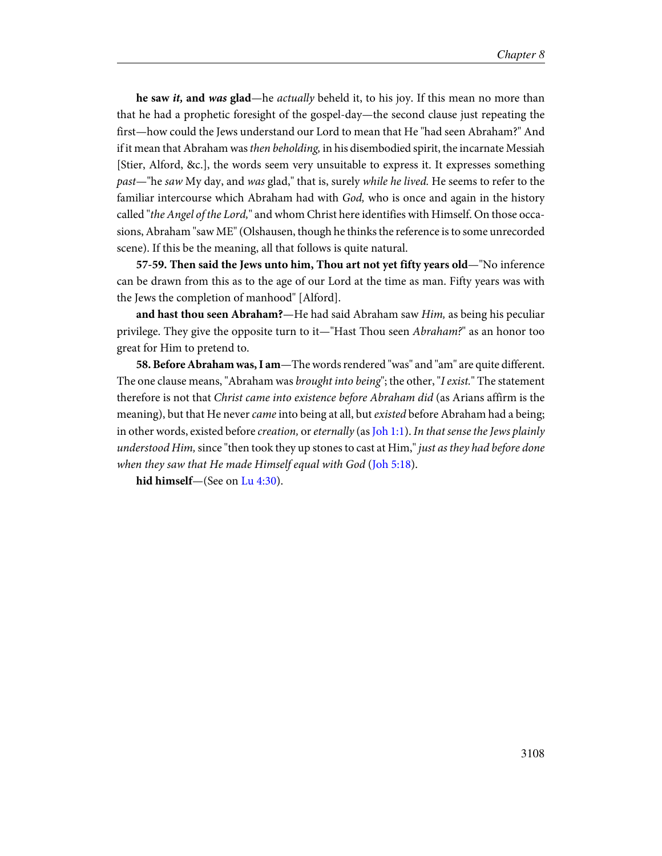**he saw it, and was glad**—he actually beheld it, to his joy. If this mean no more than that he had a prophetic foresight of the gospel-day—the second clause just repeating the first—how could the Jews understand our Lord to mean that He "had seen Abraham?" And if it mean that Abraham was then beholding, in his disembodied spirit, the incarnate Messiah [Stier, Alford, &c.], the words seem very unsuitable to express it. It expresses something past—"he saw My day, and was glad," that is, surely while he lived. He seems to refer to the familiar intercourse which Abraham had with God, who is once and again in the history called "the Angel of the Lord," and whom Christ here identifies with Himself. On those occasions, Abraham "saw ME" (Olshausen, though he thinks the reference is to some unrecorded scene). If this be the meaning, all that follows is quite natural.

**57-59. Then said the Jews unto him, Thou art not yet fifty years old**—"No inference can be drawn from this as to the age of our Lord at the time as man. Fifty years was with the Jews the completion of manhood" [Alford].

**and hast thou seen Abraham?**—He had said Abraham saw Him, as being his peculiar privilege. They give the opposite turn to it—"Hast Thou seen Abraham?" as an honor too great for Him to pretend to.

**58. Before Abraham was, I am**—The words rendered "was" and "am" are quite different. The one clause means, "Abraham was *brought into being*"; the other, "I exist." The statement therefore is not that Christ came into existence before Abraham did (as Arians affirm is the meaning), but that He never *came* into being at all, but *existed* before Abraham had a being; in other words, existed before creation, or eternally (as  $J\circ h(1:1)$ ). In that sense the Jews plainly understood Him, since "then took they up stones to cast at Him," just as they had before done when they saw that He made Himself equal with God [\(Joh 5:18](http://www.ccel.org/study/Bible:John.5.18)).

**hid himself**—(See on [Lu 4:30\)](http://www.ccel.org/study/Bible:Luke.4.30).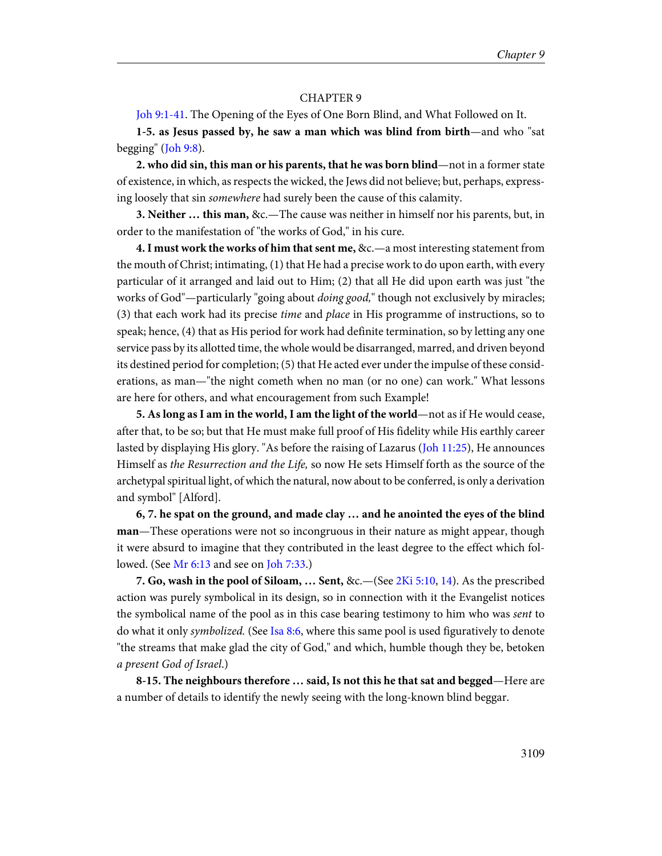#### CHAPTER 9

[Joh 9:1-41](http://www.ccel.org/study/Bible:John.9.1-John.9.41). The Opening of the Eyes of One Born Blind, and What Followed on It.

**1-5. as Jesus passed by, he saw a man which was blind from birth**—and who "sat begging" [\(Joh 9:8](http://www.ccel.org/study/Bible:John.9.8)).

**2. who did sin, this man or his parents, that he was born blind**—not in a former state of existence, in which, as respects the wicked, the Jews did not believe; but, perhaps, expressing loosely that sin somewhere had surely been the cause of this calamity.

**3. Neither … this man,** &c.—The cause was neither in himself nor his parents, but, in order to the manifestation of "the works of God," in his cure.

**4. I must work the works of him that sent me,** &c.—a most interesting statement from the mouth of Christ; intimating, (1) that He had a precise work to do upon earth, with every particular of it arranged and laid out to Him; (2) that all He did upon earth was just "the works of God"—particularly "going about *doing good*," though not exclusively by miracles; (3) that each work had its precise time and place in His programme of instructions, so to speak; hence, (4) that as His period for work had definite termination, so by letting any one service pass by its allotted time, the whole would be disarranged, marred, and driven beyond its destined period for completion; (5) that He acted ever under the impulse of these considerations, as man—"the night cometh when no man (or no one) can work." What lessons are here for others, and what encouragement from such Example!

**5. As long as I am in the world, I am the light of the world**—not as if He would cease, after that, to be so; but that He must make full proof of His fidelity while His earthly career lasted by displaying His glory. "As before the raising of Lazarus ([Joh 11:25\)](http://www.ccel.org/study/Bible:John.11.25), He announces Himself as the Resurrection and the Life, so now He sets Himself forth as the source of the archetypal spiritual light, of which the natural, now about to be conferred, is only a derivation and symbol" [Alford].

**6, 7. he spat on the ground, and made clay … and he anointed the eyes of the blind man**—These operations were not so incongruous in their nature as might appear, though it were absurd to imagine that they contributed in the least degree to the effect which followed. (See [Mr 6:13](http://www.ccel.org/study/Bible:Mark.6.13) and see on [Joh 7:33.](http://www.ccel.org/study/Bible:John.7.33))

**7. Go, wash in the pool of Siloam, … Sent,** &c.—(See [2Ki 5:10,](http://www.ccel.org/study/Bible:2Kgs.5.10) [14](http://www.ccel.org/study/Bible:2Kgs.5.14)). As the prescribed action was purely symbolical in its design, so in connection with it the Evangelist notices the symbolical name of the pool as in this case bearing testimony to him who was sent to do what it only *symbolized*. (See [Isa 8:6](http://www.ccel.org/study/Bible:Isa.8.6), where this same pool is used figuratively to denote "the streams that make glad the city of God," and which, humble though they be, betoken a present God of Israel.)

**8-15. The neighbours therefore … said, Is not this he that sat and begged**—Here are a number of details to identify the newly seeing with the long-known blind beggar.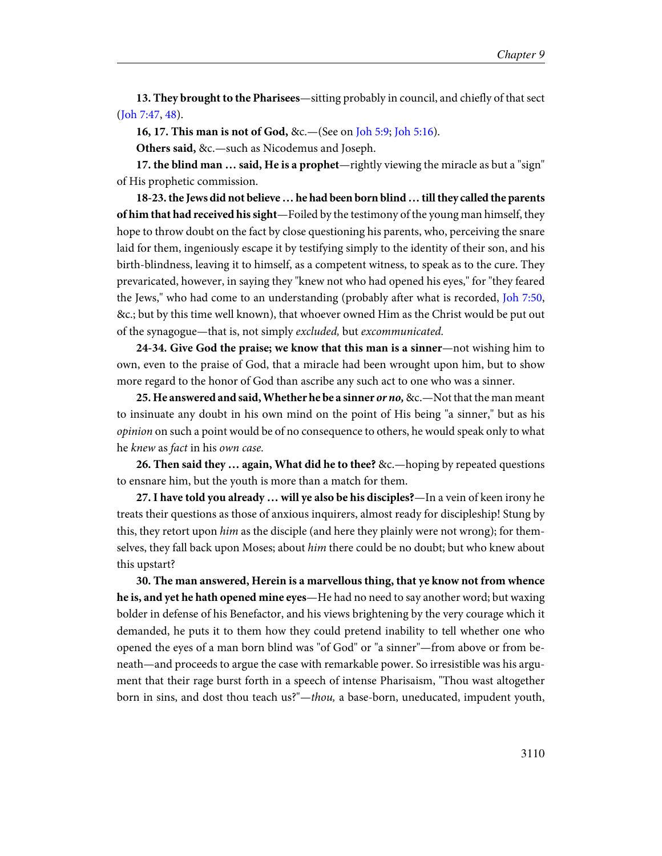**13. They brought to the Pharisees**—sitting probably in council, and chiefly of that sect ([Joh 7:47,](http://www.ccel.org/study/Bible:John.7.47) [48](http://www.ccel.org/study/Bible:John.7.48)).

**16, 17. This man is not of God,** &c.—(See on [Joh 5:9;](http://www.ccel.org/study/Bible:John.5.9) [Joh 5:16\)](http://www.ccel.org/study/Bible:John.5.16).

**Others said,** &c.—such as Nicodemus and Joseph.

**17. the blind man … said, He is a prophet**—rightly viewing the miracle as but a "sign" of His prophetic commission.

**18-23. the Jews did not believe … he had been born blind … till they called the parents of him that had received his sight**—Foiled by the testimony of the young man himself, they hope to throw doubt on the fact by close questioning his parents, who, perceiving the snare laid for them, ingeniously escape it by testifying simply to the identity of their son, and his birth-blindness, leaving it to himself, as a competent witness, to speak as to the cure. They prevaricated, however, in saying they "knew not who had opened his eyes," for "they feared the Jews," who had come to an understanding (probably after what is recorded, [Joh 7:50,](http://www.ccel.org/study/Bible:John.7.50) &c.; but by this time well known), that whoever owned Him as the Christ would be put out of the synagogue—that is, not simply excluded, but excommunicated.

**24-34. Give God the praise; we know that this man is a sinner**—not wishing him to own, even to the praise of God, that a miracle had been wrought upon him, but to show more regard to the honor of God than ascribe any such act to one who was a sinner.

**25. He answered and said, Whether he be a sinner or no,** &c.—Not that the man meant to insinuate any doubt in his own mind on the point of His being "a sinner," but as his opinion on such a point would be of no consequence to others, he would speak only to what he knew as fact in his own case.

**26. Then said they … again, What did he to thee?** &c.—hoping by repeated questions to ensnare him, but the youth is more than a match for them.

**27. I have told you already … will ye also be his disciples?**—In a vein of keen irony he treats their questions as those of anxious inquirers, almost ready for discipleship! Stung by this, they retort upon him as the disciple (and here they plainly were not wrong); for themselves, they fall back upon Moses; about *him* there could be no doubt; but who knew about this upstart?

**30. The man answered, Herein is a marvellous thing, that ye know not from whence he is, and yet he hath opened mine eyes**—He had no need to say another word; but waxing bolder in defense of his Benefactor, and his views brightening by the very courage which it demanded, he puts it to them how they could pretend inability to tell whether one who opened the eyes of a man born blind was "of God" or "a sinner"—from above or from beneath—and proceeds to argue the case with remarkable power. So irresistible was his argument that their rage burst forth in a speech of intense Pharisaism, "Thou wast altogether born in sins, and dost thou teach us?"—thou, a base-born, uneducated, impudent youth,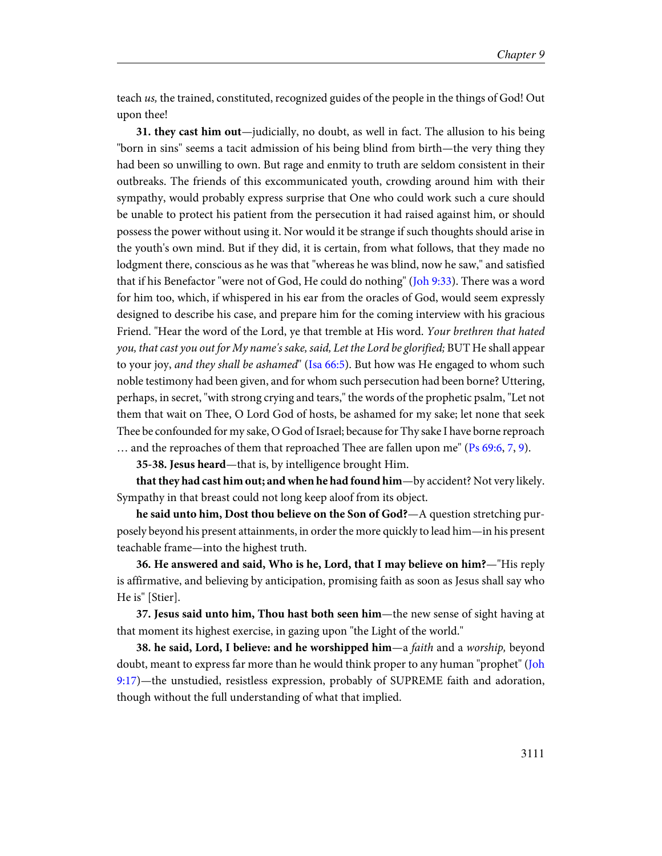teach us, the trained, constituted, recognized guides of the people in the things of God! Out upon thee!

**31. they cast him out**—judicially, no doubt, as well in fact. The allusion to his being "born in sins" seems a tacit admission of his being blind from birth—the very thing they had been so unwilling to own. But rage and enmity to truth are seldom consistent in their outbreaks. The friends of this excommunicated youth, crowding around him with their sympathy, would probably express surprise that One who could work such a cure should be unable to protect his patient from the persecution it had raised against him, or should possess the power without using it. Nor would it be strange if such thoughts should arise in the youth's own mind. But if they did, it is certain, from what follows, that they made no lodgment there, conscious as he was that "whereas he was blind, now he saw," and satisfied that if his Benefactor "were not of God, He could do nothing" [\(Joh 9:33\)](http://www.ccel.org/study/Bible:John.9.33). There was a word for him too, which, if whispered in his ear from the oracles of God, would seem expressly designed to describe his case, and prepare him for the coming interview with his gracious Friend. "Hear the word of the Lord, ye that tremble at His word. Your brethren that hated you, that cast you out for My name's sake, said, Let the Lord be glorified; BUT He shall appear to your joy, and they shall be ashamed" ([Isa 66:5](http://www.ccel.org/study/Bible:Isa.66.5)). But how was He engaged to whom such noble testimony had been given, and for whom such persecution had been borne? Uttering, perhaps, in secret, "with strong crying and tears," the words of the prophetic psalm, "Let not them that wait on Thee, O Lord God of hosts, be ashamed for my sake; let none that seek Thee be confounded for my sake, O God of Israel; because for Thy sake I have borne reproach … and the reproaches of them that reproached Thee are fallen upon me" [\(Ps 69:6](http://www.ccel.org/study/Bible:Ps.69.6), [7,](http://www.ccel.org/study/Bible:Ps.69.7) [9](http://www.ccel.org/study/Bible:Ps.69.9)).

**35-38. Jesus heard**—that is, by intelligence brought Him.

**that they had cast him out; and when he had found him**—by accident? Not very likely. Sympathy in that breast could not long keep aloof from its object.

**he said unto him, Dost thou believe on the Son of God?**—A question stretching purposely beyond his present attainments, in order the more quickly to lead him—in his present teachable frame—into the highest truth.

**36. He answered and said, Who is he, Lord, that I may believe on him?**—"His reply is affirmative, and believing by anticipation, promising faith as soon as Jesus shall say who He is" [Stier].

**37. Jesus said unto him, Thou hast both seen him**—the new sense of sight having at that moment its highest exercise, in gazing upon "the Light of the world."

**38. he said, Lord, I believe: and he worshipped him**—a faith and a worship, beyond doubt, meant to express far more than he would think proper to any human "prophet" ([Joh](http://www.ccel.org/study/Bible:John.9.17) [9:17](http://www.ccel.org/study/Bible:John.9.17))—the unstudied, resistless expression, probably of SUPREME faith and adoration, though without the full understanding of what that implied.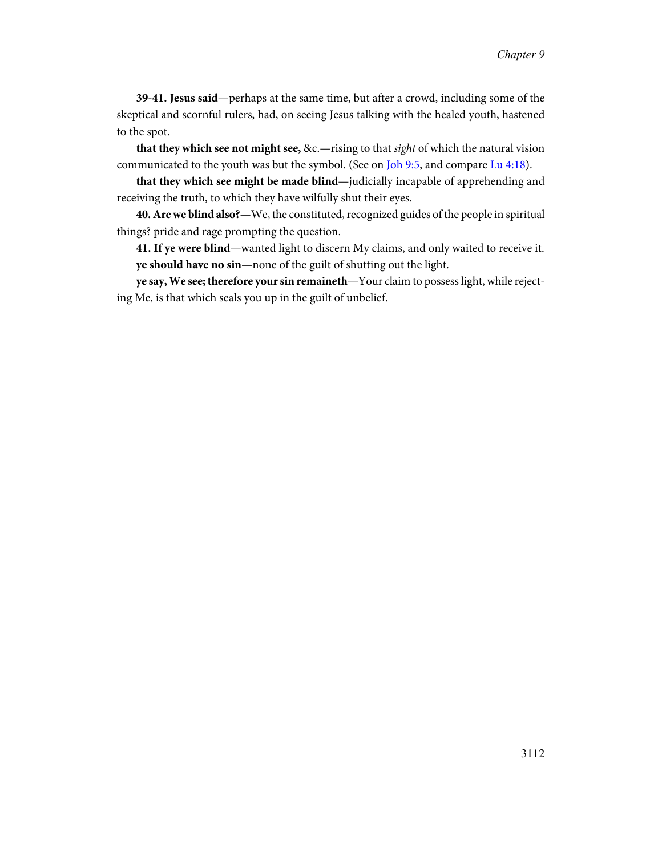**39-41. Jesus said**—perhaps at the same time, but after a crowd, including some of the skeptical and scornful rulers, had, on seeing Jesus talking with the healed youth, hastened to the spot.

**that they which see not might see,** &c.—rising to that sight of which the natural vision communicated to the youth was but the symbol. (See on [Joh 9:5](http://www.ccel.org/study/Bible:John.9.5), and compare [Lu 4:18](http://www.ccel.org/study/Bible:Luke.4.18)).

**that they which see might be made blind**—judicially incapable of apprehending and receiving the truth, to which they have wilfully shut their eyes.

**40. Are we blind also?**—We, the constituted, recognized guides of the people in spiritual things? pride and rage prompting the question.

**41. If ye were blind**—wanted light to discern My claims, and only waited to receive it. **ye should have no sin**—none of the guilt of shutting out the light.

**ye say, We see; therefore your sin remaineth**—Your claim to possess light, while rejecting Me, is that which seals you up in the guilt of unbelief.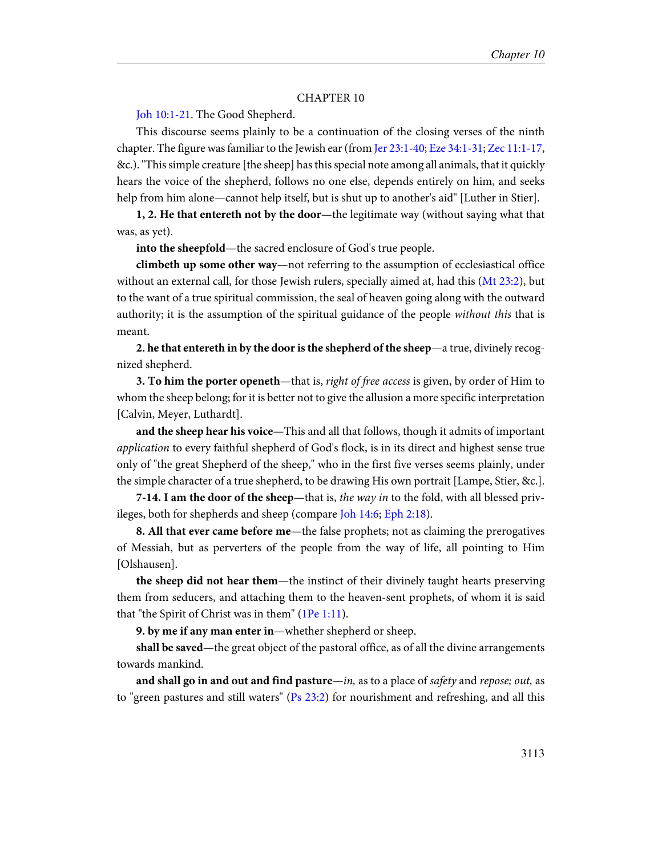### CHAPTER 10

[Joh 10:1-21](http://www.ccel.org/study/Bible:John.10.1-John.10.21). The Good Shepherd.

This discourse seems plainly to be a continuation of the closing verses of the ninth chapter. The figure was familiar to the Jewish ear (from [Jer 23:1-40;](http://www.ccel.org/study/Bible:Jer.23.1-Jer.23.40) [Eze 34:1-31;](http://www.ccel.org/study/Bible:Ezek.34.1-Ezek.34.31) [Zec 11:1-17,](http://www.ccel.org/study/Bible:Zech.11.1-Zech.11.17) &c.). "This simple creature [the sheep] has this special note among all animals, that it quickly hears the voice of the shepherd, follows no one else, depends entirely on him, and seeks help from him alone—cannot help itself, but is shut up to another's aid" [Luther in Stier].

**1, 2. He that entereth not by the door**—the legitimate way (without saying what that was, as yet).

**into the sheepfold**—the sacred enclosure of God's true people.

**climbeth up some other way**—not referring to the assumption of ecclesiastical office without an external call, for those Jewish rulers, specially aimed at, had this [\(Mt 23:2](http://www.ccel.org/study/Bible:Matt.23.2)), but to the want of a true spiritual commission, the seal of heaven going along with the outward authority; it is the assumption of the spiritual guidance of the people without this that is meant.

**2. he that entereth in by the door is the shepherd of the sheep**—a true, divinely recognized shepherd.

**3. To him the porter openeth**—that is, right of free access is given, by order of Him to whom the sheep belong; for it is better not to give the allusion a more specific interpretation [Calvin, Meyer, Luthardt].

**and the sheep hear his voice**—This and all that follows, though it admits of important application to every faithful shepherd of God's flock, is in its direct and highest sense true only of "the great Shepherd of the sheep," who in the first five verses seems plainly, under the simple character of a true shepherd, to be drawing His own portrait [Lampe, Stier, &c.].

**7-14. I am the door of the sheep**—that is, the way in to the fold, with all blessed privileges, both for shepherds and sheep (compare [Joh 14:6](http://www.ccel.org/study/Bible:John.14.6); [Eph 2:18](http://www.ccel.org/study/Bible:Eph.2.18)).

**8. All that ever came before me**—the false prophets; not as claiming the prerogatives of Messiah, but as perverters of the people from the way of life, all pointing to Him [Olshausen].

**the sheep did not hear them**—the instinct of their divinely taught hearts preserving them from seducers, and attaching them to the heaven-sent prophets, of whom it is said that "the Spirit of Christ was in them" [\(1Pe 1:11](http://www.ccel.org/study/Bible:1Pet.1.11)).

**9. by me if any man enter in**—whether shepherd or sheep.

**shall be saved**—the great object of the pastoral office, as of all the divine arrangements towards mankind.

**and shall go in and out and find pasture**—in, as to a place of *safety* and *repose*; *out*, as to "green pastures and still waters" ([Ps 23:2\)](http://www.ccel.org/study/Bible:Ps.23.2) for nourishment and refreshing, and all this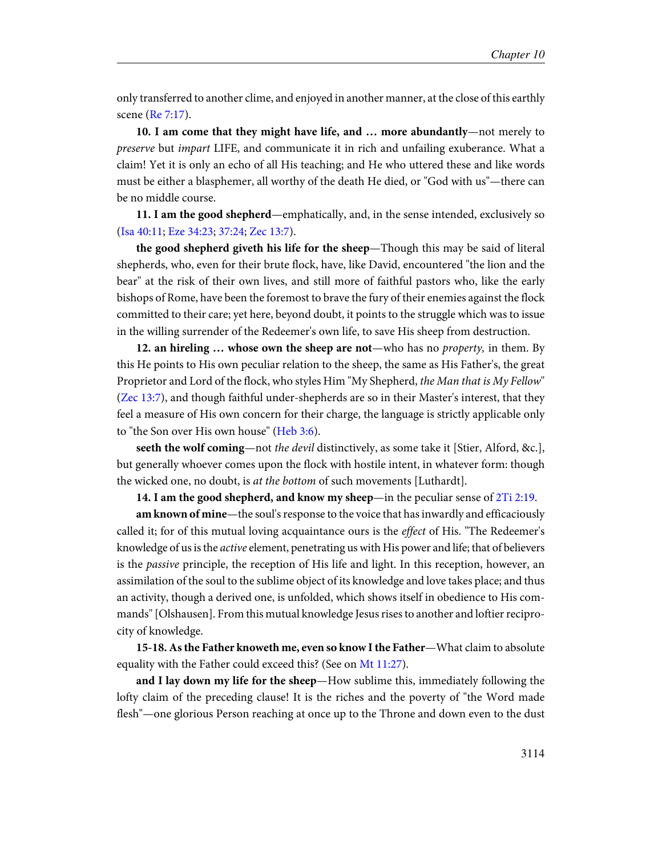only transferred to another clime, and enjoyed in another manner, at the close of this earthly scene [\(Re 7:17\)](http://www.ccel.org/study/Bible:Rev.7.17).

**10. I am come that they might have life, and … more abundantly**—not merely to preserve but impart LIFE, and communicate it in rich and unfailing exuberance. What a claim! Yet it is only an echo of all His teaching; and He who uttered these and like words must be either a blasphemer, all worthy of the death He died, or "God with us"—there can be no middle course.

**11. I am the good shepherd**—emphatically, and, in the sense intended, exclusively so ([Isa 40:11](http://www.ccel.org/study/Bible:Isa.40.11); [Eze 34:23](http://www.ccel.org/study/Bible:Ezek.34.23); [37:24;](http://www.ccel.org/study/Bible:Ezek.37.24) [Zec 13:7\)](http://www.ccel.org/study/Bible:Zech.13.7).

**the good shepherd giveth his life for the sheep**—Though this may be said of literal shepherds, who, even for their brute flock, have, like David, encountered "the lion and the bear" at the risk of their own lives, and still more of faithful pastors who, like the early bishops of Rome, have been the foremost to brave the fury of their enemies against the flock committed to their care; yet here, beyond doubt, it points to the struggle which was to issue in the willing surrender of the Redeemer's own life, to save His sheep from destruction.

**12. an hireling … whose own the sheep are not**—who has no property, in them. By this He points to His own peculiar relation to the sheep, the same as His Father's, the great Proprietor and Lord of the flock, who styles Him "My Shepherd, the Man that is My Fellow" ([Zec 13:7\)](http://www.ccel.org/study/Bible:Zech.13.7), and though faithful under-shepherds are so in their Master's interest, that they feel a measure of His own concern for their charge, the language is strictly applicable only to "the Son over His own house" [\(Heb 3:6](http://www.ccel.org/study/Bible:Heb.3.6)).

**seeth the wolf coming**—not the devil distinctively, as some take it [Stier, Alford, &c.], but generally whoever comes upon the flock with hostile intent, in whatever form: though the wicked one, no doubt, is at the bottom of such movements [Luthardt].

**14. I am the good shepherd, and know my sheep**—in the peculiar sense of [2Ti 2:19.](http://www.ccel.org/study/Bible:2Tim.2.19)

**am known of mine**—the soul's response to the voice that has inwardly and efficaciously called it; for of this mutual loving acquaintance ours is the effect of His. "The Redeemer's knowledge of us is the *active* element, penetrating us with His power and life; that of believers is the *passive* principle, the reception of His life and light. In this reception, however, an assimilation of the soul to the sublime object of its knowledge and love takes place; and thus an activity, though a derived one, is unfolded, which shows itself in obedience to His commands" [Olshausen]. From this mutual knowledge Jesus rises to another and loftier reciprocity of knowledge.

**15-18. As the Father knoweth me, even so know I the Father**—What claim to absolute equality with the Father could exceed this? (See on [Mt 11:27\)](http://www.ccel.org/study/Bible:Matt.11.27).

**and I lay down my life for the sheep**—How sublime this, immediately following the lofty claim of the preceding clause! It is the riches and the poverty of "the Word made flesh"—one glorious Person reaching at once up to the Throne and down even to the dust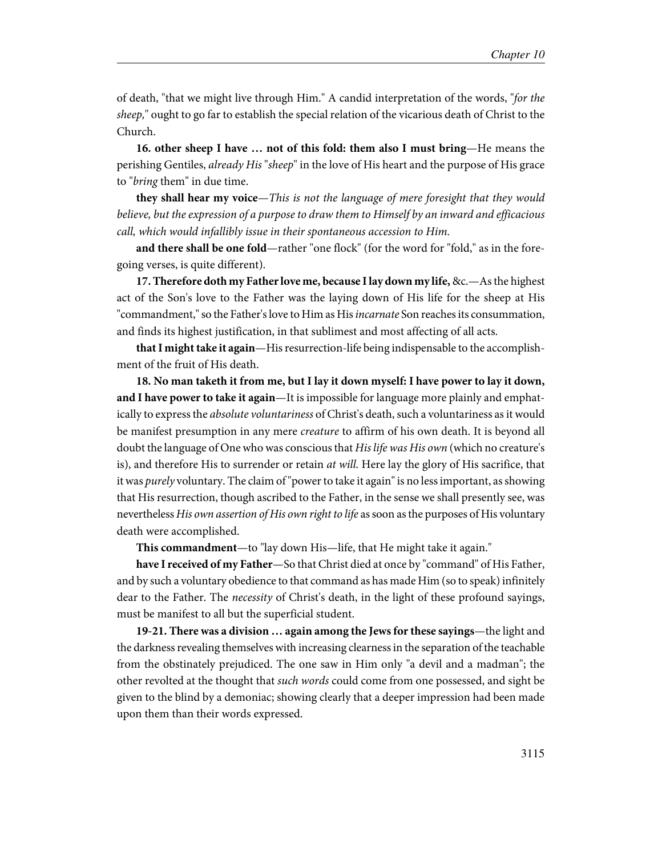of death, "that we might live through Him." A candid interpretation of the words, "for the sheep," ought to go far to establish the special relation of the vicarious death of Christ to the Church.

**16. other sheep I have … not of this fold: them also I must bring**—He means the perishing Gentiles, already His "sheep" in the love of His heart and the purpose of His grace to "*bring* them" in due time.

**they shall hear my voice**—This is not the language of mere foresight that they would believe, but the expression of a purpose to draw them to Himself by an inward and efficacious call, which would infallibly issue in their spontaneous accession to Him.

**and there shall be one fold**—rather "one flock" (for the word for "fold," as in the foregoing verses, is quite different).

**17. Therefore doth my Father love me, because I lay down my life,** &c.—As the highest act of the Son's love to the Father was the laying down of His life for the sheep at His "commandment," so the Father's love to Him as His incarnate Son reaches its consummation, and finds its highest justification, in that sublimest and most affecting of all acts.

**that I might take it again**—His resurrection-life being indispensable to the accomplishment of the fruit of His death.

**18. No man taketh it from me, but I lay it down myself: I have power to lay it down, and I have power to take it again**—It is impossible for language more plainly and emphatically to express the *absolute voluntariness* of Christ's death, such a voluntariness as it would be manifest presumption in any mere *creature* to affirm of his own death. It is beyond all doubt the language of One who was conscious that *His life was His own* (which no creature's is), and therefore His to surrender or retain at will. Here lay the glory of His sacrifice, that it was purely voluntary. The claim of "power to take it again" is no less important, as showing that His resurrection, though ascribed to the Father, in the sense we shall presently see, was nevertheless His own assertion of His own right to life as soon as the purposes of His voluntary death were accomplished.

**This commandment**—to "lay down His—life, that He might take it again."

**have I received of my Father**—So that Christ died at once by "command" of His Father, and by such a voluntary obedience to that command as has made Him (so to speak) infinitely dear to the Father. The *necessity* of Christ's death, in the light of these profound sayings, must be manifest to all but the superficial student.

**19-21. There was a division … again among the Jews for these sayings**—the light and the darkness revealing themselves with increasing clearness in the separation of the teachable from the obstinately prejudiced. The one saw in Him only "a devil and a madman"; the other revolted at the thought that *such words* could come from one possessed, and sight be given to the blind by a demoniac; showing clearly that a deeper impression had been made upon them than their words expressed.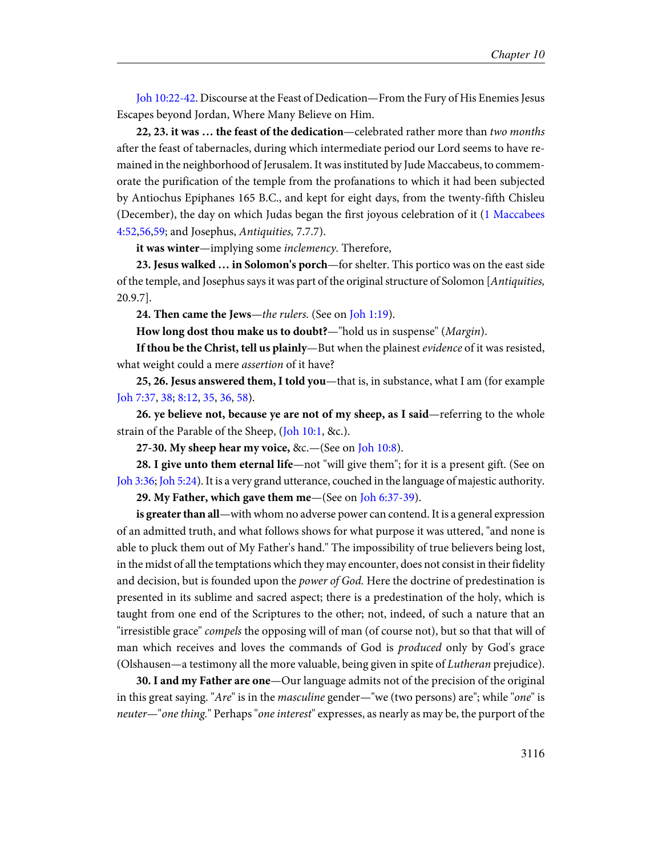[Joh 10:22-42.](http://www.ccel.org/study/Bible:John.10.22-John.10.42) Discourse at the Feast of Dedication—From the Fury of His Enemies Jesus Escapes beyond Jordan, Where Many Believe on Him.

**22, 23. it was … the feast of the dedication**—celebrated rather more than two months after the feast of tabernacles, during which intermediate period our Lord seems to have remained in the neighborhood of Jerusalem. It was instituted by Jude Maccabeus, to commemorate the purification of the temple from the profanations to which it had been subjected by Antiochus Epiphanes 165 B.C., and kept for eight days, from the twenty-fifth Chisleu (December), the day on which Judas began the first joyous celebration of it [\(1 Maccabees](http://www.ccel.org/study/Bible:1Macc.4.52) [4:52](http://www.ccel.org/study/Bible:1Macc.4.52),[56](http://www.ccel.org/study/Bible:1Macc.4.56),[59](http://www.ccel.org/study/Bible:1Macc.4.59); and Josephus, Antiquities, 7.7.7).

**it was winter**—implying some inclemency. Therefore,

**23. Jesus walked … in Solomon's porch**—for shelter. This portico was on the east side of the temple, and Josephus says it was part of the original structure of Solomon [Antiquities, 20.9.7].

**24. Then came the Jews**—the rulers. (See on [Joh 1:19](http://www.ccel.org/study/Bible:John.1.19)).

**How long dost thou make us to doubt?**—"hold us in suspense" (Margin).

**If thou be the Christ, tell us plainly**—But when the plainest evidence of it was resisted, what weight could a mere *assertion* of it have?

**25, 26. Jesus answered them, I told you**—that is, in substance, what I am (for example [Joh 7:37,](http://www.ccel.org/study/Bible:John.7.37) [38;](http://www.ccel.org/study/Bible:John.7.38) [8:12,](http://www.ccel.org/study/Bible:John.8.12) [35](http://www.ccel.org/study/Bible:John.8.35), [36,](http://www.ccel.org/study/Bible:John.8.36) [58\)](http://www.ccel.org/study/Bible:John.8.58).

**26. ye believe not, because ye are not of my sheep, as I said**—referring to the whole strain of the Parable of the Sheep, ([Joh 10:1,](http://www.ccel.org/study/Bible:John.10.1) &c.).

**27-30. My sheep hear my voice,** &c.—(See on [Joh 10:8](http://www.ccel.org/study/Bible:John.10.8)).

**28. I give unto them eternal life**—not "will give them"; for it is a present gift. (See on [Joh 3:36;](http://www.ccel.org/study/Bible:John.3.36) [Joh 5:24](http://www.ccel.org/study/Bible:John.5.24)). It is a very grand utterance, couched in the language of majestic authority.

**29. My Father, which gave them me**—(See on [Joh 6:37-39\)](http://www.ccel.org/study/Bible:John.6.37-John.6.39).

**is greater than all—with whom no adverse power can contend. It is a general expression** of an admitted truth, and what follows shows for what purpose it was uttered, "and none is able to pluck them out of My Father's hand." The impossibility of true believers being lost, in the midst of all the temptations which they may encounter, does not consist in their fidelity and decision, but is founded upon the *power of God*. Here the doctrine of predestination is presented in its sublime and sacred aspect; there is a predestination of the holy, which is taught from one end of the Scriptures to the other; not, indeed, of such a nature that an "irresistible grace" compels the opposing will of man (of course not), but so that that will of man which receives and loves the commands of God is produced only by God's grace (Olshausen—a testimony all the more valuable, being given in spite of *Lutheran* prejudice).

**30. I and my Father are one**—Our language admits not of the precision of the original in this great saying. "Are" is in the *masculine* gender—"we (two persons) are"; while "*one*" is neuter—"one thing." Perhaps "one interest" expresses, as nearly as may be, the purport of the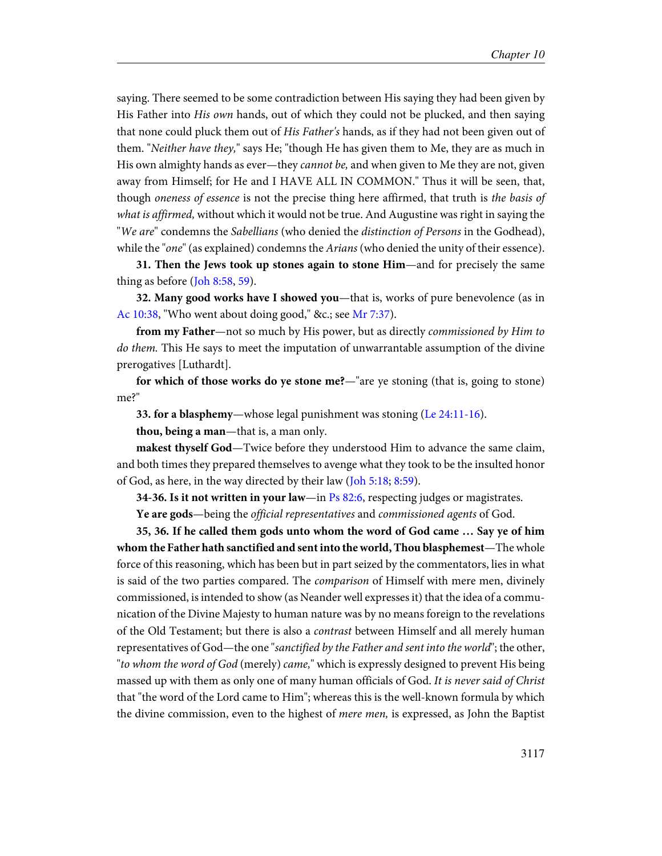saying. There seemed to be some contradiction between His saying they had been given by His Father into His own hands, out of which they could not be plucked, and then saying that none could pluck them out of His Father's hands, as if they had not been given out of them. "Neither have they," says He; "though He has given them to Me, they are as much in His own almighty hands as ever—they *cannot be*, and when given to Me they are not, given away from Himself; for He and I HAVE ALL IN COMMON." Thus it will be seen, that, though oneness of essence is not the precise thing here affirmed, that truth is the basis of what is affirmed, without which it would not be true. And Augustine was right in saying the "We are" condemns the Sabellians (who denied the distinction of Persons in the Godhead), while the "one" (as explained) condemns the Arians (who denied the unity of their essence).

**31. Then the Jews took up stones again to stone Him**—and for precisely the same thing as before [\(Joh 8:58](http://www.ccel.org/study/Bible:John.8.58), [59\)](http://www.ccel.org/study/Bible:John.8.59).

**32. Many good works have I showed you**—that is, works of pure benevolence (as in [Ac 10:38](http://www.ccel.org/study/Bible:Acts.10.38), "Who went about doing good," &c.; see [Mr 7:37\)](http://www.ccel.org/study/Bible:Mark.7.37).

**from my Father**—not so much by His power, but as directly *commissioned by Him to* do them. This He says to meet the imputation of unwarrantable assumption of the divine prerogatives [Luthardt].

**for which of those works do ye stone me?**—"are ye stoning (that is, going to stone) me?"

**33. for a blasphemy**—whose legal punishment was stoning ([Le 24:11-16](http://www.ccel.org/study/Bible:Lev.24.11-Lev.24.16)).

**thou, being a man**—that is, a man only.

**makest thyself God**—Twice before they understood Him to advance the same claim, and both times they prepared themselves to avenge what they took to be the insulted honor of God, as here, in the way directed by their law ([Joh 5:18;](http://www.ccel.org/study/Bible:John.5.18) [8:59\)](http://www.ccel.org/study/Bible:John.8.59).

**34-36. Is it not written in your law**—in [Ps 82:6](http://www.ccel.org/study/Bible:Ps.82.6), respecting judges or magistrates.

**Ye are gods**—being the official representatives and commissioned agents of God.

**35, 36. If he called them gods unto whom the word of God came … Say ye of him whom the Father hath sanctified and sent into the world, Thou blasphemest**—The whole force of this reasoning, which has been but in part seized by the commentators, lies in what is said of the two parties compared. The *comparison* of Himself with mere men, divinely commissioned, is intended to show (as Neander well expresses it) that the idea of a communication of the Divine Majesty to human nature was by no means foreign to the revelations of the Old Testament; but there is also a contrast between Himself and all merely human representatives of God—the one "sanctified by the Father and sent into the world"; the other, "to whom the word of God (merely) came," which is expressly designed to prevent His being massed up with them as only one of many human officials of God. It is never said of Christ that "the word of the Lord came to Him"; whereas this is the well-known formula by which the divine commission, even to the highest of *mere men*, is expressed, as John the Baptist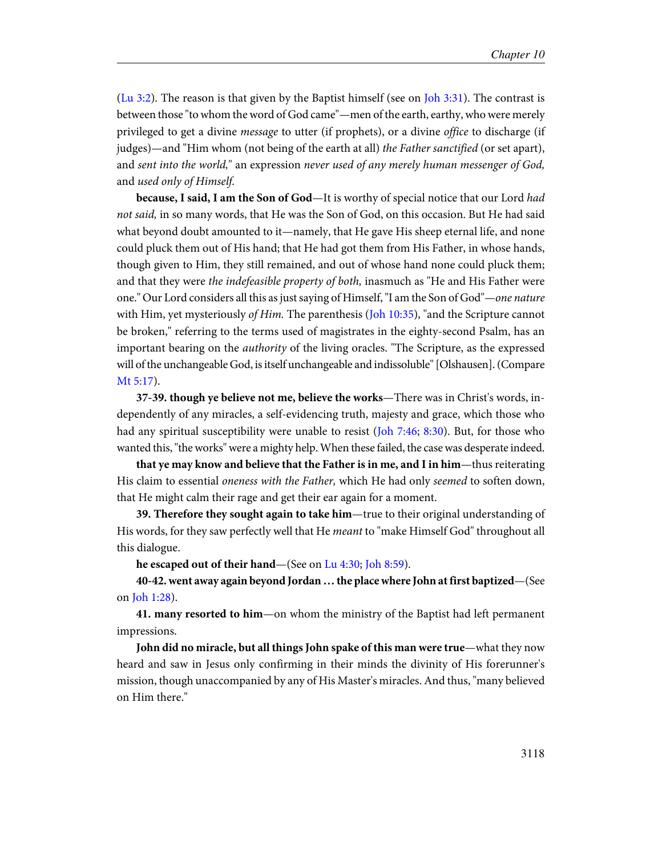([Lu 3:2\)](http://www.ccel.org/study/Bible:Luke.3.2). The reason is that given by the Baptist himself (see on [Joh 3:31\)](http://www.ccel.org/study/Bible:John.3.31). The contrast is between those "to whom the word of God came"—men of the earth, earthy, who were merely privileged to get a divine message to utter (if prophets), or a divine office to discharge (if judges)—and "Him whom (not being of the earth at all) the Father sanctified (or set apart), and sent into the world," an expression never used of any merely human messenger of God, and used only of Himself.

**because, I said, I am the Son of God**—It is worthy of special notice that our Lord had not said, in so many words, that He was the Son of God, on this occasion. But He had said what beyond doubt amounted to it—namely, that He gave His sheep eternal life, and none could pluck them out of His hand; that He had got them from His Father, in whose hands, though given to Him, they still remained, and out of whose hand none could pluck them; and that they were the *indefeasible property of both*, inasmuch as "He and His Father were one." Our Lord considers all this as just saying of Himself, "I am the Son of God"—one nature with Him, yet mysteriously of Him. The parenthesis ([Joh 10:35\)](http://www.ccel.org/study/Bible:John.10.35), "and the Scripture cannot be broken," referring to the terms used of magistrates in the eighty-second Psalm, has an important bearing on the authority of the living oracles. "The Scripture, as the expressed will of the unchangeable God, is itself unchangeable and indissoluble" [Olshausen]. (Compare [Mt 5:17](http://www.ccel.org/study/Bible:Matt.5.17)).

**37-39. though ye believe not me, believe the works**—There was in Christ's words, independently of any miracles, a self-evidencing truth, majesty and grace, which those who had any spiritual susceptibility were unable to resist [\(Joh 7:46;](http://www.ccel.org/study/Bible:John.7.46) [8:30](http://www.ccel.org/study/Bible:John.8.30)). But, for those who wanted this, "the works" were a mighty help. When these failed, the case was desperate indeed.

**that ye may know and believe that the Father is in me, and I in him**—thus reiterating His claim to essential oneness with the Father, which He had only seemed to soften down, that He might calm their rage and get their ear again for a moment.

**39. Therefore they sought again to take him**—true to their original understanding of His words, for they saw perfectly well that He *meant* to "make Himself God" throughout all this dialogue.

**he escaped out of their hand**—(See on [Lu 4:30;](http://www.ccel.org/study/Bible:Luke.4.30) [Joh 8:59\)](http://www.ccel.org/study/Bible:John.8.59).

**40-42. went away again beyond Jordan … the place where John at first baptized**—(See on [Joh 1:28](http://www.ccel.org/study/Bible:John.1.28)).

**41. many resorted to him**—on whom the ministry of the Baptist had left permanent impressions.

**John did no miracle, but all things John spake of this man were true**—what they now heard and saw in Jesus only confirming in their minds the divinity of His forerunner's mission, though unaccompanied by any of His Master's miracles. And thus, "many believed on Him there."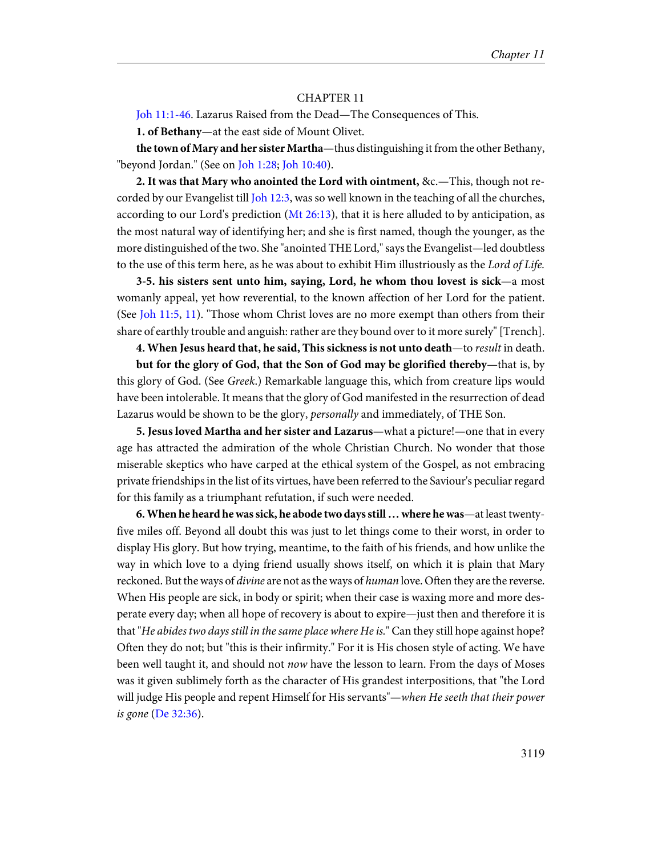### CHAPTER 11

[Joh 11:1-46](http://www.ccel.org/study/Bible:John.11.1-John.11.46). Lazarus Raised from the Dead—The Consequences of This.

**1. of Bethany**—at the east side of Mount Olivet.

**the town of Mary and her sister Martha**—thus distinguishing it from the other Bethany, "beyond Jordan." (See on [Joh 1:28](http://www.ccel.org/study/Bible:John.1.28); [Joh 10:40](http://www.ccel.org/study/Bible:John.10.40)).

**2. It was that Mary who anointed the Lord with ointment,** &c.—This, though not recorded by our Evangelist till [Joh 12:3,](http://www.ccel.org/study/Bible:John.12.3) was so well known in the teaching of all the churches, according to our Lord's prediction ([Mt 26:13](http://www.ccel.org/study/Bible:Matt.26.13)), that it is here alluded to by anticipation, as the most natural way of identifying her; and she is first named, though the younger, as the more distinguished of the two. She "anointed THE Lord," says the Evangelist—led doubtless to the use of this term here, as he was about to exhibit Him illustriously as the Lord of Life.

**3-5. his sisters sent unto him, saying, Lord, he whom thou lovest is sick**—a most womanly appeal, yet how reverential, to the known affection of her Lord for the patient. (See [Joh 11:5,](http://www.ccel.org/study/Bible:John.11.5) [11\)](http://www.ccel.org/study/Bible:John.11.11). "Those whom Christ loves are no more exempt than others from their share of earthly trouble and anguish: rather are they bound over to it more surely" [Trench].

**4. When Jesus heard that, he said, This sickness is not unto death**—to result in death.

**but for the glory of God, that the Son of God may be glorified thereby**—that is, by this glory of God. (See Greek.) Remarkable language this, which from creature lips would have been intolerable. It means that the glory of God manifested in the resurrection of dead Lazarus would be shown to be the glory, personally and immediately, of THE Son.

**5. Jesus loved Martha and her sister and Lazarus**—what a picture!—one that in every age has attracted the admiration of the whole Christian Church. No wonder that those miserable skeptics who have carped at the ethical system of the Gospel, as not embracing private friendships in the list of its virtues, have been referred to the Saviour's peculiar regard for this family as a triumphant refutation, if such were needed.

**6. When he heard he was sick, he abode two days still … where he was**—at least twentyfive miles off. Beyond all doubt this was just to let things come to their worst, in order to display His glory. But how trying, meantime, to the faith of his friends, and how unlike the way in which love to a dying friend usually shows itself, on which it is plain that Mary reckoned. But the ways of *divine* are not as the ways of *human* love. Often they are the reverse. When His people are sick, in body or spirit; when their case is waxing more and more desperate every day; when all hope of recovery is about to expire—just then and therefore it is that "He abides two days still in the same place where He is." Can they still hope against hope? Often they do not; but "this is their infirmity." For it is His chosen style of acting. We have been well taught it, and should not *now* have the lesson to learn. From the days of Moses was it given sublimely forth as the character of His grandest interpositions, that "the Lord will judge His people and repent Himself for His servants"—when He seeth that their power is gone ([De 32:36](http://www.ccel.org/study/Bible:Deut.32.36)).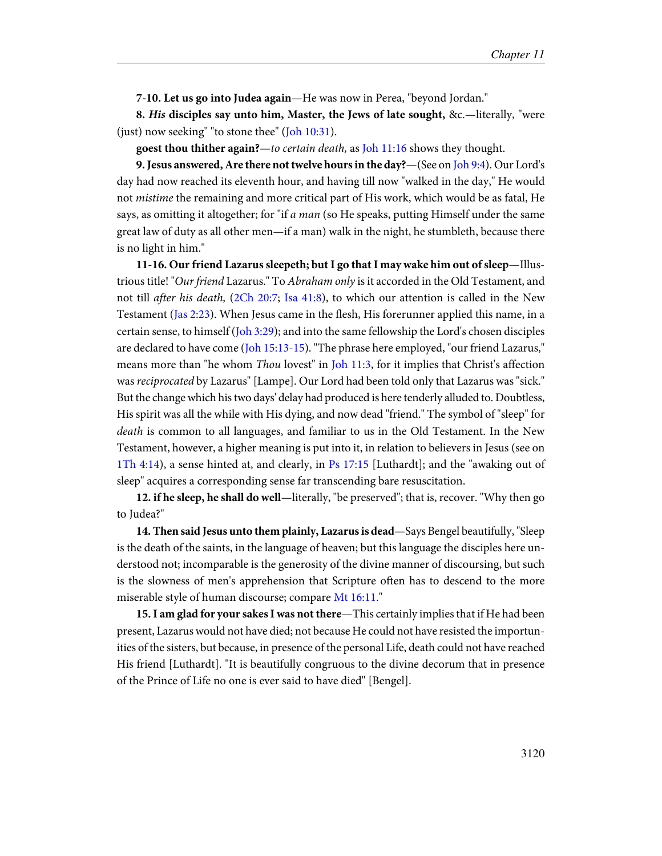**7-10. Let us go into Judea again**—He was now in Perea, "beyond Jordan."

**8. His disciples say unto him, Master, the Jews of late sought,** &c.—literally, "were (just) now seeking" "to stone thee" (Joh  $10:31$ ).

**goest thou thither again?**—to certain death, as [Joh 11:16](http://www.ccel.org/study/Bible:John.11.16) shows they thought.

**9. Jesus answered, Are there not twelve hours in the day?**—(See on [Joh 9:4](http://www.ccel.org/study/Bible:John.9.4)). Our Lord's day had now reached its eleventh hour, and having till now "walked in the day," He would not *mistime* the remaining and more critical part of His work, which would be as fatal, He says, as omitting it altogether; for "if a man (so He speaks, putting Himself under the same great law of duty as all other men—if a man) walk in the night, he stumbleth, because there is no light in him."

**11-16. Our friend Lazarus sleepeth; but I go that I may wake him out of sleep**—Illustrious title! "Our friend Lazarus." To Abraham only is it accorded in the Old Testament, and not till *after his death*, [\(2Ch 20:7;](http://www.ccel.org/study/Bible:2Chr.20.7) [Isa 41:8\)](http://www.ccel.org/study/Bible:Isa.41.8), to which our attention is called in the New Testament ([Jas 2:23](http://www.ccel.org/study/Bible:Jas.2.23)). When Jesus came in the flesh, His forerunner applied this name, in a certain sense, to himself ([Joh 3:29](http://www.ccel.org/study/Bible:John.3.29)); and into the same fellowship the Lord's chosen disciples are declared to have come [\(Joh 15:13-15\)](http://www.ccel.org/study/Bible:John.15.13-John.15.15). "The phrase here employed, "our friend Lazarus," means more than "he whom Thou lovest" in [Joh 11:3](http://www.ccel.org/study/Bible:John.11.3), for it implies that Christ's affection was reciprocated by Lazarus" [Lampe]. Our Lord had been told only that Lazarus was "sick." But the change which his two days' delay had produced is here tenderly alluded to. Doubtless, His spirit was all the while with His dying, and now dead "friend." The symbol of "sleep" for death is common to all languages, and familiar to us in the Old Testament. In the New Testament, however, a higher meaning is put into it, in relation to believers in Jesus (see on [1Th 4:14\)](http://www.ccel.org/study/Bible:1Thess.4.14), a sense hinted at, and clearly, in [Ps 17:15](http://www.ccel.org/study/Bible:Ps.17.15) [Luthardt]; and the "awaking out of sleep" acquires a corresponding sense far transcending bare resuscitation.

**12. if he sleep, he shall do well**—literally, "be preserved"; that is, recover. "Why then go to Judea?"

**14. Then said Jesus unto them plainly, Lazarus is dead**—Says Bengel beautifully, "Sleep is the death of the saints, in the language of heaven; but this language the disciples here understood not; incomparable is the generosity of the divine manner of discoursing, but such is the slowness of men's apprehension that Scripture often has to descend to the more miserable style of human discourse; compare [Mt 16:11](http://www.ccel.org/study/Bible:Matt.16.11)."

**15. I am glad for your sakes I was not there**—This certainly implies that if He had been present, Lazarus would not have died; not because He could not have resisted the importunities of the sisters, but because, in presence of the personal Life, death could not have reached His friend [Luthardt]. "It is beautifully congruous to the divine decorum that in presence of the Prince of Life no one is ever said to have died" [Bengel].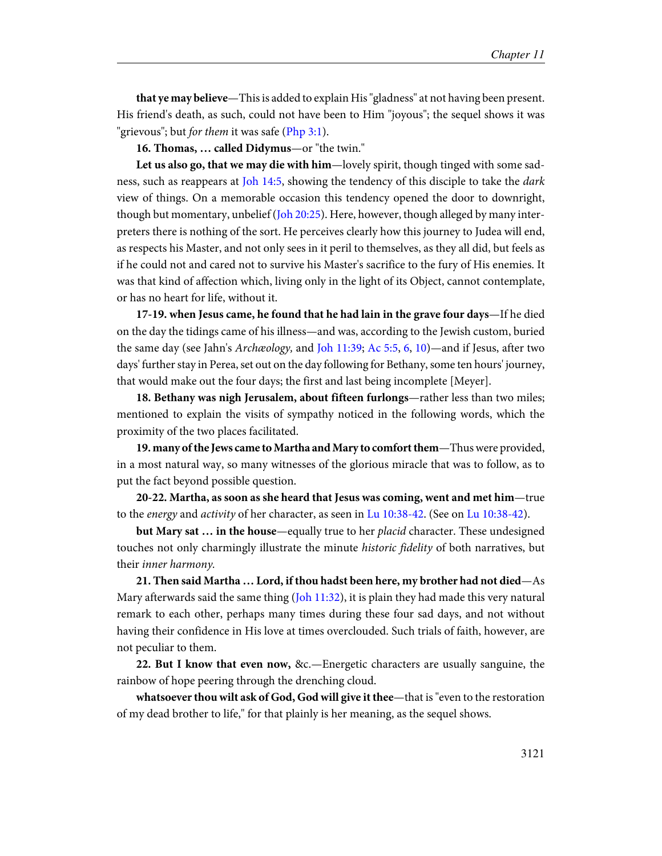**that ye may believe**—This is added to explain His "gladness" at not having been present. His friend's death, as such, could not have been to Him "joyous"; the sequel shows it was "grievous"; but *for them* it was safe ( $Php$  3:1).

**16. Thomas, … called Didymus**—or "the twin."

**Let us also go, that we may die with him**—lovely spirit, though tinged with some sad-ness, such as reappears at [Joh 14:5,](http://www.ccel.org/study/Bible:John.14.5) showing the tendency of this disciple to take the *dark* view of things. On a memorable occasion this tendency opened the door to downright, though but momentary, unbelief [\(Joh 20:25\)](http://www.ccel.org/study/Bible:John.20.25). Here, however, though alleged by many interpreters there is nothing of the sort. He perceives clearly how this journey to Judea will end, as respects his Master, and not only sees in it peril to themselves, as they all did, but feels as if he could not and cared not to survive his Master's sacrifice to the fury of His enemies. It was that kind of affection which, living only in the light of its Object, cannot contemplate, or has no heart for life, without it.

**17-19. when Jesus came, he found that he had lain in the grave four days**—If he died on the day the tidings came of his illness—and was, according to the Jewish custom, buried the same day (see Jahn's Archæology, and [Joh 11:39;](http://www.ccel.org/study/Bible:John.11.39) [Ac 5:5](http://www.ccel.org/study/Bible:Acts.5.5), [6,](http://www.ccel.org/study/Bible:Acts.5.6) [10\)](http://www.ccel.org/study/Bible:Acts.5.10)—and if Jesus, after two days' further stay in Perea, set out on the day following for Bethany, some ten hours' journey, that would make out the four days; the first and last being incomplete [Meyer].

**18. Bethany was nigh Jerusalem, about fifteen furlongs**—rather less than two miles; mentioned to explain the visits of sympathy noticed in the following words, which the proximity of the two places facilitated.

**19. many of the Jews came to Martha and Mary to comfort them**—Thus were provided, in a most natural way, so many witnesses of the glorious miracle that was to follow, as to put the fact beyond possible question.

**20-22. Martha, as soon as she heard that Jesus was coming, went and met him**—true to the *energy* and *activity* of her character, as seen in [Lu 10:38-42.](http://www.ccel.org/study/Bible:Luke.10.38-Luke.10.42) (See on [Lu 10:38-42](http://www.ccel.org/study/Bible:Luke.10.38-Luke.10.42)).

**but Mary sat … in the house**—equally true to her placid character. These undesigned touches not only charmingly illustrate the minute *historic fidelity* of both narratives, but their inner harmony.

**21. Then said Martha … Lord, if thou hadst been here, my brother had not died**—As Mary afterwards said the same thing [\(Joh 11:32](http://www.ccel.org/study/Bible:John.11.32)), it is plain they had made this very natural remark to each other, perhaps many times during these four sad days, and not without having their confidence in His love at times overclouded. Such trials of faith, however, are not peculiar to them.

**22. But I know that even now,** &c.—Energetic characters are usually sanguine, the rainbow of hope peering through the drenching cloud.

**whatsoever thou wilt ask of God, God will give it thee**—that is "even to the restoration of my dead brother to life," for that plainly is her meaning, as the sequel shows.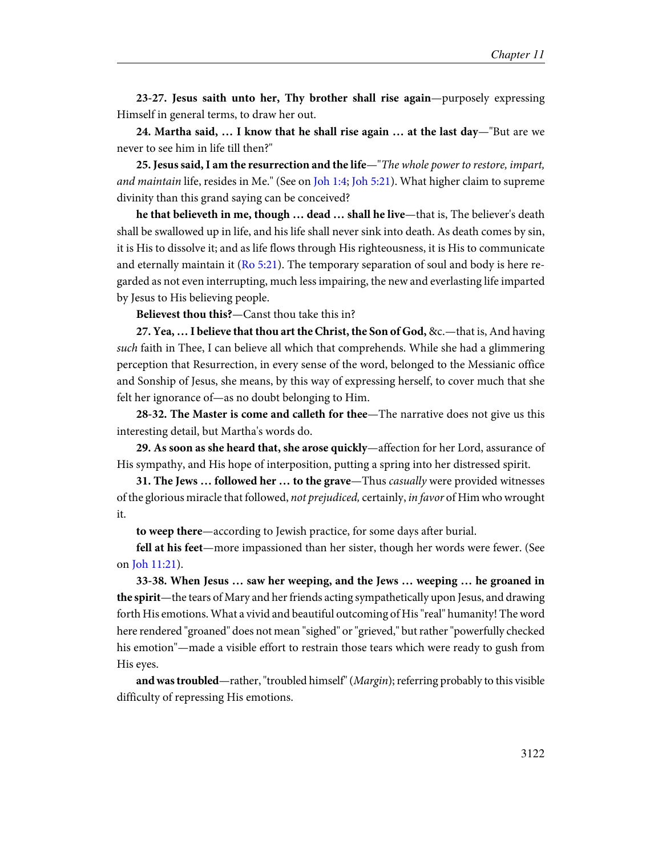**23-27. Jesus saith unto her, Thy brother shall rise again**—purposely expressing Himself in general terms, to draw her out.

**24. Martha said, … I know that he shall rise again … at the last day**—"But are we never to see him in life till then?"

**25. Jesus said, I am the resurrection and the life**—"The whole power to restore, impart, and maintain life, resides in Me." (See on [Joh 1:4;](http://www.ccel.org/study/Bible:John.1.4) [Joh 5:21](http://www.ccel.org/study/Bible:John.5.21)). What higher claim to supreme divinity than this grand saying can be conceived?

**he that believeth in me, though … dead … shall he live**—that is, The believer's death shall be swallowed up in life, and his life shall never sink into death. As death comes by sin, it is His to dissolve it; and as life flows through His righteousness, it is His to communicate and eternally maintain it  $(Ro 5:21)$ . The temporary separation of soul and body is here regarded as not even interrupting, much less impairing, the new and everlasting life imparted by Jesus to His believing people.

**Believest thou this?**—Canst thou take this in?

**27. Yea, … I believe that thou art the Christ, the Son of God,** &c.—that is, And having such faith in Thee, I can believe all which that comprehends. While she had a glimmering perception that Resurrection, in every sense of the word, belonged to the Messianic office and Sonship of Jesus, she means, by this way of expressing herself, to cover much that she felt her ignorance of—as no doubt belonging to Him.

**28-32. The Master is come and calleth for thee**—The narrative does not give us this interesting detail, but Martha's words do.

**29. As soon as she heard that, she arose quickly**—affection for her Lord, assurance of His sympathy, and His hope of interposition, putting a spring into her distressed spirit.

**31. The Jews … followed her … to the grave**—Thus casually were provided witnesses of the glorious miracle that followed, not prejudiced, certainly, in favor of Him who wrought it.

**to weep there**—according to Jewish practice, for some days after burial.

**fell at his feet**—more impassioned than her sister, though her words were fewer. (See on [Joh 11:21](http://www.ccel.org/study/Bible:John.11.21)).

**33-38. When Jesus … saw her weeping, and the Jews … weeping … he groaned in the spirit**—the tears of Mary and her friends acting sympathetically upon Jesus, and drawing forth His emotions. What a vivid and beautiful outcoming of His "real" humanity! The word here rendered "groaned" does not mean "sighed" or "grieved," but rather "powerfully checked his emotion"—made a visible effort to restrain those tears which were ready to gush from His eyes.

**and was troubled**—rather, "troubled himself" (Margin); referring probably to this visible difficulty of repressing His emotions.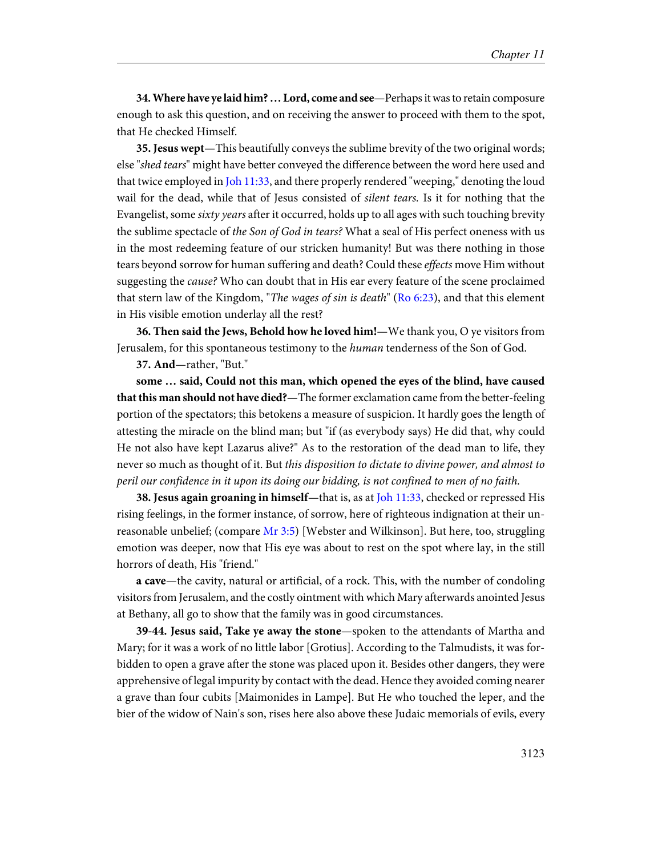**34. Where have ye laid him? … Lord, come and see**—Perhaps it was to retain composure enough to ask this question, and on receiving the answer to proceed with them to the spot, that He checked Himself.

**35. Jesus wept**—This beautifully conveys the sublime brevity of the two original words; else "shed tears" might have better conveyed the difference between the word here used and that twice employed in [Joh 11:33](http://www.ccel.org/study/Bible:John.11.33), and there properly rendered "weeping," denoting the loud wail for the dead, while that of Jesus consisted of silent tears. Is it for nothing that the Evangelist, some sixty years after it occurred, holds up to all ages with such touching brevity the sublime spectacle of the Son of God in tears? What a seal of His perfect oneness with us in the most redeeming feature of our stricken humanity! But was there nothing in those tears beyond sorrow for human suffering and death? Could these *effects* move Him without suggesting the cause? Who can doubt that in His ear every feature of the scene proclaimed that stern law of the Kingdom, "The wages of sin is death" ( $Ro$  6:23), and that this element in His visible emotion underlay all the rest?

**36. Then said the Jews, Behold how he loved him!**—We thank you, O ye visitors from Jerusalem, for this spontaneous testimony to the *human* tenderness of the Son of God.

**37. And**—rather, "But."

**some … said, Could not this man, which opened the eyes of the blind, have caused that this man should not have died?**—The former exclamation came from the better-feeling portion of the spectators; this betokens a measure of suspicion. It hardly goes the length of attesting the miracle on the blind man; but "if (as everybody says) He did that, why could He not also have kept Lazarus alive?" As to the restoration of the dead man to life, they never so much as thought of it. But this disposition to dictate to divine power, and almost to peril our confidence in it upon its doing our bidding, is not confined to men of no faith.

**38. Jesus again groaning in himself**—that is, as at [Joh 11:33,](http://www.ccel.org/study/Bible:John.11.33) checked or repressed His rising feelings, in the former instance, of sorrow, here of righteous indignation at their unreasonable unbelief; (compare [Mr 3:5\)](http://www.ccel.org/study/Bible:Mark.3.5) [Webster and Wilkinson]. But here, too, struggling emotion was deeper, now that His eye was about to rest on the spot where lay, in the still horrors of death, His "friend."

**a cave**—the cavity, natural or artificial, of a rock. This, with the number of condoling visitors from Jerusalem, and the costly ointment with which Mary afterwards anointed Jesus at Bethany, all go to show that the family was in good circumstances.

**39-44. Jesus said, Take ye away the stone**—spoken to the attendants of Martha and Mary; for it was a work of no little labor [Grotius]. According to the Talmudists, it was forbidden to open a grave after the stone was placed upon it. Besides other dangers, they were apprehensive of legal impurity by contact with the dead. Hence they avoided coming nearer a grave than four cubits [Maimonides in Lampe]. But He who touched the leper, and the bier of the widow of Nain's son, rises here also above these Judaic memorials of evils, every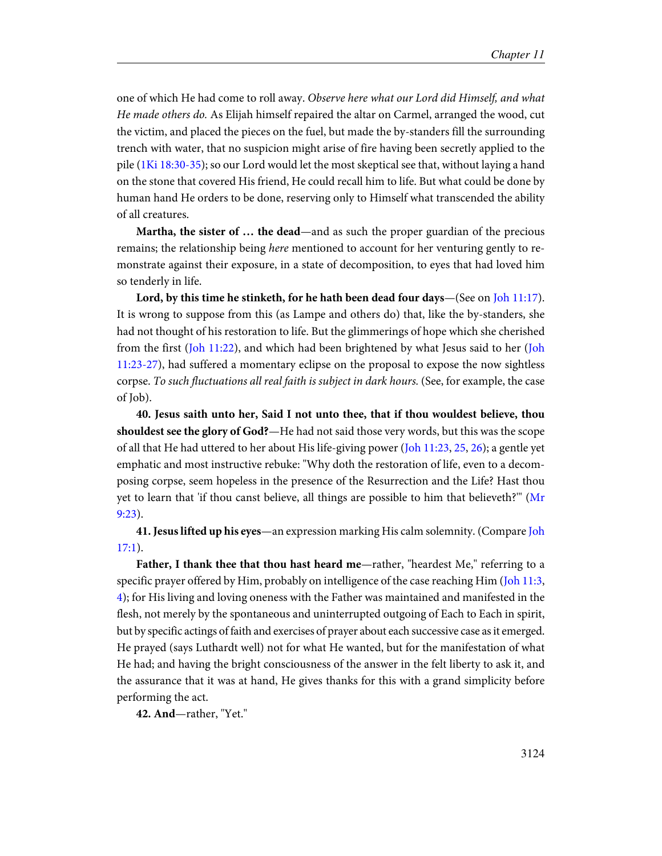one of which He had come to roll away. Observe here what our Lord did Himself, and what He made others do. As Elijah himself repaired the altar on Carmel, arranged the wood, cut the victim, and placed the pieces on the fuel, but made the by-standers fill the surrounding trench with water, that no suspicion might arise of fire having been secretly applied to the pile [\(1Ki 18:30-35](http://www.ccel.org/study/Bible:1Kgs.18.30-1Kgs.18.35)); so our Lord would let the most skeptical see that, without laying a hand on the stone that covered His friend, He could recall him to life. But what could be done by human hand He orders to be done, reserving only to Himself what transcended the ability of all creatures.

**Martha, the sister of … the dead**—and as such the proper guardian of the precious remains; the relationship being here mentioned to account for her venturing gently to remonstrate against their exposure, in a state of decomposition, to eyes that had loved him so tenderly in life.

**Lord, by this time he stinketh, for he hath been dead four days**—(See on [Joh 11:17\)](http://www.ccel.org/study/Bible:John.11.17). It is wrong to suppose from this (as Lampe and others do) that, like the by-standers, she had not thought of his restoration to life. But the glimmerings of hope which she cherished from the first ([Joh 11:22](http://www.ccel.org/study/Bible:John.11.22)), and which had been brightened by what Jesus said to her ([Joh](http://www.ccel.org/study/Bible:John.11.23-John.11.27) [11:23-27](http://www.ccel.org/study/Bible:John.11.23-John.11.27)), had suffered a momentary eclipse on the proposal to expose the now sightless corpse. To such fluctuations all real faith is subject in dark hours. (See, for example, the case of Job).

**40. Jesus saith unto her, Said I not unto thee, that if thou wouldest believe, thou shouldest see the glory of God?**—He had not said those very words, but this was the scope of all that He had uttered to her about His life-giving power [\(Joh 11:23](http://www.ccel.org/study/Bible:John.11.23), [25,](http://www.ccel.org/study/Bible:John.11.25) [26](http://www.ccel.org/study/Bible:John.11.26)); a gentle yet emphatic and most instructive rebuke: "Why doth the restoration of life, even to a decomposing corpse, seem hopeless in the presence of the Resurrection and the Life? Hast thou yet to learn that 'if thou canst believe, all things are possible to him that believeth?'" [\(Mr](http://www.ccel.org/study/Bible:Mark.9.23) [9:23](http://www.ccel.org/study/Bible:Mark.9.23)).

**41. Jesus lifted up his eyes**—an expression marking His calm solemnity. (Compare [Joh](http://www.ccel.org/study/Bible:John.17.1) [17:1](http://www.ccel.org/study/Bible:John.17.1)).

**Father, I thank thee that thou hast heard me**—rather, "heardest Me," referring to a specific prayer offered by Him, probably on intelligence of the case reaching Him ([Joh 11:3,](http://www.ccel.org/study/Bible:John.11.3) [4](http://www.ccel.org/study/Bible:John.11.4)); for His living and loving oneness with the Father was maintained and manifested in the flesh, not merely by the spontaneous and uninterrupted outgoing of Each to Each in spirit, but by specific actings of faith and exercises of prayer about each successive case as it emerged. He prayed (says Luthardt well) not for what He wanted, but for the manifestation of what He had; and having the bright consciousness of the answer in the felt liberty to ask it, and the assurance that it was at hand, He gives thanks for this with a grand simplicity before performing the act.

**42. And**—rather, "Yet."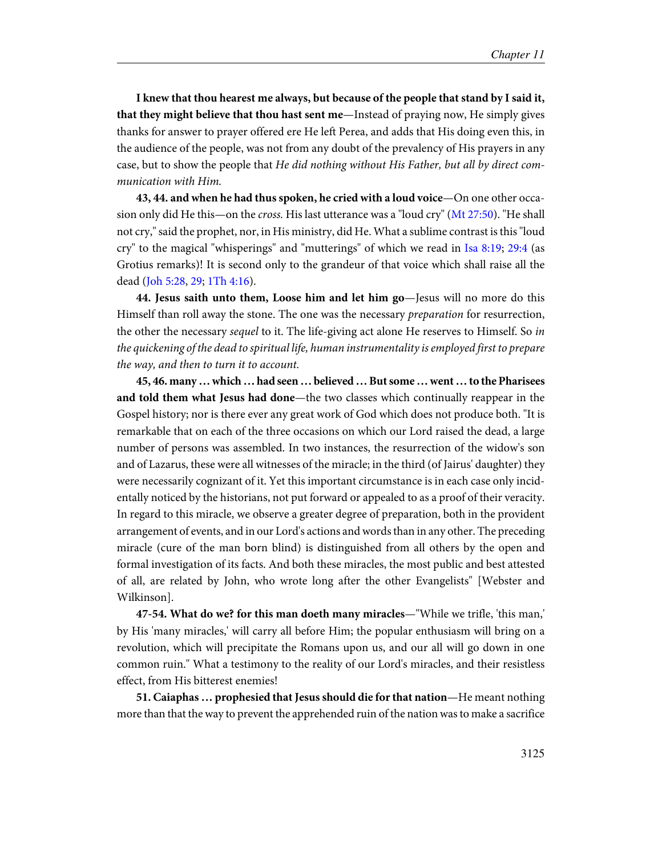**I knew that thou hearest me always, but because of the people that stand by I said it, that they might believe that thou hast sent me**—Instead of praying now, He simply gives thanks for answer to prayer offered ere He left Perea, and adds that His doing even this, in the audience of the people, was not from any doubt of the prevalency of His prayers in any case, but to show the people that He did nothing without His Father, but all by direct communication with Him.

**43, 44. and when he had thus spoken, he cried with a loud voice**—On one other occasion only did He this—on the cross. His last utterance was a "loud cry" [\(Mt 27:50](http://www.ccel.org/study/Bible:Matt.27.50)). "He shall not cry," said the prophet, nor, in His ministry, did He. What a sublime contrast is this "loud cry" to the magical "whisperings" and "mutterings" of which we read in [Isa 8:19;](http://www.ccel.org/study/Bible:Isa.8.19) [29:4](http://www.ccel.org/study/Bible:Isa.29.4) (as Grotius remarks)! It is second only to the grandeur of that voice which shall raise all the dead [\(Joh 5:28](http://www.ccel.org/study/Bible:John.5.28), [29;](http://www.ccel.org/study/Bible:John.5.29) [1Th 4:16\)](http://www.ccel.org/study/Bible:1Thess.4.16).

**44. Jesus saith unto them, Loose him and let him go**—Jesus will no more do this Himself than roll away the stone. The one was the necessary preparation for resurrection, the other the necessary *sequel* to it. The life-giving act alone He reserves to Himself. So in the quickening of the dead to spiritual life, human instrumentality is employed first to prepare the way, and then to turn it to account.

**45, 46. many … which … had seen … believed … But some … went … to the Pharisees and told them what Jesus had done**—the two classes which continually reappear in the Gospel history; nor is there ever any great work of God which does not produce both. "It is remarkable that on each of the three occasions on which our Lord raised the dead, a large number of persons was assembled. In two instances, the resurrection of the widow's son and of Lazarus, these were all witnesses of the miracle; in the third (of Jairus' daughter) they were necessarily cognizant of it. Yet this important circumstance is in each case only incidentally noticed by the historians, not put forward or appealed to as a proof of their veracity. In regard to this miracle, we observe a greater degree of preparation, both in the provident arrangement of events, and in our Lord's actions and words than in any other. The preceding miracle (cure of the man born blind) is distinguished from all others by the open and formal investigation of its facts. And both these miracles, the most public and best attested of all, are related by John, who wrote long after the other Evangelists" [Webster and Wilkinson].

**47-54. What do we? for this man doeth many miracles**—"While we trifle, 'this man,' by His 'many miracles,' will carry all before Him; the popular enthusiasm will bring on a revolution, which will precipitate the Romans upon us, and our all will go down in one common ruin." What a testimony to the reality of our Lord's miracles, and their resistless effect, from His bitterest enemies!

**51. Caiaphas … prophesied that Jesus should die for that nation**—He meant nothing more than that the way to prevent the apprehended ruin of the nation was to make a sacrifice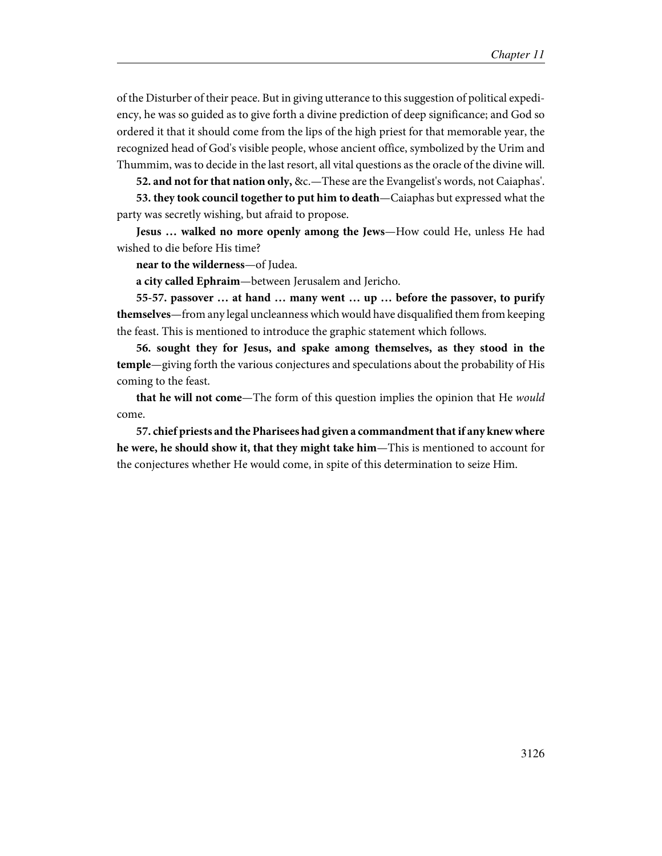of the Disturber of their peace. But in giving utterance to this suggestion of political expediency, he was so guided as to give forth a divine prediction of deep significance; and God so ordered it that it should come from the lips of the high priest for that memorable year, the recognized head of God's visible people, whose ancient office, symbolized by the Urim and Thummim, was to decide in the last resort, all vital questions as the oracle of the divine will.

**52. and not for that nation only,** &c.—These are the Evangelist's words, not Caiaphas'.

**53. they took council together to put him to death**—Caiaphas but expressed what the party was secretly wishing, but afraid to propose.

**Jesus … walked no more openly among the Jews**—How could He, unless He had wished to die before His time?

**near to the wilderness**—of Judea.

**a city called Ephraim**—between Jerusalem and Jericho.

**55-57. passover … at hand … many went … up … before the passover, to purify themselves**—from any legal uncleanness which would have disqualified them from keeping the feast. This is mentioned to introduce the graphic statement which follows.

**56. sought they for Jesus, and spake among themselves, as they stood in the temple**—giving forth the various conjectures and speculations about the probability of His coming to the feast.

**that he will not come**—The form of this question implies the opinion that He would come.

**57. chief priests and the Pharisees had given a commandment that if any knew where he were, he should show it, that they might take him**—This is mentioned to account for the conjectures whether He would come, in spite of this determination to seize Him.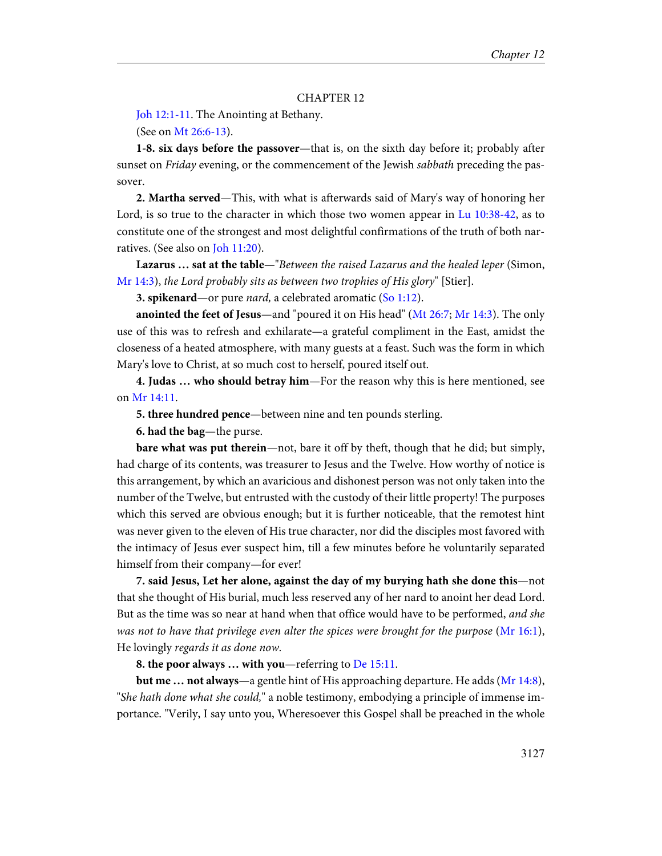## CHAPTER 12

[Joh 12:1-11](http://www.ccel.org/study/Bible:John.12.1-John.12.11). The Anointing at Bethany.

(See on [Mt 26:6-13\)](http://www.ccel.org/study/Bible:Matt.26.6-Matt.26.13).

**1-8. six days before the passover**—that is, on the sixth day before it; probably after sunset on *Friday* evening, or the commencement of the Jewish *sabbath* preceding the passover.

**2. Martha served**—This, with what is afterwards said of Mary's way of honoring her Lord, is so true to the character in which those two women appear in [Lu 10:38-42](http://www.ccel.org/study/Bible:Luke.10.38-Luke.10.42), as to constitute one of the strongest and most delightful confirmations of the truth of both narratives. (See also on [Joh 11:20\)](http://www.ccel.org/study/Bible:John.11.20).

**Lazarus … sat at the table**—"Between the raised Lazarus and the healed leper (Simon, [Mr 14:3\)](http://www.ccel.org/study/Bible:Mark.14.3), the Lord probably sits as between two trophies of His glory" [Stier].

**3. spikenard**—or pure *nard*, a celebrated aromatic [\(So 1:12\)](http://www.ccel.org/study/Bible:Song.1.12).

**anointed the feet of Jesus**—and "poured it on His head" [\(Mt 26:7;](http://www.ccel.org/study/Bible:Matt.26.7) [Mr 14:3\)](http://www.ccel.org/study/Bible:Mark.14.3). The only use of this was to refresh and exhilarate—a grateful compliment in the East, amidst the closeness of a heated atmosphere, with many guests at a feast. Such was the form in which Mary's love to Christ, at so much cost to herself, poured itself out.

**4. Judas … who should betray him**—For the reason why this is here mentioned, see on [Mr 14:11](http://www.ccel.org/study/Bible:Mark.14.11).

**5. three hundred pence**—between nine and ten pounds sterling.

**6. had the bag**—the purse.

**bare what was put therein**—not, bare it off by theft, though that he did; but simply, had charge of its contents, was treasurer to Jesus and the Twelve. How worthy of notice is this arrangement, by which an avaricious and dishonest person was not only taken into the number of the Twelve, but entrusted with the custody of their little property! The purposes which this served are obvious enough; but it is further noticeable, that the remotest hint was never given to the eleven of His true character, nor did the disciples most favored with the intimacy of Jesus ever suspect him, till a few minutes before he voluntarily separated himself from their company—for ever!

**7. said Jesus, Let her alone, against the day of my burying hath she done this**—not that she thought of His burial, much less reserved any of her nard to anoint her dead Lord. But as the time was so near at hand when that office would have to be performed, and she was not to have that privilege even alter the spices were brought for the purpose  $(Mr \ 16:1)$ , He lovingly regards it as done now.

**8. the poor always … with you**—referring to [De 15:11.](http://www.ccel.org/study/Bible:Deut.15.11)

**but me … not always**—a gentle hint of His approaching departure. He adds [\(Mr 14:8\)](http://www.ccel.org/study/Bible:Mark.14.8), "She hath done what she could," a noble testimony, embodying a principle of immense importance. "Verily, I say unto you, Wheresoever this Gospel shall be preached in the whole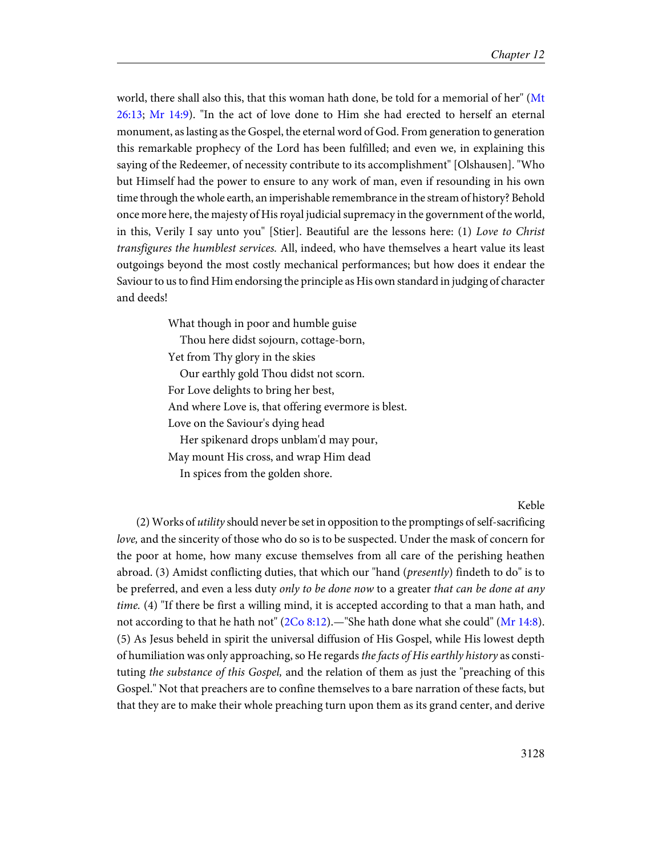world, there shall also this, that this woman hath done, be told for a memorial of her" ([Mt](http://www.ccel.org/study/Bible:Matt.26.13) [26:13;](http://www.ccel.org/study/Bible:Matt.26.13) [Mr 14:9\)](http://www.ccel.org/study/Bible:Mark.14.9). "In the act of love done to Him she had erected to herself an eternal monument, as lasting as the Gospel, the eternal word of God. From generation to generation this remarkable prophecy of the Lord has been fulfilled; and even we, in explaining this saying of the Redeemer, of necessity contribute to its accomplishment" [Olshausen]. "Who but Himself had the power to ensure to any work of man, even if resounding in his own time through the whole earth, an imperishable remembrance in the stream of history? Behold once more here, the majesty of His royal judicial supremacy in the government of the world, in this, Verily I say unto you" [Stier]. Beautiful are the lessons here: (1) Love to Christ transfigures the humblest services. All, indeed, who have themselves a heart value its least outgoings beyond the most costly mechanical performances; but how does it endear the Saviour to us to find Him endorsing the principle as His own standard in judging of character and deeds!

What though in poor and humble guise

Thou here didst sojourn, cottage-born,

Yet from Thy glory in the skies

Our earthly gold Thou didst not scorn.

For Love delights to bring her best,

And where Love is, that offering evermore is blest.

Love on the Saviour's dying head

Her spikenard drops unblam'd may pour,

May mount His cross, and wrap Him dead

In spices from the golden shore.

Keble

(2) Works of utility should never be set in opposition to the promptings of self-sacrificing love, and the sincerity of those who do so is to be suspected. Under the mask of concern for the poor at home, how many excuse themselves from all care of the perishing heathen abroad. (3) Amidst conflicting duties, that which our "hand (*presently*) findeth to do" is to be preferred, and even a less duty only to be done now to a greater that can be done at any time. (4) "If there be first a willing mind, it is accepted according to that a man hath, and not according to that he hath not"  $(2Co 8:12)$  $(2Co 8:12)$ .—"She hath done what she could"  $(Mr 14:8)$  $(Mr 14:8)$ . (5) As Jesus beheld in spirit the universal diffusion of His Gospel, while His lowest depth of humiliation was only approaching, so He regards the facts of His earthly history as constituting the substance of this Gospel, and the relation of them as just the "preaching of this Gospel." Not that preachers are to confine themselves to a bare narration of these facts, but that they are to make their whole preaching turn upon them as its grand center, and derive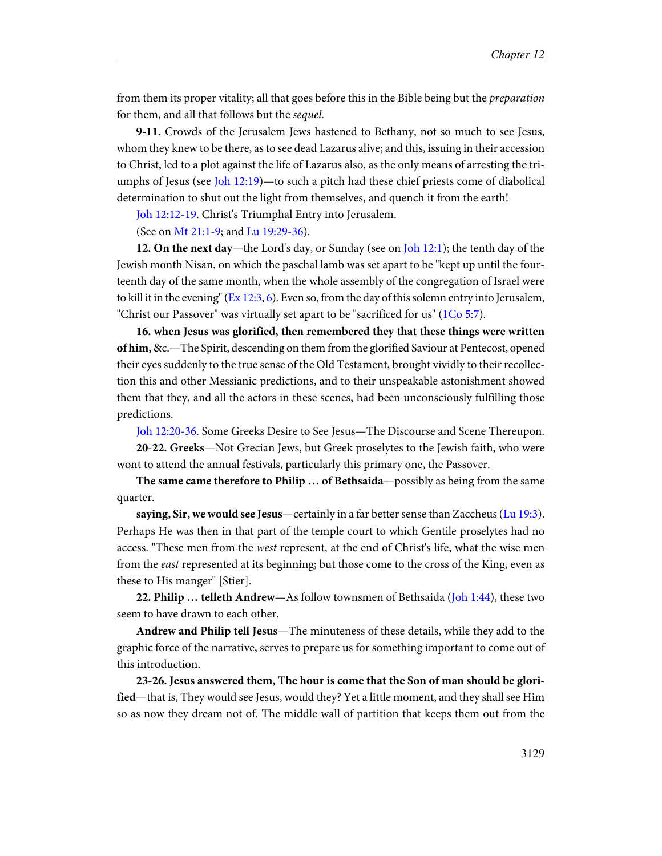from them its proper vitality; all that goes before this in the Bible being but the *preparation* for them, and all that follows but the sequel.

**9-11.** Crowds of the Jerusalem Jews hastened to Bethany, not so much to see Jesus, whom they knew to be there, as to see dead Lazarus alive; and this, issuing in their accession to Christ, led to a plot against the life of Lazarus also, as the only means of arresting the tri-umphs of Jesus (see [Joh 12:19\)](http://www.ccel.org/study/Bible:John.12.19)—to such a pitch had these chief priests come of diabolical determination to shut out the light from themselves, and quench it from the earth!

[Joh 12:12-19.](http://www.ccel.org/study/Bible:John.12.12-John.12.19) Christ's Triumphal Entry into Jerusalem.

(See on [Mt 21:1-9](http://www.ccel.org/study/Bible:Matt.21.1-Matt.21.9); and [Lu 19:29-36\)](http://www.ccel.org/study/Bible:Luke.19.29-Luke.19.36).

**12. On the next day**—the Lord's day, or Sunday (see on [Joh 12:1](http://www.ccel.org/study/Bible:John.12.1)); the tenth day of the Jewish month Nisan, on which the paschal lamb was set apart to be "kept up until the fourteenth day of the same month, when the whole assembly of the congregation of Israel were to kill it in the evening"  $(Ex 12:3, 6)$  $(Ex 12:3, 6)$  $(Ex 12:3, 6)$ . Even so, from the day of this solemn entry into Jerusalem, "Christ our Passover" was virtually set apart to be "sacrificed for us" ( $1Co$  5:7).

**16. when Jesus was glorified, then remembered they that these things were written of him,** &c.—The Spirit, descending on them from the glorified Saviour at Pentecost, opened their eyes suddenly to the true sense of the Old Testament, brought vividly to their recollection this and other Messianic predictions, and to their unspeakable astonishment showed them that they, and all the actors in these scenes, had been unconsciously fulfilling those predictions.

[Joh 12:20-36.](http://www.ccel.org/study/Bible:John.12.20-John.12.36) Some Greeks Desire to See Jesus—The Discourse and Scene Thereupon.

**20-22. Greeks**—Not Grecian Jews, but Greek proselytes to the Jewish faith, who were wont to attend the annual festivals, particularly this primary one, the Passover.

**The same came therefore to Philip … of Bethsaida**—possibly as being from the same quarter.

**saying, Sir, we would see Jesus**—certainly in a far better sense than Zaccheus ([Lu 19:3\)](http://www.ccel.org/study/Bible:Luke.19.3). Perhaps He was then in that part of the temple court to which Gentile proselytes had no access. "These men from the west represent, at the end of Christ's life, what the wise men from the *east* represented at its beginning; but those come to the cross of the King, even as these to His manger" [Stier].

**22. Philip … telleth Andrew**—As follow townsmen of Bethsaida ([Joh 1:44\)](http://www.ccel.org/study/Bible:John.1.44), these two seem to have drawn to each other.

**Andrew and Philip tell Jesus**—The minuteness of these details, while they add to the graphic force of the narrative, serves to prepare us for something important to come out of this introduction.

**23-26. Jesus answered them, The hour is come that the Son of man should be glorified**—that is, They would see Jesus, would they? Yet a little moment, and they shall see Him so as now they dream not of. The middle wall of partition that keeps them out from the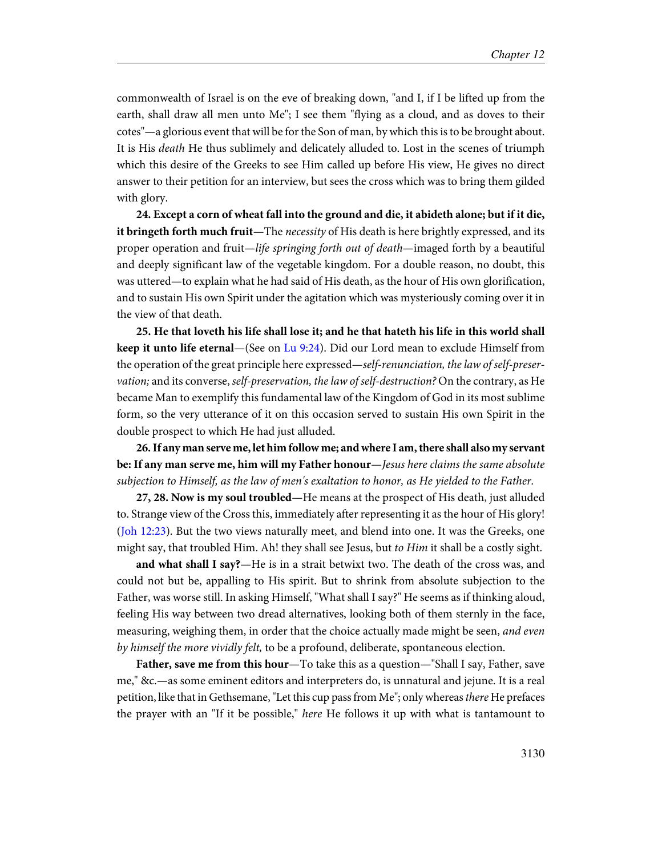commonwealth of Israel is on the eve of breaking down, "and I, if I be lifted up from the earth, shall draw all men unto Me"; I see them "flying as a cloud, and as doves to their cotes"—a glorious event that will be for the Son of man, by which this is to be brought about. It is His death He thus sublimely and delicately alluded to. Lost in the scenes of triumph which this desire of the Greeks to see Him called up before His view, He gives no direct answer to their petition for an interview, but sees the cross which was to bring them gilded with glory.

**24. Except a corn of wheat fall into the ground and die, it abideth alone; but if it die, it bringeth forth much fruit**—The necessity of His death is here brightly expressed, and its proper operation and fruit—life springing forth out of death—imaged forth by a beautiful and deeply significant law of the vegetable kingdom. For a double reason, no doubt, this was uttered—to explain what he had said of His death, as the hour of His own glorification, and to sustain His own Spirit under the agitation which was mysteriously coming over it in the view of that death.

**25. He that loveth his life shall lose it; and he that hateth his life in this world shall keep it unto life eternal**—(See on [Lu 9:24\)](http://www.ccel.org/study/Bible:Luke.9.24). Did our Lord mean to exclude Himself from the operation of the great principle here expressed—self-renunciation, the law of self-preservation; and its converse, self-preservation, the law of self-destruction? On the contrary, as He became Man to exemplify this fundamental law of the Kingdom of God in its most sublime form, so the very utterance of it on this occasion served to sustain His own Spirit in the double prospect to which He had just alluded.

**26. If any man serve me, let him follow me; and where I am, there shall also my servant be: If any man serve me, him will my Father honour**—Jesus here claims the same absolute subjection to Himself, as the law of men's exaltation to honor, as He yielded to the Father.

**27, 28. Now is my soul troubled**—He means at the prospect of His death, just alluded to. Strange view of the Cross this, immediately after representing it as the hour of His glory! ([Joh 12:23\)](http://www.ccel.org/study/Bible:John.12.23). But the two views naturally meet, and blend into one. It was the Greeks, one might say, that troubled Him. Ah! they shall see Jesus, but to Him it shall be a costly sight.

**and what shall I say?**—He is in a strait betwixt two. The death of the cross was, and could not but be, appalling to His spirit. But to shrink from absolute subjection to the Father, was worse still. In asking Himself, "What shall I say?" He seems as if thinking aloud, feeling His way between two dread alternatives, looking both of them sternly in the face, measuring, weighing them, in order that the choice actually made might be seen, and even by himself the more vividly felt, to be a profound, deliberate, spontaneous election.

**Father, save me from this hour**—To take this as a question—"Shall I say, Father, save me," &c.—as some eminent editors and interpreters do, is unnatural and jejune. It is a real petition, like that in Gethsemane, "Let this cup pass from Me"; only whereas *there* He prefaces the prayer with an "If it be possible," here He follows it up with what is tantamount to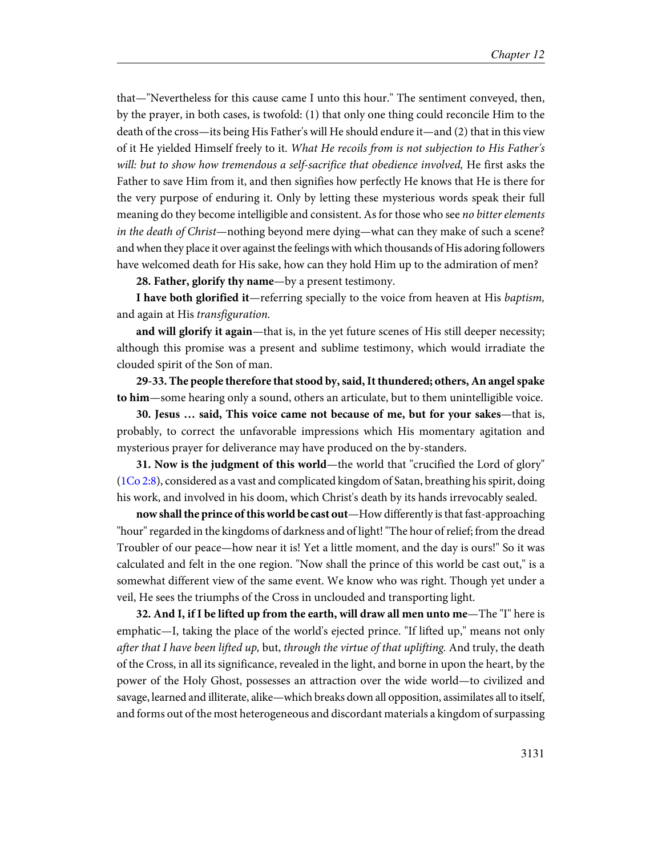that—"Nevertheless for this cause came I unto this hour." The sentiment conveyed, then, by the prayer, in both cases, is twofold: (1) that only one thing could reconcile Him to the death of the cross—its being His Father's will He should endure it—and (2) that in this view of it He yielded Himself freely to it. What He recoils from is not subjection to His Father's will: but to show how tremendous a self-sacrifice that obedience involved, He first asks the Father to save Him from it, and then signifies how perfectly He knows that He is there for the very purpose of enduring it. Only by letting these mysterious words speak their full meaning do they become intelligible and consistent. As for those who see no bitter elements in the death of Christ-nothing beyond mere dying-what can they make of such a scene? and when they place it over against the feelings with which thousands of His adoring followers have welcomed death for His sake, how can they hold Him up to the admiration of men?

**28. Father, glorify thy name**—by a present testimony.

**I have both glorified it**—referring specially to the voice from heaven at His baptism, and again at His transfiguration.

**and will glorify it again**—that is, in the yet future scenes of His still deeper necessity; although this promise was a present and sublime testimony, which would irradiate the clouded spirit of the Son of man.

**29-33. The people therefore that stood by, said, It thundered; others, An angel spake to him**—some hearing only a sound, others an articulate, but to them unintelligible voice.

**30. Jesus … said, This voice came not because of me, but for your sakes**—that is, probably, to correct the unfavorable impressions which His momentary agitation and mysterious prayer for deliverance may have produced on the by-standers.

**31. Now is the judgment of this world**—the world that "crucified the Lord of glory" ([1Co 2:8\)](http://www.ccel.org/study/Bible:1Cor.2.8), considered as a vast and complicated kingdom of Satan, breathing his spirit, doing his work, and involved in his doom, which Christ's death by its hands irrevocably sealed.

**now shall the prince of this world be cast out**—How differently is that fast-approaching "hour" regarded in the kingdoms of darkness and of light! "The hour of relief; from the dread Troubler of our peace—how near it is! Yet a little moment, and the day is ours!" So it was calculated and felt in the one region. "Now shall the prince of this world be cast out," is a somewhat different view of the same event. We know who was right. Though yet under a veil, He sees the triumphs of the Cross in unclouded and transporting light.

**32. And I, if I be lifted up from the earth, will draw all men unto me**—The "I" here is emphatic—I, taking the place of the world's ejected prince. "If lifted up," means not only after that I have been lifted up, but, through the virtue of that uplifting. And truly, the death of the Cross, in all its significance, revealed in the light, and borne in upon the heart, by the power of the Holy Ghost, possesses an attraction over the wide world—to civilized and savage, learned and illiterate, alike—which breaks down all opposition, assimilates all to itself, and forms out of the most heterogeneous and discordant materials a kingdom of surpassing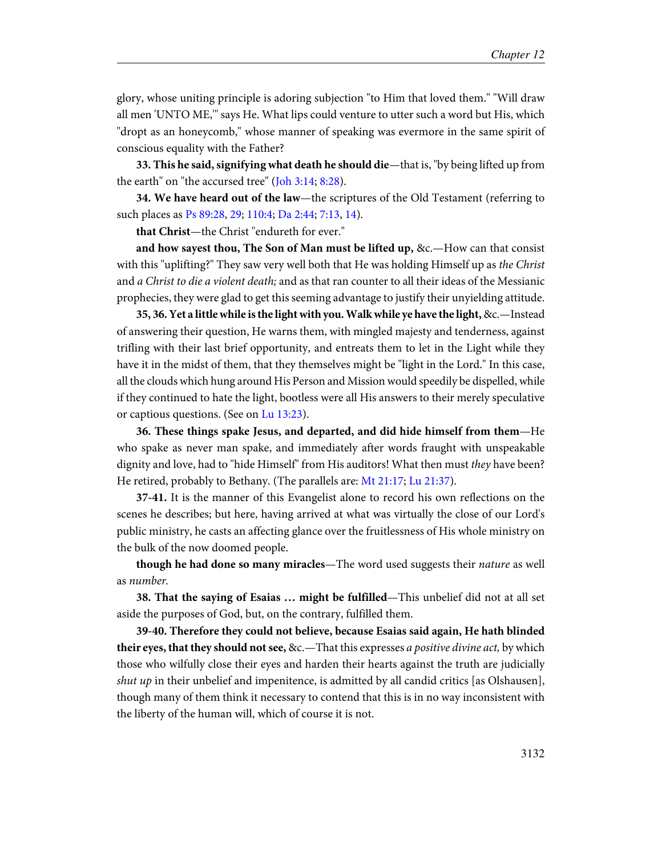glory, whose uniting principle is adoring subjection "to Him that loved them." "Will draw all men 'UNTO ME,'" says He. What lips could venture to utter such a word but His, which "dropt as an honeycomb," whose manner of speaking was evermore in the same spirit of conscious equality with the Father?

**33. This he said, signifying what death he should die**—that is, "by being lifted up from the earth" on "the accursed tree" ([Joh 3:14;](http://www.ccel.org/study/Bible:John.3.14) [8:28](http://www.ccel.org/study/Bible:John.8.28)).

**34. We have heard out of the law**—the scriptures of the Old Testament (referring to such places as [Ps 89:28,](http://www.ccel.org/study/Bible:Ps.89.28) [29](http://www.ccel.org/study/Bible:Ps.89.29); [110:4](http://www.ccel.org/study/Bible:Ps.110.4); [Da 2:44;](http://www.ccel.org/study/Bible:Dan.2.44) [7:13](http://www.ccel.org/study/Bible:Dan.7.13), [14\)](http://www.ccel.org/study/Bible:Dan.7.14).

**that Christ**—the Christ "endureth for ever."

**and how sayest thou, The Son of Man must be lifted up,** &c.—How can that consist with this "uplifting?" They saw very well both that He was holding Himself up as the Christ and a Christ to die a violent death; and as that ran counter to all their ideas of the Messianic prophecies, they were glad to get this seeming advantage to justify their unyielding attitude.

**35, 36. Yet a little while is the light with you. Walk while ye have the light,** &c.—Instead of answering their question, He warns them, with mingled majesty and tenderness, against trifling with their last brief opportunity, and entreats them to let in the Light while they have it in the midst of them, that they themselves might be "light in the Lord." In this case, all the clouds which hung around His Person and Mission would speedily be dispelled, while if they continued to hate the light, bootless were all His answers to their merely speculative or captious questions. (See on [Lu 13:23\)](http://www.ccel.org/study/Bible:Luke.13.23).

**36. These things spake Jesus, and departed, and did hide himself from them**—He who spake as never man spake, and immediately after words fraught with unspeakable dignity and love, had to "hide Himself" from His auditors! What then must they have been? He retired, probably to Bethany. (The parallels are: [Mt 21:17](http://www.ccel.org/study/Bible:Matt.21.17); [Lu 21:37](http://www.ccel.org/study/Bible:Luke.21.37)).

**37-41.** It is the manner of this Evangelist alone to record his own reflections on the scenes he describes; but here, having arrived at what was virtually the close of our Lord's public ministry, he casts an affecting glance over the fruitlessness of His whole ministry on the bulk of the now doomed people.

**though he had done so many miracles**—The word used suggests their nature as well as number.

**38. That the saying of Esaias … might be fulfilled**—This unbelief did not at all set aside the purposes of God, but, on the contrary, fulfilled them.

**39-40. Therefore they could not believe, because Esaias said again, He hath blinded their eyes, that they should not see,** &c.—That this expresses a positive divine act, by which those who wilfully close their eyes and harden their hearts against the truth are judicially *shut up* in their unbelief and impenitence, is admitted by all candid critics [as Olshausen], though many of them think it necessary to contend that this is in no way inconsistent with the liberty of the human will, which of course it is not.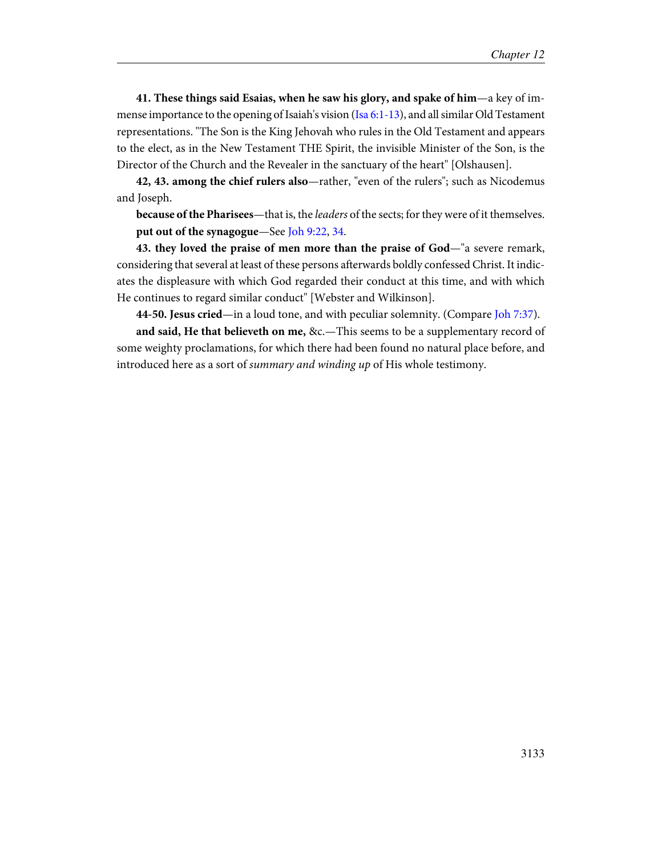**41. These things said Esaias, when he saw his glory, and spake of him**—a key of im-mense importance to the opening of Isaiah's vision ([Isa 6:1-13\)](http://www.ccel.org/study/Bible:Isa.6.1-Isa.6.13), and all similar Old Testament representations. "The Son is the King Jehovah who rules in the Old Testament and appears to the elect, as in the New Testament THE Spirit, the invisible Minister of the Son, is the Director of the Church and the Revealer in the sanctuary of the heart" [Olshausen].

**42, 43. among the chief rulers also**—rather, "even of the rulers"; such as Nicodemus and Joseph.

**because of the Pharisees**—that is, the leaders of the sects; for they were of it themselves. **put out of the synagogue**—See [Joh 9:22](http://www.ccel.org/study/Bible:John.9.22), [34.](http://www.ccel.org/study/Bible:John.9.34)

**43. they loved the praise of men more than the praise of God**—"a severe remark, considering that several at least of these persons afterwards boldly confessed Christ. It indicates the displeasure with which God regarded their conduct at this time, and with which He continues to regard similar conduct" [Webster and Wilkinson].

**44-50. Jesus cried**—in a loud tone, and with peculiar solemnity. (Compare [Joh 7:37](http://www.ccel.org/study/Bible:John.7.37)).

**and said, He that believeth on me,** &c.—This seems to be a supplementary record of some weighty proclamations, for which there had been found no natural place before, and introduced here as a sort of summary and winding up of His whole testimony.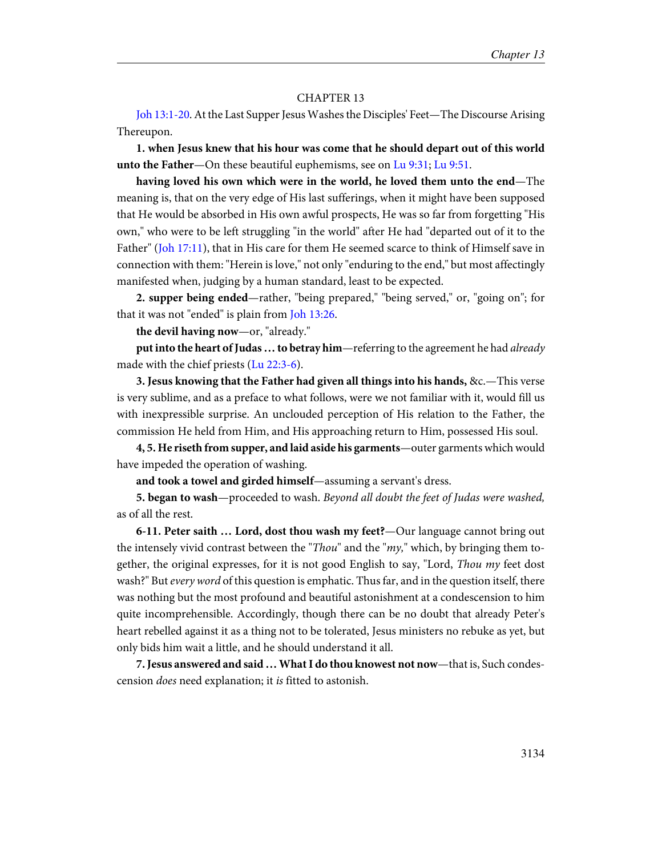## CHAPTER 13

[Joh 13:1-20](http://www.ccel.org/study/Bible:John.13.1-John.13.20). At the Last Supper Jesus Washes the Disciples' Feet—The Discourse Arising Thereupon.

**1. when Jesus knew that his hour was come that he should depart out of this world unto the Father**—On these beautiful euphemisms, see on [Lu 9:31](http://www.ccel.org/study/Bible:Luke.9.31); [Lu 9:51](http://www.ccel.org/study/Bible:Luke.9.51).

**having loved his own which were in the world, he loved them unto the end**—The meaning is, that on the very edge of His last sufferings, when it might have been supposed that He would be absorbed in His own awful prospects, He was so far from forgetting "His own," who were to be left struggling "in the world" after He had "departed out of it to the Father" [\(Joh 17:11\)](http://www.ccel.org/study/Bible:John.17.11), that in His care for them He seemed scarce to think of Himself save in connection with them: "Herein is love," not only "enduring to the end," but most affectingly manifested when, judging by a human standard, least to be expected.

**2. supper being ended**—rather, "being prepared," "being served," or, "going on"; for that it was not "ended" is plain from [Joh 13:26.](http://www.ccel.org/study/Bible:John.13.26)

**the devil having now**—or, "already."

**put into the heart of Judas … to betray him**—referring to the agreement he had already made with the chief priests [\(Lu 22:3-6](http://www.ccel.org/study/Bible:Luke.22.3-Luke.22.6)).

**3. Jesus knowing that the Father had given all things into his hands,** &c.—This verse is very sublime, and as a preface to what follows, were we not familiar with it, would fill us with inexpressible surprise. An unclouded perception of His relation to the Father, the commission He held from Him, and His approaching return to Him, possessed His soul.

**4, 5. He riseth from supper, and laid aside his garments**—outer garments which would have impeded the operation of washing.

**and took a towel and girded himself**—assuming a servant's dress.

**5. began to wash**—proceeded to wash. Beyond all doubt the feet of Judas were washed, as of all the rest.

**6-11. Peter saith … Lord, dost thou wash my feet?**—Our language cannot bring out the intensely vivid contrast between the "Thou" and the " $my$ ," which, by bringing them together, the original expresses, for it is not good English to say, "Lord, Thou my feet dost wash?" But every word of this question is emphatic. Thus far, and in the question itself, there was nothing but the most profound and beautiful astonishment at a condescension to him quite incomprehensible. Accordingly, though there can be no doubt that already Peter's heart rebelled against it as a thing not to be tolerated, Jesus ministers no rebuke as yet, but only bids him wait a little, and he should understand it all.

**7. Jesus answered and said … What I do thou knowest not now**—that is, Such condescension does need explanation; it is fitted to astonish.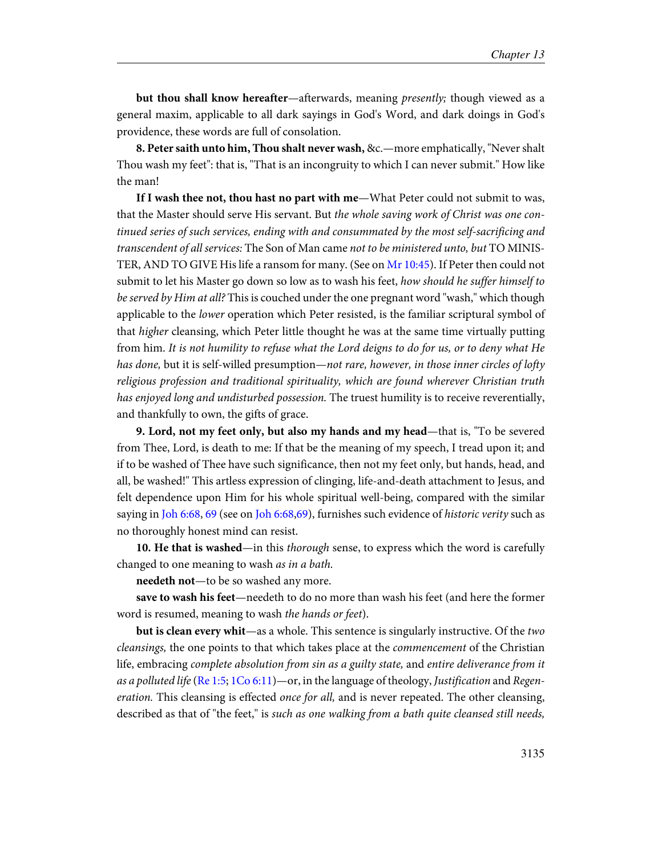**but thou shall know hereafter**—afterwards, meaning presently; though viewed as a general maxim, applicable to all dark sayings in God's Word, and dark doings in God's providence, these words are full of consolation.

**8. Peter saith unto him, Thou shalt never wash,** &c.—more emphatically, "Never shalt Thou wash my feet": that is, "That is an incongruity to which I can never submit." How like the man!

**If I wash thee not, thou hast no part with me**—What Peter could not submit to was, that the Master should serve His servant. But the whole saving work of Christ was one continued series of such services, ending with and consummated by the most self-sacrificing and transcendent of all services: The Son of Man came not to be ministered unto, but TO MINIS-TER, AND TO GIVE His life a ransom for many. (See on [Mr 10:45\)](http://www.ccel.org/study/Bible:Mark.10.45). If Peter then could not submit to let his Master go down so low as to wash his feet, how should he suffer himself to be served by Him at all? This is couched under the one pregnant word "wash," which though applicable to the lower operation which Peter resisted, is the familiar scriptural symbol of that *higher* cleansing, which Peter little thought he was at the same time virtually putting from him. It is not humility to refuse what the Lord deigns to do for us, or to deny what He has done, but it is self-willed presumption—not rare, however, in those inner circles of lofty religious profession and traditional spirituality, which are found wherever Christian truth has enjoyed long and undisturbed possession. The truest humility is to receive reverentially, and thankfully to own, the gifts of grace.

**9. Lord, not my feet only, but also my hands and my head**—that is, "To be severed from Thee, Lord, is death to me: If that be the meaning of my speech, I tread upon it; and if to be washed of Thee have such significance, then not my feet only, but hands, head, and all, be washed!" This artless expression of clinging, life-and-death attachment to Jesus, and felt dependence upon Him for his whole spiritual well-being, compared with the similar saying in [Joh 6:68](http://www.ccel.org/study/Bible:John.6.68), [69](http://www.ccel.org/study/Bible:John.6.69) (see on [Joh 6:68](http://www.ccel.org/study/Bible:John.6.68)[,69\)](http://www.ccel.org/study/Bible:John.6.69), furnishes such evidence of *historic verity* such as no thoroughly honest mind can resist.

10. He that is washed—in this thorough sense, to express which the word is carefully changed to one meaning to wash as in a bath.

**needeth not**—to be so washed any more.

**save to wash his feet**—needeth to do no more than wash his feet (and here the former word is resumed, meaning to wash the hands or feet).

**but is clean every whit**—as a whole. This sentence is singularly instructive. Of the two cleansings, the one points to that which takes place at the commencement of the Christian life, embracing complete absolution from sin as a guilty state, and entire deliverance from it as a polluted life [\(Re 1:5](http://www.ccel.org/study/Bible:Rev.1.5); [1Co 6:11\)](http://www.ccel.org/study/Bible:1Cor.6.11)—or, in the language of theology, Justification and Regeneration. This cleansing is effected once for all, and is never repeated. The other cleansing, described as that of "the feet," is such as one walking from a bath quite cleansed still needs,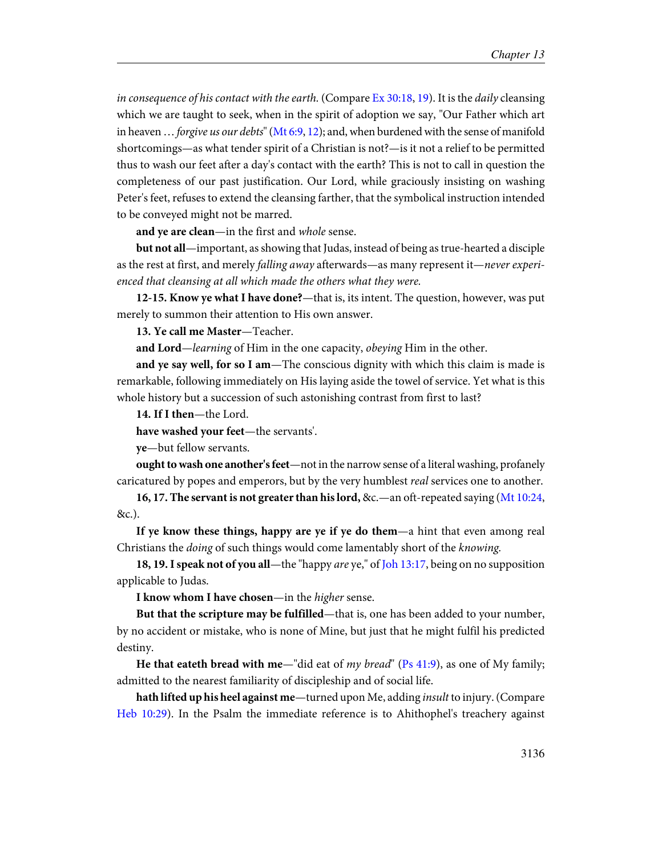in consequence of his contact with the earth. (Compare [Ex 30:18,](http://www.ccel.org/study/Bible:Exod.30.18) [19\)](http://www.ccel.org/study/Bible:Exod.30.19). It is the *daily* cleansing which we are taught to seek, when in the spirit of adoption we say, "Our Father which art in heaven  $\ldots$  forgive us our debts" ([Mt 6:9](http://www.ccel.org/study/Bible:Matt.6.9), [12\)](http://www.ccel.org/study/Bible:Matt.6.12); and, when burdened with the sense of manifold shortcomings—as what tender spirit of a Christian is not?—is it not a relief to be permitted thus to wash our feet after a day's contact with the earth? This is not to call in question the completeness of our past justification. Our Lord, while graciously insisting on washing Peter's feet, refuses to extend the cleansing farther, that the symbolical instruction intended to be conveyed might not be marred.

**and ye are clean**—in the first and whole sense.

**but not all**—important, as showing that Judas, instead of being as true-hearted a disciple as the rest at first, and merely *falling away* afterwards—as many represent it—*never experi*enced that cleansing at all which made the others what they were.

**12-15. Know ye what I have done?**—that is, its intent. The question, however, was put merely to summon their attention to His own answer.

**13. Ye call me Master**—Teacher.

**and Lord**—learning of Him in the one capacity, obeying Him in the other.

**and ye say well, for so I am**—The conscious dignity with which this claim is made is remarkable, following immediately on His laying aside the towel of service. Yet what is this whole history but a succession of such astonishing contrast from first to last?

**14. If I then**—the Lord.

**have washed your feet**—the servants'.

**ye**—but fellow servants.

**ought to wash one another's feet**—not in the narrow sense of a literal washing, profanely caricatured by popes and emperors, but by the very humblest real services one to another.

**16, 17. The servant is not greater than his lord,** &c.—an oft-repeated saying ([Mt 10:24,](http://www.ccel.org/study/Bible:Matt.10.24) &c.).

**If ye know these things, happy are ye if ye do them**—a hint that even among real Christians the doing of such things would come lamentably short of the knowing.

**18, 19. I speak not of you all**—the "happy are ye," of [Joh 13:17,](http://www.ccel.org/study/Bible:John.13.17) being on no supposition applicable to Judas.

**I know whom I have chosen**—in the higher sense.

**But that the scripture may be fulfilled**—that is, one has been added to your number, by no accident or mistake, who is none of Mine, but just that he might fulfil his predicted destiny.

**He that eateth bread with me**—"did eat of my bread" ([Ps 41:9\)](http://www.ccel.org/study/Bible:Ps.41.9), as one of My family; admitted to the nearest familiarity of discipleship and of social life.

**hath lifted up his heel against me**—turned upon Me, adding insult to injury. (Compare [Heb 10:29](http://www.ccel.org/study/Bible:Heb.10.29)). In the Psalm the immediate reference is to Ahithophel's treachery against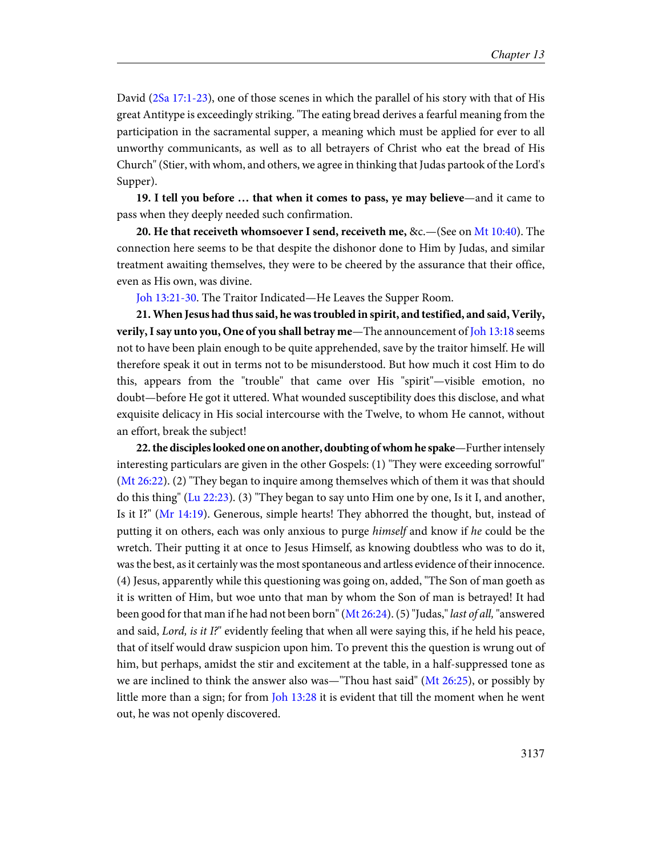David [\(2Sa 17:1-23](http://www.ccel.org/study/Bible:2Sam.17.1-2Sam.17.23)), one of those scenes in which the parallel of his story with that of His great Antitype is exceedingly striking. "The eating bread derives a fearful meaning from the participation in the sacramental supper, a meaning which must be applied for ever to all unworthy communicants, as well as to all betrayers of Christ who eat the bread of His Church" (Stier, with whom, and others, we agree in thinking that Judas partook of the Lord's Supper).

**19. I tell you before … that when it comes to pass, ye may believe**—and it came to pass when they deeply needed such confirmation.

**20. He that receiveth whomsoever I send, receiveth me,** &c.—(See on [Mt 10:40\)](http://www.ccel.org/study/Bible:Matt.10.40). The connection here seems to be that despite the dishonor done to Him by Judas, and similar treatment awaiting themselves, they were to be cheered by the assurance that their office, even as His own, was divine.

[Joh 13:21-30.](http://www.ccel.org/study/Bible:John.13.21-John.13.30) The Traitor Indicated—He Leaves the Supper Room.

**21. When Jesus had thus said, he was troubled in spirit, and testified, and said, Verily, verily, I say unto you, One of you shall betray me**—The announcement of [Joh 13:18](http://www.ccel.org/study/Bible:John.13.18) seems not to have been plain enough to be quite apprehended, save by the traitor himself. He will therefore speak it out in terms not to be misunderstood. But how much it cost Him to do this, appears from the "trouble" that came over His "spirit"—visible emotion, no doubt—before He got it uttered. What wounded susceptibility does this disclose, and what exquisite delicacy in His social intercourse with the Twelve, to whom He cannot, without an effort, break the subject!

**22. the disciples looked one on another, doubting of whom he spake**—Further intensely interesting particulars are given in the other Gospels: (1) "They were exceeding sorrowful" ([Mt 26:22\)](http://www.ccel.org/study/Bible:Matt.26.22). (2) "They began to inquire among themselves which of them it was that should do this thing" ([Lu 22:23\)](http://www.ccel.org/study/Bible:Luke.22.23). (3) "They began to say unto Him one by one, Is it I, and another, Is it I?" [\(Mr 14:19](http://www.ccel.org/study/Bible:Mark.14.19)). Generous, simple hearts! They abhorred the thought, but, instead of putting it on others, each was only anxious to purge *himself* and know if he could be the wretch. Their putting it at once to Jesus Himself, as knowing doubtless who was to do it, was the best, as it certainly was the most spontaneous and artless evidence of their innocence. (4) Jesus, apparently while this questioning was going on, added, "The Son of man goeth as it is written of Him, but woe unto that man by whom the Son of man is betrayed! It had been good for that man if he had not been born" [\(Mt 26:24](http://www.ccel.org/study/Bible:Matt.26.24)). (5) "Judas," *last of all*, "answered and said, Lord, is it I?" evidently feeling that when all were saying this, if he held his peace, that of itself would draw suspicion upon him. To prevent this the question is wrung out of him, but perhaps, amidst the stir and excitement at the table, in a half-suppressed tone as we are inclined to think the answer also was—"Thou hast said" [\(Mt 26:25\)](http://www.ccel.org/study/Bible:Matt.26.25), or possibly by little more than a sign; for from [Joh 13:28](http://www.ccel.org/study/Bible:John.13.28) it is evident that till the moment when he went out, he was not openly discovered.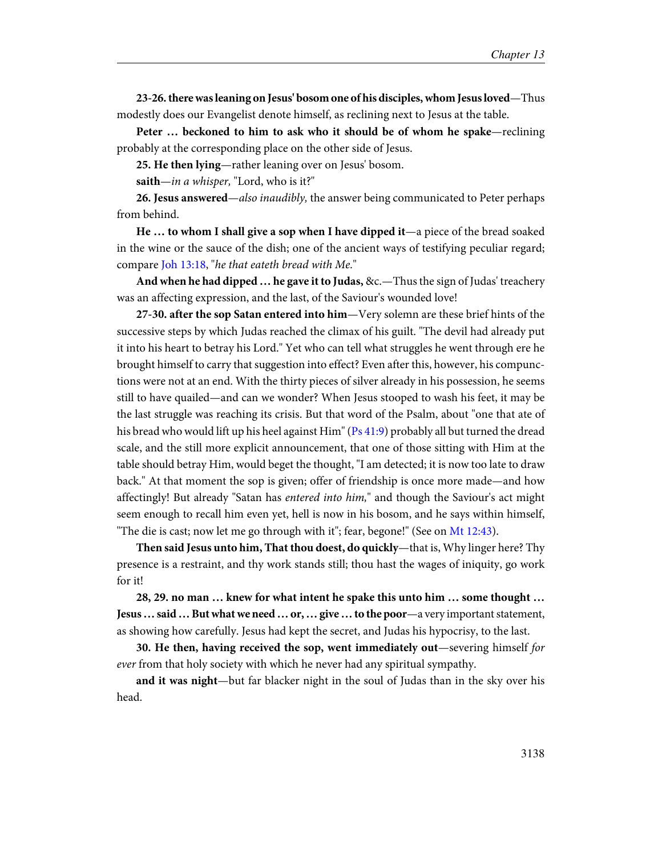**23-26. there was leaning on Jesus' bosom one of his disciples, whom Jesus loved**—Thus modestly does our Evangelist denote himself, as reclining next to Jesus at the table.

**Peter … beckoned to him to ask who it should be of whom he spake**—reclining probably at the corresponding place on the other side of Jesus.

**25. He then lying**—rather leaning over on Jesus' bosom.

**saith**—in a whisper, "Lord, who is it?"

**26. Jesus answered**—also inaudibly, the answer being communicated to Peter perhaps from behind.

**He … to whom I shall give a sop when I have dipped it**—a piece of the bread soaked in the wine or the sauce of the dish; one of the ancient ways of testifying peculiar regard; compare [Joh 13:18](http://www.ccel.org/study/Bible:John.13.18), "he that eateth bread with Me."

**And when he had dipped … he gave it to Judas,** &c.—Thus the sign of Judas' treachery was an affecting expression, and the last, of the Saviour's wounded love!

**27-30. after the sop Satan entered into him**—Very solemn are these brief hints of the successive steps by which Judas reached the climax of his guilt. "The devil had already put it into his heart to betray his Lord." Yet who can tell what struggles he went through ere he brought himself to carry that suggestion into effect? Even after this, however, his compunctions were not at an end. With the thirty pieces of silver already in his possession, he seems still to have quailed—and can we wonder? When Jesus stooped to wash his feet, it may be the last struggle was reaching its crisis. But that word of the Psalm, about "one that ate of his bread who would lift up his heel against Him" [\(Ps 41:9\)](http://www.ccel.org/study/Bible:Ps.41.9) probably all but turned the dread scale, and the still more explicit announcement, that one of those sitting with Him at the table should betray Him, would beget the thought, "I am detected; it is now too late to draw back." At that moment the sop is given; offer of friendship is once more made—and how affectingly! But already "Satan has entered into him," and though the Saviour's act might seem enough to recall him even yet, hell is now in his bosom, and he says within himself, "The die is cast; now let me go through with it"; fear, begone!" (See on [Mt 12:43](http://www.ccel.org/study/Bible:Matt.12.43)).

**Then said Jesus unto him, That thou doest, do quickly**—that is, Why linger here? Thy presence is a restraint, and thy work stands still; thou hast the wages of iniquity, go work for it!

**28, 29. no man … knew for what intent he spake this unto him … some thought … Jesus … said … But what we need … or, … give … to the poor**—a very important statement, as showing how carefully. Jesus had kept the secret, and Judas his hypocrisy, to the last.

**30. He then, having received the sop, went immediately out**—severing himself for ever from that holy society with which he never had any spiritual sympathy.

**and it was night**—but far blacker night in the soul of Judas than in the sky over his head.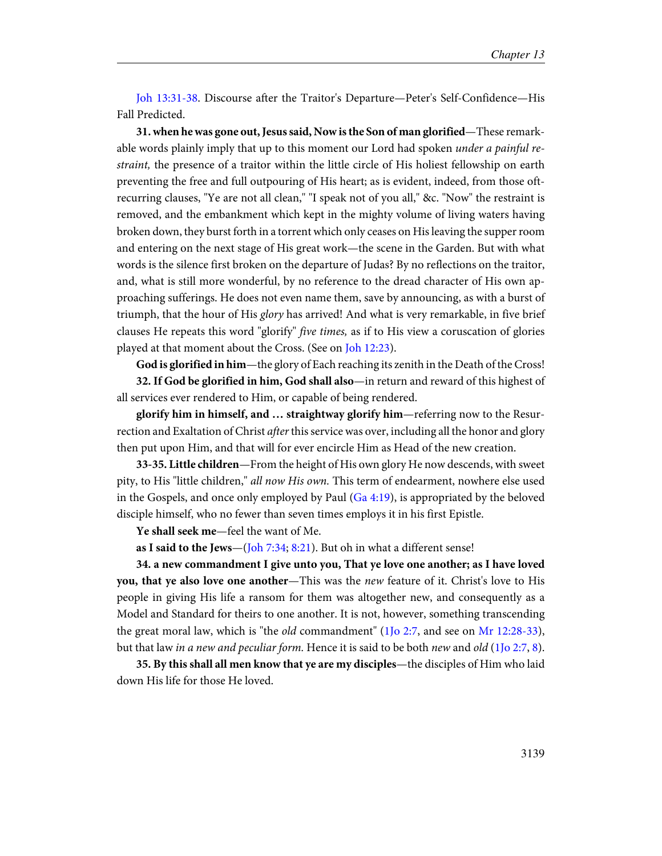[Joh 13:31-38.](http://www.ccel.org/study/Bible:John.13.31-John.13.38) Discourse after the Traitor's Departure—Peter's Self-Confidence—His Fall Predicted.

**31. when he was gone out, Jesus said, Now is the Son of man glorified**—These remarkable words plainly imply that up to this moment our Lord had spoken *under a painful re*straint, the presence of a traitor within the little circle of His holiest fellowship on earth preventing the free and full outpouring of His heart; as is evident, indeed, from those oftrecurring clauses, "Ye are not all clean," "I speak not of you all," &c. "Now" the restraint is removed, and the embankment which kept in the mighty volume of living waters having broken down, they burst forth in a torrent which only ceases on His leaving the supper room and entering on the next stage of His great work—the scene in the Garden. But with what words is the silence first broken on the departure of Judas? By no reflections on the traitor, and, what is still more wonderful, by no reference to the dread character of His own approaching sufferings. He does not even name them, save by announcing, as with a burst of triumph, that the hour of His glory has arrived! And what is very remarkable, in five brief clauses He repeats this word "glorify" five times, as if to His view a coruscation of glories played at that moment about the Cross. (See on [Joh 12:23\)](http://www.ccel.org/study/Bible:John.12.23).

**God is glorified in him**—the glory of Each reaching its zenith in the Death of the Cross!

**32. If God be glorified in him, God shall also**—in return and reward of this highest of all services ever rendered to Him, or capable of being rendered.

**glorify him in himself, and … straightway glorify him**—referring now to the Resurrection and Exaltation of Christ *after* this service was over, including all the honor and glory then put upon Him, and that will for ever encircle Him as Head of the new creation.

**33-35. Little children**—From the height of His own glory He now descends, with sweet pity, to His "little children," all now His own. This term of endearment, nowhere else used in the Gospels, and once only employed by Paul [\(Ga 4:19\)](http://www.ccel.org/study/Bible:Gal.4.19), is appropriated by the beloved disciple himself, who no fewer than seven times employs it in his first Epistle.

**Ye shall seek me**—feel the want of Me.

**as I said to the Jews**—([Joh 7:34;](http://www.ccel.org/study/Bible:John.7.34) [8:21\)](http://www.ccel.org/study/Bible:John.8.21). But oh in what a different sense!

**34. a new commandment I give unto you, That ye love one another; as I have loved you, that ye also love one another**—This was the new feature of it. Christ's love to His people in giving His life a ransom for them was altogether new, and consequently as a Model and Standard for theirs to one another. It is not, however, something transcending the great moral law, which is "the *old* commandment" ([1Jo 2:7](http://www.ccel.org/study/Bible:1John.2.7), and see on [Mr 12:28-33\)](http://www.ccel.org/study/Bible:Mark.12.28-Mark.12.33), but that law in a new and peculiar form. Hence it is said to be both new and old  $(1]$ o 2:7, [8\)](http://www.ccel.org/study/Bible:1John.2.8).

**35. By this shall all men know that ye are my disciples**—the disciples of Him who laid down His life for those He loved.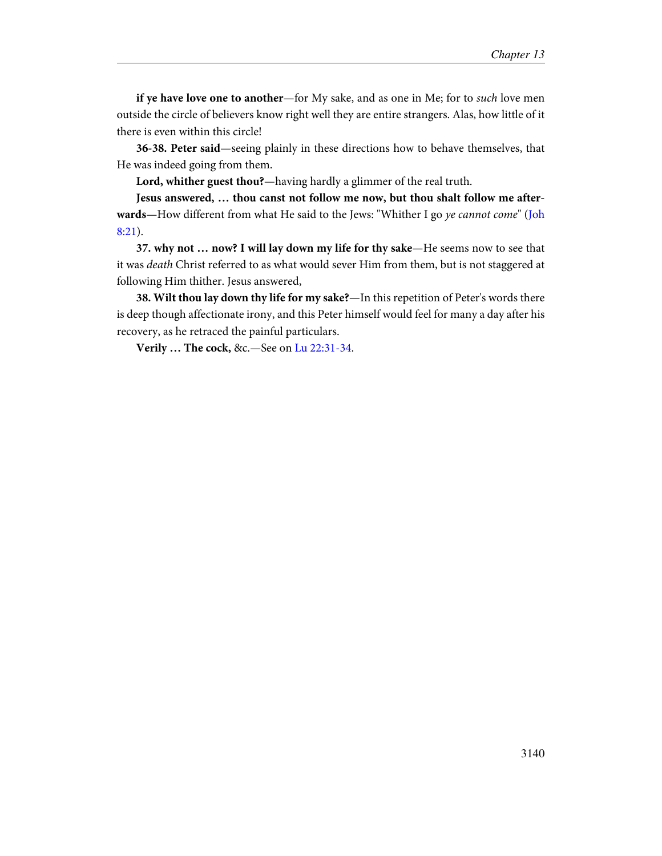**if ye have love one to another**—for My sake, and as one in Me; for to such love men outside the circle of believers know right well they are entire strangers. Alas, how little of it there is even within this circle!

**36-38. Peter said**—seeing plainly in these directions how to behave themselves, that He was indeed going from them.

**Lord, whither guest thou?**—having hardly a glimmer of the real truth.

**Jesus answered, … thou canst not follow me now, but thou shalt follow me afterwards**—How different from what He said to the Jews: "Whither I go ye cannot come" ([Joh](http://www.ccel.org/study/Bible:John.8.21) [8:21](http://www.ccel.org/study/Bible:John.8.21)).

**37. why not … now? I will lay down my life for thy sake**—He seems now to see that it was death Christ referred to as what would sever Him from them, but is not staggered at following Him thither. Jesus answered,

**38. Wilt thou lay down thy life for my sake?**—In this repetition of Peter's words there is deep though affectionate irony, and this Peter himself would feel for many a day after his recovery, as he retraced the painful particulars.

**Verily … The cock,** &c.—See on [Lu 22:31-34](http://www.ccel.org/study/Bible:Luke.22.31-Luke.22.34).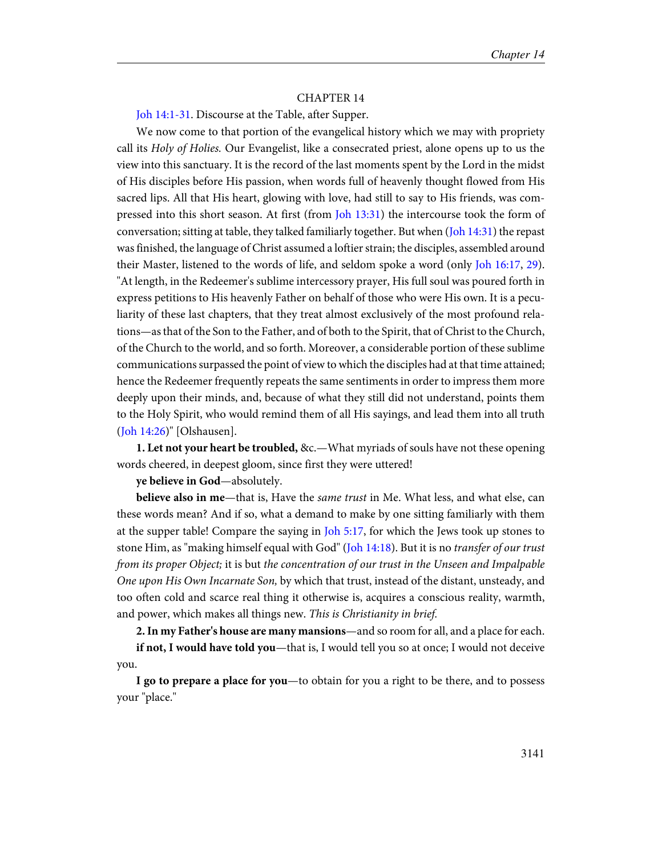## CHAPTER 14

[Joh 14:1-31](http://www.ccel.org/study/Bible:John.14.1-John.14.31). Discourse at the Table, after Supper.

We now come to that portion of the evangelical history which we may with propriety call its Holy of Holies. Our Evangelist, like a consecrated priest, alone opens up to us the view into this sanctuary. It is the record of the last moments spent by the Lord in the midst of His disciples before His passion, when words full of heavenly thought flowed from His sacred lips. All that His heart, glowing with love, had still to say to His friends, was compressed into this short season. At first (from [Joh 13:31](http://www.ccel.org/study/Bible:John.13.31)) the intercourse took the form of conversation; sitting at table, they talked familiarly together. But when ([Joh 14:31](http://www.ccel.org/study/Bible:John.14.31)) the repast was finished, the language of Christ assumed a loftier strain; the disciples, assembled around their Master, listened to the words of life, and seldom spoke a word (only [Joh 16:17,](http://www.ccel.org/study/Bible:John.16.17) [29\)](http://www.ccel.org/study/Bible:John.16.29). "At length, in the Redeemer's sublime intercessory prayer, His full soul was poured forth in express petitions to His heavenly Father on behalf of those who were His own. It is a peculiarity of these last chapters, that they treat almost exclusively of the most profound relations—as that of the Son to the Father, and of both to the Spirit, that of Christ to the Church, of the Church to the world, and so forth. Moreover, a considerable portion of these sublime communications surpassed the point of view to which the disciples had at that time attained; hence the Redeemer frequently repeats the same sentiments in order to impress them more deeply upon their minds, and, because of what they still did not understand, points them to the Holy Spirit, who would remind them of all His sayings, and lead them into all truth ([Joh 14:26](http://www.ccel.org/study/Bible:John.14.26))" [Olshausen].

**1. Let not your heart be troubled,** &c.—What myriads of souls have not these opening words cheered, in deepest gloom, since first they were uttered!

**ye believe in God**—absolutely.

**believe also in me**—that is, Have the same trust in Me. What less, and what else, can these words mean? And if so, what a demand to make by one sitting familiarly with them at the supper table! Compare the saying in [Joh 5:17](http://www.ccel.org/study/Bible:John.5.17), for which the Jews took up stones to stone Him, as "making himself equal with God" ([Joh 14:18\)](http://www.ccel.org/study/Bible:John.14.18). But it is no transfer of our trust from its proper Object; it is but the concentration of our trust in the Unseen and Impalpable One upon His Own Incarnate Son, by which that trust, instead of the distant, unsteady, and too often cold and scarce real thing it otherwise is, acquires a conscious reality, warmth, and power, which makes all things new. This is Christianity in brief.

**2. In my Father's house are many mansions**—and so room for all, and a place for each.

**if not, I would have told you**—that is, I would tell you so at once; I would not deceive you.

**I go to prepare a place for you**—to obtain for you a right to be there, and to possess your "place."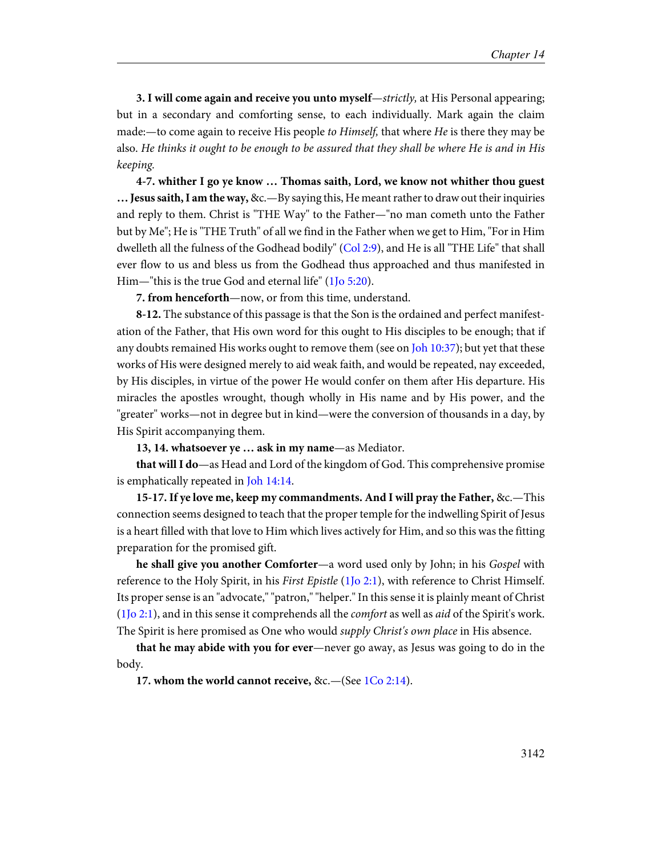**3. I will come again and receive you unto myself**—strictly, at His Personal appearing; but in a secondary and comforting sense, to each individually. Mark again the claim made:—to come again to receive His people to Himself, that where He is there they may be also. He thinks it ought to be enough to be assured that they shall be where He is and in His keeping.

**4-7. whither I go ye know … Thomas saith, Lord, we know not whither thou guest … Jesus saith, I am the way,** &c.—By saying this, He meant rather to draw out their inquiries and reply to them. Christ is "THE Way" to the Father—"no man cometh unto the Father but by Me"; He is "THE Truth" of all we find in the Father when we get to Him, "For in Him dwelleth all the fulness of the Godhead bodily" ([Col 2:9\)](http://www.ccel.org/study/Bible:Col.2.9), and He is all "THE Life" that shall ever flow to us and bless us from the Godhead thus approached and thus manifested in Him—"this is the true God and eternal life" [\(1Jo 5:20\)](http://www.ccel.org/study/Bible:1John.5.20).

**7. from henceforth**—now, or from this time, understand.

**8-12.** The substance of this passage is that the Son is the ordained and perfect manifestation of the Father, that His own word for this ought to His disciples to be enough; that if any doubts remained His works ought to remove them (see on Joh  $10:37$ ); but yet that these works of His were designed merely to aid weak faith, and would be repeated, nay exceeded, by His disciples, in virtue of the power He would confer on them after His departure. His miracles the apostles wrought, though wholly in His name and by His power, and the "greater" works—not in degree but in kind—were the conversion of thousands in a day, by His Spirit accompanying them.

**13, 14. whatsoever ye … ask in my name**—as Mediator.

**that will I do**—as Head and Lord of the kingdom of God. This comprehensive promise is emphatically repeated in [Joh 14:14.](http://www.ccel.org/study/Bible:John.14.14)

**15-17. If ye love me, keep my commandments. And I will pray the Father,** &c.—This connection seems designed to teach that the proper temple for the indwelling Spirit of Jesus is a heart filled with that love to Him which lives actively for Him, and so this was the fitting preparation for the promised gift.

**he shall give you another Comforter**—a word used only by John; in his Gospel with reference to the Holy Spirit, in his *First Epistle* [\(1Jo 2:1](http://www.ccel.org/study/Bible:1John.2.1)), with reference to Christ Himself. Its proper sense is an "advocate," "patron," "helper." In this sense it is plainly meant of Christ ([1Jo 2:1\)](http://www.ccel.org/study/Bible:1John.2.1), and in this sense it comprehends all the comfort as well as aid of the Spirit's work. The Spirit is here promised as One who would *supply Christ's own place* in His absence.

**that he may abide with you for ever**—never go away, as Jesus was going to do in the body.

**17. whom the world cannot receive,** &c.—(See [1Co 2:14\)](http://www.ccel.org/study/Bible:1Cor.2.14).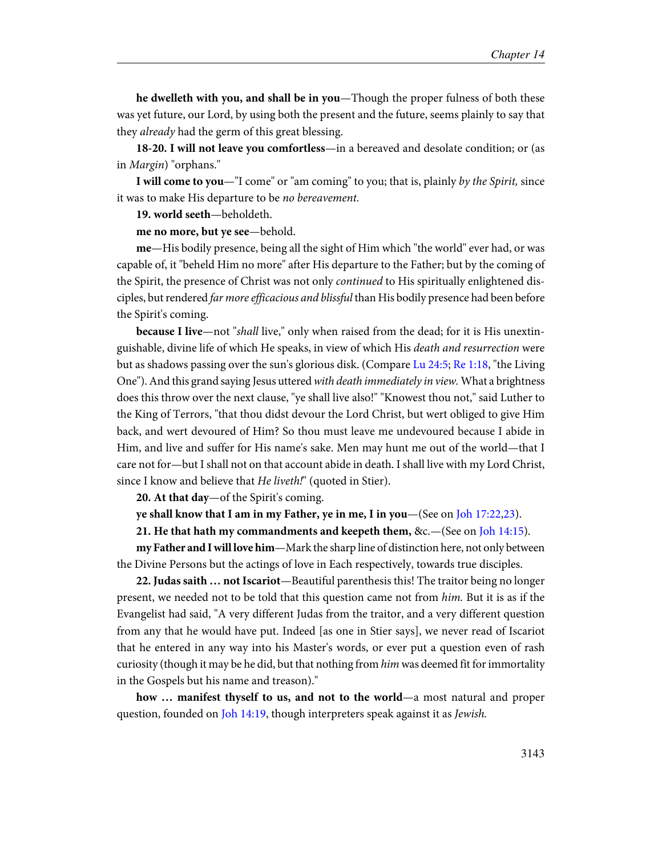**he dwelleth with you, and shall be in you**—Though the proper fulness of both these was yet future, our Lord, by using both the present and the future, seems plainly to say that they *already* had the germ of this great blessing.

**18-20. I will not leave you comfortless**—in a bereaved and desolate condition; or (as in Margin) "orphans."

**I will come to you**—"I come" or "am coming" to you; that is, plainly by the Spirit, since it was to make His departure to be no bereavement.

**19. world seeth**—beholdeth.

**me no more, but ye see**—behold.

**me**—His bodily presence, being all the sight of Him which "the world" ever had, or was capable of, it "beheld Him no more" after His departure to the Father; but by the coming of the Spirit, the presence of Christ was not only continued to His spiritually enlightened disciples, but rendered far more efficacious and blissful than His bodily presence had been before the Spirit's coming.

**because I live**—not "shall live," only when raised from the dead; for it is His unextinguishable, divine life of which He speaks, in view of which His death and resurrection were but as shadows passing over the sun's glorious disk. (Compare [Lu 24:5](http://www.ccel.org/study/Bible:Luke.24.5); [Re 1:18](http://www.ccel.org/study/Bible:Rev.1.18), "the Living One"). And this grand saying Jesus uttered *with death immediately in view*. What a brightness does this throw over the next clause, "ye shall live also!" "Knowest thou not," said Luther to the King of Terrors, "that thou didst devour the Lord Christ, but wert obliged to give Him back, and wert devoured of Him? So thou must leave me undevoured because I abide in Him, and live and suffer for His name's sake. Men may hunt me out of the world—that I care not for—but I shall not on that account abide in death. I shall live with my Lord Christ, since I know and believe that He liveth!" (quoted in Stier).

**20. At that day**—of the Spirit's coming.

**ye shall know that I am in my Father, ye in me, I in you**—(See on [Joh 17:22](http://www.ccel.org/study/Bible:John.17.22),[23](http://www.ccel.org/study/Bible:John.17.23)).

**21. He that hath my commandments and keepeth them,** &c.—(See on [Joh 14:15\)](http://www.ccel.org/study/Bible:John.14.15).

**my Father and I will love him**—Mark the sharp line of distinction here, not only between the Divine Persons but the actings of love in Each respectively, towards true disciples.

**22. Judas saith … not Iscariot**—Beautiful parenthesis this! The traitor being no longer present, we needed not to be told that this question came not from him. But it is as if the Evangelist had said, "A very different Judas from the traitor, and a very different question from any that he would have put. Indeed [as one in Stier says], we never read of Iscariot that he entered in any way into his Master's words, or ever put a question even of rash curiosity (though it may be he did, but that nothing from him was deemed fit for immortality in the Gospels but his name and treason)."

**how … manifest thyself to us, and not to the world**—a most natural and proper question, founded on [Joh 14:19,](http://www.ccel.org/study/Bible:John.14.19) though interpreters speak against it as *Jewish*.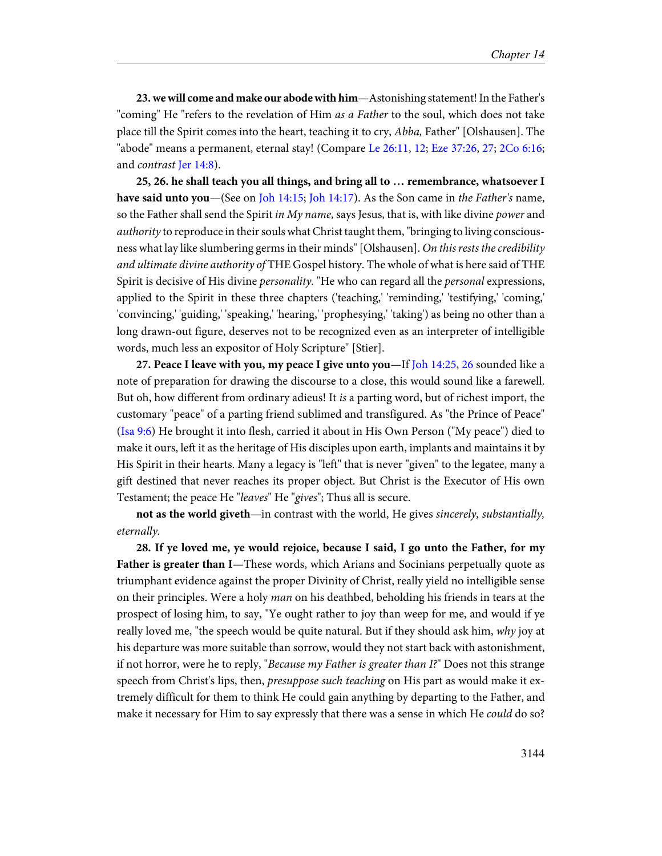**23. we will come and make our abode with him**—Astonishing statement! In the Father's "coming" He "refers to the revelation of Him as a Father to the soul, which does not take place till the Spirit comes into the heart, teaching it to cry, Abba, Father" [Olshausen]. The "abode" means a permanent, eternal stay! (Compare [Le 26:11](http://www.ccel.org/study/Bible:Lev.26.11), [12;](http://www.ccel.org/study/Bible:Lev.26.12) [Eze 37:26](http://www.ccel.org/study/Bible:Ezek.37.26), [27;](http://www.ccel.org/study/Bible:Ezek.37.27) [2Co 6:16;](http://www.ccel.org/study/Bible:2Cor.6.16) and contrast [Jer 14:8\)](http://www.ccel.org/study/Bible:Jer.14.8).

**25, 26. he shall teach you all things, and bring all to … remembrance, whatsoever I have said unto you**—(See on [Joh 14:15;](http://www.ccel.org/study/Bible:John.14.15) [Joh 14:17](http://www.ccel.org/study/Bible:John.14.17)). As the Son came in the Father's name, so the Father shall send the Spirit in My name, says Jesus, that is, with like divine power and authority to reproduce in their souls what Christ taught them, "bringing to living consciousness what lay like slumbering germs in their minds" [Olshausen]. On this rests the credibility and ultimate divine authority of THE Gospel history. The whole of what is here said of THE Spirit is decisive of His divine *personality*. "He who can regard all the *personal* expressions, applied to the Spirit in these three chapters ('teaching,' 'reminding,' 'testifying,' 'coming,' 'convincing,' 'guiding,' 'speaking,' 'hearing,' 'prophesying,' 'taking') as being no other than a long drawn-out figure, deserves not to be recognized even as an interpreter of intelligible words, much less an expositor of Holy Scripture" [Stier].

**27. Peace I leave with you, my peace I give unto you**—If [Joh 14:25](http://www.ccel.org/study/Bible:John.14.25), [26](http://www.ccel.org/study/Bible:John.14.26) sounded like a note of preparation for drawing the discourse to a close, this would sound like a farewell. But oh, how different from ordinary adieus! It is a parting word, but of richest import, the customary "peace" of a parting friend sublimed and transfigured. As "the Prince of Peace" ([Isa 9:6](http://www.ccel.org/study/Bible:Isa.9.6)) He brought it into flesh, carried it about in His Own Person ("My peace") died to make it ours, left it as the heritage of His disciples upon earth, implants and maintains it by His Spirit in their hearts. Many a legacy is "left" that is never "given" to the legatee, many a gift destined that never reaches its proper object. But Christ is the Executor of His own Testament; the peace He "leaves" He "gives"; Thus all is secure.

**not as the world giveth**—in contrast with the world, He gives sincerely, substantially, eternally.

**28. If ye loved me, ye would rejoice, because I said, I go unto the Father, for my Father is greater than I**—These words, which Arians and Socinians perpetually quote as triumphant evidence against the proper Divinity of Christ, really yield no intelligible sense on their principles. Were a holy man on his deathbed, beholding his friends in tears at the prospect of losing him, to say, "Ye ought rather to joy than weep for me, and would if ye really loved me, "the speech would be quite natural. But if they should ask him, why joy at his departure was more suitable than sorrow, would they not start back with astonishment, if not horror, were he to reply, "Because my Father is greater than I?" Does not this strange speech from Christ's lips, then, *presuppose such teaching* on His part as would make it extremely difficult for them to think He could gain anything by departing to the Father, and make it necessary for Him to say expressly that there was a sense in which He could do so?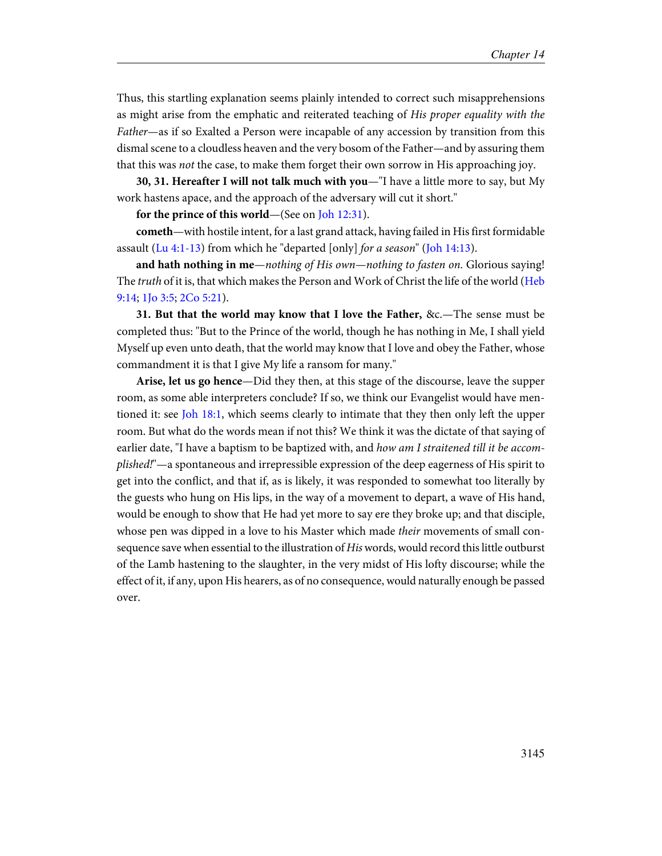Thus, this startling explanation seems plainly intended to correct such misapprehensions as might arise from the emphatic and reiterated teaching of His proper equality with the Father—as if so Exalted a Person were incapable of any accession by transition from this dismal scene to a cloudless heaven and the very bosom of the Father—and by assuring them that this was *not* the case, to make them forget their own sorrow in His approaching joy.

**30, 31. Hereafter I will not talk much with you**—"I have a little more to say, but My work hastens apace, and the approach of the adversary will cut it short."

**for the prince of this world**—(See on [Joh 12:31\)](http://www.ccel.org/study/Bible:John.12.31).

**cometh**—with hostile intent, for a last grand attack, having failed in His first formidable assault [\(Lu 4:1-13\)](http://www.ccel.org/study/Bible:Luke.4.1-Luke.4.13) from which he "departed [only] for a season" [\(Joh 14:13](http://www.ccel.org/study/Bible:John.14.13)).

**and hath nothing in me**—nothing of His own—nothing to fasten on. Glorious saying! The truth of it is, that which makes the Person and Work of Christ the life of the world [\(Heb](http://www.ccel.org/study/Bible:Heb.9.14) [9:14](http://www.ccel.org/study/Bible:Heb.9.14); [1Jo 3:5](http://www.ccel.org/study/Bible:1John.3.5); [2Co 5:21\)](http://www.ccel.org/study/Bible:2Cor.5.21).

**31. But that the world may know that I love the Father,** &c.—The sense must be completed thus: "But to the Prince of the world, though he has nothing in Me, I shall yield Myself up even unto death, that the world may know that I love and obey the Father, whose commandment it is that I give My life a ransom for many."

**Arise, let us go hence**—Did they then, at this stage of the discourse, leave the supper room, as some able interpreters conclude? If so, we think our Evangelist would have mentioned it: see [Joh 18:1,](http://www.ccel.org/study/Bible:John.18.1) which seems clearly to intimate that they then only left the upper room. But what do the words mean if not this? We think it was the dictate of that saying of earlier date, "I have a baptism to be baptized with, and how am I straitened till it be accomplished!"—a spontaneous and irrepressible expression of the deep eagerness of His spirit to get into the conflict, and that if, as is likely, it was responded to somewhat too literally by the guests who hung on His lips, in the way of a movement to depart, a wave of His hand, would be enough to show that He had yet more to say ere they broke up; and that disciple, whose pen was dipped in a love to his Master which made *their* movements of small consequence save when essential to the illustration of His words, would record this little outburst of the Lamb hastening to the slaughter, in the very midst of His lofty discourse; while the effect of it, if any, upon His hearers, as of no consequence, would naturally enough be passed over.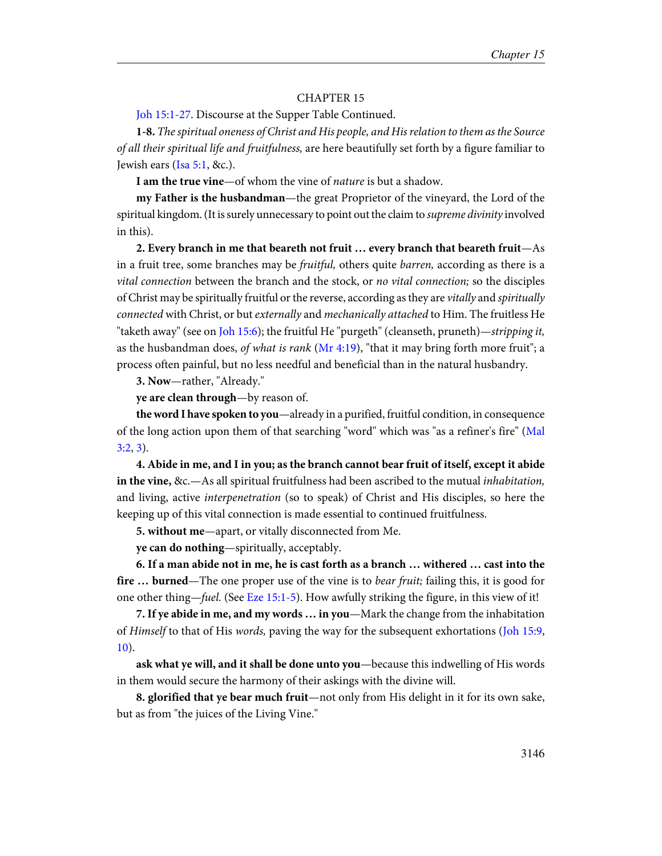## CHAPTER 15

[Joh 15:1-27](http://www.ccel.org/study/Bible:John.15.1-John.15.27). Discourse at the Supper Table Continued.

**1-8.** The spiritual oneness of Christ and His people, and His relation to them as the Source of all their spiritual life and fruitfulness, are here beautifully set forth by a figure familiar to Jewish ears [\(Isa 5:1](http://www.ccel.org/study/Bible:Isa.5.1), &c.).

**I am the true vine**—of whom the vine of nature is but a shadow.

**my Father is the husbandman**—the great Proprietor of the vineyard, the Lord of the spiritual kingdom. (It is surely unnecessary to point out the claim to supreme divinity involved in this).

**2. Every branch in me that beareth not fruit … every branch that beareth fruit**—As in a fruit tree, some branches may be *fruitful*, others quite *barren*, according as there is a vital connection between the branch and the stock, or no vital connection; so the disciples of Christ may be spiritually fruitful or the reverse, according as they are vitally and spiritually connected with Christ, or but externally and mechanically attached to Him. The fruitless He "taketh away" (see on [Joh 15:6](http://www.ccel.org/study/Bible:John.15.6)); the fruitful He "purgeth" (cleanseth, pruneth)—stripping it, as the husbandman does, of what is rank [\(Mr 4:19\)](http://www.ccel.org/study/Bible:Mark.4.19), "that it may bring forth more fruit"; a process often painful, but no less needful and beneficial than in the natural husbandry.

**3. Now**—rather, "Already."

**ye are clean through**—by reason of.

**the word I have spoken to you**—already in a purified, fruitful condition, in consequence of the long action upon them of that searching "word" which was "as a refiner's fire" ([Mal](http://www.ccel.org/study/Bible:Mal.3.2) [3:2](http://www.ccel.org/study/Bible:Mal.3.2), [3](http://www.ccel.org/study/Bible:Mal.3.3)).

**4. Abide in me, and I in you; as the branch cannot bear fruit of itself, except it abide in the vine,** &c.—As all spiritual fruitfulness had been ascribed to the mutual inhabitation, and living, active interpenetration (so to speak) of Christ and His disciples, so here the keeping up of this vital connection is made essential to continued fruitfulness.

**5. without me**—apart, or vitally disconnected from Me.

**ye can do nothing**—spiritually, acceptably.

**6. If a man abide not in me, he is cast forth as a branch … withered … cast into the fire** ... **burned**—The one proper use of the vine is to *bear fruit*; failing this, it is good for one other thing—fuel. (See [Eze 15:1-5\)](http://www.ccel.org/study/Bible:Ezek.15.1-Ezek.15.5). How awfully striking the figure, in this view of it!

**7. If ye abide in me, and my words … in you**—Mark the change from the inhabitation of Himself to that of His words, paving the way for the subsequent exhortations [\(Joh 15:9,](http://www.ccel.org/study/Bible:John.15.9) [10\)](http://www.ccel.org/study/Bible:John.15.10).

**ask what ye will, and it shall be done unto you**—because this indwelling of His words in them would secure the harmony of their askings with the divine will.

**8. glorified that ye bear much fruit**—not only from His delight in it for its own sake, but as from "the juices of the Living Vine."